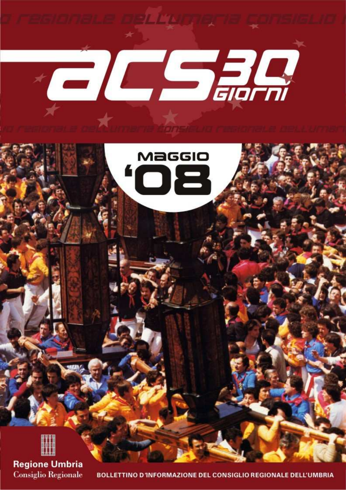

ORMAZIONE DEL CONSIGLIO REGIONALE DELL'UMBRIA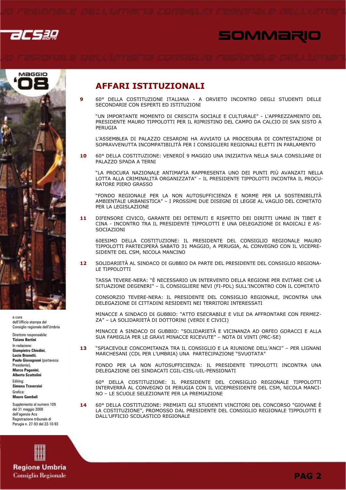

 $\mathbf{9}$ 

# SOMMARIO



a cura dell'Ufficio stampa del Consiglio regionale dell'Umbria

Direttore responsabile: **Tiziano Bertini** 

In redazione: Giampietro Chiodini **Lucio Rrunotti** Paolo Giovagnoni (portavoce Presidente) Marco Paganini, **Alberto Scattolini** 

Editing: Simona Traversini

Grafica:

**Mauro Gambuli** 

Supplemento al numero 109 del 31 maggio 2008 dell'agenzia Acs Registrazione tribunale di Perugia n. 27-93 del 22-10-93



60° DELLA COSTITUZIONE ITALIANA - A ORVIETO INCONTRO DEGLI STUDENTI DELLE SECONDARIE CON ESPERTI ED ISTITUZIONI

"UN IMPORTANTE MOMENTO DI CRESCITA SOCIALE E CULTURALE" - L'APPREZZAMENTO DEL PRESIDENTE MAURO TIPPOLOTTI PER IL RIPRISTINO DEL CAMPO DA CALCIO DI SAN SISTO A PERUGIA

L'ASSEMBLEA DI PALAZZO CESARONI HA AVVIATO LA PROCEDURA DI CONTESTAZIONE DI SOPRAVVENUTTA INCOMPATIBILITÀ PER I CONSIGLIERI REGIONALI ELETTI IN PARLAMENTO

60° DELLA COSTITUZIONE: VENERDÌ 9 MAGGIO UNA INIZIATIVA NELLA SALA CONSILIARE DI 10 PALAZZO SPADA A TERNI

"LA PROCURA NAZIONALE ANTIMAFIA RAPPRESENTA UNO DEI PUNTI PIÙ AVANZATI NELLA LOTTA ALLA CRIMINALITÀ ORGANIZZATA" - IL PRESIDENTE TIPPOLOTTI INCONTRA IL PROCU-RATORE PIERO GRASSO

"FONDO REGIONALE PER LA NON AUTOSUFFICIENZA E NORME PER LA SOSTENIBILITÀ AMBIENTALE URBANISTICA" - I PROSSIMI DUE DISEGNI DI LEGGE AL VAGLIO DEL COMITATO PER LA LEGISLAZIONE

DIFENSORE CIVICO, GARANTE DEI DETENUTI E RISPETTO DEI DIRITTI UMANI IN TIBET E 11 CINA - INCONTRO TRA IL PRESIDENTE TIPPOLOTTI E UNA DELEGAZIONE DI RADICALI E AS-SOCIAZIONI

60ESIMO DELLA COSTITUZIONE: IL PRESIDENTE DEL CONSIGLIO REGIONALE MAURO TIPPOLOTTI PARTECIPERÀ SABATO 31 MAGGIO, A PERUGIA, AL CONVEGNO CON IL VICEPRE-SIDENTE DEL CSM, NICOLA MANCINO

SOLIDARIETÀ AL SINDACO DI GUBBIO DA PARTE DEL PRESIDENTE DEL CONSIGLIO REGIONA- $12<sub>2</sub>$ LE TIPPOLOTTI

TASSA TEVERE-NERA: "È NECESSARIO UN INTERVENTO DELLA REGIONE PER EVITARE CHE LA SITUAZIONE DEGENERI" - IL CONSIGLIERE NEVI (FI-PDL) SULL'INCONTRO CON IL COMITATO

CONSORZIO TEVERE-NERA: IL PRESIDENTE DEL CONSIGLIO REGIONALE, INCONTRA UNA DELEGAZIONE DI CITTADINI RESIDENTI NEI TERRITORI INTERESSATI

MINACCE A SINDACO DI GUBBIO: "ATTO ESECRABILE E VILE DA AFFRONTARE CON FERMEZ-ZA" – LA SOLIDARIETÀ DI DOTTORINI (VERDI E CIVICI)

MINACCE A SINDACO DI GUBBIO: "SOLIDARIETÀ E VICINANZA AD ORFEO GORACCI E ALLA SUA FAMIGLIA PER LE GRAVI MINACCE RICEVUTE" - NOTA DI VINTI (PRC-SE)

"SPIACEVOLE CONCOMITANZA TRA IL CONSIGLIO E LA RIUNIONE DELL'ANCI" - PER LIGNANI  $13$ MARCHESANI (CDL PER L'UMBRIA) UNA PARTECIPAZIONE "SVUOTATA"

FONDO PER LA NON AUTOSUFFICIENZA: IL PRESIDENTE TIPPOLOTTI INCONTRA UNA DELEGAZIONE DEI SINDACATI CGIL-CISL-UIL-PENSIONATI

60° DELLA COSTITUZIONE: IL PRESIDENTE DEL CONSIGLIO REGIONALE TIPPOLOTTI<br>INTERVERRÀ AL CONVEGNO DI PERUGIA CON IL VICEPRESIDENTE DEL CSM, NICOLA MANCI-NO - LE SCUOLE SELEZIONATE PER LA PREMIAZIONE

14 60° DELLA COSTITUZIONE: PREMIATI GLI STUDENTI VINCITORI DEL CONCORSO "GIOVANE È LA COSTITUZIONE", PROMOSSO DAL PRESIDENTE DEL CONSIGLIO REGIONALE TIPPOLOTTI E DALL'UFFICIO SCOLASTICO REGIONALE

**Regione Umbria Consiglio Regionale**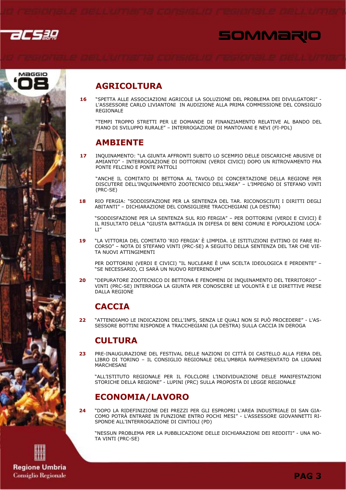





## **AGRICOLTURA**

"SPETTA ALLE ASSOCIAZIONI AGRICOLE LA SOLUZIONE DEL PROBLEMA DEI DIVULGATORI" -16 L'ASSESSORE CARLO LIVIANTONI IN AUDIZIONE ALLA PRIMA COMMISSIONE DEL CONSIGLIO REGIONALE

"TEMPI TROPPO STRETTI PER LE DOMANDE DI FINANZIAMENTO RELATIVE AL BANDO DEL PIANO DI SVILUPPO RURALE" - INTERROGAZIONE DI MANTOVANI E NEVI (FI-PDL)

## **AMBIENTE**

INQUINAMENTO: "LA GIUNTA AFFRONTI SUBITO LO SCEMPIO DELLE DISCARICHE ABUSIVE DI 17 AMIANTO" - INTERROGAZIONE DI DOTTORINI (VERDI CIVICI) DOPO UN RITROVAMENTO FRA PONTE FFICINO E PONTE PATTOLI

"ANCHE IL COMITATO DI BETTONA AL TAVOLO DI CONCERTAZIONE DELLA REGIONE PER DISCUTERE DELL'INOUINAMENTO ZOOTECNICO DELL'AREA" - L'IMPEGNO DI STEFANO VINTI  $(PRC-SF)$ 

RIO FERGIA: "SODDISFAZIONE PER LA SENTENZA DEL TAR. RICONOSCIUTI I DIRITTI DEGLI 18 ABITANTI" - DICHIARAZIONE DEL CONSIGLIERE TRACCHEGIANI (LA DESTRA)

"SODDISFAZIONE PER LA SENTENZA SUL RIO FERGIA" – PER DOTTORINI (VERDI E CIVICI) È IL RISULTATO DELLA "GIUSTA BATTAGLIA IN DIFESA DI BENI COMUNI E POPOLAZIONI LOCA- $\mathsf{I}$  T<sup> $n$ </sup>

"LA VITTORIA DEL COMITATO 'RIO FERGIA' È LIMPIDA. LE ISTITUZIONI EVITINO DI FARE RI- $10$ CORSO" - NOTA DI STEFANO VINTI (PRC-SE) A SEGUITO DELLA SENTENZA DEL TAR CHE VIE-TA NUOVI ATTINGIMENTI

PER DOTTORINI (VERDI E CIVICI) "IL NUCLEARE È UNA SCELTA IDEOLOGICA E PERDENTE" -"SE NECESSARIO, CI SARÀ UN NUOVO REFERENDUM"

"DEPURATORE ZOOTECNICO DI BETTONA E FENOMENI DI INQUINAMENTO DEL TERRITORIO" - $20$ VINTI (PRC-SE) INTERROGA LA GIUNTA PER CONOSCERE LE VOLONTÀ E LE DIRETTIVE PRESE DALLA REGIONE

## **CACCIA**

"ATTENDIAMO LE INDICAZIONI DELL'INFS, SENZA LE QUALI NON SI PUÒ PROCEDERE" - L'AS- $22$ SESSORE BOTTINI RISPONDE A TRACCHEGIANI (LA DESTRA) SULLA CACCIA IN DEROGA

## **CULTURA**

PRE-INAUGURAZIONE DEL FESTIVAL DELLE NAZIONI DI CITTÀ DI CASTELLO ALLA FIERA DEL  $23$ LIBRO DI TORINO - IL CONSIGLIO REGIONALE DELL'UMBRIA RAPPRESENTATO DA LIGNANI MARCHESANI

"ALL'ISTITUTO REGIONALE PER IL FOLCLORE L'INDIVIDUAZIONE DELLE MANIFESTAZIONI STORICHE DELLA REGIONE" - LUPINI (PRC) SULLA PROPOSTA DI LEGGE REGIONALE

## **ECONOMIA/LAVORO**

"DOPO LA RIDEFINIZIONE DEI PREZZI PER GLI ESPROPRI L'AREA INDUSTRIALE DI SAN GIA- $24$ COMO POTRÀ ENTRARE IN FUNZIONE ENTRO POCHI MESI" - L'ASSESSORE GIOVANNETTI RI-SPONDE ALL'INTERROGAZIONE DI CINTIOLI (PD)

"NESSUN PROBLEMA PER LA PUBBLICAZIONE DELLE DICHIARAZIONI DEI REDDITI" - UNA NO-TA VINTI (PRC-SE)

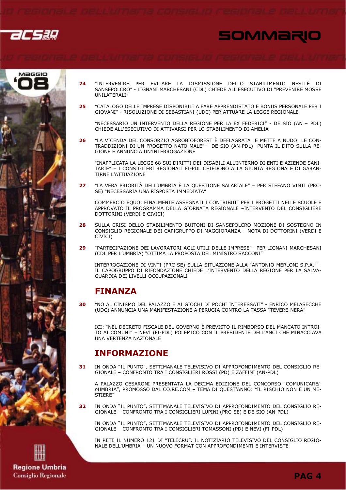

# SOMMARIO



- "INTERVENIRE PER EVITARE LA DISMISSIONE DELLO STABILIMENTO NESTLÈ DI 24 SANSEPOLCRO" - LIGNANI MARCHESANI (CDL) CHIEDE ALL'ESECUTIVO DI "PREVENIRE MOSSE UNILATERALI"
- "CATALOGO DELLE IMPRESE DISPONIBILI A FARE APPRENDISTATO E BONUS PERSONALE PER I  $25$ GIOVANI" - RISOLUZIONE DI SEBASTIANI (UDC) PER ATTUARE LA LEGGE REGIONALE

"NECESSARIO UN INTERVENTO DELLA REGIONE PER LA EX FEDERICI" - DE SIO (AN - PDL) CHIEDE ALL'ESECUTIVO DI ATTIVARSI PER LO STABILIMENTO DI AMELIA

"LA VICENDA DEL CONSORZIO AGROBIOFOREST È DEFLAGRATA E METTE A NUDO LE CON-26 TRADDIZIONI DI UN PROGETTO NATO MALE" - DE SIO (AN-PDL) PUNTA IL DITO SULLA RE-GIONE E ANNUNCIA UN'INTERROGAZIONE

"INAPPLICATA LA LEGGE 68 SUI DIRITTI DEI DISABILI ALL'INTERNO DI ENTI E AZIENDE SANI-TARIE" - I CONSIGLIERI REGIONALI FI-PDL CHIEDONO ALLA GIUNTA REGIONALE DI GARAN-TIRNE L'ATTUAZIONE

"LA VERA PRIORITÀ DELL'UMBRIA È LA QUESTIONE SALARIALE" – PER STEFANO VINTI (PRC-27 SE) "NECESSARIA UNA RISPOSTA IMMEDIATA"

COMMERCIO EOUO: FINALMENTE ASSEGNATI I CONTRIBUTI PER I PROGETTI NELLE SCUOLE E APPROVATO IL PROGRAMMA DELLA GIORNATA REGIONALE -INTERVENTO DEL CONSIGLIERE DOTTORINI (VERDI E CIVICI)

- $28$ SULLA CRISI DELLO STABILIMENTO BUITONI DI SANSEPOLCRO MOZIONE DI SOSTEGNO IN CONSIGLIO REGIONALE DEI CAPIGRUPPO DI MAGGIORANZA - NOTA DI DOTTORINI (VERDI E CIVICI)
- "PARTECIPAZIONE DEI LAVORATORI AGLI UTILI DELLE IMPRESE" -PER LIGNANI MARCHESANI  $29$ (CDL PER L'UMBRIA) "OTTIMA LA PROPOSTA DEL MINISTRO SACCONI"

INTERROGAZIONE DI VINTI (PRC-SE) SULLA SITUAZIONE ALLA "ANTONIO MERLONI S.P.A." -IL CAPOGRUPPO DI RIFONDAZIONE CHIEDE L'INTERVENTO DELLA REGIONE PER LA SALVA-GUARDIA DEI LIVELLI OCCUPAZIONALI

## **FINANZA**

"NO AL CINISMO DEL PALAZZO E AI GIOCHI DI POCHI INTERESSATI" - ENRICO MELASECCHE  $30^{\circ}$ (UDC) ANNUNCIA UNA MANIFESTAZIONE A PERUGIA CONTRO LA TASSA "TEVERE-NERA"

ICI: "NEL DECRETO FISCALE DEL GOVERNO È PREVISTO IL RIMBORSO DEL MANCATO INTROI-TO AI COMUNI" - NEVI (FI-PDL) POLEMICO CON IL PRESIDENTE DELL'ANCI CHE MINACCIAVA UNA VERTENZA NAZIONALE

### **INFORMAZIONE**

IN ONDA "IL PUNTO", SETTIMANALE TELEVISIVO DI APPROFONDIMENTO DEL CONSIGLIO RE-31 GIONALE - CONFRONTO TRA I CONSIGLIERI ROSSI (PD) E ZAFFINI (AN-PDL)

A PALAZZO CESARONI PRESENTATA LA DECIMA EDIZIONE DEL CONCORSO "COMUNICARE/nUMBRIA", PROMOSSO DAL CO.RE.COM - TEMA DI QUEST'ANNO: "IL RISCHIO NON È UN ME-STIFRE"

IN ONDA "IL PUNTO", SETTIMANALE TELEVISIVO DI APPROFONDIMENTO DEL CONSIGLIO RE- $32<sub>2</sub>$ GIONALE - CONFRONTO TRA I CONSIGLIFRI LUPINI (PRC-SE) E DE SIO (AN-PDL)

IN ONDA "IL PUNTO", SETTIMANALE TELEVISIVO DI APPROFONDIMENTO DEL CONSIGLIO RE-GIONALE - CONFRONTO TRA I CONSIGLIERI TOMASSONI (PD) E NEVI (FI-PDL)

IN RETE IL NUMERO 121 DI "TELECRU", IL NOTIZIARIO TELEVISIVO DEL CONSIGLIO REGIO-NALE DELL'UMBRIA - UN NUOVO FORMAT CON APPROFONDIMENTI E INTERVISTE

**Regione Umbria Consiglio Regionale**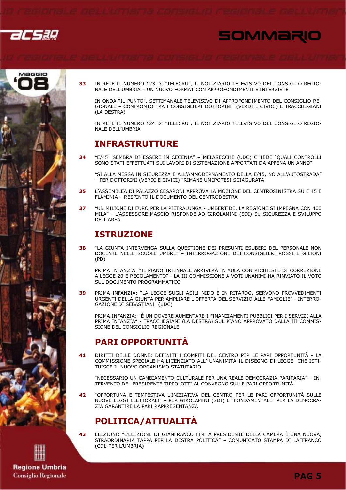





33 IN RETE IL NUMERO 123 DI "TELECRU", IL NOTIZIARIO TELEVISIVO DEL CONSIGLIO REGIO-NALE DELL'UMBRIA - UN NUOVO FORMAT CON APPROFONDIMENTI E INTERVISTE

IN ONDA "IL PUNTO", SETTIMANALE TELEVISIVO DI APPROFONDIMENTO DEL CONSIGLIO RE-GIONALE - CONFRONTO TRA I CONSIGLIERI DOTTORINI (VERDI E CIVICI) E TRACCHEGIANI (LA DESTRA)

IN RETE IL NUMERO 124 DI "TELECRU", IL NOTIZIARIO TELEVISIVO DEL CONSIGLIO REGIO-NALE DELL'UMBRIA

## **INFRASTRUTTURE**

"E/45: SEMBRA DI ESSERE IN CECENIA" - MELASECCHE (UDC) CHIEDE "QUALI CONTROLLI 34 SONO STATI EFFETTUATI SUI LAVORI DI SISTEMAZIONE APPORTATI DA APPENA UN ANNO"

"SÌ ALLA MESSA IN SICUREZZA E ALL'AMMODERNAMENTO DELLA E/45, NO ALL'AUTOSTRADA" - PER DOTTORINI (VERDI E CIVICI) "RIMANE UN'IPOTESI SCIAGURATA"

- L'ASSEMBLEA DI PALAZZO CESARONI APPROVA LA MOZIONE DEL CENTROSINISTRA SU E 45 E 35 FLAMINIA - RESPINTO IL DOCUMENTO DEL CENTRODESTRA
- "UN MILIONE DI FURO PER LA PIFTRALUNGA UMBERTIDE, LA REGIONE SI IMPEGNA CON 400  $37$ MILA" - L'ASSESSORE MASCIO RISPONDE AD GIROLAMINI (SDI) SU SICUREZZA E SVILUPPO DFII'ARFA

### **ISTRUZIONE**

"LA GIUNTA INTERVENGA SULLA QUESTIONE DEI PRESUNTI ESUBERI DEL PERSONALE NON 38 DOCENTE NELLE SCUOLE UMBRE" - INTERROGAZIONE DEI CONSIGLIERI ROSSI E GILIONI  $(PD)$ 

PRIMA INFANZIA: "IL PIANO TRIENNALE ARRIVERÀ IN AULA CON RICHIESTE DI CORREZIONE A LEGGE 20 E REGOLAMENTO" - LA III COMMISSIONE A VOTI UNANIMI HA RINVIATO IL VOTO SUL DOCUMENTO PROGRAMMATICO

PRIMA INFANZIA: "LA LEGGE SUGLI ASILI NIDO È IN RITARDO. SERVONO PROVVEDIMENTI  $39$ URGENTI DELLA GIUNTA PER AMPLIARE L'OFFERTA DEL SERVIZIO ALLE FAMIGLIE" - INTERRO-**GAZIONE DI SEBASTIANI (UDC)** 

PRIMA INFANZIA: "È UN DOVERE AUMENTARE I FINANZIAMENTI PUBBLICI PER I SERVIZI ALLA PRIMA INFANZIA" - TRACCHEGIANI (LA DESTRA) SUL PIANO APPROVATO DALLA III COMMIS-SIONE DEL CONSIGLIO REGIONALE

### **PARI OPPORTUNITÀ**

DIRITTI DELLE DONNE: DEFINITI I COMPITI DEL CENTRO PER LE PARI OPPORTUNITÀ - LA  $41$ COMMISSIONE SPECIALE HA LICENZIATO ALL' UNANIMITÀ IL DISEGNO DI LEGGE CHE ISTI-TUISCE IL NUOVO ORGANISMO STATUTARIO

"NECESSARIO UN CAMBIAMENTO CULTURALE PER UNA REALE DEMOCRAZIA PARITARIA" - IN-TERVENTO DEL PRESIDENTE TIPPOLOTTI AL CONVEGNO SULLE PARI OPPORTUNITÀ

"OPPORTUNA E TEMPESTIVA L'INIZIATIVA DEL CENTRO PER LE PARI OPPORTUNITÀ SULLE 42 NUOVE LEGGI ELETTORALI" – PER GIROLAMINI (SDI) È "FONDAMENTALE" PER LA DEMOCRA-THE GARANTIRE LA PART RAPPRESENTANZA

## POLITICA/ATTUALITÀ

ELEZIONI: "L'ELEZIONE DI GIANFRANCO FINI A PRESIDENTE DELLA CAMERA È UNA NUOVA, STRAORDINARIA TAPPA PER LA DESTRA POLITICA" - COMUNICATO STAMPA DI LAFFRANCO (CDL-PER L'UMBRIA)

**Regione Umbria Consiglio Regionale**  43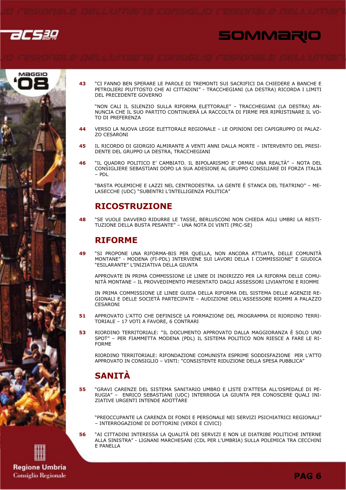





43 "CI FANNO BEN SPERARE LE PAROLE DI TREMONTI SUI SACRIFICI DA CHIEDERE A BANCHE E PETROLIERI PIUTTOSTO CHE AI CITTADINI" - TRACCHEGIANI (LA DESTRA) RICORDA I LIMITI DEL PRECEDENTE GOVERNO

"NON CALI IL SILENZIO SULLA RIFORMA ELETTORALE" - TRACCHEGIANI (LA DESTRA) AN-NUNCIA CHE IL SUO PARTITO CONTINUERÀ LA RACCOLTA DI FIRME PER RIPRISTINARE IL VO-TO DI PREFERENZA

- VERSO LA NUOVA LEGGE ELETTORALE REGIONALE LE OPINIONI DEI CAPIGRUPPO DI PALAZ-44 **ZO CESARONI**
- 45 IL RICORDO DI GIORGIO ALMIRANTE A VENTI ANNI DALLA MORTE - INTERVENTO DEL PRESI-DENTE DEL GRUPPO LA DESTRA, TRACCHEGIANI
- 46 "IL QUADRO POLITICO E' CAMBIATO. IL BIPOLARISMO E' ORMAI UNA REALTÀ" - NOTA DEL CONSIGLIERE SEBASTIANI DOPO LA SUA ADESIONE AL GRUPPO CONSILIARE DI FORZA ITALIA  $-$  PDI

"BASTA POLEMICHE E LAZZI NEL CENTRODESTRA. LA GENTE È STANCA DEL TEATRINO" – ME-LASECCHE (UDC) "SUBENTRI L'INTELLIGENZA POLITICA"

## **RICOSTRUZIONE**

48 "SE VUOLE DAVVERO RIDURRE LE TASSE, BERLUSCONI NON CHIEDA AGLI UMBRI LA RESTI-TUZIONE DELLA BUSTA PESANTE" - UNA NOTA DI VINTI (PRC-SE)

## **RIFORME**

 $\overline{49}$ "SI PROPONE UNA RIFORMA-BIS PER OUELLA, NON ANCORA ATTUATA, DELLE COMUNITÀ MONTANE" - MODENA (FI-PDL) INTERVIENE SUI LAVORI DELLA I COMMISSIONE" E GIUDICA "ESILARANTE" L'INIZIATIVA DELLA GIUNTA

APPROVATE IN PRIMA COMMISSIONE LE LINEE DI INDIRIZZO PER LA RIFORMA DELLE COMU-NITÀ MONTANE - IL PROVVEDIMENTO PRESENTATO DAGLI ASSESSORI LIVIANTONI E RIOMMI

IN PRIMA COMMISSIONE LE LINEE GUIDA DELLA RIFORMA DEL SISTEMA DELLE AGENZIE RE-GIONALI E DELLE SOCIETÀ PARTECIPATE - AUDIZIONE DELL'ASSESSORE RIOMMI A PALAZZO CESARONI

- APPROVATO L'ATTO CHE DEFINISCE LA FORMAZIONE DEL PROGRAMMA DI RIORDINO TERRI-51 TORIALE - 17 VOTI A FAVORE, 6 CONTRARI
- 53 RIORDINO TERRITORIALE: "IL DOCUMENTO APPROVATO DALLA MAGGIORANZA È SOLO UNO SPOT" - PER FIAMMETTA MODENA (PDL) IL SISTEMA POLITICO NON RIESCE A FARE LE RI-**FORMF**

RIORDINO TERRITORIALE: RIFONDAZIONE COMUNISTA ESPRIME SODDISFAZIONE PER L'ATTO APPROVATO IN CONSIGLIO - VINTI: "CONSISTENTE RIDUZIONE DELLA SPESA PUBBLICA"

## **SANITÀ**

56

"GRAVI CARENZE DEL SISTEMA SANITARIO UMBRO E LISTE D'ATTESA ALL'OSPEDALE DI PE-55 RUGIA" - ENRICO SEBASTIANI (UDC) INTERROGA LA GIUNTA PER CONOSCERE OUALI INI-ZIATIVE URGENTI INTENDE ADOTTARE

"PREOCCUPANTE LA CARENZA DI FONDI E PERSONALE NEI SERVIZI PSICHIATRICI REGIONALI" - INTERROGAZIONE DI DOTTORINI (VERDI E CIVICI)

AI CITTADINI INTERESSA LA QUALITÀ DEI SERVIZI E NON LE DIATRIBE POLITICHE INTERNE" ALLA SINISTRA" - LIGNANI MARCHESANI (CDL PER L'UMBRIA) SULLA POLEMICA TRA CECCHINI E PANELLA

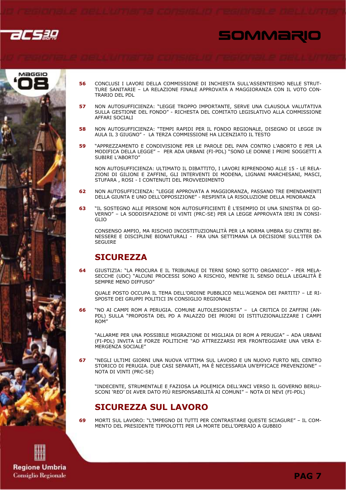

# SOMMARIO



- CONCLUSI I LAVORI DELLA COMMISSIONE DI INCHIESTA SULL'ASSENTEISMO NELLE STRUT-56 TURE SANITARIE - LA RELAZIONE FINALE APPROVATA A MAGGIORANZA CON IL VOTO CON-TRARIO DEL PDL
- NON AUTOSUFFICIENZA: "LEGGE TROPPO IMPORTANTE. SERVE UNA CLAUSOLA VALUTATIVA 57 SULLA GESTIONE DEL FONDO" - RICHESTA DEL COMITATO LEGISLATIVO ALLA COMMISSIONE AFFARI SOCIALI
- NON AUTOSUFFICIENZA: "TEMPI RAPIDI PER IL FONDO REGIONALE, DISEGNO DI LEGGE IN 58 AULA IL 3 GIUGNO" - LA TERZA COMMISSIONE HA LICENZIATO IL TESTO
- 59 "APPREZZAMENTO E CONDIVISIONE PER LE PAROLE DEL PAPA CONTRO L'ABORTO E PER LA MODIFICA DELLA LEGGE" - PER ADA URBANI (FI-PDL) "SONO LE DONNE I PRIMI SOGGETTI A SUBIRE L'ABORTO"

NON AUTOSUFFICIENZA: ULTIMATO IL DIBATTITO, I LAVORI RIPRENDONO ALLE 15 - LE RELA-ZIONI DI GILIONI E ZAFFINI, GLI INTERVENTI DI MODENA, LIGNANI MARCHESANI, MASCI, STUFARA, ROSI - I CONTENUTI DEL PROVVEDIMENTO

- 62 NON AUTOSUFFICIENZA: "LEGGE APPROVATA A MAGGIORANZA, PASSANO TRE EMENDAMENTI DELLA GIUNTA E UNO DELL'OPPOSIZIONE" - RESPINTA LA RISOLUZIONE DELLA MINORANZA
- "IL SOSTEGNO ALLE PERSONE NON AUTOSUFFICIENTI È L'ESEMPIO DI UNA SINISTRA DI GO-63 VERNO" - LA SODDISFAZIONE DI VINTI (PRC-SE) PER LA LEGGE APPROVATA IERI IN CONSI- $GITO$

CONSENSO AMPIO. MA RISCHIO INCOSTITUZIONALITÀ PER LA NORMA UMBRA SU CENTRI BE-NESSERE E DISCIPLINE BIONATURALI - FRA UNA SETTIMANA LA DECISIONE SULL'ITER DA **SEGUIRE** 

## **SICUREZZA**

GIUSTIZIA: "LA PROCURA E IL TRIBUNALE DI TERNI SONO SOTTO ORGANICO" - PER MELA-64 SECCHE (UDC) "ALCUNI PROCESSI SONO A RISCHIO, MENTRE IL SENSO DELLA LEGALITÀ È SEMPRE MENO DIFFUSO"

OUALE POSTO OCCUPA IL TEMA DELL'ORDINE PUBBLICO NELL'AGENDA DEI PARTITI? - LE RI-SPOSTE DEI GRUPPI POLITICI IN CONSIGLIO REGIONALE

66 "NO AI CAMPI ROM A PERUGIA. COMUNE AUTOLESIONISTA" - LA CRITICA DI ZAFFINI (AN-PDL) SULLA "PROPOSTA DEL PD A PALAZZO DEI PRIORI DI ISTITUZIONALIZZARE I CAMPI ROM"

"ALLARME PER UNA POSSIBILE MIGRAZIONE DI MIGLIAIA DI ROM A PERUGIA" - ADA URBANI (FI-PDL) INVITA LE FORZE POLITICHE "AD ATTREZZARSI PER FRONTEGGIARE UNA VERA E-MERGENZA SOCIALE"

"NEGLI ULTIMI GIORNI UNA NUOVA VITTIMA SUL LAVORO E UN NUOVO FURTO NEL CENTRO 67 STORICO DI PERUGIA. DUE CASI SEPARATI, MA È NECESSARIA UN'EFFICACE PREVENZIONE" -NOTA DI VINTI (PRC-SE)

"INDECENTE, STRUMENTALE E FAZIOSA LA POLEMICA DELL'ANCI VERSO IL GOVERNO BERLU-SCONI 'REO' DI AVER DATO PIÙ RESPONSABILITÀ AI COMUNI" - NOTA DI NEVI (FI-PDL)

## **SICUREZZA SUL LAVORO**

69

MORTI SUL LAVORO: "L'IMPEGNO DI TUTTI PER CONTRASTARE QUESTE SCIAGURE" - IL COM-MENTO DEL PRESIDENTE TIPPOLOTTI PER LA MORTE DELL'OPERAIO A GUBBIO

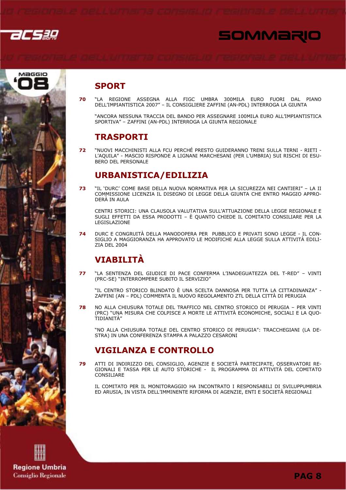





## **SPORT**

70 "LA REGIONE ASSEGNA ALLA FIGC UMBRA 300MILA EURO FUORI DAL PIANO DELL'IMPIANTISTICA 2007" - IL CONSIGLIERE ZAFFINI (AN-PDL) INTERROGA LA GIUNTA

"ANCORA NESSUNA TRACCIA DEL BANDO PER ASSEGNARE 100MILA EURO ALL'IMPIANTISTICA SPORTIVA" - ZAFFINI (AN-PDL) INTERROGA LA GIUNTA REGIONALE

## **TRASPORTI**

 $72$ "NUOVI MACCHINISTI ALLA FCU PERCHÉ PRESTO GUIDERANNO TRENI SULLA TERNI - RIETI -L'AQUILA" - MASCIO RISPONDE A LIGNANI MARCHESANI (PER L'UMBRIA) SUI RISCHI DI ESU-**BERO DEL PERSONALE** 

## **URBANISTICA/EDILIZIA**

"IL 'DURC' COME BASE DELLA NUOVA NORMATIVA PER LA SICUREZZA NEI CANTIERI" - LA II 73 COMMISSIONE LICENZIA IL DISEGNO DI LEGGE DELLA GIUNTA CHE ENTRO MAGGIO APPRO-DERÀ IN AULA

CENTRI STORICI: UNA CLAUSOLA VALUTATIVA SULL'ATTUAZIONE DELLA LEGGE REGIONALE E SUGLI EFFETTI DA ESSA PRODOTTI – È QUANTO CHIEDE IL COMITATO CONSILIARE PER LA LEGISLAZIONE

DURC E CONGRUITÀ DELLA MANODOPERA PER PUBBLICO E PRIVATI SONO LEGGE - IL CON- $74$ SIGLIO A MAGGIORANZA HA APPROVATO LE MODIFICHE ALLA LEGGE SULLA ATTIVITÀ EDILI-**ZIA DEL 2004** 

## **VIABILITÀ**

"LA SENTENZA DEL GIUDICE DI PACE CONFERMA L'INADEGUATEZZA DEL T-RED" - VINTI 77 (PRC-SE) "INTERROMPERE SUBITO IL SERVIZIO"

"IL CENTRO STORICO BLINDATO È UNA SCELTA DANNOSA PER TUTTA LA CITTADINANZA" -ZAFFINI (AN - PDL) COMMENTA IL NUOVO REGOLAMENTO ZTL DELLA CITTÀ DI PERUGIA

78 NO ALLA CHIUSURA TOTALE DEL TRAFFICO NEL CENTRO STORICO DI PERUGIA - PER VINTI (PRC) "UNA MISURA CHE COLPISCE A MORTE LE ATTIVITÀ ECONOMICHE, SOCIALI E LA QUO-TIDIANITÀ"

"NO ALLA CHIUSURA TOTALE DEL CENTRO STORICO DI PERUGIA": TRACCHEGIANI (LA DE-STRA) IN UNA CONFERENZA STAMPA A PALAZZO CESARONI

## **VIGILANZA E CONTROLLO**

ATTI DI INDIRIZZO DEL CONSIGLIO, AGENZIE E SOCIETÀ PARTECIPATE, OSSERVATORI RE-79 GIONALI E TASSA PER LE AUTO STORICHE - IL PROGRAMMA DI ATTIVITÀ DEL COMITATO CONSTITARE

IL COMITATO PER IL MONITORAGGIO HA INCONTRATO I RESPONSABILI DI SVILUPPUMBRIA ED ARUSIA, IN VISTA DELL'IMMINENTE RIFORMA DI AGENZIE, ENTI E SOCIETÀ REGIONALI

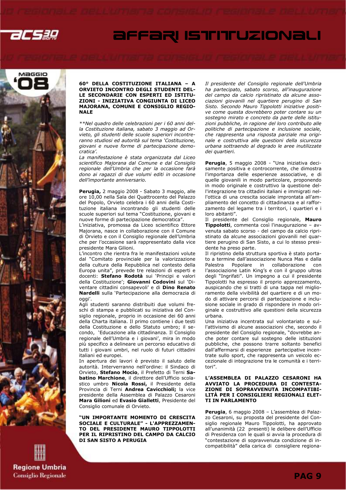



#### 60° DELLA COSTITUZIONE ITALIANA – A ORVIETO INCONTRO DEGLI STUDENTI DEL-LE SECONDARIE CON ESPERTI ED ISTITU-ZIONI - INIZIATIVA CONGIUNTA DI LICEO MAJORANA, COMUNE E CONSIGLIO REGIO-NALE

\*\*Nel quadro delle celebrazioni per i 60 anni della Costituzione italiana, sabato 3 maggio ad Orvieto, gli studenti delle scuole superiori incontreranno studiosi ed autorità sul tema 'Costituzione, giovani e nuove forme di partecipazione democratica'.

La manifestazione è stata organizzata dal Liceo scientifico Majorana dal Comune e dal Consiglio regionale dell'Umbria che per la occasione farà dono ai ragazzi di due volumi editi in occasione dell'importante anniversario.

Perugia, 2 maggio 2008 - Sabato 3 maggio, alle ore 10,00 nella Sala dei Quattrocento del Palazzo del Popolo, Orvieto celebra i 60 anni della Costituzione italiana incontrando gli studenti delle scuole superiori sul tema "Costituzione, giovani e nuove forme di partecipazione democratica".

L'iniziativa, promossa da Liceo scientifico Ettore Majorana, nasce in collaborazione con il Comune di Orvieto e con il Consiglio regionale dell'Umbria che per l'occasione sarà rappresentato dalla vice presidente Mara Gilioni.

L'incontro che rientra fra le manifestazioni volute dal "Comitato provinciale per la valorizzazione della cultura della Repubblica nel contesto della Europa unita", prevede tre relazioni di esperti e docenti: Stefano Rodotà sui 'Principi e valori della Costituzione'; Giovanni Codovini sul 'Diventare cittadini consapevoli' e di Dino Renato Nardelli sulla 'Partecipazione alla democrazia di oggi'.

Agli studenti saranno distribuiti due volumi freschi di stampa e pubblicati su iniziativa del Consiglio regionale, proprio in occasione dei 60 anni della Charta italiana. Il primo contiene i due testi della Costituzione e dello Statuto umbro; il secondo, 'Educazione alla cittadinanza. Il Consiglio regionale dell'Umbria e i giovani', mira in modo più specifico a delineare un percorso educativo di tutti i giovani umbri, nel ruolo di futuri cittadini italiani ed europei.

In apertura dei lavori è previsto il saluto delle autorità. Interverranno nell'ordine: il Sindaco di Orvieto, Stefano Mocio, il Prefetto di Terni Sabatino Marchione, il direttore dell'Ufficio scolastico umbro Nicola Rossi, il Presidente della Provincia di Terni **Andrea Cavicchioli;** la vice presidente della Assemblea di Palazzo Cesaroni Mara Gilioni ed Evasio Gialletti, Presidente del Consiglio comunale di Orvieto.

"UN IMPORTANTE MOMENTO DI CRESCITA SOCIALE E CULTURALE" - L'APPREZZAMEN-TO DEL PRESIDENTE MAURO TIPPOLOTTI PER IL RIPRISTINO DEL CAMPO DA CALCIO DI SAN SISTO A PERUGIA

Il presidente del Consiglio regionale dell'Umbria ha partecipato, sabato scorso, all'inaugurazione del campo da calcio ripristinato da alcune associazioni giovanili nel quartiere perugino di San Sisto. Secondo Mauro Tippolotti iniziative positive come questa dovrebbero poter contare su un sostegno mirato e concreto da parte delle istituzioni pubbliche, in ragione del loro contributo alle politiche di partecipazione e inclusione sociale, che rappresenta una risposta parziale ma originale e costruttiva alle questioni della sicurezza urbana sottraendo al degrado le aree inutilizzate dei quartieri.

Perugia, 5 maggio 2008 - "Una iniziativa decisamente positiva e controcorrente, che dimostra l'importanza delle esperienze associative, e di quelle giovanili in modo particolare, proponendo in modo originale e costruttivo la questione dell'integrazione tra cittadini italiani e immigrati nell'ottica di una crescita sociale improntata all'ampliamento del concetto di cittadinanza e al rafforzamento del legame tra i territori, i quartieri e i loro abitanti".

Il presidente del Consiglio regionale, Mauro Tippolotti, commenta così l'inaugurazione – avvenuta sabato scorso - del campo da calcio ripristinato da alcune associazioni giovanili nel quartiere perugino di San Sisto, a cui lo stesso presidente ha preso parte.

Il ripristino della struttura sportiva è stato portato a termine dall'associazione Nunca Mas e dalla<br>Palestra Popolare in collaborazione con Popolare in collaborazione l'associazione Latin King's e con il gruppo ultras degli "Ingrifati". Un impegno a cui il presidente Tippolotti ha espresso il proprio apprezzamento, auspicando che si tratti di una tappa nel miglioramento della vivibilità del quartiere e di un modo di attivare percorsi di partecipazione e inclusione sociale in grado di rispondere in modo originale e costruttivo alle questioni della sicurezza urbana.

Una iniziativa incentrata sul volontariato e sull'attivismo di alcune associazioni che, secondo il presidente del Consiglio regionale, "dovrebbe anche poter contare sul sostegno delle istituzioni pubbliche, che possono trarre soltanto benefici dall'affermarsi di esperienze partecipative incentrate sullo sport, che rappresenta un veicolo eccezionale di integrazione tra le comunità e i territori".

#### L'ASSEMBLEA DI PALAZZO CESARONI HA AVVIATO LA PROCEDURA DI CONTESTA-ZIONE DI SOPRAVVENUTA INCOMPATIBI-LITÀ PER I CONSIGLIERI REGIONALI ELET-TI IN PARLAMENTO

Perugia, 6 maggio 2008 – L'assemblea di Palazzo Cesaroni, su proposta del presidente del Consiglio regionale Mauro Tippolotti, ha approvato all'unanimità (22 presenti) le delibere dell'Ufficio di Presidenza con le quali si avvia la procedura di "contestazione di sopravvenuta condizione di incompatibilità" della carica di consigliere regiona-

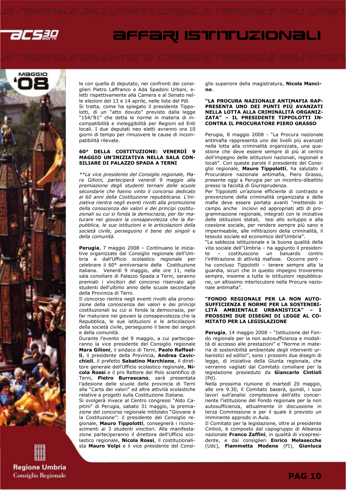



le con quella di deputato, nei confronti dei consiglieri Pietro Laffranco e Ada Spadoni Urbani, eletti rispettivamente alla Camera e al Senato nelle elezioni del 13 e 14 aprile, nelle liste del Pdl. Si tratta, come ha spiegato il presidente Tippolotti, di un "atto dovuto" previsto dalla legge "154/'81" che detta le norme in materia di incompatibilità e ineleggibilità per Regioni ed Enti locali. I due deputati neo eletti avranno ora 10 giorni di tempo per rimuovere le cause di incompatibilità rilevate.

#### 60° DELLA COSTITUZIONE: VENERDÌ 9 MAGGIO UN'INIZIATIVA NELLA SALA CON-SILIARE DI PALAZZO SPADA A TERNI

\*\*La vice presidente del Consiglio regionale, Mara Gilioni, parteciperà venerdì 9 maggio alla premiazione degli studenti ternani delle scuole secondarie che hanno vinto il concorso dedicato ai 60 anni della Costituzione repubblicana. L'iniziativa rientra negli eventi rivolti alla promozione della conoscenza dei valori e dei principi costituzionali su cui si fonda la democrazia, per far maturare nei giovani la consapevolezza che la Repubblica, le sue istituzioni e le articolazioni della società civile, perseguono il bene dei singoli e della comunità.

Perugia, 7 maggio 2008 – Continuano le iniziative organizzate dal Consiglio regionale dell'Umbria e dall'Ufficio scolastico regionale per celebrare il 60° anniversario della Costituzione italiana. Venerdì 9 maggio, alle ore 11, nella sala consiliare di Palazzo Spada a Terni, saranno premiati i vincitori del concorso riservato agli studenti dell'ultimo anno delle scuole secondarie della Provincia di Terni.

Il concorso rientra negli eventi rivolti alla promozione della conoscenza dei valori e dei principi costituzionali su cui si fonda la democrazia, per far maturare nei giovani la consapevolezza che la Repubblica, le sue istituzioni e le articolazioni della società civile, perseguono il bene dei singoli e della comunità.

Durante l'evento del 9 maggio, a cui parteciperanno la vice presidente del Consiglio regionale Mara Gilioni, il sindaco di Terni, Paolo Raffaelli, il presidente della Provincia, Andrea Cavicchioli, il prefetto Sabatino Marchione, il direttore generale dell'Ufficio scolastico regionale, Nicola Rossi e il pro Rettore del Polo scientifico di Terni, Pietro Burrascano, sarà presentata l'adesione delle scuole della provincia di Terni alla "Carta dei valori" ed altre attività scolastiche relative a progetti sulla Costituzione Italiana.

Si svolgerà invece al Centro congressi "Aldo Capitini" di Perugia, sabato 31 maggio, la premiazione del concorso regionale intitolato "Giovane è la Costituzione": il presidente del Consiglio regionale, Mauro Tippolotti, consegnerà i riconoscimenti ai 3 studenti vincitori. Alla manifestazione parteciperanno il direttore dell'Ufficio scolastico regionale, Nicola Rossi, il costituzionalista Mauro Volpi e il vice presidente del Consiglio superiore della magistratura, Nicola Mancino.

#### "LA PROCURA NAZIONALE ANTIMAFIA RAP-PRESENTA UNO DEI PUNTI PIÙ AVANZATI NELLA LOTTA ALLA CRIMINALITÀ ORGANIZ-ZATA" – IL PRESIDENTE TIPPOLOTTI IN-CONTRA IL PROCURATORE PIERO GRASSO

Perugia, 8 maggio 2008 - "La Procura nazionale antimafia rappresenta uno dei livelli più avanzati nella lotta alla criminalità organizzata, una questione che deve essere sempre di più al centro dell'impegno delle istituzioni nazionali, regionali e locali". Con queste parole il presidente del Consiglio regionale, Mauro Tippolotti, ha salutato il Procuratore nazionale antimafia, Piero Grasso, presente oggi a Perugia per un incontro-dibattito presso la facoltà di Giurisprudenza.

Per Tippolotti un'azione efficiente di contrasto e prevenzione della criminalità organizzata e delle mafie deve essere portata avanti "mettendo in campo anche incisivi ed appropriati atti di programmazione regionale, integrati con le iniziative delle istituzioni statali, tesi allo sviluppo e alla coesione sociale, per rendere sempre più sano e impermeabile, alle infiltrazioni della criminalità, il tessuto sociale ed economico dell'Umbria".

"La saldezza istituzionale e la buona qualità della vita sociale dell''Umbria – ha aggiunto il presidente – costituiscono un baluardo contro l'infiltrazione di attività mafiose. Occorre però – ha concluso Tippolotti – tenere sempre alta la guardia, sicuri che in questo impegno troveremo sempre, insieme a tutte le istituzioni repubblicane, un altissimo interlocutore nella Procura nazionale antimafia".

#### "FONDO REGIONALE PER LA NON AUTO-SUFFICIENZA E NORME PER LA SOSTENIBI-LITÀ AMBIENTALE URBANISTICA" – I PROSSIMI DUE DISEGNI DI LEGGE AL CO-MITATO PER LA LEGISLAZIONE

Perugia, 14 maggio 2008 - "Istituzione del Fondo regionale per la non autosufficienza e modalità di accesso alle prestazioni" e "Norme in materia di sostenibilità ambientale degli interventi urbanistici ed edilizi", sono i prossimi due disegni di legge, di iniziativa della Giunta regionale, che verranno vagliati dal Comitato consiliare per la legislazione presieduto da Giancarlo Cintioli (Pd).

Nella prossima riunione di martedì 20 maggio, alle ore 9.30, il Comitato baserà, quindi, i suoi lavori sull'analisi complessiva dell'atto concernente l'istituzione del Fondo regionale per la non autosufficienza, attualmente in discussione in terza Commissione e per il quale è previsto un imminente approdo in Aula.

Il Comitato per la legislazione, oltre al presidente Cintioli, è composto dal capogruppo di Alleanza nazionale Franco Zaffini, in qualità di vicepresidente, e dai consiglieri Enrico Melasecche (Udc), Fiammetta Modena (FI), Gianluca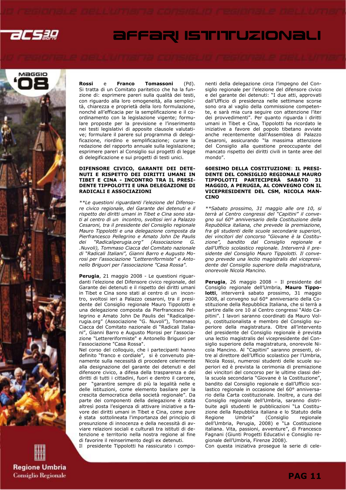



**Regione Umbria Consiglio Regionale**  Rossi e Franco Tomassoni (Pd). Si tratta di un Comitato paritetico che ha la funzione di: esprimere pareri sulla qualità dei testi, con riguardo alla loro omogeneità, alla semplicità, chiarezza e proprietà della loro formulazione, nonché all'efficacia per la semplificazione e il coordinamento con la legislazione vigente; formulare proposte per la previsione e l'inserimento nei testi legislativi di apposite clausole valutative; formulare il parere sul programma di delegificazione, riordino e semplificazione; curare la redazione del rapporto annuale sulla legislazione; esprimere pareri al Consiglio sui progetti di legge di delegificazione e sui progetti di testi unici.

#### DIFENSORE CIVICO, GARANTE DEI DETE-NUTI E RISPETTO DEI DIRITTI UMANI IN TIBET E CINA - INCONTRO TRA IL PRESI-DENTE TIPPOLOTTI E UNA DELEGAZIONE DI RADICALI E ASSOCIAZIONI

\*\*Le questioni riguardanti l'elezione del Difensore civico regionale, del Garante dei detenuti e il rispetto dei diritti umani in Tibet e Cina sono stati al centro di un incontro, svoltosi ieri a Palazzo Cesaroni, tra il presidente del Consiglio regionale Mauro Tippolotti e una delegazione composta da Pierfrancesco Pellegrino e Amato John De Paulis dei "Radicaliperugia.org" (Associazione G. .Nuvoli), Tommaso Ciacca del Comitato nazionale di "Radicali Italiani", Gianni Barro e Augusto Morosi per l'associazione "Lettereriformiste" e Antonello Briguori per l'associazione "Casa Rossa".

Perugia, 21 maggio 2008 - Le questioni riguardanti l'elezione del Difensore civico regionale, del Garante dei detenuti e il rispetto dei diritti umani in Tibet e Cina sono stati al centro di un incontro, svoltosi ieri a Palazzo cesaroni, tra il presidente del Consiglio regionale Mauro Tippolotti e una delegazione composta da Pierfrancesco Pellegrino e Amato John De Paulis dei "Radicaliperugia.org" (Associazione "G. Nuvoli"), Tommaso Ciacca del Comitato nazionale di "Radicali Italiani", Gianni Barro e Augusto Morosi per l'associazione "Lettereriformiste" e Antonello Briguori per l'associazione "Casa Rossa".

Nel corso del colloquio, che i partecipanti hanno definito "franco e cordiale", si è convenuto pienamente sulla necessità di procedere celermente alla designazione del garante dei detenuti e del difensore civico, a difesa della trasparenza e dei diritti di tutti i cittadini, fuori e dentro il carcere, per "garantire sempre di più la legalità nelle e delle istituzioni, come elemento basilare per la crescita democratica della società regionale". Da parte dei componenti della delegazione è stata altresì posta l'esigenza di attivare iniziative a favore dei diritti umani in Tibet e Cina, come pure è stata sottolineata l'importanza del principio di presunzione di innocenza e della necessità di avviare relazioni sociali e culturali tra istituti di detenzione e territorio nella nostra regione al fine di favorire il reinserimento degli ex detenuti.

Il presidente Tippolotti ha rassicurato i compo-

nenti della delegazione circa l'impegno del Consiglio regionale per l'elezione del difensore civico e del garante dei detenuti: "I due atti, approvati dall'Ufficio di presidenza nelle settimane scorse sono ora al vaglio della commissione competente, e sarà mia cura seguire con attenzione l'iter dei provvedimenti". Per quanto riguarda i diritti umani in Tibet e Cina, Tippolotti ha ricordato le iniziative a favore del popolo tibetano avviate anche recentemente dall'Assemblea di Palazzo Cesaroni, assicurando "la massima attenzione del Consiglio alla questione preoccupante del mancato rispetto dei diritti civili in tante aree del mondo".

#### 60ESIMO DELLA COSTITUZIONE: IL PRESI-DENTE DEL CONSIGLIO REGIONALE MAURO TIPPOLOTTI PARTECIPERÀ SABATO 31 MAGGIO, A PERUGIA, AL CONVEGNO CON IL VICEPRESIDENTE DEL CSM, NICOLA MAN-**CINO**

\*\*Sabato prossimo, 31 maggio alle ore 10, si terrà al Centro congressi del "Capitini" il convegno sul 60° anniversario della Costituzione della Repubblica italiana, che prevede la premiazione, fra gli studenti delle scuole secondarie superiori, dei vincitori del concorso "Giovane è la Costituzione", bandito dal Consiglio regionale e dall'Ufficio scolastico regionale. Interverrà il presidente del Consiglio Mauro Tippolotti. Il convegno prevede una lectio magistralis del vicepresidente del Consiglio superiore della magistratura, onorevole Nicola Mancino.

Perugia, 26 maggio 2008 - Il presidente del Consiglio regionale dell'Umbria, Mauro Tippolotti, interverrà sabato prossimo, 31 maggio 2008, al convegno sul 60° anniversario della Costituzione della Repubblica Italiana, che si terrà a partire dalle ore 10 al Centro congressi "Aldo Capitini". I lavori saranno coordinati da Mauro Volpi, costituzionalista e membro del Consiglio superiore della magistratura. Oltre all'intervento del presidente del Consiglio regionale è prevista una lectio magistralis del vicepresidente del Consiglio superiore della magistratura, onorevole Nicola Mancino. Al "Capitini" saranno presenti, oltre al direttore dell'Ufficio scolastico per l'Umbria, Nicola Rossi, numerosi studenti delle scuole superiori ed è prevista la cerimonia di premiazione dei vincitori del concorso per le ultime classi della scuola secondaria "Giovane è la Costituzione", bandito dal Consiglio regionale e dall'Ufficio scolastico regionale in occasione del 60° anniversario della Carta costituzionale. Inoltre, a cura del Consiglio regionale dell'Umbria, saranno distribuite agli studenti le pubblicazioni "La Costituzione della Repubblica italiana e lo Statuto della Regione Umbria" (Consiglio regionale dell'Umbria, Perugia, 2008) e "La Costituzione italiana. Vita, passioni, avventure", di Francesco Fagnani (Giunti Progetti Educativi e Consiglio regionale dell'Umbria, Firenze 2008). Con questa iniziativa prosegue la serie di cele-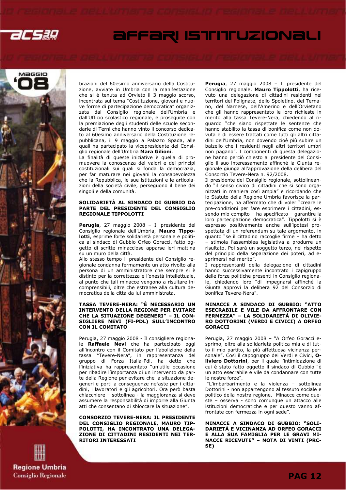



brazioni del 60esimo anniversario della Costituzione, avviate in Umbria con la manifestazione che si è tenuta ad Orvieto il 3 maggio scorso, incentrata sul tema "Costituzione, giovani e nuove forme di partecipazione democratica" organizzata dal Consiglio regionale dell'Umbria e dall'Ufficio scolastico regionale, e proseguite con la premiazione degli studenti delle scuole secondarie di Terni che hanno vinto il concorso dedicato al 60esimo anniversario della Costituzione repubblicana, il 9 maggio a Palazzo Spada, alle quali ha partecipato la vicepresidente del Consiglio regionale dell'Umbria Mara Gilioni.

La finalità di queste iniziative è quella di promuovere la conoscenza dei valori e dei principi costituzionali sui quali si fonda la democrazia, per far maturare nei giovani la consapevolezza che la Repubblica, le sue istituzioni e le articolazioni della società civile, perseguono il bene dei singoli e della comunità.

#### SOLIDARIETÀ AL SINDACO DI GUBBIO DA PARTE DEL PRESIDENTE DEL CONSIGLIO REGIONALE TIPPOLOTTI

Perugia, 27 maggio 2008 - Il presidente del Consiglio regionale dell'Umbria, Mauro Tippolotti, esprime forte solidarietà personale e politica al sindaco di Gubbio Orfeo Goracci, fatto oggetto di scritte minacciose apparse ieri mattina su un muro della città.

Allo stesso tempo il presidente del Consiglio regionale condanna fermamente un atto rivolto alla persona di un amministratore che sempre si è distinto per la correttezza e l'onestà intellettuale, al punto che tali minacce vengono a risultare incomprensibili, oltre che estranee alla cultura democratica della città da lui amministrata.

#### TASSA TEVERE-NERA: "È NECESSARIO UN INTERVENTO DELLA REGIONE PER EVITARE CHE LA SITUAZIONE DEGENERI" – IL CON-SIGLIERE NEVI (FI-PDL) SULL'INCONTRO CON IL COMITATO

Perugia, 27 maggio 2008 - Il consigliere regionale Raffaele Nevi che ha partecipato oggi all'incontro con il Comitato per l'abolizione della tassa "Tevere-Nera", in rappresentanza del gruppo di Forza Italia-Pdl, ha detto che l'iniziativa ha rappresentato "un'utile occasione per ribadire l'importanza di un intervento da parte della Regione per evitare che la situazione degeneri e porti a conseguenze nefaste per i cittadini, i lavoratori e gli agricoltori. Ora però basta chiacchiere – sottolinea - la maggioranza si deve assumere la responsabilità di imporre alla Giunta atti che consentano di sbloccare la situazione".

CONSORZIO TEVERE-NERA: IL PRESIDENTE DEL CONSIGLIO REGIONALE, MAURO TIP-POLOTTI, HA INCONTRATO UNA DELEGA-ZIONE DI CITTADINI RESIDENTI NEI TER-RITORI INTERESSATI

Perugia, 27 maggio 2008 - Il presidente del Consiglio regionale, Mauro Tippolotti, ha ricevuto una delegazione di cittadini residenti nei territori del Folignate, dello Spoletino, del Ternano, del Narnese, dell'Amerino e dell'Orvietano che gli hanno rappresentato le loro richieste in merito alla tassa Tevere-Nera, chiedendo al riguardo "che siano rispettate le sentenze che hanno stabilito la tassa di bonifica come non dovuta e di essere trattati come tutti gli altri cittadini dell'Umbria, non dovendo cioè più subire un balzello che i residenti negli altri territori umbri non pagano". I componenti di questa delegazione hanno perciò chiesto al presidente del Consiglio il suo interessamento affinché la Giunta regionale giunga all'approvazione della delibera del Consorzio Tevere-Nera n. 92/2008.

Il presidente del Consiglio regionale, sottolineando "il senso civico di cittadini che si sono organizzati in maniera così ampia" e ricordando che lo Statuto della Regione Umbria favorisce la partecipazione, ha affermato che di voler "creare le pre-condizioni per fare esprimere i cittadini, essendo mio compito – ha specificato – garantire la loro partecipazione democratica". Tippolotti si è espresso positivamente anche sull'ipotesi prospettata di un referendum su tale argomento, in quanto "se il cittadino raccoglie firme – ha detto – stimola l'assemblea legislativa a produrre un risultato. Poi sarà un soggetto terzo, nel rispetto del principio della separazione dei poteri, ad esprimersi nel merito".

I rappresentanti della delegazione di cittadini hanno successivamente incontrato i capigruppo delle forze politiche presenti in Consiglio regionale, chiedendo loro "di impegnarsi affinché la Giunta approvi la delibera 92 del Consorzio di bonifica Tevere-Nera".

#### MINACCE A SINDACO DI GUBBIO: "ATTO ESECRABILE E VILE DA AFFRONTARE CON FERMEZZA" – LA SOLIDARIETÀ DI OLIVIE-RO DOTTORINI (VERDI E CIVICI) A ORFEO **GORACCI**

Perugia, 27 maggio 2008 – "A Orfeo Goracci esprimo, oltre alla solidarietà politica mia e di tutto il mio partito, la più affettuosa vicinanza personale". Così il capogruppo dei Verdi e Civici, Oliviero Dottorini, per il quale l'intimidazione di cui è stato fatto oggetto il sindaco di Gubbio "è un atto esecrabile e vile da condannare con tutte le nostre forze".

 "L'imbarbarimento e la violenza – sottolinea Dottorini - non appartengono al tessuto sociale e politico della nostra regione. Minacce come queste – osserva - sono comunque un attacco alle istituzioni democratiche e per questo vanno affrontate con fermezza in ogni sede".

MINACCE A SINDACO DI GUBBIO: "SOLI-DARIETÀ E VICINANZA AD ORFEO GORACCI E ALLA SUA FAMIGLIA PER LE GRAVI MI-NACCE RICEVUTE" – NOTA DI VINTI (PRC-SE)

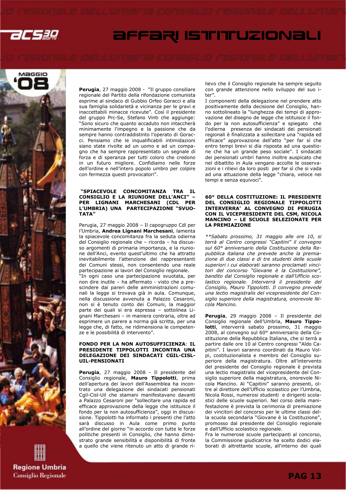



Perugia, 27 maggio 2008 - "Il gruppo consiliare regionale del Partito della rifondazione comunista esprime al sindaco di Gubbio Orfeo Goracci e alla sua famiglia solidarietà e vicinanza per le gravi e inaccettabili minacce ricevute". Così il presidente del gruppo Prc-Se, Stefano Vinti che aggiunge: "Sono sicuro che quanto accaduto non intaccherà minimamente l'impegno e la passione che da sempre hanno contraddistinto l'operato di Goracci. Pensiamo che le inqualificabili intimidazioni siano state rivolte ad un uomo e ad un compagno che ha sempre rappresentato un segnale di forza e di speranza per tutti coloro che credono in un futuro migliore. Confidiamo nelle forze dell'ordine e nell'intero popolo umbro per colpire con fermezza questi provocatori".

#### "SPIACEVOLE CONCOMITANZA TRA IL CONSIGLIO E LA RIUNIONE DELL'ANCI" – PER LIGNANI MARCHESANI (CDL PER L'UMBRIA) UNA PARTECIPAZIONE "SVUO-TATA"

Perugia, 27 maggio 2008 – Il capogruppo Cdl per l'Umbria, Andrea Lignani Marchesani, lamenta la spiacevole concomitanza fra la seduta odierna del Consiglio regionale che – ricorda – ha discusso argomenti di primaria importanza, e la riunione dell'Anci, evento quest'ultimo che ha attratto inevitabilmente l'attenzione dei rappresentanti dei Comuni stessi, non consentendo una reale partecipazione ai lavori del Consiglio regionale. "In ogni caso una partecipazione svuotata, per non dire inutile – ha affermato - visto che a prescindere dai pareri delle amministrazioni comunali la legge si trovava già in aula. Comunque, nella discussione avvenuta a Palazzo Cesaroni, non si è tenuto conto dei Comuni, la maggior parte dei quali si era espressa – sottolinea Lignani Marchesani – in maniera contraria, oltre ad esprimere un parere a norma già scritta, per una legge che, di fatto, ne ridimensiona le competenze e le possibilità di intervento".

#### FONDO PER LA NON AUTOSUFFICIENZA: IL PRESIDENTE TIPPOLOTTI INCONTRA UNA DELEGAZIONE DEI SINDACATI CGIL-CISL-UIL-PENSIONATI

**Perugia**, 27 maggio 2008 - Il presidente del Consiglio regionale, **Mauro Tippolotti**, prima dell'apertura dei lavori dell'Assemblea ha incontrato una delegazione dei sindacati pensionati Cgil-Cisl-Uil che stamani manifestavano davanti a Palazzo Cesaroni per "sollecitare una rapida ed efficace approvazione della legge che istituisce il fondo per la non autosufficienza", oggi in discussione. Tippolotti ha informato i presenti che l'atto sarà discusso in Aula come primo punto all'ordine del giorno "in accordo con tutte le forze politiche presenti in Consiglio, che hanno dimostrato grande sensibilità e disponibilità di fronte a quello che viene ritenuto un atto di grande rilievo che il Consiglio regionale ha sempre seguito con grande attenzione nello sviluppo del suo iter".

I componenti della delegazione nel prendere atto positivamente della decisione del Consiglio, hanno sottolineato la "lunghezza dei tempi di approvazione del disegno de legge che istituisce il fondo per la non autosufficienza" e spiegato che l'odierna presenza dei sindacati dei pensionati regionali è finalizzata a sollecitare una "rapida ed efficace" approvazione dell'atto "per far sì che entro tempi brevi si dia risposta ad una questione che ha un grande peso sociale". I sindacati dei pensionati umbri hanno inoltre auspicato che nel dibattito in Aula vengano accolte le osservazioni e i rilievi da loro posti per far sì che si vada ad una attuazione della legge "chiara, veloce nei tempi e senza equivoci".

#### 60° DELLA COSTITUZIONE: IL PRESIDENTE DEL CONSIGLIO REGIONALE TIPPOLOTTI INTERVERRA' AL CONVEGNO DI PERUGIA CON IL VICEPRESIDENTE DEL CSM, NICOLA MANCINO – LE SCUOLE SELEZIONATE PER LA PREMIAZIONE

\*\*Sabato prossimo, 31 maggio alle ore 10, si terrà al Centro congressi "Capitini" il convegno sul 60° anniversario della Costituzione della Repubblica italiana che prevede anche la premiazione di due classi e di tre studenti delle scuole superiori i cui elaborati saranno proclamati vincitori del concorso "Giovane è la Costituzione", bandito dal Consiglio regionale e dall'Ufficio scolastico regionale. Interverrà il presidente del Consiglio, Mauro Tippolotti. Il convegno prevede una lectio magistralis del vicepresidente del Consiglio superiore della magistratura, onorevole Nicola Mancino.

Perugia, 29 maggio 2008 - Il presidente del Consiglio regionale dell'Umbria, Mauro Tippolotti, interverrà sabato prossimo, 31 maggio 2008, al convegno sul 60° anniversario della Costituzione della Repubblica Italiana, che si terrà a partire dalle ore 10 al Centro congressi "Aldo Capitini". I lavori saranno coordinati da Mauro Volpi, costituzionalista e membro del Consiglio superiore della magistratura. Oltre all'intervento del presidente del Consiglio regionale è prevista una lectio magistralis del vicepresidente del Consiglio superiore della magistratura, onorevole Nicola Mancino. Al "Capitini" saranno presenti, oltre al direttore dell'Ufficio scolastico per l'Umbria, Nicola Rossi, numerosi studenti e dirigenti scolastici delle scuole superiori. Nel corso della manifestazione è prevista la cerimonia di premiazione dei vincitori del concorso per le ultime classi della scuola secondaria "Giovane è la Costituzione", promosso dal presidente del Consiglio regionale e dall'Ufficio scolastico regionale.

Fra le numerose scuole partecipanti al concorso, la Commissione giudicatrice ha scelto dodici elaborati di altrettante scuole, all'interno dei quali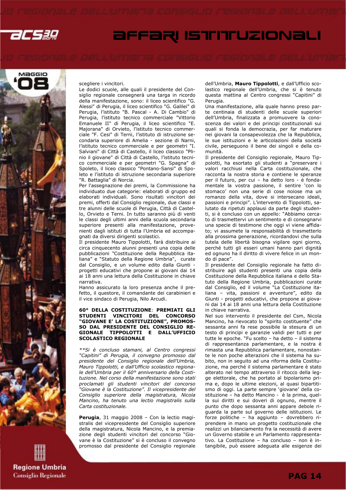



scegliere i vincitori.

Le dodici scuole, alle quali il presidente del Consiglio regionale consegnerà una targa in ricordo della manifestazione, sono: il liceo scientifico "G. Alessi" di Perugia, il liceo scientifico "G. Galilei" di Perugia, l'istituto "B. Pascal - A. Di Cambio" di Perugia, l'istituto tecnico commerciale "Vittorio Emanuele II" di Perugia, il liceo scientifico "E. Majorana" di Orvieto, l'istituto tecnico commerciale "F. Cesi" di Terni, l'istituto di istruzione secondaria superiore di Amelia - sezione di Narni, l'istituto tecnico commerciale e per geometri "I. Salviani" di Città di Castello, il liceo classico "Plinio il giovane" di Città di Castello, l'istituto tecnico commerciale e per geometri "G. Spagna" di Spoleto, il liceo classico "Pontano-Sansi" di Spoleto e l'istituto di istruzione secondaria superiore "R. Battaglia" di Norcia.

Per l'assegnazione dei premi, la Commissione ha individuato due categorie: elaborati di gruppo ed elaborati individuali. Sono risultati vincitori dei premi, offerti dal Consiglio regionale, due classi e tre alunni delle scuole di Perugia, Città di Castello, Orvieto e Terni. In tutto saranno più di venti le classi degli ultimi anni della scuola secondaria superiore presenti alla manifestazione, provenienti dagli istituti di tutta l'Umbria ed accompagnati da diversi dirigenti scolastici.

Il presidente Mauro Tippolotti, farà distribuire ai circa cinquecento alunni presenti una copia delle pubblicazioni "Costituzione della Repubblica italiana" e "Statuto della Regione Umbria", curate dal Consiglio, e un volume edito dalla Giunti progetti educativi che propone ai giovani dai 14 ai 18 anni una lettura della Costituzione in chiave narrativa.

Hanno assicurato la loro presenza anche il prefetto, il questore, il comandante dei carabinieri e il vice sindaco di Perugia, Nilo Arcudi.

#### 60° DELLA COSTITUZIONE: PREMIATI GLI STUDENTI VINCITORI DEL CONCORSO "GIOVANE E' LA COSTITUZIONE", PROMOS-SO DAL PRESIDENTE DEL CONSIGLIO RE-GIONALE TIPPOLOTTI E DALL'UFFICIO SCOLASTICO REGIONALE

\*\*Si è concluso stamani, al Centro congressi "Capitini" di Perugia, il convegno promosso dal presidente del Consiglio regionale dell'Umbria, Mauro Tippolotti, e dall'Ufficio scolastico regionale dell'Umbria per il 60° anniversario della Costituzione. Nel corso della manifestazione sono stati proclamati gli studenti vincitori del concorso "Giovane è la Costituzione". Il vicepresidente del Consiglio superiore della magistratura, Nicola Mancino, ha tenuto una lectio magistralis sulla Carta costituzionale.

Perugia, 31 maggio 2008 - Con la lectio magistralis del vicepresidente del Consiglio superiore della magistratura, Nicola Mancino, e la premiazione degli studenti vincitori del concorso "Giovane è la Costituzione" si è concluso il convegno promosso dal presidente del Consiglio regionale dell'Umbria, Mauro Tippolotti, e dall'Ufficio scolastico regionale dell'Umbria, che si è tenuto questa mattina al Centro congressi "Capitini" di Perugia.

Una manifestazione, alla quale hanno preso parte centinaia di studenti delle scuole superiori dell'Umbria, finalizzata a promuovere la conoscenza dei valori e dei principi costituzionali sui quali si fonda la democrazia, per far maturare nei giovani la consapevolezza che la Repubblica, le sue istituzioni e le articolazioni della società civile, perseguono il bene dei singoli e della comunità.

Il presidente del Consiglio regionale, Mauro Tippolotti, ha esortato gli studenti a "preservare i valori racchiusi nella Carta costituzionale, che racconta la nostra storia e contiene le speranze per il futuro, per cui – ha detto loro - è fondamentale la vostra passione, il sentire 'con lo stomaco' non una serie di cose noiose ma un romanzo della vita, dove si intersecano ideali, passioni e principi". L'intervento di Tippolotti, salutato da ripetuti applausi da parte degli studenti, si è concluso con un appello: "Abbiamo cercato di trasmettervi un sentimento e di consegnarvi una specie di testimone che oggi vi viene affidato; vi assumete la responsabilità di trasmetterlo alla prossima generazione, ricordandovi che sulla tutela delle libertà bisogna vigilare ogni giorno, perché tutti gli esseri umani hanno pari dignità ed ognuno ha il diritto di vivere felice in un mondo di pace".

Il presidente del Consiglio regionale ha fatto distribuire agli studenti presenti una copia della Costituzione della Repubblica italiana e dello Statuto della Regione Umbria, pubblicazioni curate dal Consiglio, ed il volume "La Costituzione italiana – vita, passioni e avventure", edito da Giunti - progetti educativi, che propone ai giovani dai 14 ai 18 anni una lettura della Costituzione in chiave narrativa.

Nel suo intervento il presidente del Csm, Nicola Mancino, ha rievocato lo "spirito costituente" che sessanta anni fa rese possibile la stesura di un testo di principi e garanzie validi per tutti e per tutte le epoche. "Fu scelto – ha detto – il sistema di rappresentanza parlamentare, e la nostra è rimasta una Repubblica parlamentare, nonostante le non poche alterazioni che il sistema ha subito, non in seguito ad una riforma della Costituzione, ma perché il sistema parlamentare è stato alterato nel tempo attraverso il ritocco della legge elettorale, che ha portato al bipolarismo prima e, dopo le ultime elezioni, al quasi bipartitismo di oggi. La parte sempre 'giovane' della costituzione – ha detto Mancino - è la prima, quella sui diritti e sui doveri di ognuno, mentre il punto che dopo sessanta anni appare debole riguarda la parte sul governo delle istituzioni. Le forze politiche – ha aggiunto – dovrebbero riprendere in mano un progetto costituzionale che realizzi un bilanciamento fra la necessità di avere un Governo stabile e un Parlamento rappresentativo. La Costituzione – ha concluso – non è intangibile, può essere adeguata alle esigenze dei

**Regione Umbria Consiglio Regionale**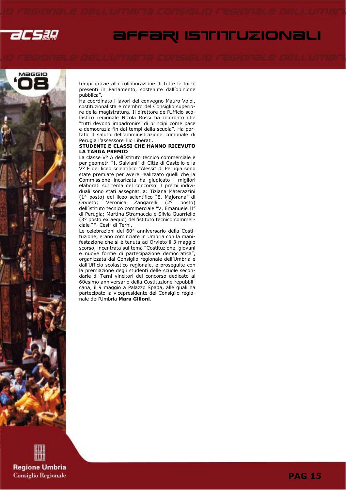



tempi grazie alla collaborazione di tutte le forze presenti in Parlamento, sostenute dall'opinione pubblica".

Ha coordinato i lavori del convegno Mauro Volpi, costituzionalista e membro del Consiglio superiore della magistratura. Il direttore dell'Ufficio scolastico regionale Nicola Rossi ha ricordato che "tutti devono impadronirsi di principi come pace e democrazia fin dai tempi della scuola". Ha portato il saluto dell'amministrazione comunale di Perugia l'assessore Ilio Liberati.

#### STUDENTI E CLASSI CHE HANNO RICEVUTO LA TARGA PREMIO

La classe V° A dell'istituto tecnico commerciale e per geometri "I. Salviani" di Città di Castello e la V° F del liceo scientifico "Alessi" di Perugia sono state premiate per avere realizzato quelli che la Commissione incaricata ha giudicato i migliori elaborati sul tema del concorso. I premi individuali sono stati assegnati a: Tiziana Materazzini (1° posto) del liceo scientifico "E. Majorana" di Orvieto; Veronica Zangarelli (2° posto) dell'istituto tecnico commerciale "V. Emanuele II" di Perugia; Martina Stramaccia e Silvia Guarriello (3° posto ex aequo) dell'istituto tecnico commerciale "F. Cesi" di Terni.

Le celebrazioni del 60° anniversario della Costituzione, erano cominciate in Umbria con la manifestazione che si è tenuta ad Orvieto il 3 maggio scorso, incentrata sul tema "Costituzione, giovani e nuove forme di partecipazione democratica", organizzata dal Consiglio regionale dell'Umbria e dall'Ufficio scolastico regionale, e proseguite con la premiazione degli studenti delle scuole secondarie di Terni vincitori del concorso dedicato al 60esimo anniversario della Costituzione repubblicana, il 9 maggio a Palazzo Spada, alle quali ha partecipato la vicepresidente del Consiglio regionale dell'Umbria Mara Gilioni.

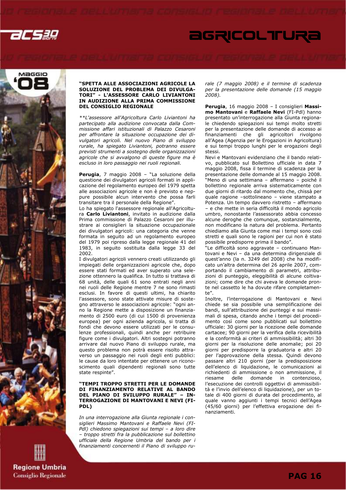

# **AGRICOLTURA**



#### "SPETTA ALLE ASSOCIAZIONI AGRICOLE LA SOLUZIONE DEL PROBLEMA DEI DIVULGA-TORI" - L'ASSESSORE CARLO LIVIANTONI IN AUDIZIONE ALLA PRIMA COMMISSIONE DEL CONSIGLIO REGIONALE

\*\*L'assessore all'Agricoltura Carlo Liviantoni ha partecipato alla audizione convocata dalla Commissione affari istituzionali di Palazzo Cesaroni per affrontare la situazione occupazione dei divulgatori agricoli. Nel nuovo Piano di sviluppo rurale, ha spiegato Liviantoni, potranno essere previsti strumenti a sostegno delle organizzazioni agricole che si avvalgono di queste figure ma è escluso in loro passaggio nei ruoli regionali.

Perugia, 7 maggio 2008 - "La soluzione della questione dei divulgatori agricoli formati in applicazione del regolamento europeo del 1979 spetta alle associazioni agricole e non è previsto e neppure possibile alcun intervento che possa farli transitare tra il personale della Regione".

Lo ha spiegato l'assessore regionale all'Agricoltura Carlo Liviantoni, invitato in audizione dalla Prima commissione di Palazzo Cesaroni per illustrare ai consiglieri la situazione occupazionale dei divulgatori agricoli: una categoria che venne formata in seguito ad un regolamento europeo del 1979 poi ripreso dalla legge regionale 41 del 1983, in seguito sostituita dalla legge 33 del 2002.

I divulgatori agricoli vennero creati utilizzando gli impiegati delle organizzazioni agricole che, dopo essere stati formati ed aver superato una selezione ottennero la qualifica. In tutto si trattava di 68 unità, delle quali 61 sono entrati negli anni nei ruoli delle Regione mentre 7 ne sono rimasti esclusi. In favore di questi ultimi, ha chiarito l'assessore, sono state attivate misure di sostegno attraverso le associazioni agricole: "ogni anno la Regione mette a disposizione un finanziamento di 2500 euro (di cui 1500 di provenienza europea) per ogni azienda agricola, si tratta di fondi che devono essere utilizzati per le consulenze professionali, quindi anche per retribuire figure come i divulgatori. Altri sostegni potranno arrivare dal nuovo Piano di sviluppo rurale, ma questo problema non potrà essere risolto attraverso un passaggio nei ruoli degli enti pubblici: le cause da loro intentate per ottenere un riconoscimento quali dipendenti regionali sono tutte state respinte".

#### "TEMPI TROPPO STRETTI PER LE DOMANDE DI FINANZIAMENTO RELATIVE AL BANDO DEL PIANO DI SVILUPPO RURALE" – IN-TERROGAZIONE DI MANTOVANI E NEVI (FI-PDL)

In una interrogazione alla Giunta regionale i consiglieri Massimo Mantovani e Raffaele Nevi (FI-Pdl) chiedono spiegazioni sui tempi - a loro dire – troppo stretti fra la pubblicazione sul bollettino ufficiale della Regione Umbria del bando per i finanziamenti concernenti il Piano di sviluppo rurale (7 maggio 2008) e il termine di scadenza per la presentazione delle domande (15 maggio 2008).

Perugia, 16 maggio 2008 - I consiglieri Massimo Mantovani e Raffaele Nevi (FI-Pdl) hanno presentato un'interrogazione alla Giunta regionale chiedendo spiegazioni sui tempi molto stretti per la presentazione delle domande di accesso ai finanziamenti che gli agricoltori rivolgono all'Agea (Agenzia per le Erogazioni in Agricoltura) e sui tempi troppo lunghi per le erogazioni degli stessi.

Nevi e Mantovani evidenziano che il bando relativo, pubblicato sul Bollettino ufficiale in data 7 maggio 2008, fissa il termine di scadenza per la presentazione delle domande al 15 maggio 2008. "Meno di una settimana – affermano – poiché il bollettino regionale arriva sistematicamente con due giorni di ritardo dal momento che, chissà per quale ragione –sottolineano – viene stampato a Potenza. Un tempo davvero ristretto – affermano – e che mette in seria difficoltà il mondo agricolo umbro, nonostante l'assessorato abbia concesso alcune deroghe che comunque, sostanzialmente, non modificano la natura del problema. Pertanto chiediamo alla Giunta come mai i tempi sono così stretti e quali sono le ragioni per cui non è stato possibile predisporre prima il bando".

"Le difficoltà sono aggravate – continuano Mantovani e Nevi – da una determina dirigenziale di quest'anno (la n. 3249 del 2008) che ha modificato un'altra determina del 26 aprile 2007, comportando il cambiamento di parametri, attribuzioni di punteggio, eleggibilità di alcune coltivazioni; come dire che chi aveva le domande pronte nel cassetto le ha dovute rifare completamente".

Inoltre, l'interrogazione di Mantovani e Nevi chiede se sia possibile una semplificazione dei bandi, sull'attribuzione dei punteggi e sui massimali di spesa, citando anche i tempi del procedimento così come sono pubblicati sul bollettino ufficiale: 30 giorni per la ricezione delle domande cartacee; 90 giorni per la verifica della ricevibilità e la conformità ai criteri di ammissibilità; altri 30 giorni per la risoluzione delle anomalie; poi 20 giorni per predisporre la graduatoria e altri 20 per l'approvazione della stessa. Quindi devono passare altri 210 giorni (per la predisposizione dell'elenco di liquidazione, le comunicazioni ai richiedenti di ammissione o non ammissione, il riesame delle domande in contenzioso, l'esecuzione dei controlli oggettivi di ammissibilità e l'invio dell'elenco di liquidazione), per un totale di 400 giorni di durata del procedimento, al quale vanno aggiunti i tempi tecnici dell'Agea (45/60 giorni) per l'effettiva erogazione dei finanziamenti.

**Regione Umbria Consiglio Regionale**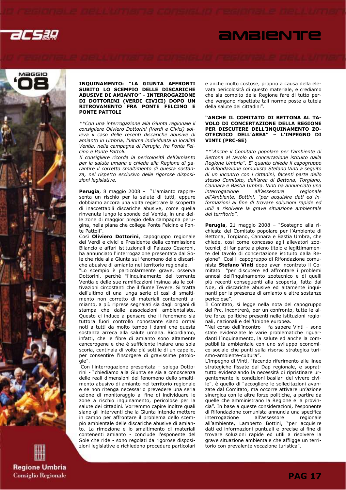



**Regione Umbria Consiglio Regionale** 

#### INQUINAMENTO: "LA GIUNTA AFFRONTI SUBITO LO SCEMPIO DELLE DISCARICHE ABUSIVE DI AMIANTO" - INTERROGAZIONE DI DOTTORINI (VERDI CIVICI) DOPO UN RITROVAMENTO FRA PONTE FELCINO E PONTE PATTOLI

\*\*Con una interrogazione alla Giunta regionale il consigliere Oliviero Dottorini (Verdi e Civici) solleva il caso delle recenti discariche abusive di amianto in Umbria, l'ultima individuata in località Ventia, nella campagna di Perugia, fra Ponte Felcino e Ponte Pattoli.

Il consigliere ricorda la pericolosità dell'amianto per la salute umana e chiede alla Regione di garantire il corretto smaltimento di questa sostanza, nel rispetto esclusivo delle rigorose disposizioni legislative.

Perugia, 8 maggio 2008 - "L'amianto rappresenta un rischio per la salute di tutti, eppure dobbiamo ancora una volta registrare la scoperta di inaccettabili discariche abusive, come quella rinvenuta lungo le sponde del Ventia, in una delle zone di maggior pregio della campagna perugina, nella piana che collega Ponte Felcino e Ponte Pattoli".

Così Oliviero Dottorini, capogruppo regionale dei Verdi e civici e Presidente della commissione Bilancio e affari istituzionali di Palazzo Cesaroni, ha annunciato l'interrogazione presentata dal Sole che ride alla Giunta sul fenomeno delle discariche abusive di amianto nel territorio regionale.

"Lo scempio è particolarmente grave, osserva Dottorini, perché "l'inquinamento del torrente Ventia e delle sue ramificazioni insinua sia le coltivazioni circostanti che il fiume Tevere. Si tratta dell'ultimo di una lunga serie di casi di smaltimento non corretto di materiali contenenti amianto, a più riprese segnalati sia dagli organi di stampa che dalle associazioni ambientaliste. Questo ci induce a pensare che il fenomeno sia tuttora fuori controllo nonostante siano ormai noti a tutti da molto tempo i danni che questa sostanza arreca alla salute umana. Ricordiamo, infatti, che le fibre di amianto sono altamente cancerogene e che è sufficiente inalare una sola scoria, centinaia di volte più sottile di un capello, per consentire l'insorgere di gravissime patologie".

 Con l'interrogazione presentata – spiega Dottorini - "chiediamo alla Giunta se sia a conoscenza delle reali dimensioni del fenomeno dello smaltimento abusivo di amianto nel territorio regionale e se non ritenga necessario prevedere una seria azione di monitoraggio al fine di individuare le zone a rischio inquinamento, pericolose per la salute dei cittadini. Vorremmo capire inoltre quali siano gli interventi che la Giunta intende mettere in campo per affrontare il problema dello scempio ambientale delle discariche abusive di amianto. La rimozione e lo smaltimento di materiali contenenti amianto - conclude l'esponente del Sole che ride - sono regolati da rigorose disposizioni legislative e richiedono procedure particolari e anche molto costose, proprio a causa della elevata pericolosità di questo materiale, e crediamo che sia compito della Regione fare di tutto perché vengano rispettate tali norme poste a tutela della salute dei cittadini".

*<u>AMBIENTE</u>* 

#### "ANCHE IL COMITATO DI BETTONA AL TA-VOLO DI CONCERTAZIONE DELLA REGIONE PER DISCUTERE DELL'INQUINAMENTO ZO-OTECNICO DELL'AREA" – L'IMPEGNO DI VINTI (PRC-SE)

\*\*"Anche il Comitato popolare per l'ambiente di Bettona al tavolo di concertazione istituito dalla Regione Umbria". E' quanto chiede il capogruppo di Rifondazione comunista Stefano Vinti a seguito di un incontro con i cittadini, facenti parte dello stesso Comitato, dell'area di Bettona, Torgiano, Cannara e Bastia Umbra. Vinti ha annunciato una interrogazione all'assessore regionale all'Ambiente, Bottini, "per acquisire dati ed informazioni al fine di trovare soluzioni rapide ed utili a risolvere la grave situazione ambientale del territorio".

Perugia, 21 maggio 2008 - "Sostegno alla richiesta del Comitato popolare per l'Ambiente di Bettona, Torgiano, Cannara e Bastia Umbra, che chiede, così come concesso agli allevatori zootecnici, di far parte a pieno titolo e legittimamente del tavolo di concertazione istituito dalla Regione". Così il capogruppo di Rifondazione comunista Stefano Vinti dopo aver incontrato il Comitato "per discutere ed affrontare i problemi annosi dell'inquinamento zootecnico e di quelli più recenti conseguenti alla scoperta, fatta dal Noe, di discariche abusive ed altamente inquinanti per la presenza di amianto e altre sostanze pericolose".

Il Comitato, si legge nella nota del capogruppo del Prc, incontrerà, per un confronto, tutte le altre forze politiche presenti nelle istituzioni regionali, nazionali e dell'Unione europea.

"Nel corso dell'incontro – fa sapere Vinti - sono state evidenziate le varie problematiche riguardanti l'inquinamento, la salute ed anche la compatibilità ambientale con uno sviluppo economico-sociale che punti sulla risorsa strategica turismo-ambiente-cultura".

L'impegno di Vinti, "facendo riferimento alle linee strategiche fissate dal Dap regionale, e soprattutto evidenziando la necessità di ripristinare urgentemente le condizioni basilari del vivere civile", è quello di "accogliere le sollecitazioni avanzate dal Comitato, ma occorre attivare un'azione sinergica con le altre forze politiche, a partire da quelle che amministrano la Regione e la provincia". In base a queste considerazioni, l'esponente di Rifondazione comunista annuncia una specifica interrogazione all'assessore regionale all'ambiente, Lamberto Bottini, "per acquisire dati ed informazioni puntuali e precise al fine di trovare soluzioni rapide ed utili a risolvere la grave situazione ambientale che affligge un territorio con prevalente vocazione turistica".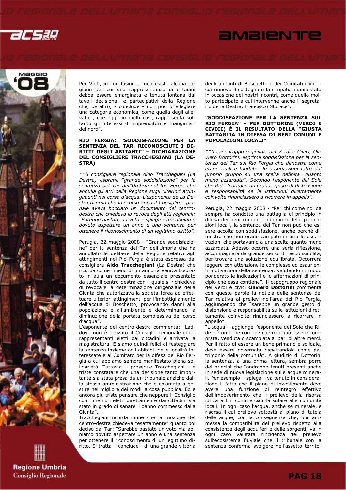acsag

# *<u>AMBIENTE</u>*



**Regione Umbria Consiglio Regionale**  Per Vinti, in conclusione, "non esiste alcuna ragione per cui una rappresentanza di cittadini debba essere emarginata e tenuta lontana dai tavoli decisionali e partecipativi della Regione che, peraltro, - conclude - non può privilegiare una categoria economica, come quella degli allevatori, che oggi, in molti casi, rappresenta soltanto gli interessi di imprenditori e mangimisti del nord".

#### RIO FERGIA: "SODDISFAZIONE PER LA SENTENZA DEL TAR. RICONOSCIUTI I DI-RITTI DEGLI ABITANTI" – DICHIARAZIONE DEL CONSIGLIERE TRACCHEGIANI (LA DE-STRA)

\*\*Il consigliere regionale Aldo Tracchegiani (La Destra) esprime "grande soddisfazione" per la sentenza del Tar dell'Umbria sul Rio Fergia che annulla gli atti della Regione sugli ulteriori attingimenti nel corso d'acqua. L'esponente de La Destra ricorda che lo scorso anno il Consiglio regionale aveva bocciato un documento del centrodestra che chiedeva la revoca degli atti regionali: "Sarebbe bastato un voto – spiega - ma abbiamo dovuto aspettare un anno e una sentenza per ottenere il riconoscimento di un legittimo diritto".

Perugia, 22 maggio 2008 - "Grande soddisfazione" per la sentenza del Tar dell'Umbria che ha annullato le delibere della Regione relativi agli attingimenti nel Rio Fergia è stata espressa dal consigliere Aldo Tracchegiani (La Destra) che ricorda come "meno di un anno fa veniva bocciato in aula un documento essenziale presentato da tutto il centro-destra con il quale si richiedeva di revocare la determinazione dirigenziale della Giunta che autorizzava la società Idrea ad effettuare ulteriori attingimenti per l'imbottigliamento dell'acqua di Boschetto, provocando danni alla popolazione e all'ambiente e determinando la diminuzione della portata complessiva del corso d'acqua".

L'esponente del centro-destra commenta: "Laddove non è arrivato il Consiglio regionale con i rappresentanti eletti dai cittadini è arrivata la magistratura. E siamo quindi felici di festeggiare la sentenza insieme agli abitanti delle località interessate e al Comitato per la difesa del Rio Fergia a cui abbiamo sempre manifestato piena solidarietà. Tuttavia – prosegue Tracchegiani - è triste constatare che una decisione tanto importante sia stata presa da un tribunale anziché dalla stessa amministrazione che è chiamata a gestire nel migliore dei modi la cosa pubblica. Ed è ancora più triste pensare che neppure il Consiglio con i membri eletti direttamente dai cittadini sia stato in grado di sanare il danno commesso dalla Giunta".

Tracchegiani ricorda infine che la mozione del centro-destra chiedeva "esattamente" quanto poi deciso dal Tar: "Sarebbe bastato un voto ma abbiamo dovuto aspettare un anno e una sentenza per ottenere il riconoscimento di un legittimo diritto. Si tratta – conclude - di una grande vittoria degli abitanti di Boschetto e dei Comitati civici a cui rinnovo il sostegno e la simpatia manifestata in occasione dei nostri incontri, come quello molto partecipato a cui intervenne anche il segretario de la Destra, Francesco Storace".

#### "SODDISFAZIONE PER LA SENTENZA SUL RIO FERGIA" – PER DOTTORINI (VERDI E CIVICI) È IL RISULTATO DELLA "GIUSTA BATTAGLIA IN DIFESA DI BENI COMUNI E POPOLAZIONI LOCALI"

\*\*Il capogruppo regionale dei Verdi e Civici, Oliviero Dottorini, esprime soddisfazione per la sentenza del Tar sul Rio Fergia che dimostra come erano reali e fondate le osservazioni fatte dal proprio gruppo su una scelta definita "quanto meno azzardata". Secondo l'esponente del Sole che Ride "sarebbe un grande gesto di distensione e responsabilità se le istituzioni direttamente coinvolte rinunciassero a ricorrere in appello".

Perugia, 22 maggio 2008 - "Per chi come noi da sempre ha condotto una battaglia di principio in difesa dei beni comuni e dei diritti delle popolazioni locali, la sentenza del Tar non può che essere accolta con soddisfazione, anche perché dimostra che non erano campate in aria le osservazioni che portavamo a una scelta quanto meno azzardata. Adesso occorre una seria riflessione, accompagnata da grande senso di responsabilità, per trovare una soluzione equilibrata. Occorrerà leggere con attenzione le complesse ed esaurienti motivazioni della sentenza, valutando in modo ponderato le indicazioni e le affermazioni di principio che essa contiene". Il capogruppo regionale dei Verdi e civici **Oliviero Dottorini** commenta con queste parole la notizia delle sentenze del Tar relativa ai prelievi nell'area del Rio Fergia, aggiungendo che "sarebbe un grande gesto di distensione e responsabilità se le istituzioni direttamente coinvolte rinunciassero a ricorrere in appello".

"L'acqua – aggiunge l'esponente del Sole che Ride - è un bene comune che non può essere comprata, venduta o scambiata al pari di altre merci. Per il fatto di essere un bene primario e solidale, deve essere governata rispettandola come patrimonio della comunità". A giudizio di Dottorini la sentenza, a una prima lettura, sembra porre dei principi che "andranno tenuti presenti anche in sede di nuova legislazione sulle acque minerali. Per esempio – spiega - va tenuto in considerazione il fatto che il piano di investimento deve avere una funzione di reintegro effettivo dell'impoverimento che il prelievo della risorsa idrica a fini commerciali fa subire alle comunità locali. In ogni caso l'acqua, anche se minerale, è risorsa il cui prelievo sottostà al piano di tutela delle acque, con la conseguenza che, pur ammessa la compatibilità del prelievo rispetto alla consistenza degli acquiferi e delle sorgenti, va in ogni caso valutata l'incidenza del prelievo sull'ecosistema fluviale che il tribunale con la sentenza conferma svolgere nell'assetto territo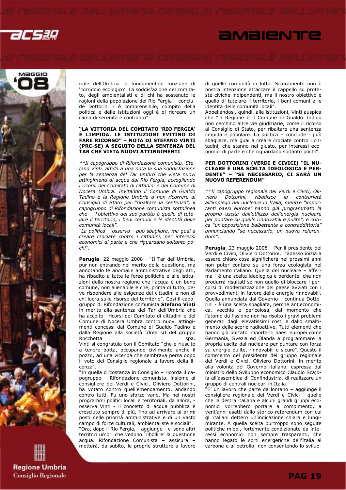acsag

# *<u>AMBIENTE</u>*



**Regione Umbria Consiglio Regionale**  riale dell'Umbria la fondamentale funzione di 'corridoio ecologico'. La soddisfazione del comitato, degli ambientalisti e di chi ha sostenuto le ragioni della popolazione del Rio Fergia – conclude Dottorini - è comprensibile, compito della politica e delle istituzioni oggi è di ricreare un clima di serenità e confronto".

#### "LA VITTORIA DEL COMITATO 'RIO FERGIA' È LIMPIDA. LE ISTITUZIONI EVITINO DI FARE RICORSO" – NOTA DI STEFANO VINTI (PRC-SE) A SEGUITO DELLA SENTENZA DEL TAR CHE VIETA NUOVI ATTINGIMENTI

\*\*Il capogruppo di Rifondazione comunista, Stefano Vinti, affida a una nota la sua soddisfazione per la sentenza del Tar umbro che vieta nuovi attingimenti di acqua dal Rio Fergia, accogliendo i ricorsi del Comitato di cittadini e del Comune di Nocera Umbra. Invitando il Comune di Gualdo Tadino e la Regione Umbria a non ricorrere al Consiglio di Stato per "ribaltare la sentenza", il capogruppo di Rifondazione comunista sottolinea che "l'obiettivo del suo partito è quello di tutelare il territorio, i beni comuni e le identità delle comunità locali".

"La politica – osserva - può sbagliare, ma guai a creare crociate contro i cittadini, per interessi economici di parte e che riguardano soltanto pochi".

Perugia, 22 maggio 2008 - "Il Tar dell'Umbria, pur non entrando nel merito della questione, ma annotando le anomalie amministrative degli atti, ha ribadito a tutte le forze politiche e alle istituzioni della nostra regione che l'acqua è un bene comune, non alienabile e che, prima di tutto, deve rispondere alle esigenze dei cittadini e non di chi lucra sulle risorse del territorio". Così il capogruppo di Rifondazione comunista Stefano Vinti in merito alla sentenza del Tar dell'Umbria che ha accolto i ricorsi del Comitato di cittadini e del Comune di Nocera Umbra contro nuovi attingimenti concessi dal Comune di Gualdo Tadino e dalla Regione alla società Idrea srl del gruppo Rocchetta spa. Spa.

Vinti si congratula con il Comitato "che è riuscito a tenere botta, occupando civilmente anche il pozzo, ad una vicenda che sembrava persa dopo il voto del Consiglio regionale a favore della licenza".

"In quella circostanza in Consiglio – ricorda il capogruppo – Rifondazione comunista, insieme al consigliere dei Verdi e Civici, Oliviero Dottorini, ha votato contro quell'emendamento, andando contro tutti. Fu uno sforzo vano. Ma nei nostri programmi politici locali e territoriali, da allora, osserva Vinti - il concetto di acqua pubblica è cresciuto sempre di più, fino ad arrivare ai primi posti delle priorità amministrative e di un vasto campo di forze culturali, ambientaliste e sociali". "Ora, dopo il Rio Fergia, - aggiunge - ci sono altri territori umbri che vedono 'ribollire' la questione acqua. Rifondazione Comunista – assicura – metterà, da subito, le proprie strutture a favore di quelle comunità in lotta. Sicuramente non è nostra intenzione attaccare il cappello su proteste civiche indipendenti, ma il nostro obiettivo è quello di tutelare il territorio, i beni comuni e le identità delle comunità locali".

Appellandosi, quindi, alle istituzioni, Vinti auspica che "la Regione e il Comune di Gualdo Tadino non cerchino altre vie giudiziarie, come il ricorso al Consiglio di Stato, per ribaltare una sentenza limpida e popolare. La politica – conclude - può sbagliare, ma guai a creare crociate contro i cittadini, che stanno nel giusto, per interessi economici di parte e che riguardano soltanto pochi".

#### PER DOTTORINI (VERDI E CIVICI) "IL NU-CLEARE È UNA SCELTA IDEOLOGICA E PER-DENTE" – "SE NECESSARIO, CI SARÀ UN NUOVO REFERENDUM"

\*\*Il capogruppo regionale dei Verdi e Civici, Oliviero Dottorini, ribadisce la contrarietà all'impiego del nucleare in Italia, mentre "importanti paesi europei hanno già programmato la propria uscita dall'utilizzo dell'energia nucleare per puntare su quelle rinnovabili e pulite", e critica "un'opposizione balbettante e contraddittoria" annunciando "se necessario, un nuovo referendum".

Perugia, 23 maggio 2008 - Per il presidente dei Verdi e Civici, Oliviero Dottorini, "adesso inizia a essere chiaro cosa significherà nei prossimi anni non poter contare su una forza ecologista nel Parlamento italiano. Quella del nucleare – afferma - è una scelta ideologica e perdente, che non produrrà risultati se non quello di bloccare i percorsi di modernizzazione del paese avviati con i provvedimenti in favore delle energie rinnovabili. Quella annunciata dal Governo – continua Dottorini - è una scelta sbagliata, perché antieconomica, vecchia e pericolosa, dal momento che l'atomo da fissione non ha risolto i gravi problemi generati dagli elevatissimi costi e dallo smaltimento delle scorie radioattive. Tutti elementi che hanno già portato importanti paesi europei come Germania, Svezia ed Olanda a programmare la propria uscita dal nucleare per puntare con forza su energie pulite, rinnovabili e sicure". Questo il commento del presidente del gruppo regionale dei Verdi e Civici, Oliviero Dottorini, in merito alla volontà del Governo italiano, espressa dal ministro dello Sviluppo economico Claudio Scajola all'assemblea di Confindustria, di realizzare un gruppo di centrali nucleari in Italia.

"E' un lavoro che parte da lontano – aggiunge il consigliere regionale dei Verdi e Civici - quello che la destra italiana e alcuni grandi gruppi economici vorrebbero portare a compimento, a vent'anni esatti dallo storico referendum con cui gli italiani dettero un'indicazione chiara e lungimirante. A quella scelta purtroppo sono seguite politiche miopi, fortemente condizionate da interessi economici non sempre trasparenti, che hanno legato le sorti energetiche dell'Italia al carbone e al petrolio, non consentendo lo svilup-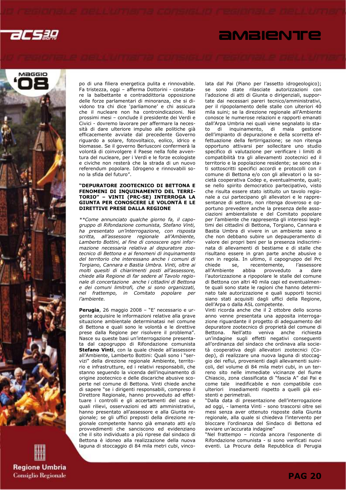

## *<u>AMBIENTE</u>*



**Regione Umbria Consiglio Regionale**  po di una filiera energetica pulita e rinnovabile. Fa tristezza, oggi – afferma Dottorini - constatare la balbettante e contraddittoria opposizione delle forze parlamentari di minoranza, che si dividono tra chi dice 'parliamone' e chi assicura che il nucleare non ha controindicazioni. Nei prossimi mesi – conclude il presidente dei Verdi e Civici - dovremo lavorare per affermare la necessità di dare ulteriore impulso alle politiche già efficacemente avviate dal precedente Governo riguardo a solare, fotovoltaico, eolico, idrico e biomasse. Se il governo Berlusconi confermerà la volontà di coinvolgere il Paese nella folle avventura del nucleare, per i Verdi e le forze ecologiste e civiche non resterà che la strada di un nuovo referendum popolare. Idrogeno e rinnovabili sono la sfida del futuro".

#### "DEPURATORE ZOOTECNICO DI BETTONA E FENOMENI DI INQUINAMENTO DEL TERRI-TORIO" – VINTI (PRC-SE) INTERROGA LA GIUNTA PER CONOSCERE LE VOLONTÀ E LE DIRETTIVE PRESE DALLA REGIONE

\*\*Come annunciato qualche giorno fa, il capogruppo di Rifondazione comunista, Stefano Vinti, ha presentato un'interrogazione, con risposta scritta, all'assessore regionale all'Ambiente, Lamberto Bottini, al fine di conoscere ogni informazione necessaria relativa al depuratore zootecnico di Bettona e ai fenomeni di inquinamento del territorio che interessano anche i comuni di Torgiano, Cannara e Bastia Umbra. Vinti, oltre ai molti quesiti di chiarimenti posti all'assessore, chiede alla Regione di far sedere al Tavolo regionale di concertazione anche i cittadini di Bettona e dei comuni limitrofi, che si sono organizzati, nel frattempo, in Comitato popolare per l'ambiente.

Perugia, 26 maggio 2008 – "E' necessario e urgente acquisire le informazioni relative alla grave situazione ambientale determinatasi nel comune di Bettona e quali sono le volontà e le direttive prese dalla Regione per risolvere il problema". Nasce su queste basi un'interrogazione presentata dal capogruppo di Rifondazione comunista Stefano Vinti, con la quale chiede all'assessore all'Ambiente, Lamberto Bottini: Quali sono i "servizi" della direzione regionale Ambiente, territorio e infrastrutture, ed i relativi responsabili, che stanno seguendo la vicenda dell'inquinamento di origine zootecnico e delle discariche abusive scoperte nel comune di Bettona. Vinti chiede anche di sapere "se i dirigenti responsabili, compreso il Direttore Regionale, hanno provveduto ad effettuare i controlli e gli accertamenti del caso e quali rilievi, osservazioni ed atti amministrativi, hanno presentato all'assessore e alla Giunta regionale; se gli uffici preposti della direzione regionale competente hanno già emanato atti e/o provvedimenti che sanciscono ed evidenziano che il sito individuato a più riprese dal sindaco di Bettona è idoneo alla realizzazione della nuova laguna di stoccaggio di 84 mila metri cubi, vincolata dal Pai (Piano per l'assetto idrogeologico); se sono state rilasciate autorizzazioni con l'adozione di atti di Giunta o dirigenziali, supportate dai necessari pareri tecnico/amministrativi, per il ripopolamento delle stalle con ulteriori 40 mila suini; se la direzione regionale all'Ambiente conosce le numerose relazioni e rapporti emanati dall'Arpa Umbria nei quali viene segnalato lo stato di inquinamento, di mala gestione dell'impianto di depurazione e della scorretta effettuazione della fertirrigazione; se non ritenga opportuno attivarsi per sollecitare uno studio specifico di valutazione per verificare i limiti di compatibilità tra gli allevamenti zootecnici ed il territorio e la popolazione residente; se sono stati sottoscritti specifici accordi e protocolli con il comune di Bettona e/o con gli allevatori o la società cooperativa Codep e, eventualmente, quali; se nello spirito democratico partecipativo, visto che risulta essere stato istituito un tavolo regionale a cui partecipano gli allevatori e le rappresentanze di settore, non ritenga doveroso e opportuno prevedere anche la presenza delle associazioni ambientaliste e del Comitato popolare per l'ambiente che rappresenta gli interessi legittimi dei cittadini di Bettona, Torgiano, Cannara e Bastia Umbra di vivere in un ambiente sano e che non debbano subire un depauperamento di valore dei propri beni per la presenza indiscriminata di allevamenti di bestiame e di stalle che risultano essere in gran parte anche abusive o non in regola. In ultimo, il capogruppo del Prc recentemente, all'Ambiente abbia provveduto a dare l'autorizzazione a ripopolare le stalle del comune di Bettona con altri 40 mila capi ed eventualmente quali sono state le ragioni che hanno determinato tale autorizzazione e quali supporti tecnici siano stati acquisiti dagli uffici della Regione, dell'Arpa o dalla ASL competente.

Vinti ricorda anche che il 2 ottobre dello scorso anno venne presentata una apposita interrogazione riguardante il progetto di adeguamento del depuratore zootecnico di proprietà del comune di Bettona. Nell'atto veniva anche richiesta un'indagine sugli effetti negativi conseguenti all'ordinanza del sindaco che ordinava alla società cooperativa degli allevatori zootecnici (Codep), di realizzare una nuova laguna di stoccaggio dei reflui, provenienti dagli allevamenti suinicoli, del volume di 84 mila metri cubi, in un terreno sito nelle immediate vicinanze del fiume Chiascio, zona classificata di "fascia A" dal Pai e come tale inedificabile e non compatibile con ulteriori insediamenti rispetto a quelli già esistenti e perimetrali.

"Dalla data di presentazione dell'interrogazione ad oggi, - lamenta Vinti - sono trascorsi oltre sei mesi senza aver ottenuto risposte dalla Giunta regionale, alla quale si chiedeva l'intervento per bloccare l'ordinanza del Sindaco di Bettona ed avviare un'accurata indagine"

"Nel frattempo – ricorda ancora l'esponente di Rifondazione comunista - si sono verificati nuovi eventi. La Procura della Repubblica di Perugia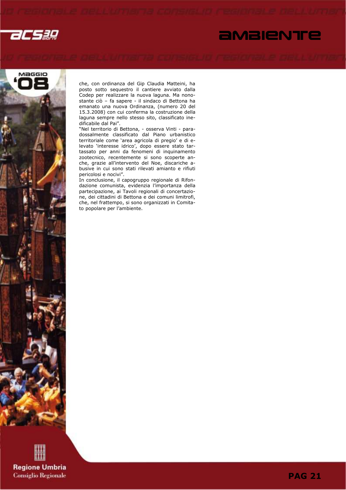

# *<u>AMBIENTE</u>*



che, con ordinanza del Gip Claudia Matteini, ha posto sotto sequestro il cantiere avviato dalla Codep per realizzare la nuova laguna. Ma nonostante ciò – fa sapere - il sindaco di Bettona ha emanato una nuova Ordinanza, (numero 20 del 15.3.2008) con cui conferma la costruzione della laguna sempre nello stesso sito, classificato inedificabile dal Pai".

"Nel territorio di Bettona, - osserva Vinti - paradossalmente classificato dal Piano urbanistico territoriale come 'area agricola di pregio' e di elevato 'interesse idrico', dopo essere stato tartassato per anni da fenomeni di inquinamento zootecnico, recentemente si sono scoperte anche, grazie all'intervento del Noe, discariche abusive in cui sono stati rilevati amianto e rifiuti pericolosi e nocivi".

In conclusione, il capogruppo regionale di Rifondazione comunista, evidenzia l'importanza della partecipazione, ai Tavoli regionali di concertazione, dei cittadini di Bettona e dei comuni limitrofi, che, nel frattempo, si sono organizzati in Comitato popolare per l'ambiente.



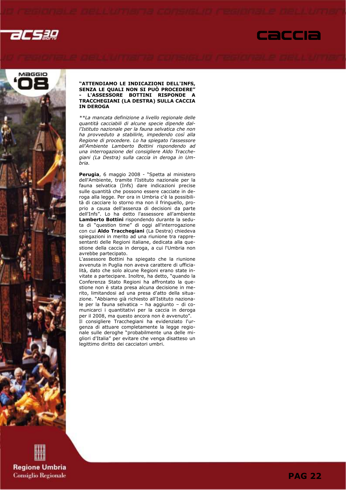





#### "ATTENDIAMO LE INDICAZIONI DELL'INFS, SENZA LE QUALI NON SI PUÒ PROCEDERE" L'ASSESSORE BOTTINI RISPONDE A TRACCHEGIANI (LA DESTRA) SULLA CACCIA IN DEROGA

\*\*La mancata definizione a livello regionale delle quantità cacciabili di alcune specie dipende dall'Istituto nazionale per la fauna selvatica che non ha provveduto a stabilirle, impedendo così alla Regione di procedere. Lo ha spiegato l'assessore all'Ambiente Lamberto Bottini rispondendo ad una interrogazione del consigliere Aldo Tracchegiani (La Destra) sulla caccia in deroga in Umbria.

Perugia, 6 maggio 2008 - "Spetta al ministero dell'Ambiente, tramite l'Istituto nazionale per la fauna selvatica (Infs) dare indicazioni precise sulle quantità che possono essere cacciate in deroga alla legge. Per ora in Umbria c'è la possibilità di cacciare lo storno ma non il fringuello, proprio a causa dell'assenza di decisioni da parte dell'Infs". Lo ha detto l'assessore all'ambiente Lamberto Bottini rispondendo durante la seduta di "question time" di oggi all'interrogazione con cui Aldo Tracchegiani (La Destra) chiedeva spiegazioni in merito ad una riunione tra rappresentanti delle Regioni italiane, dedicata alla questione della caccia in deroga, a cui l'Umbria non avrebbe partecipato.

L'assessore Bottini ha spiegato che la riunione avvenuta in Puglia non aveva carattere di ufficialità, dato che solo alcune Regioni erano state invitate a partecipare. Inoltre, ha detto, "quando la Conferenza Stato Regioni ha affrontato la questione non è stata presa alcuna decisione in merito, limitandosi ad una presa d'atto della situazione. "Abbiamo già richiesto all'Istituto nazionale per la fauna selvatica – ha aggiunto – di comunicarci i quantitativi per la caccia in deroga per il 2008, ma questo ancora non è avvenuto". Il consigliere Tracchegiani ha evidenziato l'urgenza di attuare completamente la legge regionale sulle deroghe "probabilmente una delle migliori d'Italia" per evitare che venga disatteso un legittimo diritto dei cacciatori umbri.

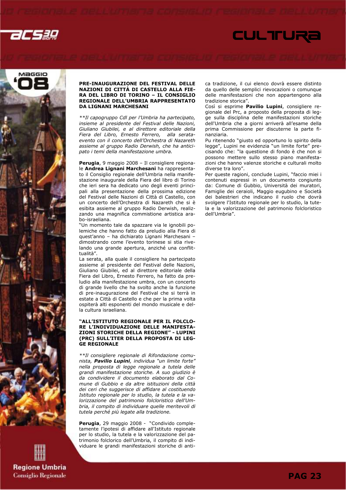



**Regione Umbria Consiglio Regionale** 

#### PRE-INAUGURAZIONE DEL FESTIVAL DELLE NAZIONI DI CITTÀ DI CASTELLO ALLA FIE-RA DEL LIBRO DI TORINO – IL CONSIGLIO REGIONALE DELL'UMBRIA RAPPRESENTATO DA LIGNANI MARCHESANI

\*\*Il capogruppo Cdl per l'Umbria ha partecipato, insieme al presidente del Festival delle Nazioni, Giuliano Giubilei, e al direttore editoriale della Fiera del Libro, Ernesto Ferrero, alla serataevento con il concerto dell'Orchestra di Nazareth assieme al gruppo Radio Derwish, che ha anticipato i temi della manifestazione umbra.

Perugia, 9 maggio 2008 – Il consigliere regionale Andrea Lignani Marchesani ha rappresentato il Consiglio regionale dell'Umbria nella manifestazione inaugurale della Fiera del libro di Torino che ieri sera ha dedicato uno degli eventi principali alla presentazione della prossima edizione del Festival delle Nazioni di Città di Castello, con un concerto dell'Orchestra di Nazareth che si è esibita assieme al gruppo Radio Derwish, realizzando una magnifica commistione artistica arabo-israeliana.

"Un momento tale da spazzare via le ignobili polemiche che hanno fatto da preludio alla Fiera di quest'anno – ha dichiarato Lignani Marchesani – dimostrando come l'evento torinese si stia rivelando una grande apertura, anziché una conflittualità".

La serata, alla quale il consigliere ha partecipato assieme al presidente del Festival delle Nazioni, Giuliano Giubilei, ed al direttore editoriale della Fiera del Libro, Ernesto Ferrero, ha fatto da preludio alla manifestazione umbra, con un concerto di grande livello che ha svolto anche la funzione di pre-inaugurazione del Festival che si terrà in estate a Città di Castello e che per la prima volta ospiterà alti esponenti del mondo musicale e della cultura israeliana.

#### "ALL'ISTITUTO REGIONALE PER IL FOLCLO-RE L'INDIVIDUAZIONE DELLE MANIFESTA-ZIONI STORICHE DELLA REGIONE" - LUPINI (PRC) SULL'ITER DELLA PROPOSTA DI LEG-GE REGIONALE

\*\*Il consigliere regionale di Rifondazione comunista, Pavilio Lupini, individua "un limite forte" nella proposta di legge regionale a tutela delle grandi manifestazione storiche. A suo giudizio è da condividere il documento elaborato dal Comune di Gubbio e da altre istituzioni della città dei ceri che suggerisce di affidare al costituendo Istituto regionale per lo studio, la tutela e la valorizzazione del patrimonio folcloristico dell'Umbria, il compito di individuare quelle meritevoli di tutela perché più legate alla tradizione.

Perugia, 29 maggio 2008 - "Condivido completamente l'ipotesi di affidare all'Istituto regionale per lo studio, la tutela e la valorizzazione del patrimonio folclorico dell'Umbria, il compito di individuare le grandi manifestazioni storiche di antica tradizione, il cui elenco dovrà essere distinto da quello delle semplici rievocazioni o comunque delle manifestazioni che non appartengono alla tradizione storica".

**CULTURE** 

Così si esprime **Pavilio Lupini**, consigliere regionale del Prc, a proposto della proposta di legge sulla disciplina delle manifestazioni storiche dell'Umbria che a giorni arriverà all'esame della prima Commissione per discuterne la parte finanziaria.

Pu ritenendo "giusto ed opportuno lo spirito della legge", Lupini ne evidenzia "un limite forte" precisando che: "la questione di fondo è che non si possono mettere sullo stesso piano manifestazioni che hanno valenze storiche e culturali molto diverse tra loro".

Per queste ragioni, conclude Lupini, "faccio miei i contenuti espressi in un documento congiunto da: Comune di Gubbio, Università dei muratori, Famiglie dei ceraioli, Maggio eugubino e Società dei balestrieri che indicano il ruolo che dovrà svolgere l'Istituto regionale per lo studio, la tutela e la valorizzazione del patrimonio folcloristico dell'Umbria".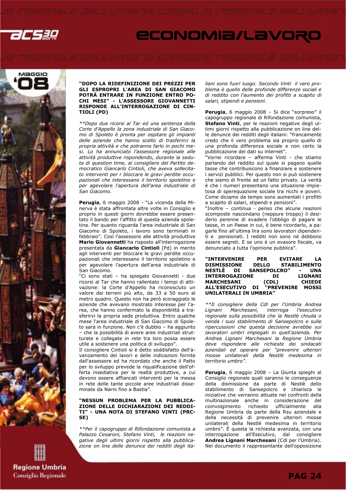



#### "DOPO LA RIDEFINIZIONE DEI PREZZI PER GLI ESPROPRI L'AREA DI SAN GIACOMO POTRÀ ENTRARE IN FUNZIONE ENTRO PO-CHI MESI" - L'ASSESSORE GIOVANNETTI RISPONDE ALL'INTERROGAZIONE DI CIN-TIOLI (PD)

\*\*Dopo due ricorsi al Tar ed una sentenza della Corte d'Appello la zona industriale di San Giacomo di Spoleto è pronta per ospitare gli impianti delle aziende che hanno scelto di trasferirci la propria attività e che potranno farlo in pochi mesi. Lo ha annunciato l'assessore regionale alle attività produttive rispondendo, durante la seduta di question time, al consigliere del Partito democratico Giancarlo Cintioli, che aveva sollecitato interventi per r bloccare le gravi perdite occupazionali che interessano il territorio spoletino e per agevolare l'apertura dell'area industriale di San Giacomo.

Perugia, 6 maggio 2008 - "La vicenda della Minerva è stata affrontata altre volte in Consiglio e proprio in questi giorni dovrebbe essere presentato il bando per l'affitto di questa azienda spoletina. Per quanto riguarda l'area industriale di San Giacomo di Spoleto, i lavoro sono terminati in febbraio". Così l'assessore alle attività produttive Mario Giovannetti ha risposto all'interrogazione presentata da Giancarlo Cintioli (Pd) in merito agli interventi per bloccare le gravi perdite occupazionali che interessano il territorio spoletino e per agevolare l'apertura dell'area industriale di San Giacomo.

"Ci sono stati – ha spiegato Giovannetti - due ricorsi al Tar che hanno rallentato i tempi di attivazione: la Corte d'Appello ha riconosciuto un valore dei terreni più alto, da 33 a 50 euro al metro quadro. Questo non ha però scoraggiato le aziende che avevano mostrato interesse per l'area, che hanno confermato la disponibilità a trasferirvi la propria sede produttiva. Entro qualche mese l'area industriale di San Giacomo di Spoleto sarà in funzione. Non c'è dubbio – ha aggiunto – che la possibilità di avere aree industriali strutturate e collegate in rete tra loro possa essere utile a sostenere una politica di sviluppo".

Il consigliere Cintioli si è detto soddisfatto dell'avanzamento dei lavori e delle indicazioni fornite dall'assessore ed ha ricordato che anche il Patto per lo sviluppo prevede la riqualificazione dell'offerta insediativa per le realtà produttive, a cui devono essere affiancati interventi per la messa in rete delle tante piccole aree industriali disseminate da Narni fino a Bastia".

#### "NESSUN PROBLEMA PER LA PUBBLICA-ZIONE DELLE DICHIARAZIONI DEI REDDI-TI" - UNA NOTA DI STEFANO VINTI (PRC-SE)

\*\*Per il capogruppo di Rifondazione comunista a Palazzo Cesaroni, Stefano Vinti, le reazioni negative degli ultimi giorni rispetto alla pubblicazione on line delle denunce dei redditi degli italiani sono fuori luogo. Secondo Vinti il vero problema è quello delle profonde differenze sociali e di reddito con l'aumento dei profitti a scapito di salari, stipendi e pensioni.

Perugia, 6 maggio 2008 - Si dice "sorpreso" il capogruppo regionale di Rifondazione comunista, Stefano Vinti, per le reazioni negative degli ultimi giorni rispetto alla pubblicazione on line delle denunce dei redditi degli italiani: "francamente credo che il vero problema sia proprio quello di una profonda differenza sociale e non certo la pubblicazione dei dati su internet".

"Vorrei ricordare – afferma Vinti - che stiamo parlando del reddito sul quale si pagano quelle tasse che contribuiscono a finanziare e sostenere i servizi pubblici. Per questo non si può sostenere che siamo di fronte ad un fatto privato. La verità è che i numeri presentano una situazione impietosa di sperequazione sociale tra ricchi e poveri. Come diciamo da tempo sono aumentati i profitti a scapito di salari, stipendi e pensioni".

"Inoltre – continua - penso che alcune reazioni scomposte nascondano (neppure troppo) il desiderio perenne di evadere l'obbligo di pagare le tasse, in un Paese in cui, è bene ricordarlo, a pagarle fino all'ultima lira sono lavoratori dipendenti e pensionati. I redditi non sono né debbono essere segreti. E se uno è un evasore fiscale, va denunciato a tutta l'opinione pubblica".

#### "INTERVENIRE PER EVITARE LA **STABILIMENTO** NESTLÈ DI SANSEPOLCRO″ - UNA<br>INTERROGAZIONE DI LIGNANI **INTERROGAZIONE** MARCHESANI (CDL) CHIEDE "PREVENIRE MOSSI UNILATERALI IN UMBRIA"

\*\*Il consigliere della Cdl per l'Umbria Andrea Lignani Marchesani, interroga l'esecutivo regionale sulla possibilità che la Nestlè chiuda o venda i suoi stabilimento di Sansepolcro e sulle ripercussioni che questa decisione avrebbe sui lavoratori umbri impiegati in quell'azienda. Per Andrea Lignani Marchesani la Regione Umbria deve rispondere alle richieste dei sindacati aziendali ed operare per "prevenire ulteriori mosse unilaterali della Nestlè medesima in territorio umbro".

Perugia, 6 maggio 2008 - La Giunta spieghi al Consiglio regionale quali saranno le conseguenze della dismissione da parte di Nestlè dello stabilimento di Sansepolcro e chiarisca le iniziative che verranno attuate nei confronti della multinazionale anche in considerazione del coinvolgimento richiesto ufficialmente alla Regione Umbria da parte della Rsu aziendale e della necessità di prevenire ulteriori mosse unilaterali della Nestlè medesima in territorio umbro". È questa la richiesta avanzata, con una interrogazione all'Esecutivo, dal consigliere Andrea Lignani Marchesani (Cdl per l'Umbria). Nel documento il rappresentante dell'opposizione

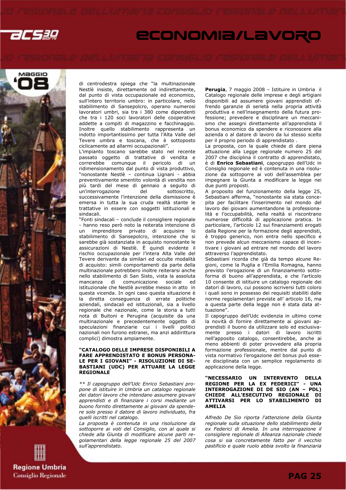



di centrodestra spiega che "la multinazionale Nestlè insiste, direttamente od indirettamente, dal punto di vista occupazionale ed economico, sull'intero territorio umbro: in particolare, nello stabilimento di Sansepolcro, operano numerosi lavoratori umbri, sia tra i 380 come dipendenti che tra i 120 soci lavoratori delle cooperative addette a compiti di magazzino e facchinaggio. Inoltre quello stabilimento rappresenta un indotto importantissimo per tutta l'Alta Valle del Tevere umbra e toscana, che è sottoposto ciclicamente ad allarmi occupazionali".

L'impianto toscano sarebbe stato nel recente passato oggetto di trattative di vendita e correrebbe comunque il pericolo di un ridimensionamento dal punto di vista produttivo, "nonostante Nestlè – continua Lignani - abbia preventivamente smentito volontà di vendita non più tardi del mese di gennaio a seguito di un'interrogazione del sottoscritto, successivamente l'intenzione della dismissione è emersa in tutta la sua cruda realtà stante le trattative in essere con soggetti istituzionali e sindacali.

"Fonti sindacali – conclude il consigliere regionale - hanno reso però noto la reiterata intenzione di un imprenditore privato di acquisire lo stabilimento di Sansepolcro, intenzione che si sarebbe già sostanziata in acquisto nonostante le assicurazioni di Nestlè. È quindi evidente il rischio occupazionale per l'intera Alta Valle del Tevere derivante da similari ed occulte modalità di acquisto: simili comportamenti da parte della multinazionale potrebbero inoltre reiterarsi anche nello stabilimento di San Sisto, vista la assoluta mancanza di comunicazione sociale ed istituzionale che Nestlè avrebbe messo in atto in questa vicenda. In ogni caso questa situazione è la diretta conseguenza di errate politiche aziendali, sindacali ed istituzionali, sia a livello regionale che nazionale, come la storia a tutti nota di Buitoni e Perugina (acquisite da una multinazionale e precedentemente oggetto di speculazioni finanziarie cui i livelli politici nazionali non furono estranei, ma anzi addirittura complici) dimostra ampiamente.

#### "CATALOGO DELLE IMPRESE DISPONIBILI A FARE APPRENDISTATO E BONUS PERSONA-LE PER I GIOVANI" - RISOLUZIONE DI SE-BASTIANI (UDC) PER ATTUARE LA LEGGE REGIONALE

\*\* Il capogruppo dell'Udc Enrico Sebastiani propone di istituire in Umbria un catalogo regionale dei datori lavoro che intendano assumere giovani apprendisti e di finanziare i corsi mediante un buono fornito direttamente ai giovani da spendere solo presso il datore di lavoro individuato, fra quelli iscritti nel catalogo.

La proposta è contenuta in una risoluzione da sottoporre ai voti del Consiglio, con al quale si chiede alla Giunta di modificare alcune parti regolamentari della legge regionale 25 del 2007 sull'apprendistato.

Perugia, 7 maggio 2008 - Istituire in Umbria il Catalogo regionale delle imprese e degli artigiani disponibili ad assumere giovani apprendisti offrendo garanzie di serietà nella propria attività produttiva e nell'insegnamento della futura professione; prevedere e disciplinare un meccanismo che assegni direttamente all'apprendista il bonus economico da spendere e riconoscere alla azienda o al datore di lavoro da lui stesso scelto per il proprio periodo di apprendistato .

La proposta, con la quale chiede di dare piena attuazione alla Legge regionale numero 25 del 2007 che disciplina il contratto di apprendistato, è di Enrico Sebastiani, capogruppo dell'Udc in Consiglio regionale ed è contenuta in una risoluzione da sottoporre ai voti dell'assemblea per impegnare la Giunta a modificare la legge nei due punti proposti.

A proposito del funzionamento della legge 25, Sebastiani afferma, "nonostante sia stata concepita per facilitare l'inserimento nel mondo del lavoro dei giovani aumentandone la professionalità e l'occupabilità, nella realtà si riscontrano numerose difficoltà di applicazione pratica. In particolare, l'articolo 12 sui finanziamenti erogati dalla Regione per la formazione degli apprendisti, è troppo generico, non entra nello specifico e non prevede alcun meccanismo capace di incentivare i giovani ad entrare nel mondo del lavoro attraverso l'apprendistato.

Sebastiani ricorda che già da tempo alcune Regioni, come la Puglia e l'Emilia Romagna, hanno previsto l'erogazione di un finanziamento sottoforma di buono all'apprendista, e che l'articolo 10 consente di istituire un catalogo regionale dei datori di lavoro, cui possono iscriversi tutti coloro i quali sono in possesso dei requisiti stabiliti dalle norme regolamentari previste all' articolo 16, ma a questa parte della legge non è stata data attuazione".

Il capogruppo dell'Udc evidenzia in ultimo come la novità di fornire direttamente ai giovani apprendisti il buono da utilizzare solo ed esclusivamente presso i datori di lavoro iscritti nell'apposito catalogo, consentirebbe, anche ai meno abbienti di poter provvedere alla propria formazione professionale, mentre dal punto di vista normativo l'erogazione del bonus può essere disciplinata con un semplice regolamento di applicazione della legge.

#### "NECESSARIO UN INTERVENTO DELLA REGIONE PER LA EX FEDERICI" - UNA INTERROGAZIONE DI DE SIO (AN – PDL) CHIEDE ALL'ESECUTIVO REGIONALE DI ATTIVARSI PER LO STABILIMENTO DI AMELIA

Alfredo De Sio riporta l'attenzione della Giunta regionale sulla situazione dello stabilimento della ex Federici di Amelia. In una interrogazione il consigliere regionale di Alleanza nazionale chiede cosa si sia concretamente fatto per il vecchio pastificio e quale ruolo abbia svolto la finanziaria

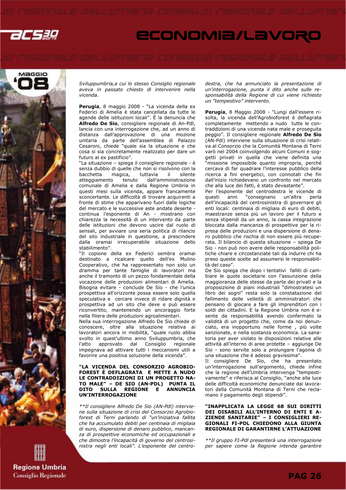



**Regione Umbria Consiglio Regionale**  Sviluppumbria,a cui lo stesso Consiglio regionale aveva in passato chiesto di intervenire nella vicenda.

Perugia, 8 maggio 2008 - "La vicenda della ex Federici di Amelia è stata cancellata da tutte le agende delle istituzioni locali". È la denuncia che Alfredo De Sio, consigliere regionale di An-Pdl, lancia con una interrogazione che, ad un anno di distanza dall'approvazione di una mozione unitaria da parte dell'assemblea di Palazzo Cesaroni, chiede "quale sia la situazione e che cosa si sia concretamente realizzato per dare un futuro al ex pastificio".

"La situazione – spiega il consigliere regionale - è senza dubbio di quelle che non si risolvono con la bacchetta magica, tuttavia il silente atteggiamento tenuto dall'amministrazione comunale di Amelia e dalla Regione Umbria in questi mesi sulla vicenda, appare francamente sconcertante. Le difficoltà di trovare acquirenti a fronte di stime che apparivano fuori dalle logiche del mercato e le successive aste andate deserte continua l'esponente di An - mostrano con chiarezza la necessità di un intervento da parte delle istituzioni che devono uscire dal ruolo di sensali, per avviare una seria politica di rilancio del sito industriale in questione, a prescindere dalla oramai irrecuperabile situazione dello stabilimento".

"Il copione della ex Federici sembra oramai destinato a ricalcare quello dell'ex Mulino Cooperativo, che ha rappresentato non solo un dramma per tante famiglie di lavoratori ma anche il tramonto di un pezzo fondamentale della vocazione delle produzioni alimentari di Amelia. Bisogna evitare - conclude De Sio - che l'unica prospettiva all'orizzonte possa essere solo quella speculativa e cercare invece di ridare dignità e prospettiva ad un sito che deve e può essere riconvertito, mantenendo un ancoraggio forte nella filiera delle produzioni agroalimentari.

Nella sua interrogazione Alfredo De Sio chiede di conoscere, oltre alla situazione relativa ai lavoratori ancora in mobilità, "quale ruolo abbia svolto in quest'ultimo anno Sviluppumbria, che l'atto approvato dal Consiglio regionale impegnava ad attivare tutti i meccanismi utili a favorire una positiva soluzione della vicenda".

#### "LA VICENDA DEL CONSORZIO AGROBIO-FOREST È DEFLAGRATA E METTE A NUDO LE CONTRADDIZIONI DI UN PROGETTO NA-TO MALE" – DE SIO (AN-PDL) PUNTA IL DITO SULLA REGIONE E ANNUNCIA UN'INTERROGAZIONE

\*\*Il consigliere Alfredo De Sio (AN-Pdl) interviene sulla situazione di crisi del Consorzio Agrobioforest di Terni parlando di "un'iniziativa fallita che ha accumulato debiti per centinaia di migliaia di euro, dispersione di denaro pubblico, mancanza di prospettive economiche ed occupazionali e che dimostra l'incapacità di governo del centrosinistra negli enti locali". L'esponente del centrodestra, che ha annunciato la presentazione di un'interrogazione, punta il dito anche sulle responsabilità della Regione di cui viene richiesto un "tempestivo" intervento.

Perugia, 8 Maggio 2008 - "Lungi dall'essere risolta, la vicenda dell'Agrobioforest è deflagrata completamente mettendo a nudo tutte le contraddizioni di una vicenda nata male e proseguita peggio". Il consigliere regionale Alfredo De Sio (AN-Pdl) interviene sulla situazione di crisi relativa al Consorzio che la Comunità Montana di Terni varò nel 2004 coinvolgendo alcuni Comuni e soggetti privati in quella che viene definita una "missione impossibile quanto impropria, perché cercava di far quadrare l'interesse pubblico della ricerca a fini energetici, con connotati che fin dall'inizio richiedevano un confronto nel mercato che alla luce dei fatti, è stato devastante".

Per l'esponente del centrodestra le vicende di questi anni "consegnano un'altra perla dell'incapacità del centrosinistra di governare gli enti locali: centinaia di migliaia di euro di debiti, maestranze senza più un lavoro per il futuro e senza stipendi da un anno, la cassa integrazione bloccata dalla mancanza di prospettive per la ripresa delle produzioni e una dispersione di denaro pubblico che rischia di non essere più recuperata. Il bilancio di questa situazione – spiega De Sio - non può non avere delle responsabilità politiche chiare e circostanziate tali da indurre chi ha preso queste scelte ad assumersi le responsabilità del caso".

De Sio spiega che dopo i tentativi falliti di cambiare le quote societarie con l'assunzione della maggioranza delle stesse da parte dei privati e la proposizione di piani industriali "dimostratesi un libro dei sogni" resta solo la constatazione del fallimento delle velleità di amministratori che pensano di giocare a fare gli imprenditori con i soldi dei cittadini. E la Regione Umbria non è esente da responsabilità avendo confermato la validità di un progetto che, come da noi denunciato, era inopportuno nelle forme , più volte sanzionate, e nella sostanza economica. La sanatoria per aver violato le disposizioni relative alle attività all'interno di aree protette – aggiunge De Sio - sono servite solo a prolungare l'agonia di una situazione che è adesso gravissima".

Il consigliere De Sio, che ha presentato un'interrogazione sull'argomento, chiede infine che la regione dell'Umbria intervenga "tempestivamente" e riferisca al Consiglio, "anche alla luce delle difficoltà economiche denunciate dai lavoratori della Comunità Montana di Terni che reclamano il pagamento degli stipendi".

#### "INAPPLICATA LA LEGGE 68 SUI DIRITTI DEI DISABILI ALL'INTERNO DI ENTI E A-ZIENDE SANITARIE" – I CONSIGLIERI RE-GIONALI FI-PDL CHIEDONO ALLA GIUNTA REGIONALE DI GARANTIRNE L'ATTUAZIONE

\*\*Il gruppo FI-Pdl presenterà una interrogazione per sapere come la Regione intenda garantire

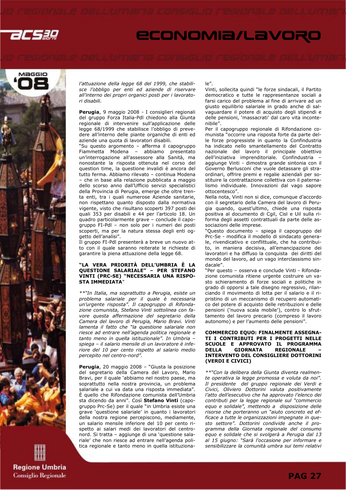



**Regione Umbria Consiglio Regionale**  l'attuazione della legge 68 del 1999, che stabilisce l'obbligo per enti ed aziende di riservare all'interno dei propri organici posti per i lavoratori disabili.

Perugia, 9 maggio 2008 - I consiglieri regionali del gruppo Forza Italia-Pdl chiedono alla Giunta regionale di intervenire sull'applicazione delle legge 68/1999 che stabilisce l'obbligo di prevedere all'interno delle piante organiche di enti ed aziende una quota di lavoratori disabili.

"Su questo argomento – afferma il capogruppo Fiammetta Modena – abbiamo presentato un'interrogazione all'assessore alla Sanità, ma nonostante la risposta ottenuta nel corso del question time, la questione invalidi è ancora del tutto ferma. Abbiamo rilevato – continua Modena – che in base alla relazione pubblicata a maggio dello scorso anno dall'Ufficio servizi specialistici della Provincia di Perugia, emerge che oltre trenta enti, tra i quali numerose Aziende sanitarie, non rispettano quanto disposto dalla normativa vigente, visto che risultano scoperti 397 posti dei quali 353 per disabili e 44 per l'articolo 18. Un quadro particolarmente grave – conclude il capogruppo FI-Pdl – non solo per i numeri dei posti scoperti, ma per la natura stessa degli enti oggetto dell'analisi".

Il gruppo FI-Pdl presenterà a breve un nuovo atto con il quale saranno reiterate le richieste di garantire la piena attuazione della legge 68.

#### "LA VERA PRIORITÀ DELL'UMBRIA È LA QUESTIONE SALARIALE" – PER STEFANO VINTI (PRC-SE) "NECESSARIA UNA RISPO-STA IMMEDIATA"

\*\*"In Italia, ma soprattutto a Perugia, esiste un problema salariale per il quale è necessaria un'urgente risposta". Il capogruppo di Rifondazione comunista, Stefano Vinti sottolinea con favore questa affermazione del segretario della Camera del lavoro di Perugia, Mario Bravi. Vinti lamenta il fatto che "la questione salariale non riesce ad entrare nell'agenda politica regionale e tanto meno in quella istituzionale". In Umbria – spiega – il salario mensile di un lavoratore è inferiore del 10 per cento rispetto al salario medio percepito nel centro-nord".

Perugia, 20 maggio 2008 – "Giusta la posizione del segretario della Camera del Lavoro, Mario Bravi, per il quale 'abbiamo nel nostro paese, ma soprattutto nella nostra provincia, un problema salariale a cui va data una risposta immediata". È quello che Rifondazione comunista dell'Umbria sta dicendo da anni". Così Stefano Vinti (capogruppo Prc-Se) per il quale "in Umbria esiste una grave 'questione salariale' in quanto i lavoratori della nostra regione percepiscono, mediamente, un salario mensile inferiore del 10 per cento rispetto ai salari medi dei lavoratori del centronord. Si tratta – aggiunge di una 'questione salariale' che non riesce ad entrare nell'agenda politica regionale e tanto meno in quella istituziona-

#### le".

Vinti, sollecita quindi "le forze sindacali, il Partito democratico e tutte le rappresentanze sociali a farsi carico del problema al fine di arrivare ad un giusto equilibrio salariale in grado anche di salvaguardare il potere di acquisto degli stipendi e delle pensioni, 'massacrati' dal caro vita incontenibile".

Per il capogruppo regionale di Rifondazione comunista "occorre una risposta forte da parte delle forze progressiste in quanto la Confindustria ha indicato nello smantellamento del Contratto nazionale del lavoro il principale obiettivo dell'iniziativa imprenditoriale. Confindustria – aggiunge Vinti - dimostra grande sintonia con il Governo Berlusconi che vuole detassare gli straordinari, offrire premi e regalie aziendali per sostituire la contrattazione collettiva con il paternalismo individuale. Innovazioni dal vago sapore ottocentesco".

Nella nota, Vinti non si dice, comunque d'accordo con il segretario della Camera del lavoro di Perugia quando, quest'ultimo, chiede una risposta positiva al documento di Cgil, Cisl e Uil sulla riforma degli assetti contrattuali da parte delle associazioni delle imprese.

"Questo documento – spiega il capogruppo del Prc-Se - modifica il modello di sindacato generale, rivendicativo e conflittuale, che ha contribuito, in maniera decisiva, all'emancipazione dei lavoratori e ha diffuso la conquista dei diritti del mondo del lavoro, ad un vago interclassismo sindacale".

"Per questo – osserva e conclude Vinti - Rifondazione comunista ritiene urgente costruire un vasto schieramento di forze sociali e politiche in grado di opporsi a tale disegno regressivo, rilanciando il movimento di lotta per il salario e il ripristino di un meccanismo di recupero automatico del potere di acquisto delle retribuzioni e delle pensioni ('nuova scala mobile'), contro lo sfruttamento del lavoro precario (compreso il lavoro autonomo) e per l'aumento delle pensioni".

#### COMMERCIO EQUO: FINALMENTE ASSEGNA-TI I CONTRIBUTI PER I PROGETTI NELLE SCUOLE E APPROVATO IL PROGRAMMA DELLA GIORNATA REGIONALE INTERVENTO DEL CONSIGLIERE DOTTORINI (VERDI E CIVICI)

\*\*"Con la delibera della Giunta diventa realmente operativa la legge promossa e voluta da noi". Il presidente del gruppo regionale dei Verdi e Civici, Oliviero Dottorini valuta positivamente l'atto dell'esecutivo che ha approvato l'elenco dei contributi per la legge regionale sul "commercio equo e solidale", mettendo a disposizione delle risorse che porteranno un "aiuto concreto ed efficace a tutte le organizzazioni impegnate in questo settore". Dottorini condivide anche il programma della Giornata regionale del consumo equo e solidale che si svolgerà a Perugia dal 13 al 15 giugno: "Sarà l'occasione per informare e sensibilizzare la comunità umbra sui temi relativi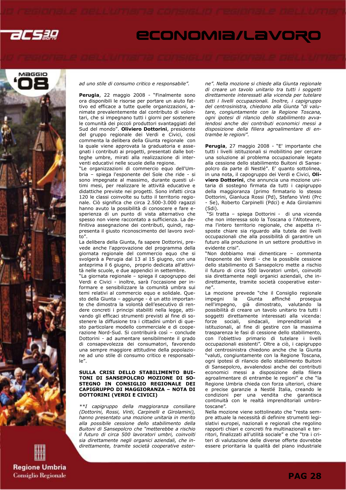



ad uno stile di consumo critico e responsabile".

Perugia, 22 maggio 2008 - "Finalmente sono ora disponibili le risorse per portare un aiuto fattivo ed efficace a tutte quelle organizzazioni, animate prevalentemente dal contributo di volontari, che si impegnano tutti i giorni per sostenere le comunità dei piccoli produttori svantaggiati del Sud del mondo". Oliviero Dottorini, presidente del gruppo regionale dei Verdi e Civici, così commenta la delibera della Giunta regionale con la quale viene approvata la graduatoria e assegnati i contributi ai progetti, presentati dalle botteghe umbre, mirati alla realizzazione di interventi educativi nelle scuole della regione.

"Le organizzazioni di commercio equo dell'Umbria – spiega l'esponente del Sole che ride - si sono impegnate al massimo, durante questi ultimi mesi, per realizzare le attività educative e didattiche previste nei progetti. Sono infatti circa 120 le classi coinvolte su tutto il territorio regionale. Ciò significa che circa 2.500-3.000 ragazzi hanno avuto la possibilità di conoscere e fare esperienza di un punto di vista alternativo che spesso non viene raccontato a sufficienza. La definitiva assegnazione dei contributi, quindi, rappresenta il giusto riconoscimento del lavoro svolto".

La delibera della Giunta, fa sapere Dottorini, prevede anche l'approvazione del programma della giornata regionale del commercio equo che si svolgerà a Perugia dal 13 al 15 giugno, con una anteprima il 6 giugno, proprio dedicata all'attività nelle scuole, e due appendici in settembre.

"La giornata regionale – spiega il capogruppo dei Verdi e Civici - inoltre, sarà l'occasione per informare e sensibilizzare la comunità umbra sui temi relativi al commercio equo e solidale. Questo della Giunta – aggiunge - è un atto importante che dimostra la volontà dell'esecutivo di rendere concreti i principi stabiliti nella legge, attivando gli efficaci strumenti previsti al fine di sostenere la diffusione tra i cittadini umbri di questo particolare modello commerciale e di cooperazione Nord-Sud. Si contribuirà così – conclude Dottorini - ad aumentare sensibilmente il grado di consapevolezza dei consumatori, favorendo una sempre maggiore attitudine della popolazione ad uno stile di consumo critico e responsabile".

#### SULLA CRISI DELLO STABILIMENTO BUI-TONI DI SANSEPOLCRO MOZIONE DI SO-STEGNO IN CONSIGLIO REGIONALE DEI CAPIGRUPPO DI MAGGIORANZA – NOTA DI DOTTORINI (VERDI E CIVICI)

\*\*I capigruppo della maggioranza consiliare (Dottorini, Rossi, Vinti, Carpinelli e Girolamini), hanno presentato una mozione unitaria in merito alla possibile cessione dello stabilimento della Buitoni di Sansepolcro che "metterebbe a rischio il futuro di circa 500 lavoratori umbri, coinvolti sia direttamente negli organici aziendali, che indirettamente, tramite società cooperative esterne". Nella mozione si chiede alla Giunta regionale di creare un tavolo unitario tra tutti i soggetti direttamente interessati alla vicenda per tutelare tutti i livelli occupazionali. Inoltre, i capigruppo del centrosinistra, chiedono alla Giunta "di valutare, congiuntamente con la Regione Toscana, ogni ipotesi di rilancio dello stabilimento avvalendosi anche dei contributi economici messi a disposizione della filiera agroalimentare di entrambe le regioni".

Perugia, 27 maggio 2008 - "E' importante che tutti i livelli istituzionali si mobilitino per cercare una soluzione al problema occupazionale legato alla cessione dello stabilimento Buitoni di Sansepolcro da parte di Nestlé". E' quanto sottolinea, in una nota, il capogruppo dei Verdi e Civici, Oliviero Dottorini, che annuncia una mozione unitaria di sostegno firmata da tutti i capigruppo della maggioranza (primo firmatario lo stesso Dottorini, Gianluca Rossi (Pd), Stefano Vinti (Prc - Se), Roberto Carpinelli (Pdci) e Ada Girolamini (Sdi).

 "Si tratta – spiega Dottorini - di una vicenda che non interessa solo la Toscana o l'Altotevere, ma l'intero territorio regionale, che aspetta risposte chiare sia riguardo alla tutela dei livelli occupazionali che alla possibilità di garantire un futuro alla produzione in un settore produttivo in evidente crisi".

"Non dobbiamo mai dimenticare – commenta l'esponente dei Verdi - che la possibile cessione dello stabilimento di Sansepolcro mette a rischio il futuro di circa 500 lavoratori umbri, coinvolti sia direttamente negli organici aziendali, che indirettamente, tramite società cooperative esterne".

La mozione prevede "che il Consiglio regionale impegni la Giunta affinché prosegua nell'impegno, già dimostrato, valutando la possibilità di creare un tavolo unitario tra tutti i soggetti direttamente interessati alla vicenda: forze sociali, sindacali, imprenditoriali e istituzionali, al fine di gestire con la massima trasparenza le fasi di cessione dello stabilimento, con l'obiettivo primario di tutelare i livelli occupazionali esistenti". Oltre a ciò, i capigruppo del centrosinistra chiedono anche che la Giunta "valuti, congiuntamente con la Regione Toscana, ogni ipotesi di rilancio dello stabilimento Buitoni di Sansepolcro, avvalendosi anche dei contributi economici messi a disposizione della filiera agroalimentare di entrambe le regioni" e che "la Regione Umbria chieda con forza ulteriori, chiare e precise garanzie a Nestlé Italia, creando le condizioni per una vendita che garantisca continuità con le realtà imprenditoriali umbrotoscane".

Nella mozione viene sottolineato che "resta sempre attuale la necessità di definire strumenti legislativi europei, nazionali e regionali che regolino rapporti chiari e concreti fra multinazionali e territori, finalizzati all'utilità sociale" e che "tra i criteri di valutazione delle diverse offerte dovrebbe essere prioritaria la qualità del piano industriale

**Regione Umbria Consiglio Regionale**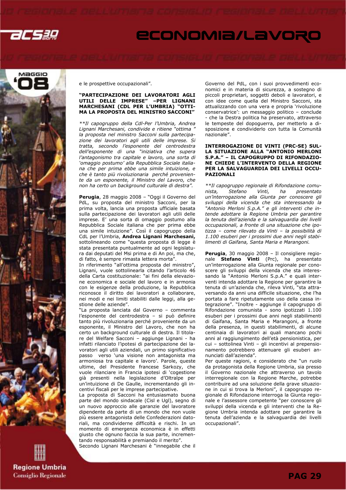



**Regione Umbria Consiglio Regionale**  e le prospettive occupazionali".

#### "PARTECIPAZIONE DEI LAVORATORI AGLI UTILI DELLE IMPRESE" –PER LIGNANI MARCHESANI (CDL PER L'UMBRIA) "OTTI-MA LA PROPOSTA DEL MINISTRO SACCONI"

\*\*Il capogruppo della Cdl-Per l'Umbria, Andrea Lignani Marchesani, condivide e ritiene "ottima " la proposta nel ministro Sacconi sulla partecipazione dei lavoratori agli utili delle imprese. Si tratta, secondo l'esponente del centrodestra dell'esponente di una "iniziativa che supera l'antagonismo tra capitale e lavoro, una sorta di 'omaggio postumo' alla Repubblica Sociale italiana che per prima ebbe una simile intuizione, e che è tanto più rivoluzionaria perché proveniente da un esponente, il Ministro del Lavoro, che non ha certo un background culturale di destra".

Perugia, 28 maggio 2008 – "Oggi il Governo del PdL, su proposta del ministro Sacconi, per la prima volta, lancia una proposta ufficiale basata sulla partecipazione dei lavoratori agli utili delle imprese. E' una sorta di omaggio postumo alla Repubblica Sociale italiana che per prima ebbe una simile intuizione". Così il capogruppo della CdL per l'Umbria, Andrea Lignani Marchesani, sottolineando come "questa proposta di legge è stata presentata puntualmente ad ogni legislatura dai deputati del Msi prima e di An poi, ma che, di fatto, è sempre rimasta lettera morta".

In riferimento "all'ottima proposta del ministro", Lignani, vuole sottolinearla citando l'articolo 46 della Carta costituzionale: "ai fini della elevazione economica e sociale del lavoro e in armonia con le esigenze della produzione, la Repubblica riconosce il diritto dei lavoratori a collaborare, nei modi e nei limiti stabiliti dalle leggi, alla gestione delle aziende".

"La proposta lanciata dal Governo – commenta l'esponente del centrodestra – si può definire tanto più rivoluzionaria perché proveniente da un esponente, il Ministro del Lavoro, che non ha certo un background culturale di destra. Il titolare del Welfare Sacconi – aggiunge Lignani - ha infatti rilanciato l'ipotesi di partecipazione dei lavoratori agli utili aziendali, un primo significativo passo verso 'una visione non antagonista ma armoniosa tra capitale e lavoro'. Parole, queste ultime, del Presidente francese Sarkozy, che vuole rilanciare in Francia ipotesi di 'cogestione già presenti nella legislazione d'Oltralpe per un'intuizione di De Gaulle, incrementando gli incentivi fiscali per le imprese partecipative.

La proposta di Sacconi ha entusiasmato buona parte del mondo sindacale (Cisl e Ugl), segno di un nuovo approccio alle garanzie del lavoratore dipendente da parte di un mondo che non vuole più essere antagonista delle Confederazioni datoriali, ma condividerne difficoltà e rischi. In un momento di emergenza economica è in effetti giusto che ognuno faccia la sua parte, incrementando responsabilità e premiando il merito".

Secondo Lignani Marchesani è "innegabile che il

Governo del PdL, con i suoi provvedimenti economici e in materia di sicurezza, a sostegno di piccoli proprietari, soggetti deboli e lavoratori, e con idee come quella del Ministro Sacconi, sta attualizzando con una vera e propria 'rivoluzione conservatrice': un messaggio politico – conclude - che la Destra politica ha preservato, attraverso le tempeste del dopoguerra, per metterlo a disposizione e condividerlo con tutta la Comunità nazionale".

#### INTERROGAZIONE DI VINTI (PRC-SE) SUL-LA SITUAZIONE ALLA "ANTONIO MERLONI S.P.A." – IL CAPOGRUPPO DI RIFONDAZIO-NE CHIEDE L'INTERVENTO DELLA REGIONE PER LA SALVAGUARDIA DEI LIVELLI OCCU-PAZIONALI

\*\*Il capogruppo regionale di Rifondazione comunista, Stefano Vinti, ha presentato un'interrogazione alla Giunta per conoscere gli sviluppi della vicenda che sta interessando la "Antonio Merloni S.p.A." e gli interventi che intende adottare la Regione Umbria per garantire la tenuta dell'azienda e la salvaguardia dei livelli occupazionali, a fronte di una situazione che ipotizza – come rilevato da Vinti – la possibilità di 1.100 esuberi per i prossimi due anni negli stabilimenti di Gaifana, Santa Maria e Marangoni.

Perugia, 30 maggio 2008 - Il consigliere regionale Stefano Vinti (Prc), ha presentato un'interrogazione alla Giunta regionale per conoscere gli sviluppi della vicenda che sta interessando la "Antonio Merloni S.p.A." e quali interventi intenda adottare la Regione per garantire la tenuta di un'azienda che, rileva Vinti, "sta attraversando da anni una difficile situazione, che l'ha portata a fare ripetutamente uso della cassa integrazione". "Inoltre - aggiunge il capogruppo di Rifondazione comunista - sono ipotizzati 1.100 esuberi per i prossimi due anni negli stabilimenti di Gaifana, Santa Maria e Marangoni, a fronte della presenza, in questi stabilimenti, di alcune centinaia di lavoratori ai quali mancano pochi anni al raggiungimento dell'età pensionistica, per cui – sottolinea Vinti – gli incentivi al prepensionamento potrebbero attenuare gli esuberi annunciati dall'azienda".

Per queste ragioni, e considerato che "un ruolo da protagonista della Regione Umbria, sia presso il Governo nazionale che attraverso un tavolo interregionale con la Regione Marche, potrebbe contribuire ad una soluzione della grave situazione in cui si trova la Merloni", il capogruppo regionale di Rifondazione interroga la Giunta regionale e l'assessore competente "per conoscere gli sviluppi della vicenda e gli interventi che la Regione Umbria intenda adottare per garantire la tenuta dell'azienda e la salvaguardia dei livelli occupazionali".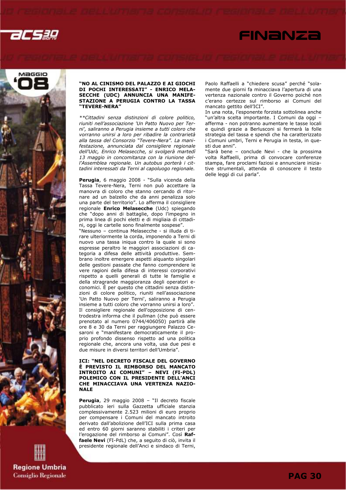



**Regione Umbria Consiglio Regionale** 

#### "NO AL CINISMO DEL PALAZZO E AI GIOCHI DI POCHI INTERESSATI" - ENRICO MELA-SECCHE (UDC) ANNUNCIA UNA MANIFE-STAZIONE A PERUGIA CONTRO LA TASSA "TEVERE-NERA"

\*\*Cittadini senza distinzioni di colore politico, riuniti nell'associazione 'Un Patto Nuovo per Terni', saliranno a Perugia insieme a tutti coloro che vorranno unirsi a loro per ribadire la contrarietà alla tassa del Consorzio "Tevere-Nera". La manifestazione, annunciata dal consigliere regionale dell'Udc, Enrico Melasecche, si svolgerà martedì 13 maggio in concomitanza con la riunione dell'Assemblea regionale. Un autobus porterà i cittadini interessati da Terni al capoluogo regionale.

Perugia, 6 maggio 2008 - "Sulla vicenda della Tassa Tevere-Nera, Terni non può accettare la manovra di coloro che stanno cercando di ritornare ad un balzello che da anni penalizza solo una parte del territorio". Lo afferma il consigliere regionale Enrico Melasecche (Udc) spiegando che "dopo anni di battaglie, dopo l'impegno in prima linea di pochi eletti e di migliaia di cittadini, oggi le cartelle sono finalmente sospese".

"Nessuno – continua Melasecche - si illuda di tirare ulteriormente la corda, imponendo a Terni di nuovo una tassa iniqua contro la quale si sono espresse peraltro le maggiori associazioni di categoria a difesa delle attività produttive. Sembrano inoltre emergere aspetti alquanto singolari delle gestioni passate che fanno comprendere le vere ragioni della difesa di interessi corporativi rispetto a quelli generali di tutte le famiglie e della stragrande maggioranza degli operatori economici. È per questo che cittadini senza distinzioni di colore politico, riuniti nell'associazione 'Un Patto Nuovo per Terni', saliranno a Perugia insieme a tutti coloro che vorranno unirsi a loro". Il consigliere regionale dell'opposizione di centrodestra informa che il pullman (che può essere prenotato al numero 0744/406050) partirà alle ore 8 e 30 da Terni per raggiungere Palazzo Cesaroni e "manifestare democraticamente il proprio profondo dissenso rispetto ad una politica regionale che, ancora una volta, usa due pesi e due misure in diversi territori dell'Umbria".

#### ICI: "NEL DECRETO FISCALE DEL GOVERNO È PREVISTO IL RIMBORSO DEL MANCATO INTROITO AI COMUNI" – NEVI (FI-PDL) POLEMICO CON IL PRESIDENTE DELL'ANCI CHE MINACCIAVA UNA VERTENZA NAZIO-NALE

Perugia, 29 maggio 2008 - "Il decreto fiscale pubblicato ieri sulla Gazzetta ufficiale stanzia complessivamente 2.523 milioni di euro proprio per compensare i Comuni del mancato introito derivato dall'abolizione dell'ICI sulla prima casa ed entro 60 giorni saranno stabiliti i criteri per l'erogazione del rimborso ai Comuni". Così Raffaele Nevi (FI-PdL) che, a seguito di ciò, invita il presidente regionale dell'Anci e sindaco di Terni,

Paolo Raffaelli a "chiedere scusa" perché "solamente due giorni fa minacciava l'apertura di una vertenza nazionale contro il Governo poiché non c'erano certezze sul rimborso ai Comuni del mancato gettito dell'ICI".

FINANZA

In una nota, l'esponente forzista sottolinea anche "un'altra scelta importante. I Comuni da oggi – afferma - non potranno aumentare le tasse locali e quindi grazie a Berlusconi si fermerà la folle strategia del tassa e spendi che ha caratterizzato i Comuni umbri, Terni e Perugia in testa, in questi due anni".

"Sarà bene – conclude Nevi - che la prossima volta Raffaelli, prima di convocare conferenze stampa, fare proclami faziosi e annunciare iniziative strumentali, attenda di conoscere il testo delle leggi di cui parla".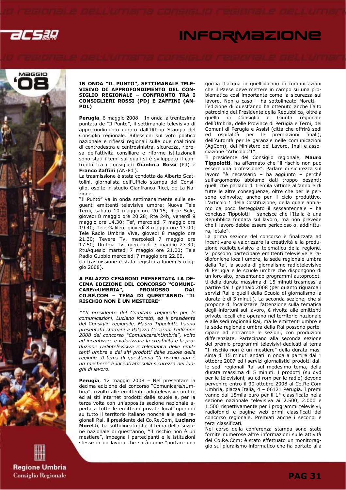

# **INFORMAZIONE**



**Regione Umbria Consiglio Regionale** 

#### IN ONDA "IL PUNTO", SETTIMANALE TELE-VISIVO DI APPROFONDIMENTO DEL CON-SIGLIO REGIONALE – CONFRONTO TRA I CONSIGLIERI ROSSI (PD) E ZAFFINI (AN-PDL)

Perugia, 6 maggio 2008 – In onda la trentesima puntata de "Il Punto", il settimanale televisivo di approfondimento curato dall'Ufficio Stampa del Consiglio regionale. Riflessioni sul voto politico nazionale e riflessi regionali sulle due coalizioni di centrodestra e centrosinistra, sicurezza, ripresa dell'attività consiliare e riforme istituzionali sono stati i temi sui quali si è sviluppato il confronto tra i consiglieri Gianluca Rossi (Pd) e Franco Zaffini (AN-Pdl).

La trasmissione è stata condotta da Alberto Scattolini, giornalista dell'Ufficio stampa del Consiglio, ospite in studio Gianfranco Ricci, de La Nazione.

"Il Punto" va in onda settimanalmente sulle seguenti emittenti televisive umbre: Nuova Tele Terni, sabato 10 maggio ore 20.15; Rete Sole, giovedì 8 maggio ore 20.28; Rte 24h, venerdì 9 maggio ore 14.30; Tef, mercoledì 7 maggio ore 19.40; Tele Galileo, giovedì 8 maggio ore 13.00; Tele Radio Umbria Viva, giovedì 8 maggio ore 21.30; Tevere Tv, mercoledì 7 maggio ore 17.50; Umbria Tv, mercoledì 7 maggio 23.30; RtuAquesio martedì 7 maggio ore 21.00; Tele Radio Gubbio mercoledì 7 maggio ore 22.00. (la trasmissione è stata registrata lunedì 5 maggio 2008).

#### A PALAZZO CESARONI PRESENTATA LA DE-CIMA EDIZIONE DEL CONCORSO "COMUNI-CAREinUMBRIA", PROMOSSO DAL CO.RE.COM – TEMA DI QUEST'ANNO: "IL RISCHIO NON È UN MESTIERE"

\*\*Il presidente del Comitato regionale per le comunicazioni, Luciano Moretti, ed il presidente del Consiglio regionale, Mauro Tippolotti, hanno presentato stamani a Palazzo Cesaroni l'edizione 2008 del concorso "ComunicareinUmbria", volto ad incentivare e valorizzare la creatività e la produzione radiotelevisiva e telematica delle emittenti umbre e dei siti prodotti dalle scuole della regione. Il tema di quest'anno "Il rischio non è un mestiere" è incentrato sulla sicurezza nei luoghi di lavoro.

Perugia, 12 maggio 2008 – Nel presentare la decima edizione del concorso "ComunicareinUmbria", rivolto alle emittenti radiotelevisive umbre ed ai siti internet prodotti dalle scuole e, per la terza volta con un'apposita sezione nazionale aperta a tutte le emittenti private locali operanti su tutto il territorio italiano nonché alle sedi regionali Rai, il presidente del Co.Re.Com, Luciano Moretti, ha sottolineato che il tema della sezione nazionale di quest'anno, "Il rischio non è un mestiere", impegna i partecipanti e le istituzioni stesse in un lavoro che sarà come "portare una

goccia d'acqua in quell'oceano di comunicazioni che il Paese deve mettere in campo su una problematica così importante come la sicurezza sul lavoro. Non a caso – ha sottolineato Moretti – l'edizione di quest'anno ha ottenuto anche l'alto patrocinio del Presidente della Repubblica, oltre a di Consiglio e Giunta regionale dell'Umbria, delle Province di Perugia e Terni, dei Comuni di Perugia e Assisi (città che offrirà sedi ed ospitalità per le premiazioni finali), dell'Autorità per le garanzie nelle comunicazioni (AgCom), del Ministero del Lavoro, Inail e associazione "Articolo 21".

Il presidente del Consiglio regionale, Mauro Tippolotti, ha affermato che "il rischio non può essere una professione". Parlare di sicurezza sul lavoro "è necessario – ha aggiunto – perché sull'argomento abbiamo dati troppo pesanti: quelli che parlano di tremila vittime all'anno e di tutte le altre conseguenze, oltre che per le persone coinvolte, anche per il ciclo produttivo. L'articolo 1 della Costituzione, della quale abbiamo da poco festeggiato il sessantennale – ha concluso Tippolotti - sancisce che l'Italia è una Repubblica fondata sul lavoro, ma non prevede che il lavoro debba essere pericoloso o, addirittura, letale".

La prima sezione del concorso è finalizzata ad incentivare e valorizzare la creatività e la produzione radiotelevisiva e telematica della regione. Vi possono partecipare emittenti televisive e radiofoniche locali umbre, la sede regionale umbra della Rai, la scuola di giornalismo radiotelevisivo di Perugia e le scuole umbre che dispongono di un loro sito, presentando programmi autoprodotti della durata massima di 15 minuti trasmessi a partire dal 1 gennaio 2008 (per quanto riguarda i servizi Rai e quelli della Scuola di giornalismo la durata è di 3 minuti). La seconda sezione, che si propone di focalizzare l'attenzione sulla tematica degli infortuni sul lavoro, è rivolta alle emittenti private locali che operano nel territorio nazionale e alle sedi regionali Rai, ma le emittenti umbre e la sede regionale umbra della Rai possono partecipare ad entrambe le sezioni, con produzioni differenziate. Partecipano alla seconda sezione del premio programmi televisivi dedicati al tema "Il rischio non è un mestiere" della durata massima di 15 minuti andati in onda a partire dal 1 ottobre 2007 ed i servizi giornalistici prodotti dalle sedi regionali Rai sul medesimo tema, della durata massima di 5 minuti. I prodotti (su dvd per le televisioni, su cd rom per le radio) devono pervenire entro il 30 ottobre 2008 al Co.Re.Com Umbria, piazza Italia, 4 – 06121 Perugia. I premi vanno dai 15mila euro per il 1° classificato nella sezione nazionale televisiva ai 2.500, 2.000 e 1.500 rispettivamente per i programmi televisivi, radiofonici e pagine web primi classificati del concorso regionale. Premiati anche i secondi e terzi classificati.

Nel corso della conferenza stampa sono state fornite numerose altre informazioni sulle attività del Co.Re.Com: è stato effettuato un monitoraggio sul pluralismo informatico che ha portato alla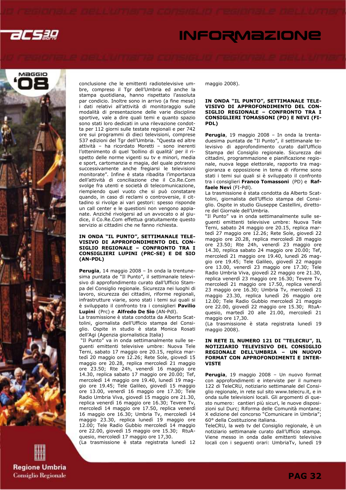

# **INFORMAZIONE**



conclusione che le emittenti radiotelevisive umbre, compreso il Tgr dell'Umbria ed anche la stampa quotidiana, hanno rispettato l'assoluta par condicio. Inoltre sono in arrivo (a fine mese) i dati relativi all'attività di monitoraggio sulle modalità di presentazione delle varie discipline sportive, vale a dire quali temi e quanto spazio sono stati loro dedicati in una rilevazione condotta per 112 giorni sulle testate regionali e per 742 ore sui programmi di dieci televisioni, comprese 537 edizioni del Tgr dell'Umbria. "Questa ed altre attività – ha ricordato Moretti – sono inerenti l'ottenimento di quel 'bollino di qualità' per il rispetto delle norme vigenti su tv e minori, media e sport, cartomanzia e magia, del quale potranno successivamente anche fregiarsi le televisioni monitorate". Infine è stata ribadita l'importanza dell'attività di conciliazione che il Co.Re.Com svolge fra utenti e società di telecomunicazione, riempiendo quel vuoto che si può constatare quando, in caso di reclami o controversie, il cittadino si rivolge ai vari gestori: spesso risponde un call center e le questioni non vengono appianate. Anziché rivolgersi ad un avvocato o al giudice, il Co.Re.Com effettua gratuitamente questo servizio ai cittadini che ne fanno richiesta.

#### IN ONDA "IL PUNTO", SETTIMANALE TELE-VISIVO DI APPROFONDIMENTO DEL CON-SIGLIO REGIONALE – CONFRONTO TRA I CONSIGLIERI LUPINI (PRC-SE) E DE SIO (AN-PDL)

Perugia, 14 maggio 2008 - In onda la trentunesima puntata de "Il Punto", il settimanale televisivo di approfondimento curato dall'Ufficio Stampa del Consiglio regionale. Sicurezza nei luoghi di lavoro, sicurezza dei cittadini, riforme regionali, infrastrutture viarie, sono stati i temi sui quali si è sviluppato il confronto tra i consiglieri Pavilio Lupini (Prc) e Alfredo De Sio (AN-Pdl).

La trasmissione è stata condotta da Alberto Scattolini, giornalista dell'Ufficio stampa del Consiglio. Ospite in studio è stata Monica Rosati dell'Agi (Agenzia giornalistica Italia)

 "Il Punto" va in onda settimanalmente sulle seguenti emittenti televisive umbre: Nuova Tele Terni, sabato 17 maggio ore 20.15, replica martedì 20 maggio ore 12.26; Rete Sole, giovedì 15 maggio ore 20.28, replica mercoledì 21 maggio ore 23.50; Rte 24h, venerdì 16 maggio ore 14.30, replica sabato 17 maggio ore 20.00; Tef, mercoledì 14 maggio ore 19.40, lunedì 19 maggio ore 19.45; Tele Galileo, giovedì 15 maggio ore 13.00, venerdì 16 maggio ore 17.30; Tele Radio Umbria Viva, giovedì 15 maggio ore 21.30, replica venerdì 16 maggio ore 16.30; Tevere Tv, mercoledì 14 maggio ore 17.50, replica venerdì 16 maggio ore 16.30; Umbria Tv, mercoledì 14 maggio 23.30, replica lunedì 19 maggio ore 12.00; Tele Radio Gubbio mercoledì 14 maggio ore 22.00, giovedì 15 maggio ore 15.30; RtuAquesio, mercoledì 17 maggio ore 17,30.

(La trasmissione è stata registrata lunedì 12

maggio 2008).

#### IN ONDA "IL PUNTO", SETTIMANALE TELE-VISIVO DI APPROFONDIMENTO DEL CON-SIGLIO REGIONALE – CONFRONTO TRA I CONSIGLIERI TOMASSONI (PD) E NEVI (FI-PDL)

Perugia, 19 maggio 2008 - In onda la trentaduesima puntata de "Il Punto", il settimanale televisivo di approfondimento curato dall'Ufficio Stampa del Consiglio regionale. Sicurezza dei cittadini, programmazione e pianificazione regionale, nuova legge elettorale, rapporto tra maggioranza e opposizione in tema di riforme sono stati i temi sui quali si è sviluppato il confronto tra i consiglieri Franco Tomassoni (PD) e Raffaele Nevi (FI-Pdl).

La trasmissione è stata condotta da Alberto Scattolini, giornalista dell'Ufficio stampa del Consiglio. Ospite in studio Giuseppe Castellini, direttore del Giornale dell'Umbria.

"Il Punto" va in onda settimanalmente sulle seguenti emittenti televisive umbre: Nuova Tele Terni, sabato 24 maggio ore 20.15, replica martedì 27 maggio ore 12.26; Rete Sole, giovedì 22 maggio ore 20.28, replica mercoledì 28 maggio ore 23.50; Rte 24h, venerdì 23 maggio ore 14.30, replica sabato 24 maggio ore 20.00; Tef, mercoledì 21 maggio ore 19.40, lunedì 26 maggio ore 19.45; Tele Galileo, giovedì 22 maggio ore 13.00, venerdì 23 maggio ore 17.30; Tele Radio Umbria Viva, giovedì 22 maggio ore 21.30, replica venerdì 23 maggio ore 16.30; Tevere Tv, mercoledì 21 maggio ore 17.50, replica venerdì 23 maggio ore 16.30; Umbria Tv, mercoledì 21 maggio 23.30, replica lunedì 26 maggio ore 12.00; Tele Radio Gubbio mercoledì 21 maggio ore 22.00, giovedì 22 maggio ore 15.30; RtuAquesio, martedì 20 alle 21.00, mercoledì 21 maggio ore 17,30.

(La trasmissione è stata registrata lunedì 19 maggio 2008).

#### IN RETE IL NUMERO 121 DI "TELECRU", IL NOTIZIARIO TELEVISIVO DEL CONSIGLIO REGIONALE DELL'UMBRIA – UN NUOVO FORMAT CON APPROFONDIMENTI E INTER-**VISTE**

Perugia, 19 maggio 2008 - Un nuovo format con approfondimenti e interviste per il numero 122 di TeleCRU, notiziario settimanale del Consiglio regionale, in rete sul sito www.telecru.it, e in onda sulle televisioni locali. Gli argomenti di questo numero: cantieri più sicuri, le nuove disposizioni sul Durc; Riforma delle Comunità montane; X edizione del concorso "Comunicare in Umbria"; 60° della Costituzione italiana.

TeleCRU, la web tv del Consiglio regionale, è un notiziario settimanale curato dall'Ufficio stampa. Viene messo in onda dalle emittenti televisive locali con i seguenti orari: UmbriaTv, lunedì 19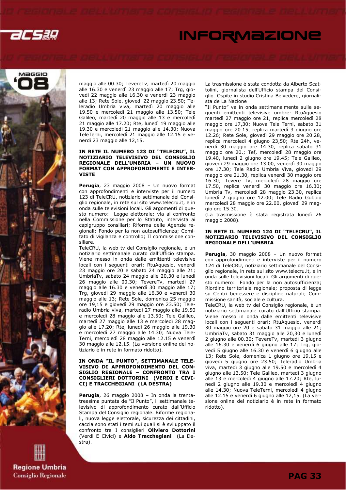

# **INFORMAZIONE**



maggio alle 00.30; TevereTv, martedì 20 maggio alle 16.30 e venerdì 23 maggio alle 17; Trg, giovedì 22 maggio alle 16.30 e venerdì 23 maggio alle 13; Rete Sole, giovedì 22 maggio 23.50; Teleradio Umbria viva, martedì 20 maggio alle 19.50 e mercoledì 21 maggio alle 13.50; Tele Galileo, martedì 20 maggio alle 13 e mercoledì 21 maggio alle 17.20; Rte, lunedì 19 maggio alle 19.30 e mercoledì 21 maggio alle 14.30; Nuova TeleTerni, mercoledì 21 maggio alle 12.15 e venerdì 23 maggio alle 12,15.

#### IN RETE IL NUMERO 123 DI "TELECRU", IL NOTIZIARIO TELEVISIVO DEL CONSIGLIO REGIONALE DELL'UMBRIA – UN NUOVO FORMAT CON APPROFONDIMENTI E INTER-**VISTE**

Perugia, 23 maggio 2008 - Un nuovo format con approfondimenti e interviste per il numero 123 di TeleCRU, notiziario settimanale del Consiglio regionale, in rete sul sito www.telecru.it, e in onda sulle televisioni locali. Gli argomenti di questo numero: Legge elettorale: via al confronto nella Commissione per lo Statuto, intervista ai capigruppo consiliari; Riforma delle Agenzie regionali; Fondo per la non autosufficienza; Comitato di vigilanza e controllo; II commissione consiliare.

TeleCRU, la web tv del Consiglio regionale, è un notiziario settimanale curato dall'Ufficio stampa. Viene messo in onda dalle emittenti televisive locali con i seguenti orari: RtuAquesio, venerdì 23 maggio ore 20 e sabato 24 maggio alle 21; UmbriaTv, sabato 24 maggio alle 20,30 e lunedì 26 maggio alle 00.30; TevereTv, martedì 27 maggio alle 16.30 e venerdì 30 maggio alle 17; Trg, giovedì 29 maggio alle 16.30 e venerdì 30 maggio alle 13; Rete Sole, domenica 25 maggio ore 19,15 e giovedì 29 maggio ore 23.50; Teleradio Umbria viva, martedì 27 maggio alle 19.50 e mercoledì 28 maggio alle 13.50; Tele Galileo, martedì 27 maggio alle 13 e mercoledì 28 maggio alle 17.20; Rte, lunedì 26 maggio alle 19.30 e mercoledì 27 maggio alle 14.30; Nuova Tele-Terni, mercoledì 28 maggio alle 12.15 e venerdì 30 maggio alle 12,15. (La versione online del notiziario è in rete in formato ridotto).

#### IN ONDA "IL PUNTO", SETTIMANALE TELE-VISIVO DI APPROFONDIMENTO DEL CON-SIGLIO REGIONALE – CONFRONTO TRA I CONSIGLIERI DOTTORINI (VERDI E CIVI-CI) E TRACCHEGIANI (LA DESTRA)

Perugia, 26 maggio 2008 - In onda la trentatreesima puntata de "Il Punto", il settimanale televisivo di approfondimento curato dall'Ufficio Stampa del Consiglio regionale. Riforme regionali, nuova legge elettorale, sicurezza dei cittadini, caccia sono stati i temi sui quali si è sviluppato il confronto tra I consiglieri Oliviero Dottorini (Verdi E Civici) e Aldo Tracchegiani (La Destra).

La trasmissione è stata condotta da Alberto Scattolini, giornalista dell'Ufficio stampa del Consiglio. Ospite in studio Cristina Belvedere, giornalista de La Nazione

"Il Punto" va in onda settimanalmente sulle seguenti emittenti televisive umbre: RtuAquesio martedì 27 maggio ore 21, replica mercoledì 28 maggio ore 17,30; Nuova Tele Terni, sabato 31 maggio ore 20.15, replica martedì 3 giugno ore 12.26; Rete Sole, giovedì 29 maggio ore 20.28, replica mercoledì 4 giugno 23,50; Rte 24h, venerdì 30 maggio ore 14.30, replica sabato 31 maggio ore 20.; Tef, mercoledì 28 maggio ore 19.40, lunedì 2 giugno ore 19.45; Tele Galileo, giovedì 29 maggio ore 13.00, venerdì 30 maggio ore 17.30; Tele Radio Umbria Viva, giovedì 29 maggio ore 21.30, replica venerdì 30 maggio ore 16.30; Tevere Tv, mercoledì 28 maggio ore 17.50, replica venerdì 30 maggio ore 16.30; Umbria Tv, mercoledì 28 maggio 23.30, replica lunedì 2 giugno ore 12.00; Tele Radio Gubbio mercoledì 28 maggio ore 22.00, giovedì 29 maggio ore 15.30.

(La trasmissione è stata registrata lunedì 26 maggio 2008).

#### IN RETE IL NUMERO 124 DI "TELECRU", IL NOTIZIARIO TELEVISIVO DEL CONSIGLIO REGIONALE DELL'UMBRIA

Perugia, 30 maggio 2008 - Un nuovo format con approfondimenti e interviste per il numero 124 di TeleCRU, notiziario settimanale del Consiglio regionale, in rete sul sito www.telecru.it, e in onda sulle televisioni locali. Gli argomenti di questo numero: Fondo per la non autosufficienza; Riordino territoriale regionale; proposta di legge su Centri benessere e discipline naturali; Commissione sanità, sociale e cultura.

TeleCRU, la web tv del Consiglio regionale, è un notiziario settimanale curato dall'Ufficio stampa. Viene messo in onda dalle emittenti televisive locali con i seguenti orari: RtuAquesio, venerdì 30 maggio ore 20 e sabato 31 maggio alle 21; UmbriaTv, sabato 31 maggio alle 20,30 e lunedì 2 giugno alle 00.30; TevereTv, martedì 3 giugno alle 16.30 e venerdì 6 giugno alle 17; Trg, giovedì 5 giugno alle 16.30 e venerdì 6 giugno alle 13; Rete Sole, domenica 1 giugno ore 19,15 e giovedì 5 giugno ore 23.50; Teleradio Umbria viva, martedì 3 giugno alle 19.50 e mercoledì 4 giugno alle 13.50; Tele Galileo, martedì 3 giugno alle 13 e mercoledì 4 giugno alle 17.20; Rte, lunedì 2 giugno alle 19.30 e mercoledì 4 giugno alle 14.30; Nuova TeleTerni, mercoledì 4 giugno alle 12.15 e venerdì 6 giugno alle 12,15. (La versione online del notiziario è in rete in formato ridotto).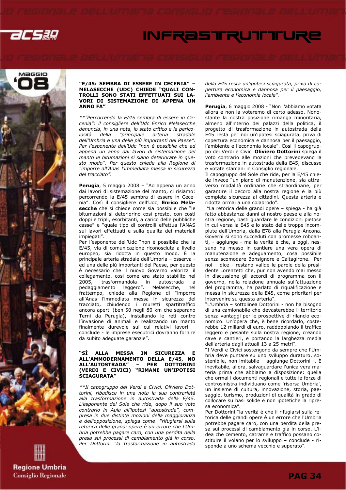

# **INFRASTRUTTURE**



#### "E/45: SEMBRA DI ESSERE IN CECENIA" – MELASECCHE (UDC) CHIEDE "QUALI CON-TROLLI SONO STATI EFFETTUATI SUI LA-VORI DI SISTEMAZIONE DI APPENA UN ANNO FA"

\*\*"Percorrendo la E/45 sembra di essere in Cecenia": il consigliere dell'Udc Enrico Melasecche denuncia, in una nota, lo stato critico e la pericolosità della "principale arteria stradale dell'Umbria e una delle più importanti del Paese". Per l'esponente dell'Udc "non è possibile che ad appena un anno dai lavori di sistemazione del manto le bitumazioni si siano deteriorate in questo modo". Per questo chiede alla Regione di "imporre all'Anas l'immediata messa in sicurezza del tracciato".

Perugia, 5 maggio 2008 - "Ad appena un anno dai lavori di sistemazione del manto, ci risiamo: percorrendo la E/45 sembra di essere in Cecenia". Così il consigliere dell'Udc, Enrico Melasecche che si chiede come sia possibile che "le bitumazioni si deteriorino così presto, con costi doppi e tripli, esorbitanti, a carico delle pubbliche casse" e "quale tipo di controlli effettua l'ANAS sui lavori effettuati e sulla qualità dei materiali impiegati".

Per l'esponente dell'Udc "non è possibile che la E/45, via di comunicazione riconosciuta a livello europeo, sia ridotta in questo modo. È la principale arteria stradale dell'Umbria – osserva ed una delle più importanti del Paese, per questo è necessario che il nuovo Governo valorizzi il collegamento, così come era stato stabilito nel 2005, trasformandola in autostrada a pedaggiamento leggero". Melasecche, nel frattempo, chiede alla Regione di "imporre all'Anas l'immediata messa in sicurezza del tracciato, chiudendo i muretti spartitraffico ancora aperti (ben 50 negli 80 km che separano Terni da Perugia), installando le reti contro l'invasione di animali e realizzando un manto finalmente durevole sui cui relativi lavori – conclude - le imprese esecutrici dovranno fornire da subito adeguate garanzie".

#### "SÌ ALLA MESSA IN SICUREZZA E ALL'AMMODERNAMENTO DELLA E/45, NO ALL'AUTOSTRADA" – PER DOTTORINI (VERDI E CIVICI) "RIMANE UN'IPOTESI SCIAGURATA"

\*\*Il capogruppo dei Verdi e Civici, Oliviero Dottorini, ribadisce in una nota la sua contrarietà alla trasformazione in autostrada della E/45. L'esponente del Sole che ride, dopo il suo voto contrario in Aula all'ipotesi "autostrada", compresa in due distinte mozioni della maggioranza e dell'opposizione, spiega come "rifugiarsi sulla retorica delle grandi opere è un errore che l'Umbria potrebbe pagare caro, con una perdita della presa sui processi di cambiamento già in corso. Per Dottorini "la trasformazione in autostrada della E45 resta un'ipotesi sciagurata, priva di copertura economica e dannosa per il paesaggio, l'ambiente e l'economia locale".

Perugia, 6 maggio 2008 - "Non l'abbiamo votata allora e non la voteremo di certo adesso. Nonostante la nostra posizione rimanga minoritaria, almeno all'interno dei palazzi della politica, il progetto di trasformazione in autostrada della E45 resta per noi un'ipotesi sciagurata, priva di copertura economica e dannosa per il paesaggio, l'ambiente e l'economia locale". Così il capogruppo dei Verdi e Civici Oliviero Dottorini spiega il voto contrario alle mozioni che prevedevano la trasformazione in autostrada della E45, discusse e votate stamani in Consiglio regionale.

Il capogruppo del Sole che ride, per la E/45 chiede invece "un piano di manutenzione, sia attraverso modalità ordinarie che straordinarie, per garantire il decoro alla nostra regione e la più completa sicurezza ai cittadini. Questa arteria è ridotta ormai a una colabrodo".

 "La retorica delle grandi opere – spiega - ha già fatto abbastanza danni al nostro paese e alla nostra regione, basti guardare le condizioni pietose in cui versa la E45 e lo stato delle troppe incompiute dell'Umbria, dalla E78 alla Perugia-Ancona. Governi si sono succeduti con promesse roboanti, - aggiunge - ma la verità è che, a oggi, nessuno ha messo in cantiere una vera opera di manutenzione e adeguamento, cosa possibile senza scomodare Bonsignore e Caltagirone. Per noi – dice - restano valide le parole della presidente Lorenzetti che, pur non avendo mai messo in discussione gli accordi di programma con il governo, nella relazione annuale sull'attuazione del programma, ha parlato di riqualificazione e messa in sicurezza della E45, come prioritari per intervenire su questa arteria".

"L'Umbria – sottolinea Dottorini - non ha bisogno di una camionabile che devasterebbe il territorio senza vantaggi per le prospettive di rilancio economico. Un'opera che, è bene ricordarlo, costerebbe 12 miliardi di euro, raddoppiando il traffico leggero e pesante sulla nostra regione, creando cave e cantieri, e portando la larghezza media dell'arteria dagli attuali 13 a 25 metri".

"I Verdi e Civici sostengono da sempre che l'Umbria deve puntare su uno sviluppo duraturo, sostenibile, non imitabile – aggiunge Dottorini -. È inevitabile, allora, salvaguardare l'unica vera materia prima che abbiamo a disposizione: quella che ormai i documenti regionali e tutte le forze di centrosinistra individuano come 'risorsa Umbria', un insieme di cultura, innovazione, storia, paesaggio, turismo, produzioni di qualità in grado di collocare su basi solide e non ipotetiche la ripresa economica".

Per Dottorini "la verità è che il rifugiarsi sulla retorica delle grandi opere è un errore che l'Umbria potrebbe pagare caro, con una perdita della presa sui processi di cambiamento già in corso. L'idea che cemento, catrame e traffico possano costituire il volano per lo sviluppo – conclude - risponde a uno schema vecchio e superato".

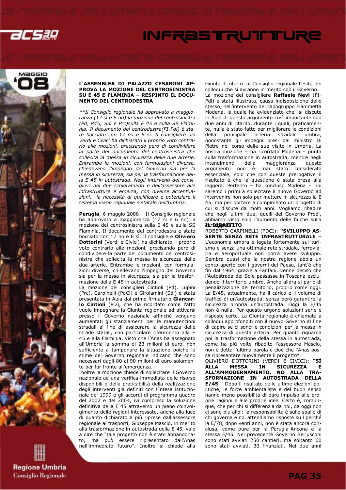

# **INFRASTRUTTURE**



**Regione Umbria Consiglio Regionale** 

#### L'ASSEMBLEA DI PALAZZO CESARONI AP-PROVA LA MOZIONE DEL CENTROSINISTRA SU E 45 E FLAMINIA – RESPINTO IL DOCU-MENTO DEL CENTRODESTRA

\*\*Il Consiglio regionale ha approvato a maggioranza (17 sì e 6 no) la mozione del centrosinistra (Pd, Pdci, Sdi e Prc)sulla E 45 e sulla SS Flaminia. Il documento del centrodestra(FI-Pdl) è stato bocciato con 17 no e 6 sì. Il consigliere dei Verdi e Civici ha dichiarato il proprio voto contrario alle mozioni, precisando però di condividere la parte del documento del centrosinistra che sollecita la messa in sicurezza delle due arterie. Entrambe le mozioni, con formulazioni diverse, chiedevano l'impegno del Governo sia per la messa in sicurezza, sia per la trasformazione della E 45 in autostrada. Negli interventi dei consiglieri dei due schieramenti e dell'assessore alle infrastrutture è emersa, con diverse accentuazioni, la necessità di qualificare e potenziare il sistema viario regionale e statale dell'Umbria.

Perugia, 6 maggio 2008 – Il Consiglio regionale ha approvato a maggioranza (17 sì e 6 no) la mozione del centrosinistra sulla E 45 e sulla SS Flaminia. Il documento del centrodestra è stato bocciato con 17 no e 6 sì. Il consigliere Oliviero Dottorini (Verdi e Civici) ha dichiarato il proprio voto contrario alle mozioni, precisando però di condividere la parte del documento del centrosinistra che sollecita la messa in sicurezza delle due arterie. Entrambe le mozioni, con formulazioni diverse, chiedevano l'impegno del Governo sia per la messa in sicurezza, sia per la trasformazione della E 45 in autostrada.

La mozione dei consiglieri Cintioli (Pd), Lupini (Prc), Carpinelli (PdCi) e Girolamini (Sdi) è stata presentata in Aula dal primo firmatario Giancarlo Cintioli (PD), che ha ricordato come l'atto vuole impegnare la Giunta regionale ad attivarsi presso il Governo nazionale affinché vengano aumentati gli stanziamenti per le manutenzioni stradali al fine di assicurare la sicurezza delle strade statali, con particolare riferimento alla E 45 e alla Flaminia, visto che l'Anas ha assegnato all'Umbria la somma di 23 milioni di euro, non sufficiente a tamponare la situazione poiché le stime del Governo regionale indicano che sono necessari dagli 80 ai 90 milioni di euro solamente per far fronte all'emergenza.

Inoltre la mozione chiede di sollecitare il Governo nazionale ad una verifica immediata delle risorse disponibili e della praticabilità della realizzazione degli interventi già definiti con l'intesa istituzionale del 1999 e gli accordi di programma quadro del 2002 e del 2004, ivi compreso la soluzione definitiva della E 45 attraverso un pieno coinvolgimento delle regioni interessate, anche alla luce di quanto dichiarato a più riprese dall'assessore regionale ai trasporti, Giuseppe Mascio, in merito alla trasformazione in autostrada della E 45, vale a dire che "tale progetto non è stato abbandonato, ma può essere ripresentato dall'Anas nell'immediato futuro". Inoltre si chiede alla

Giunta di riferire al Consiglio regionale l'esito dei colloqui che si avranno in merito con il Governo. La mozione del consigliere Raffaele Nevi (FI-Pdl) è stata illustrata, causa indisposizione dello stesso, nell'intervento del capogruppo Fiammetta Modena, la quale ha evidenziato che "si discute in Aula di questo argomento così importante con due anni di ritardo, durante i quali, praticamente, nulla è stato fatto per migliorare le condizioni della principale arteria stradale umbra, nonostante gli impegni presi dal ministro Di Pietro nel corso delle sue visite in Umbria. La nostra mozione – ha ricordato Modena – punta sulla trasformazione in autostrada, mentre negli intendimenti della maggioranza questo argomento non è mai stato considerato essenziale, solo che con queste prerogative il risultato è che la questione è stata presa alla leggera. Pertanto – ha concluso Modena – noi saremo i primi a sollecitare il nuovo Governo ad intervenire non solo per mettere in sicurezza la E 45, ma per portare a compimento un progetto di cui si discute da molti anni. Vogliamo ribadire che negli ultimi due, quelli del Governo Prodi, abbiamo visto solo l'aumento delle buche sulla The **DEBATTITO** 

ROBERTO CARPINELLI (PDCI): "SVILUPPO AS-SENTE SENZA RETE INFRASTRUTTURALE – L'economia umbra è legata fortemente sul turismo e senza una ottimale rete stradale, ferroviaria e aeroportuale non potrà avere sviluppo. Sembra quasi che la nostra regione abbia un conto aperto con i governi del Paese, tant'è che fin dal 1964, grazie a Fanfani, venne deciso che l'Autostrada del Sole passasse in Toscana escludendo il territorio umbro. Anche allora si parlò di penalizzazione del territorio, proprio come oggi. La E/45, attualmente, ha il carico e il volume di traffico di un'autostrada, senza però garantire la sicurezza propria un'autostrada. Oggi la E/45 non è nulla. Per questo urgono soluzioni serie e risposte certe. La Giunta regionale è chiamata a colloqui approfonditi con il nuovo Governo al fine di capire se ci sono le condizioni per la messa in sicurezza di questa arteria. Per quanto riguarda poi la trasformazione della stessa in autostrada, come ha più volte ribadito l'assessore Mascio, non è detta l'ultima parola e cioè che l'Anas possa ripresentare nuovamente il progetto".

OLIVIERO DOTTORINI (VERDI E CIVICI): **"SÌ<br>ALLA MESSA IN SICUREZZA E** ALLA MESSA IN SICUREZZA E ALL'AMMODERNAMENTO, NO ALLA TRA-SFORMAZIONE IN AUTOSTRADA DELLA E/45 – Dopo il risultato delle ultime elezioni politiche, le forze ambientaliste e del buon senso hanno meno possibilità di dare impulso alle proprie ragioni e alle proprie idee. Certo è, comunque, che per chi si differenzia da noi, da oggi non ci sono più alibi: la responsabilità è sulle spalle di chi governa e noi attendiamo risposte su l perché la E/78, dopo venti anni, non è stata ancora conclusa, come pure per la Perugia-Ancona e la stessa E/45. Nel precedente Governo Berlusconi sono stati avviati 250 cantieri, ma soltanto 60 sono stati avviati, 30 finanziati. Nei due anni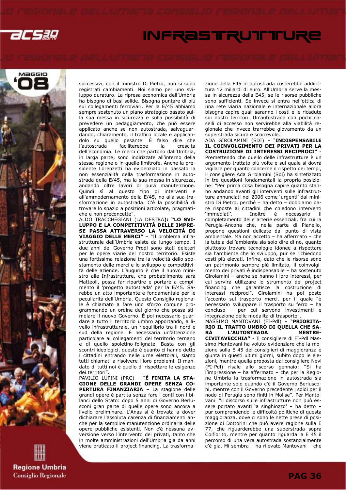

# **INFRASTRUTTURE**



**Regione Umbria Consiglio Regionale**  successivi, con il ministro Di Pietro, non si sono registrati cambiamenti. Noi siamo per uno sviluppo duraturo. La ripresa economica dell'Umbria ha bisogno di basi solide. Bisogna puntare di più sui collegamenti ferroviari. Per la E/45 abbiamo sempre sostenuto un piano strategico basato sulla sua messa in sicurezza e sulla possibilità di prevedere un pedaggiamento, che può essere applicato anche se non autostrada, salvaguardando, chiaramente, il traffico locale e applicandolo su quello pesante. È falso dire che l'autostrada faciliterebbe la crescita dell'economia. Le merci che partono dall'Umbria, in larga parte, sono indirizzate all'interno della stessa regione o in quelle limitrofe. Anche la presidente Lorenzetti ha evidenziato in passato la non essenzialità della trasformazione in autostrada della E/45, ma la sua messa in sicurezza, andando oltre lavori di pura manutenzione. Quindi sì al questo tipo di interventi e all'ammodernamento della E/45, no alla sua trasformazione in autostrada. C'è la possibilità di trovare lo spazio a posizioni articolate, pragmatiche e non preconcette".

ALDO TRACCHEGIANI (LA DESTRA): "LO SVI-LUPPO E LA COMPETITIVITÀ DELLE IMPRE-SE PASSA ATTRAVERSO LA VELOCITÀ DI VIAGGIO DELLE MERCI" – "Il problema infrastrutturale dell'Umbria esiste da lungo tempo. I due anni del Governo Prodi sono stati deleteri per le opere viarie del nostro territorio. Esiste una fortissima relazione tra la velocità dello spostamento delle merci e lo sviluppo e competitività delle aziende. L'augurio è che il nuovo ministro alle Infrastrutture, che probabilmente sarà Matteoli, possa far ripartire e portare a compimento il 'progetto autostrada' per la E/45. Sarebbe un atto importante e fondamentale per le peculiarità dell'Umbria. Questo Consiglio regionale è chiamato a fare uno sforzo comune programmando un ordine del giorno che possa stimolare il nuovo Governo. È poi necessario guardare a tutto il territorio umbro apportando, a livello infrastrutturale, un riequilibrio tra il nord e sud della regione. È necessaria un'attenzione particolare ai collegamenti del territorio ternano e di quello spoletino-folignate. Basta con gli scontri ideologici, questo è quanto ci hanno detto i cittadini entrando nelle urne elettorali, siamo tutti chiamati a risolvere i loro problemi. Il mandato di tutti noi è quello di rispettare le esigenze dei territori".

PAVILIO LUPINI (PRC) – "È FINITA LA STA-GIONE DELLE GRANDI OPERE SENZA CO-PERTURA FINANZIARIA – La stagione delle grandi opere è partita senza fare i conti con i bilanci dello Stato: dopo 5 anni di Governo Berlusconi gran parte di quelle opere sono ancora a livello preliminare. L'Anas si è trovata a dover dichiarare l'assoluta carenza di finanziamenti anche per la semplice manutenzione ordinaria delle opere pubbliche esistenti. Non c'è nessuna avversione verso l'intervento dei privati, tanto che in molte amministrazioni dell'Umbria già da anni viene praticato il project financing. La trasformazione della E45 in autostrada costerebbe addirittura 12 miliardi di euro. All'Umbria serve la messa in sicurezza della E45, se le risorse pubbliche sono sufficienti. Se invece si entra nell'ottica di una rete viaria nazionale e internazionale allora bisogna capire quali saranno i costi e le ricadute sui nostri territori. Un'autostrada con pochi caselli di accesso non servirebbe alla viabilità regionale che invece trarrebbe giovamento da un superstrada sicura e scorrevole.

ADA GIROLAMINI (SDI) – "INDISPENSABILE IL COINVOLGIMENTO DEI PRIVATI PER LA COSTRUZIONE DI INTERESSI RECIPROCI" - Premettendo che quello delle infrastrutture è un argomento trattato più volte e sul quale si dovrà vigilare per quanto concerne il rispetto dei tempi, il consigliere Ada Girolamini (Sdi) ha sintetizzato in tre questioni fondamentali la propria posizione: "Per prima cosa bisogna capire quanto stanno andando avanti gli interventi sulle infrastrutture annunciati nel 2006 come 'urgenti' dal ministro Di Pietro, perché – ha detto – dobbiamo dare risposte ai cittadini che chiedono interventi 'immediati'. Inoltre è necessario il completamento delle arterie essenziali, fra cui la Perugia-Ancona che, nella parte di Pianello, propone questioni delicate dal punto di vista ambientale. Ma non accetto – ha affermato – che la tutela dell'ambiente sia solo dire di no, quanto piuttosto trovare tecnologie idonee a rispettare sia l'ambiente che lo sviluppo, pur se richiedono costi più elevati. Infine, dato che le risorse sono un patrimonio sempre più limitato, il coinvolgimento dei privati è indispensabile – ha sostenuto Girolamini – anche se hanno i loro interessi, per cui servirà utilizzare lo strumento del project financing che garantisce la costruzione di interessi reciproci". Girolamini ha poi posto l'accento sul trasporto merci, per il quale "è necessario sviluppare il trasporto su ferro – ha concluso – per cui servono investimenti e integrazione delle modalità di trasporto".

MASSIMO MANTOVANI (FI-Pdl) – "PRIORITA-RIO IL TRATTO UMBRO DI QUELLA CHE SA-RÀ L'AUTOSTRADA MESTRE-CIVITAVECCHIA" - Il consigliere di FI-Pdl Massimo Mantovani ha voluto evidenziare che la mozione sulla E 45 dei consiglieri di maggioranza è giunta in questi ultimi giorni, subito dopo le elezioni, mentre quella proposta dal consigliere Nevi (FI-Pdl) risale allo scorso gennaio: "Si ha l'impressione – ha affermato – che per la Regione Umbria la trasformazione in autostrada sia importante solo quando c'è il Governo Berlusconi, mentre con il Governo precedente i soldi per il nodo di Perugia sono finiti in Molise". Per Mantovani "il discorso sulle infrastrutture non può essere portato avanti 'a singhiozzo' – ha detto – pur comprendendo le difficoltà politiche di questa maggioranza, dove ci sono le nette prese di posizione di Dottorini che può avere ragione sulla E 77, che riguarderebbe una superstrada sopra Colfiorito, mentre per quanto riguarda la E 45 il percorso di una vera autostrada sostanzialmente c'è già. Mi sembra – ha rilevato Mantovani – che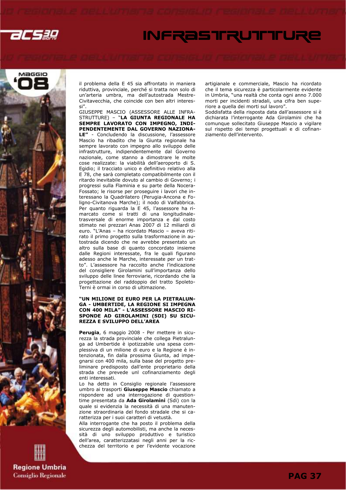

# INFRASTRUTTURE



il problema della E 45 sia affrontato in maniera riduttiva, provinciale, perché si tratta non solo di un'arteria umbra, ma dell'autostrada Mestre-Civitavecchia, che coincide con ben altri interessi".

GIUSEPPE MASCIO (ASSESSORE ALLE INFRA-STRUTTURE) – "LA GIUNTA REGIONALE HA SEMPRE LAVORATO CON IMPEGNO, INDI-PENDENTEMENTE DAL GOVERNO NAZIONA-LE" - Concludendo la discussione, l'assessore Mascio ha ribadito che la Giunta regionale ha sempre lavorato con impegno allo sviluppo delle infrastrutture, indipendentemente dal Governo nazionale, come stanno a dimostrare le molte cose realizzate: la viabilità dell'aeroporto di S. Egidio; il tracciato unico e definitivo relativo alla E 78, che sarà completato compatibilmente con il ritardo inevitabile dovuto al cambio di Governo; i progressi sulla Flaminia e su parte della Nocera-Fossato; le risorse per proseguire i lavori che interessano la Quadrilatero (Perugia-Ancona e Foligno-Civitanova Marche); il nodo di Valfabbrica. Per quanto riguarda la E 45, l'assessore ha rimarcato come si tratti di una longitudinaletrasversale di enorme importanza e dal costo stimato nei prezzari Anas 2007 di 12 miliardi di euro. "L'Anas – ha ricordato Mascio – aveva ritirato il primo progetto sulla trasformazione in autostrada dicendo che ne avrebbe presentato un altro sulla base di quanto concordato insieme dalle Regioni interessate, fra le quali figurano adesso anche le Marche, interessate per un tratto". L'assessore ha raccolto anche l'indicazione del consigliere Girolamini sull'importanza dello sviluppo delle linee ferroviarie, ricordando che la progettazione del raddoppio del tratto Spoleto-Terni è ormai in corso di ultimazione.

### "UN MILIONE DI EURO PER LA PIETRALUN-GA - UMBERTIDE, LA REGIONE SI IMPEGNA CON 400 MILA" - L'ASSESSORE MASCIO RI-SPONDE AD GIROLAMINI (SDI) SU SICU-REZZA E SVILUPPO DELL'AREA

Perugia, 6 maggio 2008 - Per mettere in sicurezza la strada provinciale che collega Pietralunga ad Umbertide è ipotizzabile una spesa complessiva di un milione di euro e la Regione è intenzionata, fin dalla prossima Giunta, ad impegnarsi con 400 mila, sulla base del progetto preliminare predisposto dall'ente proprietario della strada che prevede unl cofinanziamento degli enti interessati.

Lo ha detto in Consiglio regionale l'assessore umbro ai trasporti Giuseppe Mascio chiamato a rispondere ad una interrogazione di questiontime presentata da Ada Girolamini (Sdi) con la quale si evidenzia la necessità di una manutenzione straordinaria del fondo stradale che si caratterizza per i suoi caratteri di vetustà.

Alla interrogante che ha posto il problema della sicurezza degli automobilisti, ma anche la necessità di uno sviluppo produttivo e turistico dell'area, caratterizzatasi negli anni per la ricchezza del territorio e per l'evidente vocazione artigianale e commerciale, Mascio ha ricordato che il tema sicurezza è particolarmente evidente in Umbria, "una realtà che conta ogni anno 7.000 morti per incidenti stradali, una cifra ben superiore a quella dei morti sul lavoro".

Soddisfatta della risposta data dall'assessore si è dichiarata l'interrogante Ada Girolamini che ha comunque sollecitato Giuseppe Mascio a vigilare sul rispetto dei tempi progettuali e di cofinanziamento dell'intervento.

**Regione Umbria Consiglio Regionale**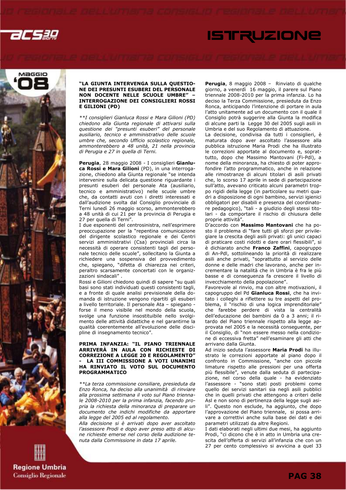





### "LA GIUNTA INTERVENGA SULLA QUESTIO-NE DEI PRESUNTI ESUBERI DEL PERSONALE NON DOCENTE NELLE SCUOLE UMBRE" – INTERROGAZIONE DEI CONSIGLIERI ROSSI E GILIONI (PD)

\*\*I consiglieri Gianluca Rossi e Mara Gilioni (PD) chiedono alla Giunta regionale di attivarsi sulla questione dei "presunti esuberi" del personale ausiliario, tecnico e amministrativo delle scuole umbre che, secondo Ufficio scolastico regionale, ammonterebbero a 48 unità, 21 nella provincia di Perugia e 27 in quella di Terni.

Perugia, 28 maggio 2008 - I consiglieri Gianluca Rossi e Mara Gilioni (PD), in una interrogazione, chiedono alla Giunta regionale "se intenda intervenire sulla delicata questione riguardante i presunti esuberi del personale Ata (ausiliario, tecnico e amministrativo) nelle scuole umbre che, da contatti avuti con i diretti interessati e dall'audizione svolta dal Consiglio provinciale di Terni lunedì 26 maggio scorso, ammonterebbero a 48 unità di cui 21 per la provincia di Perugia e 27 per quella di Terni".

I due esponenti del centrosinistra, nell'esprimere preoccupazione per la "repentina comunicazione del dirigente scolastico regionale e dei Centri servizi amministrativi (Csa) provinciali circa la necessità di operare consistenti tagli del personale tecnico delle scuole", sollecitano la Giunta a richiedere una sospensiva del provvedimento che, spiegano, "difetta di chiarezza nei criteri, peraltro scarsamente concertati con le organizzazioni sindacali" .

Rossi e Gilioni chiedono quindi di sapere "su quali basi sono stati individuati questi consistenti tagli, e a fronte di quale analisi previsionale della domanda di istruzione vengono ripartiti gli esuberi a livello territoriale. Il personale Ata – spiegano forse il meno visibile nel mondo della scuola, svolge una funzione insostituibile nello svolgimento delle attività didattiche e nel garantirne la qualità coerentemente all'evoluzione delle discipline di insegnamento tecnico".

### PRIMA INFANZIA: "IL PIANO TRIENNALE ARRIVERÀ IN AULA CON RICHIESTE DI CORREZIONE A LEGGE 20 E REGOLAMENTO" LA III COMMISSIONE A VOTI UNANIMI HA RINVIATO IL VOTO SUL DOCUMENTO PROGRAMMATICO

\*\*La terza commissione consiliare, presieduta da Enzo Ronca, ha deciso alla unanimità di rinviare alla prossima settimana il voto sul Piano triennale 2008-2010 per la prima infanzia, facendo propria la richiesta della minoranza di preparare un documento che indichi modifiche da apportare alla legge del 2005 ed al regolamento.

Alla decisione si è arrivati dopo aver ascoltato l'assessore Prodi e dopo aver preso atto di alcune richieste emerse nel corso della audizione tenuta dalla Commissione in data 17 aprile.

Perugia, 8 maggio 2008 – Rinviato di qualche giorno, a venerdì 16 maggio, il parere sul Piano triennale 2008-2010 per la prima infanzia. Lo ha deciso la Terza Commissione, presieduta da Enzo Ronca, anticipando l'intenzione di portare in aula l'atto unitamente ad un documento con il quale il Consiglio potrà suggerire alla Giunta la modifica di alcune parti la Legge 30 del 2005 sugli asili in Umbria e del suo Regolamento di attuazione.

La decisione, condivisa da tutti i consiglieri, è maturata dopo aver ascoltato l'assessore alla pubblica istruzione Maria Prodi che ha illustrato le correzioni apportate al documento e, soprattutto, dopo che Massimo Mantovani (Fi-Pdl), a nome della minoranza, ha chiesto di poter approfondire l'atto programmatico, anche in relazione alle rimostranze di alcuni titolari di asili privati che, lo scorso 17 aprile in sede di partecipazione sull'atto, avevano criticato alcuni parametri troppo rigidi della legge (in particolare su metri quadri a disposizione di ogni bambino, servizi igienici obbligatori per disabili e presenza del coordinatore pedagogico), "tali - a giudizio degli stessi titolari - da comportare il rischio di chiusura delle proprie attività".

.<br>D'accordo con Massimo Mantovani che ha posto il problema di "fare tutti gli sforzi per privilegiare la crescita degli asili privati: gli unici capaci di praticare costi ridotti e dare orari flessibili", si è dichiarato anche Franco Zaffini, capogruppo di An-Pdl, sottolineando la priorità di realizzare asili anche privati, "soprattutto al servizio delle donne e delle madri che lavorano, anche per incrementare la natalità che in Umbria è fra le più basse e di conseguenza fa crescere il livello di invecchiamento della popolazione".

Favorevole al rinvio, ma con altre motivazioni, il capogruppo del Pd Gianluca Rossi, che ha invitato i colleghi a riflettere su tre aspetti del problema, il "rischio di una logica imprenditoriale" che farebbe perdere di vista la centralità dell'educazione dei bambini da 0 a 3 anni; il ritardo del Piano triennale rispetto alla legge approvata nel 2005 e la necessità conseguente, per il Consiglio, di "non essere messo nella condizione di eccessiva fretta" nell'esaminare gli atti che arrivano dalla Giunta.

Ad inizio seduta l'assessore Maria Prodi ha illustrato le correzioni apportate al piano dopo il confronto in Commissione, "anche con piccole limature rispetto alle pressioni per una offerta più flessibile", venute dalla seduta di partecipazione, nel corso della quale - ha evidenziato l'assessore - "sono stati posti problemi come quello dei servizi sanitari sia negli asili pubblici che in quelli privati che attengono a criteri delle Asl e non sono di pertinenza della legge sugli asili". Questo non esclude, ha aggiunto, che dopo l'approvazione del Piano triennale, si possa arrivare a correttivi anche sulla base dei dati e dei parametri utilizzati da altre Regioni.

I dati elaborati negli ultimi due mesi, ha aggiunto Prodi, "ci dicono che è in atto in Umbria una crescita dell'offerta di servizi all'infanzia che con un 27 per cento complessivo si avvicina a quel 33

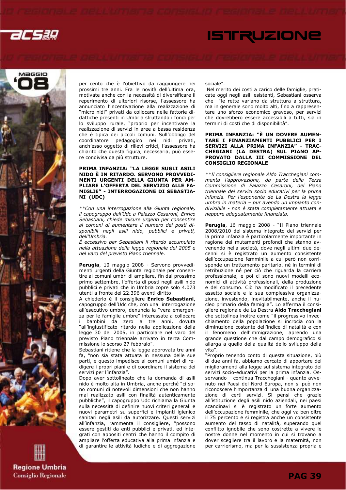acsag





**Regione Umbria Consiglio Regionale**  per cento che è l'obiettivo da raggiungere nei prossimi tre anni. Fra le novità dell'ultima ora, motivate anche con la necessità di diversificare il reperimento di ulteriori risorse, l'assessore ha annunciato l'incentivazione alla realizzazione di "micro nidi" privati da collocare nelle fattorie didattiche presenti in Umbria sfruttando i fondi per lo sviluppo rurale, "proprio per incentivare la realizzazione di servizi in aree a bassa residenza che è tipica dei piccoli comuni. Sull'obbligo del coordinatore pedagogico nei nidi privati, anch'esso oggetto di rilievi critici, l'assessore ha chiarito che questa figura, necessaria, può essere condivisa da più strutture.

### PRIMA INFANZIA: "LA LEGGE SUGLI ASILI NIDO È IN RITARDO. SERVONO PROVVEDI-MENTI URGENTI DELLA GIUNTA PER AM-PLIARE L'OFFERTA DEL SERVIZIO ALLE FA-MIGLIE" - INTERROGAZIONE DI SEBASTIA-NI (UDC)

\*\*Con una interrogazione alla Giunta regionale, il capogruppo dell'Udc a Palazzo Cesaroni, Enrico Sebastiani, chiede misure urgenti per consentire ai comuni di aumentare il numero dei posti disponibili negli asili nido, pubblici e privati, dell'Umbria.

È eccessivo per Sebastiani il ritardo accumulato nella attuazione della legge regionale del 2005 e nel varo del previsto Piano triennale.

Perugia, 10 maggio 2008 - Servono provvedimenti urgenti della Giunta regionale per consentire ai comuni umbri di ampliare, fin dal prossimo primo settembre, l'offerta di posti negli asili nido pubblici e privati che in Umbria copre solo 4.073 utenti a fronte dei 22.396 aventi diritto.

A chiederlo è il consigliere Enrico Sebastiani, capogruppo dell'Udc che, con una interrogazione all'esecutivo umbro, denuncia la "vera emergenza per le famiglie umbre" interessate a collocare i bambini da zero a tre anni, dovuta "all'ingiustificato ritardo nella applicazione della legge 30 del 2005, in particolare nel varo del previsto Piano triennale arrivato in terza Commissione lo scorso 27 febbraio".

Sebastiani ritiene che la legge approvata tre anni fa, "non sia stata attuata in nessuna delle sue parti, e questo impedisce ai comuni umbri di redigere i propri piani e di coordinare il sistema dei servizi per l'infanzia".

Dopo aver sottolineato che la domanda di asili nido è molto alta in Umbria, anche perché "ci sono comuni di notevoli dimensioni che non hanno mai realizzato asili con finalità autenticamente pubbliche", il capogruppo Udc richiama la Giunta sulla necessità di definire nuovi criteri generali e nuovi parametri su superfici e impianti igienico sanitari negli asili da autorizzare. Questi servizi all'infanzia, rammenta il consigliere, "possono essere gestiti da enti pubblici e privati, ed integrati con appositi centri che hanno il compito di ampliare l'offerta educativa alla prima infanzia e di garantire le attività ludiche e di aggregazione sociale".

 Nel merito dei costi a carico delle famiglie, praticate oggi negli asili esistenti, Sebastiani osserva che "le rette variano da struttura a struttura, ma in generale sono molto alti, fino a rappresentare uno sforzo economico gravoso, per servizi che dovrebbero essere accessibili a tutti, sia in termini di costi che di disponibilità".

### PRIMA INFANZIA: "È UN DOVERE AUMEN-TARE I FINANZIAMENTI PUBBLICI PER I SERVIZI ALLA PRIMA INFANZIA" - TRAC-CHEGIANI (LA DESTRA) SUL PIANO AP-PROVATO DALLA III COMMISSIONE DEL CONSIGLIO REGIONALE

\*\*Il consigliere regionale Aldo Tracchegiani commenta l'approvazione, da parte della Terza Commissione di Palazzo Cesaroni, del Piano triennale dei servizi socio educativi per la prima infanzia. Per l'esponente de La Destra la legge umbra in materia – pur avendo un impianto condivisibile - non è stata completamente attuata e neppure adeguatamente finanziata.

Perugia, 16 maggio 2008 - "Il Piano triennale 2008/2010 del sistema integrato dei servizi per la prima infanzia è particolarmente importante in ragione dei mutamenti profondi che stanno avvenendo nella società, dove negli ultimi due decenni si è registrato un aumento consistente dell'occupazione femminile a cui però non corrisponde un trattamento paritario, né in termini di retribuzione né per ciò che riguarda la carriera professionale, e poi ci sono nuovi modelli economici di attività professionali, della produzione e del consumo. Ciò ha modificato il precedente assetto sociale e la sua complessiva organizzazione, investendo, inevitabilmente, anche il nucleo primario della famiglia". Lo afferma il consigliere regionale de La Destra Aldo Tracchegiani che sottolinea inoltre come "il progressivo invecchiamento della popolazione si incrocia con la diminuzione costante dell'indice di natalità e con il fenomeno dell'immigrazione, aprendo una grande questione che dal campo demografico si allarga a quello della qualità dello sviluppo della vita".

"Proprio tenendo conto di questa situazione, più di due anni fa, abbiamo cercato di apportare dei miglioramenti alla legge sul sistema integrato dei servizi socio-educativi per la prima infanzia. Osservando – continua Tracchegiani - quanto avvenuto nei Paesi del Nord Europa, non si può non riconoscere l'importanza di una buona organizzazione di certi servizi. Si pensi che grazie all'istituzione degli asili nido aziendali, nei paesi scandinavi si è registrato un forte aumento dell'occupazione femminile, che oggi va ben oltre il 75 percento e si registra anche un consistente aumento del tasso di natalità, superando quel conflitto ignobile che sono costrette a vivere le nostre donne nel momento in cui si trovano a dover scegliere tra il lavoro e la maternità, non per carrierismo, ma per la sussistenza propria e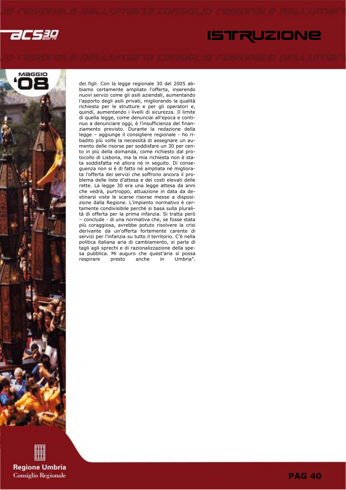

# ISTRUZIONE



dei figli. Con la legge regionale 30 del 2005 abbiamo certamente ampliato l'offerta, inserendo nuovi servizi come gli asili aziendali, aumentando l'apporto degli asili privati, migliorando la qualità richiesta per le strutture e per gli operatori e, quindi, aumentando i livelli di sicurezza. Il limite di quella legge, come denunciai all'epoca e continuo a denunciare oggi, è l'insufficienza del finanziamento previsto. Durante la redazione della legge – aggiunge il consigliere regionale - ho ribadito più volte la necessità di assegnare un aumento delle risorse per soddisfare un 30 per cento in più della domanda, come richiesto dal protocollo di Lisbona, ma la mia richiesta non è stata soddisfatta né allora né in seguito. Di conseguenza non si è di fatto né ampliata né migliorata l'offerta dei servizi che soffrono ancora il problema delle liste d'attesa e dei costi elevati delle rette. La legge 30 era una legge attesa da anni che vedrà, purtroppo, attuazione in data da destinarsi viste le scarse risorse messe a disposizione dalla Regione. L'impianto normativo è certamente condivisibile perché si basa sulla pluralità di offerta per la prima infanzia. Si tratta però – conclude - di una normativa che, se fosse stata più coraggiosa, avrebbe potuto risolvere la crisi derivante da un'offerta fortemente carente di servizi per l'infanzia su tutto il territorio. C'è nella politica italiana aria di cambiamento, si parla di tagli agli sprechi e di razionalizzazione della spesa pubblica. Mi auguro che quest'aria si possa respirare presto anche in Umbria".

**Regione Umbria Consiglio Regionale** 

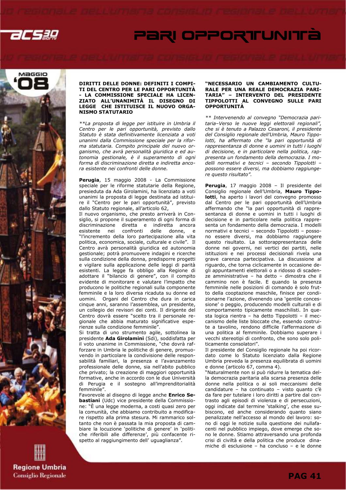

# PARI OPPORTUNITÀ



### DIRITTI DELLE DONNE: DEFINITI I COMPI-TI DEL CENTRO PER LE PARI OPPORTUNITÀ - LA COMMISSIONE SPECIALE HA LICEN-ZIATO ALL'UNANIMITÀ IL DISEGNO DI LEGGE CHE ISTITUISCE IL NUOVO ORGA-NISMO STATUTARIO

\*\*La proposta di legge per istituire in Umbria il Centro per le pari opportunità, previsto dallo Statuto è stata definitivamente licenziata a voti unanimi dalla Commissione speciale per la riforma statutaria. Compito principale del nuovo organismo, che avrà personalità giuridica e ed autonomia gestionale, è il superamento di ogni forma di discriminazione diretta e indiretta ancora esistente nei confronti delle donne.

Perugia, 15 maggio 2008 - La Commissione speciale per le riforme statutarie della Regione, presieduta da Ada Girolamini, ha licenziato a voti unanimi la proposta di legge destinata ad istituire il "Centro per le pari opportunità", previsto dallo Statuto regionale, all'articolo 62,

Il nuovo organismo, che presto arriverà in Consiglio, si propone il superamento di ogni forma di discriminazione diretta e indiretta ancora esistente nei confronti delle donne, e "l'incremento della loro partecipazione alla vita politica, economica, sociale, culturale e civile". Il Centro avrà personalità giuridica ed autonomia gestionale; potrà promuovere indagini e ricerche sulla condizione della donna, predisporre progetti e vigilare sulla applicazione delle leggi di parità esistenti. La legge fa obbligo alla Regione di adottare il "bilancio di genere", con il compito evidente di monitorare e valutare l'impatto che producono le politiche regionali sulla componente femminile e la loro diversa ricaduta su donne ed uomini. Organi del Centro che dura in carica cinque anni, saranno l'assemblea, un presidente, un collegio dei revisori dei conti. Il dirigente del Centro dovrà essere "scelto tra il personale regionale che abbia maturato significative esperienze sulla condizione femminile".

Si tratta di uno strumento agile, sottolinea la presidente Ada Girolamini (Sdi), soddisfatta per il voto unanime in Commissione, "che dovrà rafforzare in Umbria le politiche di genere, promuovendo in particolare la condivisione delle responsabilità familiari, la presenza e l'avanzamento professionale delle donne, sia nell'abito pubblico che privato; la creazione di maggiori opportunità formative, anche in accordo con le due Università di Perugia e il sostegno all'imprenditorialità femminile".

Favorevole al disegno di legge anche Enrico Sebastiani (Udc) vice presidente della Commissione: "È una legge moderna, a costi quasi zero per la comunità, che abbiamo contribuito a modificare rispetto alla prima stesura. Mi rammarico soltanto che non è passata la mia proposta di cambiare la locuzione 'politiche di genere' in 'politiche riferibili alle differenze', più confacente rispetto al raggiungimento dell' uguaglianza".

### "NECESSARIO UN CAMBIAMENTO CULTU-RALE PER UNA REALE DEMOCRAZIA PARI-TARIA" – INTERVENTO DEL PRESIDENTE TIPPOLOTTI AL CONVEGNO SULLE PARI **OPPORTUNITÀ**

\*\* Intervenendo al convegno "Democrazia paritaria–Verso le nuove leggi elettorali regionali", che si è tenuto a Palazzo Cesaroni, il presidente del Consiglio regionale dell'Umbria, Mauro Tippolotti, ha affermato che "la pari opportunità di rappresentanza di donne e uomini in tutti i luoghi di decisione, e in particolare nella politica, rappresenta un fondamento della democrazia. I modelli normativi e tecnici – secondo Tippolotti – possono essere diversi, ma dobbiamo raggiungere questo risultato".

Perugia, 17 maggio 2008 - Il presidente del Consiglio regionale dell'Umbria, Mauro Tippolotti, ha aperto i lavori del convegno promosso dal Centro per le pari opportunità dell'Umbria affermando che "la pari opportunità di rappresentanza di donne e uomini in tutti i luoghi di decisione e in particolare nella politica rappresenta un fondamento della democrazia. I modelli normativi e tecnici – secondo Tippolotti – possono essere diversi, ma dobbiamo raggiungere questo risultato. La sottorappresentanza delle donne nei governi, nei vertici dei partiti, nelle istituzioni e nei processi decisionali rivela una grave carenza partecipativa. La discussione al riguardo, che torna ciclicamente in occasione degli appuntamenti elettorali o a ridosso di scadenze amministrative – ha detto – dimostra che il cammino non è facile. E quando la presenza femminile nelle posizioni di comando è solo frutto della cooptazione maschile, finisce per condizionarne l'azione, divenendo una 'gentile concessione' o peggio, producendo modelli culturali e di comportamento tipicamente maschilisti. In questa logica rientra – ha detto Tippolotti – il meccanismo delle liste bloccate che, essendo costruite a tavolino, rendono difficile l'affermazione di una politica al femminile. Dobbiamo superare i vecchi stereotipi di confronto, che sono solo politicamente consolatori".

Il presidente del Consiglio regionale ha poi ricordato come lo Statuto licenziato dalla Regione Umbria preveda la presenza equilibrata di uomini e donne (articolo 67, comma 4).

"Naturalmente non si può ridurre la tematica della democrazia paritaria alla scarsa presenza delle donne nella politica o ai soli meccanismi delle candidature – ha continuato – visto quanto c'è da fare per tutelare i loro diritti a partire dal contrasto agli episodi di violenza e di persecuzioni, oggi indicate dal termine 'stalking', che esse subiscono, ed anche considerando quanto siano penalizzate nell'accesso al mondo del lavoro: sono di oggi le notizie sulla questione dei nullafacenti nel pubblico impiego, dove emerge che sono le donne. Stiamo attraversando una profonda crisi di civiltà e della politica che produce dinamiche di esclusione – ha concluso – e le donne

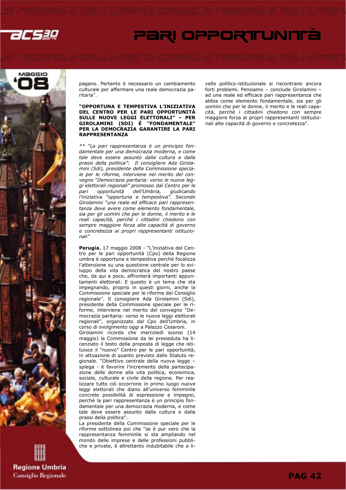

# PARI OPPORTUNITÀ



**Regione Umbria Consiglio Regionale**  pagano. Pertanto è necessario un cambiamento culturale per affermare una reale democrazia paritaria".

"OPPORTUNA E TEMPESTIVA L'INIZIATIVA DEL CENTRO PER LE PARI OPPORTUNITÀ SULLE NUOVE LEGGI ELETTORALI" – PER GIROLAMINI (SDI) È "FONDAMENTALE" PER LA DEMOCRAZIA GARANTIRE LA PARI RAPPRESENTANZA

\*\* "La pari rappresentanza è un principio fondamentale per una democrazia moderna, e come tale deve essere assunto dalla cultura e dalla prassi della politica": Il consigliere Ada Girolamini (Sdi), presidente della Commissione speciale per le riforme, interviene nel merito del convegno "Democrazia paritaria: verso le nuove leggi elettorali regionali" promosso dal Centro per le pari opportunità dell'Umbria, giudicando l'iniziativa "opportuna e tempestiva". Secondo Girolamini "una reale ed efficace pari rappresentanza deve avere come elemento fondamentale, sia per gli uomini che per le donne, il merito e le reali capacità, perché i cittadini chiedono con sempre maggiore forza alte capacità di governo e concretezza ai propri rappresentanti istituzionali"

Perugia, 17 maggio 2008 - "L'iniziativa del Centro per le pari opportunità (Cpo) della Regione umbra è opportuna e tempestiva perché focalizza l'attenzione su una questione centrale per lo sviluppo della vita democratica del nostro paese che, da qui a poco, affronterà importanti appuntamenti elettorali. E questo è un tema che sta impegnando, proprio in questi giorni, anche la Commissione speciale per le riforme del Consiglio regionale". Il consigliere Ada Girolamini (Sdi), presidente della Commissione speciale per le riforme, interviene nel merito del convegno "Democrazia paritaria: verso le nuove leggi elettorali regionali", organizzato dal Cpo dell'Umbria, in corso di svolgimento oggi a Palazzo Cesaroni. Girolamini ricorda che mercoledì scorso (14 maggio) la Commissione da lei presieduta ha licenziato il testo della proposta di legge che istituisce il "nuovo" Centro per le pari opportunità, in attuazione di quanto previsto dallo Statuto regionale. "Obiettivo centrale della nuova legge – spiega - è favorire l'incremento della partecipazione delle donne alla vita politica, economica, sociale, culturale e civile della regione. Per realizzare tutto ciò occorrono in primo luogo nuove leggi elettorali che diano all'universo femminile concrete possibilità di espressione e impegno, perché la pari rappresentanza è un principio fondamentale per una democrazia moderna, e come tale deve essere assunto dalla cultura e dalla prassi della politica".

La presidente della Commissione speciale per le riforme sottolinea poi che "se è pur vero che la rappresentanza femminile si sta ampliando nel mondo delle imprese e delle professioni pubbliche e private, è altrettanto indubitabile che a livello politico-istituzionale si riscontrano ancora forti problemi. Pensiamo – conclude Girolamini – ad una reale ed efficace pari rappresentanza che abbia come elemento fondamentale, sia per gli uomini che per le donne, il merito e le reali capacità, perché i cittadini chiedono con sempre maggiore forza ai propri rappresentanti istituzionali alte capacità di governo e concretezza".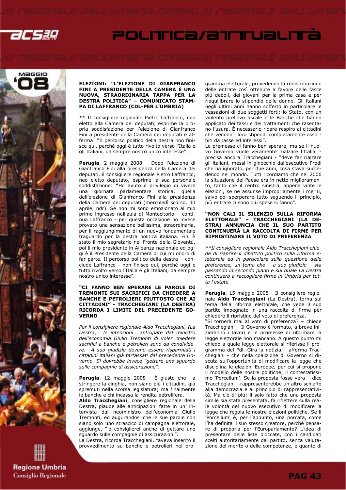

# POLITICa/attualità



### ELEZIONI: "L'ELEZIONE DI GIANFRANCO FINI A PRESIDENTE DELLA CAMERA È UNA NUOVA, STRAORDINARIA TAPPA PER LA DESTRA POLITICA" – COMUNICATO STAM-PA DI LAFFRANCO (CDL-PER L'UMBRIA)

\*\* Il consigliere regionale Pietro Laffranco, neo eletto alla Camera dei deputati, esprime la propria soddisfazione per l'elezione di Gianfranco Fini a presidente della Camera dei deputati e afferma: "Il percorso politico della destra non finisce qui, perché oggi è tutto rivolto verso l'Italia e gli Italiani, da sempre nostro unico interesse".

Perugia, 2 maggio 2008 - Dopo l'elezione di Gianfranco Fini alla presidenza della Camera dei deputati, il consigliere regionale Pietro Laffranco, neo eletto deputato, esprime la sua personale soddisfazione: "Ho avuto il privilegio di vivere una giornata parlamentare storica, quella dell'elezione di Gianfranco Fini alla presidenza della Camera dei deputati (mercoledì scorso, 30 aprile, ndr). Se non mi sono emozionato al mio primo ingresso nell'aula di Montecitorio – continua Laffranco - per questa occasione ho invece provato una sensazione bellissima, straordinaria, per il raggiungimento di un nuovo fondamentale traguardo per la destra politica italiana. Fini è stato il mio segretario nel Fronte della Gioventù, poi il mio presidente in Alleanza nazionale ed oggi è il Presidente della Camera di cui mi onoro di far parte. Il percorso politico della destra – conclude Laffranco - non finisce qui, perché oggi è tutto rivolto verso l'Italia e gli Italiani, da sempre nostro unico interesse".

### "CI FANNO BEN SPERARE LE PAROLE DI TREMONTI SUI SACRIFICI DA CHIEDERE A BANCHE E PETROLIERI PIUTTOSTO CHE AI CITTADINI" - TRACCHEGIANI (LA DESTRA) RICORDA I LIMITI DEL PRECEDENTE GO-VERNO

Per il consigliere regionale Aldo Tracchegiani, (La Destra) le intenzioni anticipate dal ministro dell'economia Giulio Tremonti di voler chiedere sacrifici a banche e petrolieri sono da condividere. A suo giudizio devono essere risparmiati i cittadini italiani già tartassati dal precedente Governo. Si dovrebbe invece "gettare uno sguardo sulle compagnie di assicurazione".

Perugia, 12 maggio 2008 - È giusto che a stringere la cinghia, non siano più i cittadini, già spremuti nella scorsa legislatura; ma finalmente le banche e chi incassa la rendita petrolifera.

Aldo Tracchegiani, consigliere regionale della Destra, plaude alle anticipazioni fatte in un' intervista dal neoministro dell'economia Giulio Tremonti, ed augurandosi che le sue parole non siano solo uno strascico di campagna elettorale, aggiunge, "io consiglierei anche di gettare uno sguardo sulle compagnie di assicurazioni".

La Destra, ricorda Tracchegiani, "aveva inserito il provvedimento su banche e petrolieri nel programma elettorale, prevedendo la redistribuzione delle entrate così ottenute a favore delle fasce più deboli, dei giovani per la prima casa e per riequilibrare lo stipendio delle donne. Gli italiani negli ultimi anni hanno sofferto in particolare le vessazioni di due soggetti forti: lo Stato, con un violento prelievo fiscale e le Banche che hanno applicato dei tassi e dei trattamenti che rasentano l'usura. È necessario ridare respiro ai cittadini che vedono i loro stipendi completamente assorbiti da tasse ed interessi".

Le premesse ci fanno ben sperare, ma se il nuovo Governo vuole veramente 'rialzare l'Italia' precisa ancora Tracchegiani - "deve far rialzare gli italiani, messi in ginocchio dal'esecutivo Prodi che ha ignorato, per due anni, cosa stava succedendo nel mondo. Tutti ricordiamo che nel 2006 la situazione del Paese era in netto miglioramento, tanto che il centro sinistra, appena vinte le elezioni, se ne assunse impropriamente i meriti, salvo poi sperperare tutto seguendo il principio, più entrate ci sono più spese si fanno".

### "NON CALI IL SILENZIO SULLA RIFORMA ELETTORALE" – TRACCHEGIANI (LA DE-STRA) ANNUNCIA CHE IL SUO PARTITO CONTINUERÀ LA RACCOLTA DI FIRME PER RIPRISTINARE IL VOTO DI PREFERENZA

\*\*Il consigliere regionale Aldo Tracchegiani chiede di riaprire il dibattito politico sulla riforma elettorale ed in particolare sulla questione delle preferenze, un tema che – a suo giudizio – sta passando in secondo piano e sul quale La Destra continuerà a raccogliere firme in Umbria per tutta l'estate.

Perugia, 15 maggio 2008 - Il consigliere regionale Aldo Tracchegiani (La Destra), torna sul tema della riforma elettorale, che vede il suo partito impegnato in una raccolta di firme per chiedere il ripristino del voto di preferenza.

"Si tornerà mai al voto di preferenza? – chiede Tracchegiani – Il Governo è formato, a breve inizieranno i lavori e le promesse di riformare la legge elettorale non mancano. A questo punto mi chiedo a quale legge elettorale si riferisse il programma del Pdl. Gira la notizia – afferma Tracchegiani - che nella coalizione di Governo si discuta sull'opportunità di modificare la legge che disciplina le elezioni Europee, per cui si propone il modello delle nostre politiche, il contestatissimo 'Porcellum'. Se la proposta fosse vera – dice Tracchegiani - rappresenterebbe un altro schiaffo alla democrazia e al principio di rappresentatività. Ma c'è di più: il solo fatto che una proposta simile sia stata presentata, fa riflettere sulla reale volontà del nuovo esecutivo di modificare la legge che regola le nostre elezioni politiche. Se il 'Porcellum' è, per l'appunto, una porcata, come l'ha definita il suo stesso creatore, perché pensare di proporla per l'Europarlamento? L'idea di presentare delle liste bloccate, con i candidati scelti autoritariamente dal partito, senza valutazione del merito o delle competenze, è quanto di

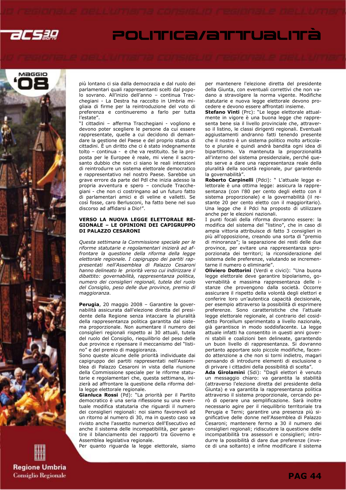

# POLITICa/attualità



**Regione Umbria Consiglio Regionale**  più lontano ci sia dalla democrazia e dal ruolo dei parlamentari quali rappresentanti scelti dal popolo sovrano. All'inizio dell'anno – continua Tracchegiani - La Destra ha raccolto in Umbria migliaia di firme per la reintroduzione del voto di preferenza e continueremo a farlo per tutta l'estate".

"I cittadini – afferma Tracchegiani - vogliono e devono poter scegliere le persone da cui essere rappresentate, quelle a cui decidono di demandare la gestione del Paese e del proprio status di cittadini. È un diritto che ci è stato indegnamente tolto – continua - e che va restituito. Se la proposta per le Europee è reale, mi viene il sacrosanto dubbio che non ci siano le reali intenzioni di reintrodurre un sistema elettorale democratico e rappresentativo nel nostro Paese. Sarebbe un grave errore da parte del Pdl che inizia adesso la propria avventura e spero – conclude Tracchegiani - che non ci costringano ad un futuro fatto di parlamentari amici e di veline e valletti. Se così fosse, caro Berlusconi, ha fatto bene nel suo discorso ad affidarsi a Dio!".

### VERSO LA NUOVA LEGGE ELETTORALE RE-GIONALE – LE OPINIONI DEI CAPIGRUPPO DI PALAZZO CESARONI

Questa settimana la Commissione speciale per le riforme statutarie e regolamentari inizierà ad affrontare la questione della riforma della legge elettorale regionale. I capigruppo dei partiti rappresentati nell'Assemblea di Palazzo Cesaroni hanno delineato le priorità verso cui indirizzare il dibattito: governabilità, rappresentanza politica, numero dei consiglieri regionali, tutela del ruolo del Consiglio, peso delle due province, premio di maggioranza.

Perugia, 20 maggio 2008 – Garantire la governabilità assicurata dall'elezione diretta del presidente della Regione senza intaccare la pluralità della rappresentanza politica garantita dal sistema proporzionale. Non aumentare il numero dei consiglieri regionali rispetto ai 30 attuali, tutela del ruolo del Consiglio, riequilibrio del peso delle due province e ripensare il meccanismo del "listino" e del premio di maggioranza.

Sono queste alcune delle priorità individuate dai capigruppo dei partiti rappresentati nell'Assemblea di Palazzo Cesaroni in vista della riunione della Commissione speciale per le riforme statutarie e regolamentari che, questa settimana, inizierà ad affrontare la questione della riforma della legge elettorale regionale.

Gianluca Rossi (Pd): "La priorità per il Partito democratico è una seria riflessione su una eventuale modifica statutaria che riguardi il numero dei consiglieri regionali: noi siamo favorevoli ad un ritorno al numero di 30, ma in questo caso va rivisto anche l'assetto numerico dell'Esecutivo ed anche il sistema delle incompatibilità, per garantire il bilanciamento dei rapporti tra Governo e Assemblea legislativa regionale.

Per quanto riguarda la legge elettorale, siamo

per mantenere l'elezione diretta del presidente della Giunta, con eventuali correttivi che non vadano a stravolgere la norma vigente. Modifiche statutarie e nuova legge elettorale devono procedere e devono essere affrontati insieme.

Stefano Vinti (Prc): "Le legge elettorale attualmente in vigore è una buona legge che rappresenta bene sia il livello provinciale che, attraverso il listino, le classi dirigenti regionali. Eventuali aggiustamenti andranno fatti tenendo presente che il nostro è un sistema politico molto articolato e plurale e quindi andrà bandita ogni idea di bipartitismo. Va mantenuta la proporzionalità all'interno del sistema presidenziale, perché questo serve a dare una rappresentanza reale della pluralità della società regionale, pur garantendo la governabilità".

Roberto Carpinelli (Pdci): " L'attuale legge elettorale è una ottima legge: assicura la rappresentanza (con l'80 per cento degli eletto con il sistema proporzionale) e la governabilità (il restante 20 per cento eletto con il maggioritario). Una legge che il Pdci ha proposto di utilizzare anche per le elezioni nazionali.

I punti focali della riforma dovranno essere: la modifica del sistema del "listino", che in caso di ampia vittoria attribuisce di fatto 3 consiglieri in più all'opposizione, creando una sorta di "premio di minoranza"; la separazione dei resti delle due province, per evitare una rappresentanza sproporzionata dei territori; la riconsiderazione del sistema delle preferenze, valutando se incrementarne il numero o eliminarle".

Oliviero Dottorini (Verdi e civici): "Una buona legge elettorale deve garantire bipolarismo, governabilità e massima rappresentanza delle istanze che provengono dalla società. Occorre assicurare il rispetto della volontà degli elettori e conferire loro un'autentica capacità decisionale, per esempio attraverso la possibilità di esprimere preferenze. Sono caratteristiche che l'attuale legge elettorale regionale, al contrario del cosiddetto Porcellum sperimentato a livello nazionale, già garantisce in modo soddisfacente. La legge attuale infatti ha consentito in questi anni governi stabili e coalizioni ben delineate, garantendo un buon livello di rappresentanza. Si dovranno pertanto apportare solo piccole modifiche, facendo attenzione a che non si torni indietro, magari pensando di introdurre elementi di esclusione o di privare i cittadini della possibilità di scelta".

**Ada Girolamini** (Sdi): "Dagli elettori è venuto un messaggio chiaro: va garantita la stabilità (attraverso l'elezione diretta del presidente della Giunta) e va garantita la rappresentanza politica attraverso il sistema proporzionale, cercando però di operare una semplificazione. Sarà inoltre necessario agire per il riequilibrio territoriale tra Perugia e Terni; garantire una presenza più significative delle donne nell'Assemblea di Palazzo Cesaroni; mantenere fermo a 30 il numero dei consiglieri regionali; ridiscutere la questione delle incompatibilità tra assessori e consiglieri; introdurre la possibilità di dare due preferenze (invece di una soltanto) e infine modificare il sistema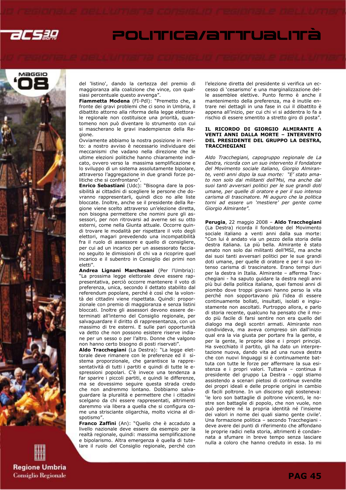

# POLITICA/ATTUALITÀ



**Regione Umbria Consiglio Regionale**  del 'listino', dando la certezza del premio di maggioranza alla coalizione che vince, con qualsiasi percentuale questo avvenga".

Fiammetta Modena (FI-Pdl): "Premetto che, a fronte dei gravi problemi che ci sono in Umbria, il dibattito attorno alla riforma della legge elettorale regionale non costituisce una priorità, quantomeno non può diventare lo strumento con cui si mascherano le gravi inadempienze della Regione.

Ovviamente abbiamo la nostra posizione in merito: a nostro avviso è necessario individuare dei meccanismi che vadano nella direzione che le ultime elezioni politiche hanno chiaramente indicato, ovvero verso la massima semplificazione e lo sviluppo di un sistema assolutamente bipolare, attraverso l'aggregazione in due grandi forze politiche che si confrontano".

Enrico Sebastiani (Udc): "Bisogna dare la possibilità ai cittadini di scegliere le persone che dovranno rappresentarli, quindi dico no alle liste bloccate. Inoltre, anche se il presidente della Regione viene scelto attraverso un'elezione diretta, non bisogna permettere che nomini pure gli assessori, per non ritrovarsi ad averne sei su otto esterni, come nella Giunta attuale. Occorre quindi trovare le modalità per rispettare il voto degli elettori, magari prevedendo una incompatibilità fra il ruolo di assessore e quello di consigliere, per cui ad un incarico per un assessorato facciano seguito le dimissioni di chi va a ricoprire quel incarico e il subentro in Consiglio dei primi non eletti".

Andrea Lignani Marchesani (Per l'Umbria): "La prossima legge elettorale deve essere rappresentativa, perciò occorre mantenere il voto di preferenza, unica, secondo il dettato stabilito dal referendum popolare, perché è così che la volontà dei cittadini viene rispettata. Quindi: proporzionale con premio di maggioranza e senza listini bloccati. Inoltre gli assessori devono essere determinati all'interno del Consiglio regionale, per salvaguardare il diritto di rappresentanza, con un massimo di tre esterni. E sulle pari opportunità va detto che non possono esistere riserve indiane per un sesso o per l'altro. Donne che valgono non hanno certo bisogno di posti riservati".

Aldo Tracchegiani (La Destra): "La legge elettorale deve rimanere con le preferenze ed il sistema proporzionale, che garantisce la rappresentatività di tutti i partiti e quindi di tutte le espressioni popolari. C'è invece una tendenza a far sparire i piccoli partiti, e quindi le differenze, ma se dovessimo seguire questa strada credo che non andremmo lontano. Dobbiamo salvaguardare la pluralità e permettere che i cittadini scelgano da chi essere rappresentati, altrimenti daremmo via libera a quella che si configura come una strisciante oligarchia, molto vicina al dispotismo".

Franco Zaffini (An): "Quello che è accaduto a livello nazionale deve essere da esempio per la realtà regionale, quindi: massima semplificazione e bipolarismo. Altra emergenza è quella di tutelare il ruolo del Consiglio regionale, perché con l'elezione diretta del presidente si verifica un eccesso di 'cesarismo' e una marginalizzazione delle assemblee elettive. Punto fermo è anche il mantenimento della preferenza, ma è inutile entrare nei dettagli in una fase in cui il dibattito è appena all'inizio, per cui chi vi si addentra lo fa a rischio di essere smentito a stretto giro di posta".

### IL RICORDO DI GIORGIO ALMIRANTE A VENTI ANNI DALLA MORTE – INTERVENTO DEL PRESIDENTE DEL GRUPPO LA DESTRA, **TRACCHEGIANI**

Aldo Tracchegiani, capogruppo regionale de La Destra, ricorda con un suo intervento il fondatore del Movimento sociale italiano, Giorgio Almirante, venti anni dopo la sua morte: "E' stato amato non solo dai militanti dell'Msi, ma anche dai suoi tanti avversari politici per le sue grandi doti umane, per quelle di oratore e per il suo intenso carisma di trascinatore. Mi auguro che la politica torni ad essere un 'mestiere' per gente come Giorgio Almirante".

Perugia, 22 maggio 2008 - Aldo Tracchegiani (La Destra) ricorda il fondatore del Movimento sociale italiano a venti anni dalla sua morte: "Con lui è andato via un pezzo della storia della destra italiana. La più bella. Almirante è stato amato non solo dai militanti dell'MSI, ma anche dai suoi tanti avversari politici per le sue grandi doti umane, per quelle di oratore e per il suo intenso carisma di trascinatore. Erano tempi duri per la destra in Italia. Almirante – afferma Tracchegiani - ha saputo guidare la destra negli anni più bui della politica italiana, quei famosi anni di piombo dove troppi giovani hanno perso la vita perché non sopportavano più l'idea di essere continuamente bollati, insultati, isolati e ingiustamente non ascoltati. Purtroppo allora, e parlo di storia recente, qualcuno ha pensato che il modo più facile di farsi sentire non era quello del dialogo ma degli scontri armati. Almirante non condivideva, ma aveva compreso sin dall'inizio qual era la via giusta per portare fra la gente, e per la gente, le proprie idee e i propri principi. Ha svecchiato il partito, gli ha dato un interpretazione nuova, dando vita ad una nuova destra che con nuovi linguaggi si è continuamente battuta con tutte le forze per affermare la sua esistenza e i propri valori. Tuttavia – continua il presidente del gruppo La Destra - oggi stiamo assistendo a scenari pietosi di continue svendite dei propri ideali e delle proprie origini in cambio di facili poltrone. In un discorso egli sosteneva: 'le loro son battaglie di poltrone vincenti, le nostre son battaglie di popolo, che non vuole, non può perdere né la propria identità né l'insieme dei valori in nome dei quali siamo gente civile'. Una formazione politica – secondo Tracchegiani deve avere dei punti di riferimento che affondano le proprie radici nella storia, altrimenti è condannata a sfumare in breve tempo senza lasciare nulla a coloro che hanno creduto in essa. Io mi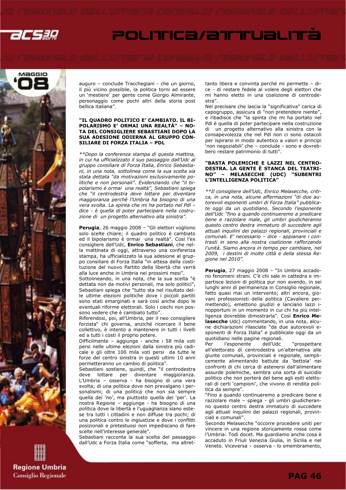

# Maggio

auguro – conclude Tracchegiani - che un giorno, il più vicino possibile, la politica torni ad essere un 'mestiere' per gente come Giorgio Almirante, personaggio come pochi altri della storia post bellica italiana".

### "IL QUADRO POLITICO E' CAMBIATO. IL BI-POLARISMO E' ORMAI UNA REALTÀ" – NO-TA DEL CONSIGLIERE SEBASTIANI DOPO LA SUA ADESIONE ODIERNA AL GRUPPO CON-SILIARE DI FORZA ITALIA – PDL

\*\*Dopo la conferenza stampa di questa mattina, in cui ha ufficializzato il suo passaggio dall'Udc al gruppo consiliare di Forza Italia, Enrico Sebastiani, in una nota, sottolinea come la sua scelta sia stata dettata "da motivazioni esclusivamente politiche e non personali". Evidenziando che "il bipolarismo è ormai una realtà", Sebastiani spiega che "il centrodestra deve lottare per diventare maggioranza perché l'Umbria ha bisogno di una vera svolta. La spinta che mi ha portato nel Pdl – dice - è quella di poter partecipare nella costruzione di un progetto alternativo alla sinistra".

Perugia, 26 maggio 2008 – "Gli elettori vogliono solo scelte chiare; il quadro politico è cambiato ed il bipolarismo è ormai una realtà". Così l'ex consigliere dell'Udc, Enrico Sebastiani, che nella mattinata di oggi, attraverso una conferenza stampa, ha ufficializzato la sua adesione al gruppo consiliare di Forza Italia "in attesa della costituzione del nuovo Partito della libertà che verrà alla luce anche in Umbria nei prossimi mesi".

Sottolineando, in una nota, che la sua scelta "è dettata non da motivi personali, ma solo politici", Sebastiani spiega che "tutto sta nel risultato delle ultime elezioni politiche dove i piccoli partiti sono stati emarginati e sarà così anche dopo le eventuali riforme elettorali. Solo i ciechi non possono vedere che è cambiato tutto".

Riferendosi, poi, all'Umbria, per il neo consigliere forzista" chi governa, anziché ricercare il bene collettivo, è intento a mantenere in tutti i livelli ed a tutti i costi il proprio potere.

Difficilmente – aggiunge - anche i 58 mila voti persi nelle ultime elezioni dalla sinistra più radicale e gli oltre 100 mila voti persi da tutte le forze del centro sinistra in questi ultimi 10 anni permetteranno un cambio di politica".

Sebastiani sostiene, quindi, che "il centrodestra deve lottare per diventare maggioranza. L'Umbria – osserva - ha bisogno di una vera svolta; di una politica dove non prevalgano i personalismi; di una politica che non sia sempre quella dei 'no', ma piuttosto quella dei 'per'. La nostra Regione – aggiunge - ha bisogno di una politica dove la libertà e l'uguaglianza siano estese tra tutti i cittadini e non diffuse tra pochi; di una politica contro le ingiustizie e dove i conflitti posizionali e pretestuosi non impediscano di fare scelte nell'interesse generale".

Sebastiani racconta la sua scelta del passaggio dall'Udc a Forza Italia come "sofferta, ma altrettanto libera e convinta perché mi permette – dice - di restare fedele al volere degli elettori che mi hanno eletto in una coalizione di centrodestra".

POLITICA/ATTUALITÀ

Nel precisare che lascia la "significativa" carica di capogruppo, assicura di "non pretendere niente", e ribadisce che "la spinta che mi ha portato nel Pdl è quella di poter partecipare nella costruzione di un progetto alternativo alla sinistra con la consapevolezza che nel Pdl non ci sono ostacoli per ispirarsi in modo autentico a valori e principi 'non negoziabili' che – conclude - sono e dovrebbero restare patrimonio di tutti".

### "BASTA POLEMICHE E LAZZI NEL CENTRO-DESTRA. LA GENTE È STANCA DEL TEATRI-NO" – MELASECCHE (UDC) "SUBENTRI L'INTELLIGENZA POLITICA"

\*\*Il consigliere dell'Udc, Enrico Melasecche, critica, in una nota, alcune affermazioni "di due autorevoli esponenti umbri di Forza Italia" pubblicate oggi da un quotidiano. Secondo l'esponente dell'Udc "fino a quando continueremo a predicare bene e razzolare male, gli umbri giudicheranno questo centro destra immaturo di succedere agli attuali inquilini dei palazzi regionali, provinciali e comunali. E' necessario – dice - appianare i contrasti in seno alla nostra coalizione rafforzando l'unità. Siamo ancora in tempo per cambiare, nel 2009, i destini di molte città e della stessa Regione nel 2010".

Perugia, 27 maggio 2008 - "In Umbria accadono fenomeni strani. C'è chi sale in cattedra e impartisce lezioni di politica pur non avendo, in sei lunghi anni di permanenza in Consiglio regionale, fatto quasi mai un intervento; altri ancora, giovani professionisti della politica (Cavaliere permettendo), emettono giudizi e lanciano lazzi inopportuni in un momento in cui chi ha più intelligenza dovrebbe dimostrarla". Così Enrico Melasecche Udc) commentando, in una nota, alcune dichiarazioni rilasciate "da due autorevoli esponenti di Forza Italia" e pubblicate oggi da un quotidiano nelle pagine regionali.

Per l'esponente dell'Udc "prospettare all'elettorato di centrodestra un'alternativa alle giunte comunali, provinciali e regionale, semplicemente alimentando battute da 'bettola' nei confronti di chi cerca di astenersi dall'alimentare assurde polemiche, sembra una sorta di suicidio politico che non porterà del bene agli esiti elettorali di certi 'campioni', che vivono di rendita politica da sempre".

"Fino a quando continueremo a predicare bene e razzolare male – spiega - gli umbri giudicheranno questo centro destra immaturo di succedere agli attuali inquilini dei palazzi regionali, provinciali e comunali".

Secondo Melasecche "occorre procedere uniti per vincere in una regione storicamente rossa come l'Umbria: Todi docet. Ma guardiamo anche cosa è accaduto in Friuli Venezia Giulia, in Sicilia e nel Veneto. Viceversa – osserva - lo smembramento,

**Regione Umbria Consiglio Regionale** 

**PAG 46**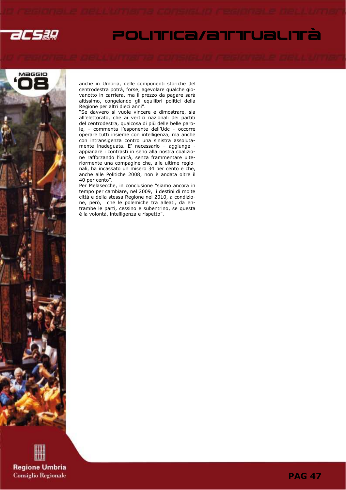

# POLITICA/aTTTUaLITÀ



anche in Umbria, delle componenti storiche del centrodestra potrà, forse, agevolare qualche giovanotto in carriera, ma il prezzo da pagare sarà altissimo, congelando gli equilibri politici della Regione per altri dieci anni".

"Se davvero si vuole vincere e dimostrare, sia all'elettorato, che ai vertici nazionali dei partiti del centrodestra, qualcosa di più delle belle parole, - commenta l'esponente dell'Udc - occorre operare tutti insieme con intelligenza, ma anche con intransigenza contro una sinistra assolutamente inadeguata. E' necessario – aggiunge appianare i contrasti in seno alla nostra coalizione rafforzando l'unità, senza frammentare ulteriormente una compagine che, alle ultime regionali, ha incassato un misero 34 per cento e che, anche alle Politiche 2008, non è andata oltre il 40 per cento".

Per Melasecche, in conclusione "siamo ancora in tempo per cambiare, nel 2009, i destini di molte città e della stessa Regione nel 2010, a condizione, però, che le polemiche tra alleati, da entrambe le parti, cessino e subentrino, se questa è la volontà, intelligenza e rispetto".

**Regione Umbria Consiglio Regionale**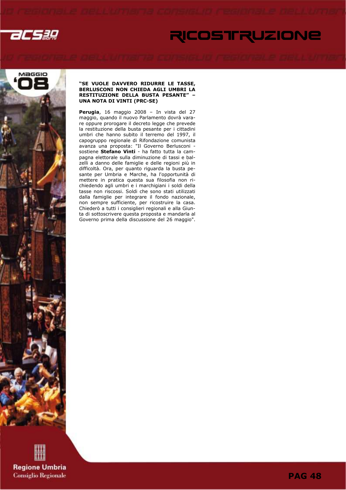

# RICOSTRUZIONE



### "SE VUOLE DAVVERO RIDURRE LE TASSE, BERLUSCONI NON CHIEDA AGLI UMBRI LA RESTITUZIONE DELLA BUSTA PESANTE" – UNA NOTA DI VINTI (PRC-SE)

Perugia, 16 maggio 2008 - In vista del 27 maggio, quando il nuovo Parlamento dovrà varare oppure prorogare il decreto legge che prevede la restituzione della busta pesante per i cittadini umbri che hanno subito il terremo del 1997, il capogruppo regionale di Rifondazione comunista avanza una proposta: "Il Governo Berlusconi sostiene Stefano Vinti - ha fatto tutta la campagna elettorale sulla diminuzione di tassi e balzelli a danno delle famiglie e delle regioni più in difficoltà. Ora, per quanto riguarda la busta pesante per Umbria e Marche, ha l'opportunità di mettere in pratica questa sua filosofia non richiedendo agli umbri e i marchigiani i soldi della tasse non riscossi. Soldi che sono stati utilizzati dalla famiglie per integrare il fondo nazionale, non sempre sufficiente, per ricostruire la casa. Chiederò a tutti i consiglieri regionali e alla Giunta di sottoscrivere questa proposta e mandarla al Governo prima della discussione del 26 maggio".

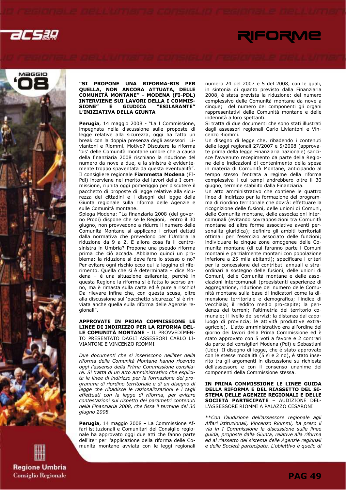



### "SI PROPONE UNA RIFORMA-BIS PER QUELLA, NON ANCORA ATTUATA, DELLE COMUNITÀ MONTANE" - MODENA (FI-PDL) INTERVIENE SUI LAVORI DELLA I COMMIS-<br>SIONE" E GIUDICA "ESILARANTE" "ESILARANTE" L'INIZIATIVA DELLA GIUNTA

Perugia, 14 maggio 2008 - "La I Commissione, impegnata nella discussione sulle proposte di legge relative alla sicurezza, oggi ha fatto un break con la doppia presenza degli assessori Liviantoni e Riommi. Motivo? Discutere la riforma 'bis' delle Comunità montane umbre che a causa della finanziaria 2008 rischiano la riduzione del numero da nove a due, e la sinistra è evidentemente troppo spaventata da questa eventualità". Il consigliere regionale Fiammetta Modena (FI-Pdl) interviene nel merito dei lavori della I commissione, riunita oggi pomeriggio per discutere il pacchetto di proposte di legge relative alla sicurezza dei cittadini e i disegni dei legge della Giunta regionale sulla riforma delle Agenzie e sulle Comunità montane.

Spiega Modena: "La finanziaria 2008 (del governo Prodi) dispone che se le Regioni, entro il 30 giugno, non provvedono a ridurre il numero delle Comunità Montane si applicano i criteri dettati dalla normativa che prevedono per l'Umbria la riduzione da 9 a 2. E allora cosa fa il centrosinistra in Umbria? Propone una pseudo riforma prima che ciò accada. Abbiamo quindi un problema: la riduzione si deve fare lo stesso o no? Per evitare ogni rischio ecco qui la leggina di riferimento. Quella che si è determinata – dice Modena – è una situazione esilarante, perché in questa Regione la riforma si è fatta lo scorso anno, ma è rimasta sulla carta ed è pure a rischio! Da rilevare infine che, con questa scusa, oltre alla discussione sul 'pacchetto sicurezza' si è rinviata anche quella sulla riforma delle Agenzie regionali".

APPROVATE IN PRIMA COMMISSIONE LE LINEE DI INDIRIZZO PER LA RIFORMA DEL-LE COMUNITÀ MONTANE – IL PROVVEDIMEN-TO PRESENTATO DAGLI ASSESSORI CARLO LI-VIANTONI E VINCENZO RIOMMI

Due documenti che si inseriscono nell'iter della riforma delle Comunità Montane hanno ricevuto oggi l'assenso della Prima Commissione consiliare. Si tratta di un atto amministrativo che esplicita le linee di indirizzo per la formazione del programma di riordino territoriale e di un disegno di legge che ribadisce le razionalizzazioni e i tagli effettuati con la legge di riforma, per evitare contestazioni sul rispetto dei parametri contenuti nella Finanziaria 2008, che fissa il termine del 30 giugno 2008.

Perugia, 14 maggio 2008 – La Commissione Affari istituzionali e Comunitari del Consiglio regionale ha approvato oggi due atti che fanno parte dell'iter per l'applicazione della riforma delle Comunità montane avviata con le leggi regionali numero 24 del 2007 e 5 del 2008, con le quali, in sintonia di quanto previsto dalla Finanziaria 2008, è stata prevista la riduzione: del numero complessivo delle Comunità montane da nove a cinque; del numero dei componenti gli organi rappresentativi delle Comunità montane e delle indennità a loro spettanti.

Si tratta di due documenti che sono stati illustrati dagli assessori regionali Carlo Liviantoni e Vincenzo Riommi.

Un disegno di legge che, ribadendo i contenuti delle leggi regionali 27/2007 e 5/2008 (approvate prima della legge Finanziaria nazionale) sancisce l'avvenuto recepimento da parte della Regione delle indicazioni di contenimento della spesa in materia di Comunità Montane, anticipando al tempo stesso l'entrata a regime della riforma complessiva i cui tempi andrebbero oltre il 30 giugno, termine stabilito dalla Finanziaria.

Un atto amministrativo che contiene le quattro linee di indirizzo per la formazione del programma di riordino territoriale che dovrà: effettuare la ricognizione delle fusioni, delle unioni di Comuni, delle Comunità montane, delle associazioni intercomunali (evitando sovrapposizioni tra Comunità montane ed altre forme associative aventi personalità giuridica); definire gli ambiti territoriali ottimali per l'esercizio associato delle funzioni; individuare le cinque zone omogenee delle Comunità montane (di cui faranno parte i Comuni montani e parzialmente montani con popolazione inferiore a 25 mila abitanti); specificare i criteri per la concessione dei contributi annuali e straordinari a sostegno delle fusioni, delle unioni di Comuni, delle Comunità montane e delle associazioni intercomunali (preesistenti esperienze di aggregazione, riduzione del numero delle Comunità montane sulla base di indicatori come la dimensione territoriale e demografica; l'indice di vecchiaia; il reddito medio pro-capite; la pendenza dei terreni; l'altimetria del territorio comunale; il livello dei servizi; la distanza dal capoluogo di provincia; le attività produttive extraagricole). L'atto amministrativo era all'ordine del giorno dei lavori della Prima Commissione ed è stato approvato con 5 voti a favore e 2 contrari da parte dei consiglieri Modena (Pdl) e Sebastiani (Udc). Il disegno di legge, che è stato approvato con le stesse modalità (5 sì e 2 no), è stato inserito tra gli argomenti in discussione su richiesta dell'assessore e con il consenso unanime dei componenti della Commissione stessa.

### IN PRIMA COMMISSIONE LE LINEE GUIDA DELLA RIFORMA E DEL RIASSETTO DEL SI-STEMA DELLE AGENZIE REGIONALI E DELLE SOCIETÀ PARTECIPATE – AUDIZIONE DEL-L'ASSESSORE RIOMMI A PALAZZO CESARONI

\*\*Con l'audizione dell'assessore regionale agli Affari istituzionali, Vincenzo Riommi, ha preso il via in I Commissione la discussione sulle linee guida, proposte dalla Giunta, relative alla riforma ed al riassetto del sistema delle Agenzie regionali e delle Società partecipate. L'obiettivo è quello di

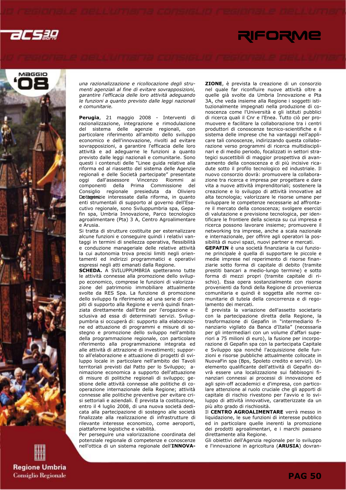acsag

# RIFORME



una razionalizzazione e ricollocazione degli strumenti agenziali al fine di evitare sovrapposizioni, garantire l'efficacia delle loro attività adeguando le funzioni a quanto previsto dalle leggi nazionali e comunitarie.

Perugia, 21 maggio 2008 - Interventi di razionalizzazione, integrazione e rimodulazione del sistema delle agenzie regionali, con particolare riferimento all'ambito dello sviluppo economico e dell'innovazione, rivolti ad evitare sovrapposizioni, a garantire l'efficacia delle loro attività e ad adeguarne le funzioni a quanto previsto dalle leggi nazionali e comunitarie. Sono questi i contenuti delle "Linee guida relative alla riforma ed al riassetto del sistema delle Agenzie regionali e delle Società partecipate" presentate oggi dall'assessore Vincenzo Riommi ai componenti della Prima Commissione del Consiglio regionale presieduta da Oliviero Dottorinizie interessate dalla riforma, in quanto enti strumentali di supporto al governo dell'Esecutivo regionale, sono Sviluppumbria spa, Gepafin spa, Umbria Innovazione, Parco tecnologico agroalimentare (Pta) 3 A, Centro Agroalimentare e Arusia.

Si tratta di strutture costituite per esternalizzare alcune funzioni e conseguire quindi i relativi vantaggi in termini di snellezza operativa, flessibilità e conduzione manageriale delle relative attività la cui autonomia trova precisi limiti negli orientamenti ed indirizzi programmatici e operativi espressi negli atti emanati dalla Regione.

SCHEDA. A SVILUPPUMBRIA spetteranno tutte le attività connesse alla promozione dello sviluppo economico, comprese le funzioni di valorizzazione del patrimonio immobiliare attualmente svolte da RES Spa. La funzione di promozione dello sviluppo fa riferimento ad una serie di compiti di supporto alla Regione e verrà quindi finanziata direttamente dall'Ente per l'erogazione esclusiva ad essa di determinati servizi. Sviluppumbria si occuperà di: supporto alla elaborazione ed attuazione di programmi e misure di sostegno e promozione dello sviluppo nell'ambito della programmazione regionale, con particolare riferimento alla programmazione integrata ed alle attività di attrazione di investimenti; supporto all'elaborazione e attuazione di progetti di sviluppo locale in particolare nell'ambito dei Tavoli territoriali previsti dal Patto per lo Sviluppo; animazione economica a supporto dell'attuazione di misure di politiche regionali di sviluppo; gestione delle attività connesse alle politiche di cooperazione internazionale della Regione; attività connesse alle politiche preventive per evitare crisi settoriali e aziendali. È prevista la costituzione, entro il 4 luglio 2008, di una nuova società dedicata alla partecipazione di sostegno alle società finalizzate alla realizzazione di infrastrutture di rilevante interesse economico, come aeroporti, piattaforme logistiche e viabilità.

Per perseguire una valorizzazione coordinata del potenziale regionale di competenze e conoscenze nell'ottica di un sistema regionale dell'INNOVA-

ZIONE, è prevista la creazione di un consorzio nel quale far riconfluire nuove attività oltre a quelle già svolte da Umbria Innovazione e Pta 3A, che veda insieme alla Regione i soggetti istituzionalmente impegnati nella produzione di conoscenza come l'Università e gli istituti pubblici di ricerca quali il Cnr e l'Enea. Tutto ciò per promuovere e facilitare la collaborazione tra i centri produttori di conoscenze tecnico-scientifiche e il sistema delle imprese che ha vantaggi nell'applicare tali conoscenze, indirizzando questa collaborazione verso programmi di ricerca multidisciplinari e di medio periodo, focalizzati in settori strategici suscettibili di maggior prospettiva di avanzamento della conoscenza e di più incisive ricadute sotto il profilo tecnologico ed industriale. Il nuovo consorzio dovrà: promuovere la collaborazione tra ricerca e impresa per progettare e dare vita a nuove attività imprenditoriali; sostenere la creazione e lo sviluppo di attività innovative ad alta tecnologia; valorizzare le risorse umane per sviluppare le competenze necessarie ad affrontare il mercato della conoscenza; svolgere esercizi di valutazione e previsione tecnologica, per identificare le frontiere della scienza su cui impresa e ricerca possono lavorare insieme; promuovere il networking tra imprese, anche a scala nazionale e internazionale, per offrire agli operatori la possibilità di nuovi spazi, nuovi partner e mercati.

GEPAFIN è una società finanziaria la cui funzione principale è quella di supportare le piccole e medie imprese nel reperimento di risorse finanziarie sotto forma di capitale di debito (tramite prestiti bancari a medio-lungo termine) e sotto forma di mezzi propri (tramite capitale di rischio). Essa opera sostanzialmente con risorse provenienti da fondi della Regione di provenienza comunitaria e quindi è soggetta alle norme comunitarie di tutela della concorrenza e di regolamento dei mercati.

È prevista la variazione dell'assetto societario con la partecipazione diretta della Regione, la trasformazione di Gepafin in "intermediario finanziario vigilato da Banca d'Italia" (necessaria per gli intermediari con un volume d'affari superiori a 75 milioni di euro), la fusione per incorporazione di Gepafin spa con la partecipata Capitale e Sviluppo spa nonché l'acquisizione delle funzioni e risorse pubbliche attualmente collocate in NuovaFin spa (Bps, Spoleto credito e servizi). Un elemento qualificante dell'attività di Gepafin dovrà essere una localizzazione sui fabbisogni finanziari connessi ai processi di innovazione ed agli spin-off accademici e d'impresa, con particolare attenzione al ruolo cruciale che gli apporti di capitale di rischio rivestono per l'avvio e lo sviluppo di attività innovative, caratterizzate da un più alto grado di rischiosità.

Il CENTRO AGROALIMENTARE verrà messo in liquidazione, le sue funzioni di interesse pubblico ed in particolare quelle inerenti la promozione dei prodotti agroalimentari, e i marchi passano direttamente alla Regione.

Gli obiettivi dell'Agenzia regionale per lo sviluppo e l'innovazione in agricoltura (ARUSIA) dovran-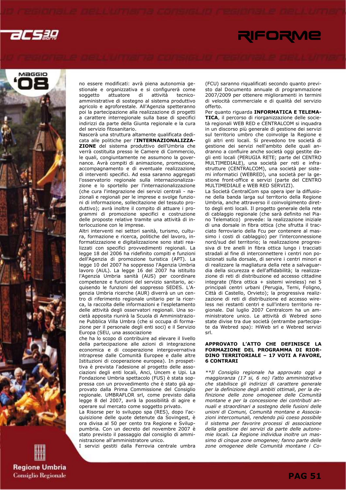



**Regione Umbria Consiglio Regionale**  no essere modificati: avrà piena autonomia gestionale e organizzativa e si configurerà come soggetto attuatore di attività tecnicoamministrative di sostegno al sistema produttivo agricolo e agroforestale. All'Agenzia spetteranno poi la partecipazione alla realizzazione di progetti a carattere interregionale sulla base di specifici indirizzi da parte della Giunta regionale e la cura del servizio fitosanitario.

Nascerà una struttura altamente qualificata dedicata alle politiche per l'INTERNAZIONALIZZA-ZIONE del sistema produttivo dell'Umbria che verrà costituita presso le Camere di Commercio, le quali, congiuntamente ne assumono la governance. Avrà compiti di animazione, promozione, accompagnamento e di eventuale realizzazione di interventi specifici. Ad essa saranno aggregati l'osservatorio regionale sulla internazionalizzazione e lo sportello per l'internazionalizzazione (che cura l'integrazione dei servizi centrali - nazionali e regionali per le imprese e svolge funzioni di informazione, sollecitazione del tessuto produttivo); avrà inoltre il compito di attuare i programmi di promozione specifici e costruzione delle proposte relative tramite una attività di interlocuzione con le imprese.

Altri interventi nei settori sanità, turismo, cultura, formazione e ricerca, politiche del lavoro, informatizzazione e digitalizzazione sono stati realizzati con specifici provvedimenti regionali. La legge 18 del 2006 ha ridefinito compiti e funzioni dell'Agenzia di promozione turistica (APT). La legge 10 del 2007 ha soppresso l'Agenzia Umbria lavoro (AUL). La legge 16 del 2007 ha istituito l'Agenzia Umbria sanità (AUS) per coordinare competenze e funzioni del servizio sanitario, acquisendo le funzioni del soppresso SEDES. L'Agenzia Umbria ricerche (AUR) diverrà un un centro di riferimento regionale unitario per la ricerca, la raccolta delle informazioni e l'espletamento delle attività degli osservatori regionali. Una società apposita riunirà la Scuola di Amministrazione Pubblica Villa Umbra (che si occupa di formazione per il personale degli enti soci) e il Servizio Europa (SEU, una associazione

che ha lo scopo di contribuire ad elevare il livello della partecipazione alle azioni di integrazione economica e di cooperazione intergovernativa intraprese dalle Comunità Europee e dalle altre Istituzioni di cooperazione europea). In prospettiva è prevista l'adesione al progetto delle associazioni degli enti locali, Anci, Uncem e Upi. La Fondazione Umbria spettacolo (FUS) è stata soppressa con un provvedimento che è stato già approvato dalla Prima Commissione del Consiglio regionale. UMBRAFLOR srl, come previsto dalla legge 8 del 2007, avrà la possibilità di agire e operare sul mercato come soggetto privato.

La Risorse per lo sviluppo spa (RES), dopo l'acquisizione delle quote detenute da Sovingest, è ora divisa al 50 per cento tra Regione e Sviluppumbria. Con un decreto del novembre 2007 è stato previsto il passaggio dal consiglio di amministrazione all'amministratore unico.

I servizi gestiti dalla Ferrovia centrale umbra

(FCU) saranno riqualificati secondo quanto previsto dal Documento annuale di programmazione 2007/2009 per ottenere miglioramenti in termini di velocità commerciale e di qualità del servizio offerto.

Per quanto riguarda INFORMATICA E TELEMA-TICA, il percorso di riorganizzazione delle società regionali WEB RED e CENTRALCOM si inquadra in un discorso più generale di gestione dei servizi sul territorio umbro che coinvolge la Regione e gli altri enti locali. Si prevedono tre società di gestione dei servizi nell'ambito delle quali andranno a confluire anche società oggi gestite dagli enti locali (PERUGIA RETE; parte del CENTRO MULTIMEDIALE), una società per reti e infrastrutture (CENTRALCOM), una società per sistemi informatici (WEBRED), una società per la gestione front-office e servizi (parte del CENTRO MULTIMEDIALE e WEB RED SERVIZI).

La Società CentralCom spa opera iper la diffusione della banda larga sul territorio della Regione Umbria, anche attraverso il coinvolgimento diretto degli enti locali. Il progetto generale della rete di cablaggio regionale (che sarà definito nel Piano Telematico) prevede: la realizzazione iniziale di una dorsale in fibra ottica (che sfrutta il tracciato ferroviario della Fcu per contenere al massimo i costi di cablaggio) per l'interconnessione nord/sud del territorio; la realizzazione progressiva di tre anelli in fibra ottica lungo i tracciati stradali al fine di interconnettere i centri non posizionati sulla dorsale, di servire i centri minori e di realizzare la magliatura della rete a salvaguardia della sicurezza e dell'affidabilità; la realizzazione di reti di distribuzione ed accesso cittadine integrate (fibra ottica + sistemi wireless) nei 5 principali centri urbani (Perugia, Terni, Foligno, Città di Castello, Orvieto); la progressiva realizzazione di reti di distribuzione ed accesso wireless nei restanti centri e sull'intero territorio regionale. Dal luglio 2007 Centralcom ha un amministratore unico. Le attività di Webred sono state divise tra due società (entrambe partecipate da Webred spa): HiWeb srl e Webred servizi srl.

### APPROVATO L'ATTO CHE DEFINISCE LA FORMAZIONE DEL PROGRAMMA DI RIOR-DINO TERRITORIALE – 17 VOTI A FAVORE, 6 CONTRARI

\*\*Il Consiglio regionale ha approvato oggi a maggioranza (17 si, 6 no) l'atto amministrativo che stabilisce gli indirizzi di carattere generale per la definizione degli ambiti ottimali, per la definizione delle zone omogenee delle Comunità montane e per la concessione dei contributi annuali e straordinari a sostegno delle fusioni delle unioni di Comuni, Comunità montane e Associazioni intercomunali, rendendo più coeso possibile il sistema per favorire processi di associazione della gestione dei servizi da parte delle autonomie locali. La Regione individua inoltre un massimo di cinque zone omogenee; fanno parte delle zone omogenee delle Comunità montane i Co-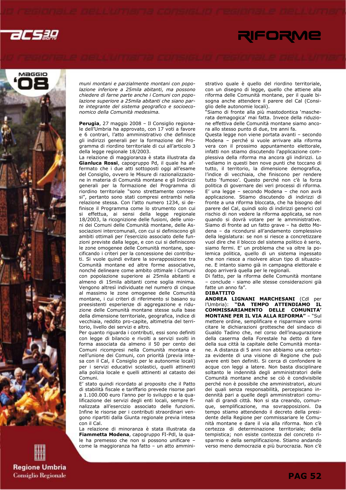



**Regione Umbria Consiglio Regionale**  muni montani e parzialmente montani con popolazione inferiore a 25mila abitanti, ma possono chiedere di farne parte anche i Comuni con popolazione superiore a 25mila abitanti che siano parte integrante del sistema geografico e socioeconomico della Comunità medesima.

Perugia, 27 maggio 2008 - Il Consiglio regionale dell'Umbria ha approvato, con 17 voti a favore e 6 contrari, l'atto amministrativo che definisce gli indirizzi generali per la formazione del Programma di riordino territoriale di cui all'articolo 3 della legge regionale 18/2003.

La relazione di maggioranza è stata illustrata da Gianluca Rossi, capogruppo Pd, il quale ha affermato che i due atti sottoposti oggi all'esame del Consiglio, ovvero le Misure di razionalizzazione in materia di Comunità montane e gli Indirizzi generali per la formazione del Programma di riordino territoriale "sono strettamente connessi", pertanto sono stati compresi entrambi nella relazione stessa. Con l'atto numero 1234, si definisce il Programma come lo strumento con cui si effettua, ai sensi della legge regionale 18/2003, la ricognizione delle fusioni, delle unioni dei Comuni delle Comunità montane, delle Associazioni intercomunali, con cui si definiscono gli ambiti ottimali per l'esercizio associato delle funzioni previste dalla legge, e con cui si definiscono le zone omogenee delle Comunità montane, specificando i criteri per la concessione dei contributi. Si vuole quindi evitare la sovrapposizione tra Comunità montane ed altre forme associative, nonché delineare come ambito ottimale i Comuni con popolazione superiore ai 25mila abitanti e almeno di 15mila abitanti come soglia minima. Vengono altresì individuate nel numero di cinque al massimo le zone omogenee delle Comunità montane, i cui criteri di riferimento si basano su preesistenti esperienze di aggregazione e riduzione delle Comunità montane stesse sulla base della dimensione territoriale, geografica, indice di vecchiaia, reddito pro-capite, altimetria del territorio, livello dei servizi e altro.

Per quanto riguarda i contributi, essi sono definiti con legge di bilancio e rivolti a servizi svolti in forma associata da almeno il 50 per cento dei Comuni ricompresi nella Comunità montana e nell'unione dei Comuni, con priorità (previa intesa con il Cal, il Consiglio per le autonomie locali) per i servizi educativi scolastici, quelli attinenti alla polizia locale e quelli attinenti al catasto dei Comuni.

E' stato quindi ricordato al proposito che il Patto di stabilità fiscale e tariffario prevede risorse pari a 1.100.000 euro l'anno per lo sviluppo e la qualificazione dei servizi degli enti locali, sempre finalizzata all'esercizio associato delle funzioni. Infine le risorse per i contributi straordinari vengono ripartiti dalla Giunta regionale previa intesa con il Cal.

La relazione di minoranza è stata illustrata da Fiammetta Modena, capogruppo FI-Pdl, la quale ha premesso che non si possono unificare – come la maggioranza ha fatto – un atto amministrativo quale è quello del riordino territoriale, con un disegno di legge, quello che attiene alla riforma delle Comunità montane, per il quale bisogna anche attendere il parere del Cal (Consiglio delle autonomie locali).

"Siamo di fronte alla più mastodontica 'mascherata demagogica' mai fatta. Invece della riduzione effettiva delle Comunità montane siamo ancora allo stesso punto di due, tre anni fa.

Questa legge non viene portata avanti – secondo Modena – perché si vuole arrivare alla riforma vera con il prossimo appuntamento elettorale, infatti non stiamo discutendo l'applicazione complessiva della riforma ma ancora gli indirizzi. Lo vediamo in questi ben nove punti che toccano di tutto, il territorio, la dimensione demografica, l'indice di vecchiaia, che finiscono per rendere tutto 'fumoso'. Questo perché non c'è la forza politica di governare dei veri processi di riforma. E' una legge – secondo Modena – che non avrà applicazione. Stiamo discutendo di indirizzi di fronte a una riforma bloccata, che ha bisogno del parere del Cal, quindi solo di indirizzi generici col rischio di non vedere la riforma applicata, se non quando si dovrà votare per le amministrative. Siamo di fronte ad un fatto grave – ha detto Modena – da ricondursi all'andamento complessivo della legislatura: se non si riesce a concretizzare vuol dire che il blocco del sistema politico è serio, siamo fermi. E' un problema che va oltre la polemica politica, quello di un sistema ingessato che non riesce a risolvere alcun tipo di situazione. E intanto siamo già in campagna elettorale e dopo arriverà quella per le regionali.

Di fatto, per la riforma delle Comunità montane – conclude - siamo alle stesse considerazioni già fatte un anno fa".

### DIBATTITO

ANDREA LIGNANI MARCHESANI (Cdl per<br>l'Umbria): "DA TEMPO ATTENDIAMO IL "DA TEMPO ATTENDIAMO IL COMMISSARIAMENTO DELLE COMUNITA' MONTANE PER IL VIA ALLA RIFORMA" – "Sul mettere ordine, semplificare e risparmiare vorrei citare le dichiarazioni grottesche del sindaco di Gualdo Tadino che, nel corso dell'inaugurazione della caserma della Forestale ha detto di fare della sua città la capitale delle Comunità montane. A distanza di 5 anni non abbiamo una certezza evidente di una visione di Regione che può avere enti ben definiti. Si cerca di confondere le acque con leggi a latere. Non basta disciplinare soltanto le indennità degli amministratori delle Comunità montane anche se ciò è condivisibile perché non è possibile che amministratori, alcuni dei quali senza responsabilità, percepiscano indennità pari a quelle degli amministratori comunali di grandi città. Non si sta creando, comunque, semplificazione, ma sovrapposizioni. Da tempo stiamo attendendo il decreto della presidente della Regione per commissariare le Comunità montane e dare il via alla riforma. Non c'è certezza di determinazione territoriale; della tempistica; non esiste contezza del concreto risparmio e della semplificazione. Stiamo andando verso meno democrazia e più burocrazia. Non c'è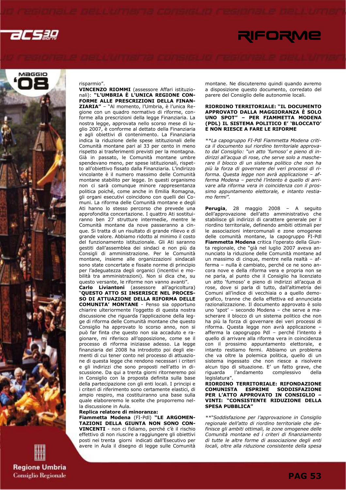



### risparmio".

VINCENZO RIOMMI (assessore Affari istituzionali): "L'UMBRIA È L'UNICA REGIONE CON-FORME ALLE PRESCRIZIONI DELLA FINAN-ZIARIA" – "Al momento, l'Umbria, è l'unica Regione con un quadro normativo di riforme, conforme alla prescrizioni della legge Finanziaria. La nostra legge, approvata nello scorso mese di luglio 2007, è conforme al dettato della Finanziaria e agli obiettivi di contenimento. La Finanziaria indica la riduzione delle spese istituzionali delle Comunità montane pari al 33 per cento in meno rispetto ai trasferimenti previsti per la montagna. Già in passato, le Comunità montane umbre spendevano meno, per spese istituzionali, rispetto all'obiettivo fissato dalla Finanziaria. L'indirizzo vincolante è il numero massimo delle Comunità montane stabilito per legge. In questi organismo non ci sarà comunque minore rappresentanza politica poiché, come anche in Emilia Romagna, gli organi esecutivi coincidono con quelli dei Comuni. La riforma delle Comunità montane e degli Ati hanno lo stesso percorso che prevede una approfondita concertazione. I quattro Ati sostituiranno ben 27 strutture intermedie, mentre le Comunità montane da nove passeranno a cinque. Si tratta di un risultato di grande rilievo e di grande valore. Abbiamo ridotto al minimo il costo del funzionamento istituzionale. Gli Ati saranno gestiti dall'assemblea dei sindaci e non più da Consigli di amministrazione. Per le Comunità montane, insieme alle organizzazioni sindacali sono state concertate e fissate norme di principio per l'adeguatezza degli organici (incentivi e mobilità tra amministrazioni). Non si dica che, su questo versante, le riforme non vanno avanti".

Carlo Liviantoni (assessore all'agricoltura) "QUESTO ATTO SI INSERISCE NEL PROCES-SO DI ATTUAZIONE DELLA RIFORMA DELLE COMUNITA' MONTANE - Penso sia opportuno chiarire ulteriormente l'oggetto di questa nostra discussione che riguarda l'applicazione della legge di riforma delle Comunità montane che questo Consiglio ha approvato lo scorso anno, non si può far finta che questo non sia accaduto e ragionare, mi riferisco all'opposizione, come se il processo di riforma iniziasse adesso. La legge finanziaria del 2008 ha introdotto poi degli elementi di cui tener conto nel processo di attuazione di questa legge che rendono necessari i criteri e gli indirizzi che sono proposti nell'atto in discussione. Da qui a trenta giorni ritorneremo poi in Consiglio con la proposta definita sulla base della partecipazione con gli enti locali. I principi e i criteri di riferimento sono certamente elastici, di ampio respiro, ma costituiranno una base sulla quale elaboreremo le scelte che proporremo nella discussione in Aula.

### Replica relatore di minoranza:

Fiammetta Modena (FI-Pdl) "LE ARGOMEN-TAZIONI DELLA GIUNTA NON SONO CON-VINCENTI - non ci fidiamo, perché c'è il rischio effettivo di non riuscire a raggiungere gli obiettivi posti nei trenta giorni indicati dall'Esecutivo per avere in Aula il disegno di legge sulle Comunità montane. Ne discuteremo quindi quando avremo a disposizione questo documento, corredato del parere del Consiglio delle autonomie locali.

### RIORDINO TERRITORIALE: "IL DOCUMENTO APPROVATO DALLA MAGGIORANZA È SOLO UNO SPOT" – PER FIAMMETTA MODENA (PDL) IL SISTEMA POLITICO E' 'BLOCCATO' E NON RIESCE A FARE LE RIFORME

\*\*La capogruppo FI-Pdl Fiammetta Modena critica il documento sul riordino territoriale approvato dal Consiglio: "un atto 'fumoso' e pieno di indirizzi all'acqua di rose, che serve solo a mascherare il blocco di un sistema politico che non ha più la forza di governare dei veri processi di riforma. Questa legge non avrà applicazione – afferma Modena – perché l'intento è quello di arrivare alla riforma vera in coincidenza con il prossimo appuntamento elettorale, e intanto restiamo fermi".

Perugia, 28 maggio 2008 - A seguito dell'approvazione dell'atto amministrativo che stabilisce gli indirizzi di carattere generale per il riordino territoriale, definendo ambiti ottimali per le associazioni intercomunali e zone omogenee delle comunità montane, la capogruppo FI-Pdl Fiammetta Modena critica l'operato della Giunta regionale, che "già nel luglio 2007 aveva annunciato la riduzione delle Comunità montane ad un massimo di cinque, mentre nella realtà – afferma – nulla è cambiato, perché ce ne sono ancora nove e della riforma vera e propria non se ne parla, al punto che il Consiglio ha licenziato un atto 'fumoso' e pieno di indirizzi all'acqua di rose, dove si parla di tutto, dall'altimetria dei Comuni all'indice di vecchiaia o a quello demografico, tranne che della effettiva ed annunciata razionalizzazione. Il documento approvato è solo uno 'spot' – secondo Modena – che serve a mascherare il blocco di un sistema politico che non ha più la forza di governare dei veri processi di riforma. Questa legge non avrà applicazione – afferma la capogruppo Pdl – perché l'intento è quello di arrivare alla riforma vera in coincidenza con il prossimo appuntamento elettorale, e intanto restiamo fermi. Abbiamo un problema che va oltre la polemica politica, quello di un sistema ingessato che non riesce a risolvere alcun tipo di situazione. E' un fatto grave, che riguarda l'andamento complessivo della legislatura".

### RIORDINO TERRITORIALE: RIFONDAZIONE<br>COMUNISTA ESPRIME SODDISFAZIONE COMUNISTA ESPRIME PER L'ATTO APPROVATO IN CONSIGLIO – VINTI: "CONSISTENTE RIDUZIONE DELLA SPESA PUBBLICA"

\*\*"Soddisfazione per l'approvazione in Consiglio regionale dell'atto di riordino territoriale che definisce gli ambiti ottimali, le zone omogenee delle Comunità montane ed i criteri di finanziamento di tutte le altre forme di associazione degli enti locali, oltre alla riduzione consistente della spesa

**Regione Umbria Consiglio Regionale**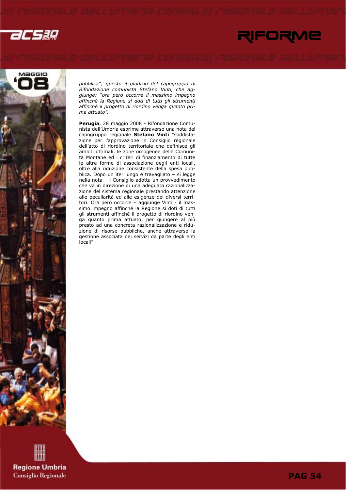



pubblica"; questo il giudizio del capogruppo di Rifondazione comunista Stefano Vinti, che aggiunge: "ora però occorre il massimo impegno affinché la Regione si doti di tutti gli strumenti affinché il progetto di riordino venga quanto prima attuato".

Perugia, 28 maggio 2008 - Rifondazione Comunista dell'Umbria esprime attraverso una nota del capogruppo regionale Stefano Vinti "soddisfazione per l'approvazione in Consiglio regionale dell'atto di riordino territoriale che definisce gli ambiti ottimali, le zone omogenee delle Comunità Montane ed i criteri di finanziamento di tutte le altre forme di associazione degli enti locali, oltre alla riduzione consistente della spesa pubblica. Dopo un iter lungo e travagliato – si legge nella nota - il Consiglio adotta un provvedimento che va in direzione di una adeguata razionalizzazione del sistema regionale prestando attenzione alle peculiarità ed alle esigenze dei diversi territori. Ora però occorre – aggiunge Vinti - il massimo impegno affinché la Regione si doti di tutti gli strumenti affinché il progetto di riordino venga quanto prima attuato, per giungere al più presto ad una concreta razionalizzazione e riduzione di risorse pubbliche, anche attraverso la gestione associata dei servizi da parte degli enti locali".

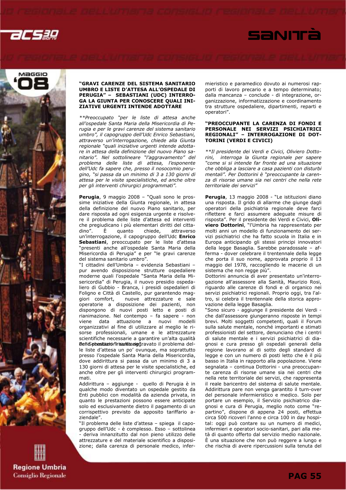



### "GRAVI CARENZE DEL SISTEMA SANITARIO UMBRO E LISTE D'ATTESA ALL'OSPEDALE DI PERUGIA" – SEBASTIANI (UDC) INTERRO-GA LA GIUNTA PER CONOSCERE QUALI INI-ZIATIVE URGENTI INTENDE ADOTTARE

\*\*Preoccupato "per le liste di attesa anche all'ospedale Santa Maria della Misericordia di Perugia e per le gravi carenze del sistema sanitario umbro", il capogruppo dell'Udc Enrico Sebastiani, attraverso un'interrogazione, chiede alla Giunta regionale "quali iniziative urgenti intende adottare in attesa della definizione del nuovo Piano sanitario". Nel sottolineare "l'aggravamento" del problema delle liste di attesa, l'esponente dell'Udc fa sapere che, presso il nosocomio perugino, "si passa da un minimo di 3 a 130 giorni di attesa per le visite specialistiche, ed anche oltre per gli interventi chirurgici programmati".

Perugia, 9 maggio 2008 – "Quali sono le prossime iniziative della Giunta regionale, in attesa della definizione del nuovo Piano sanitario, per dare risposta ad ogni esigenza urgente e risolvere il problema delle liste d'attesa ed interventi che pregiudicano i più elementari diritti del citta-<br>dino". È quanto chiede. attraverso dino". È quanto chiede, attraverso un'interrogazione, il capogruppo dell'Udc Enrico Sebastiani, preoccupato per le liste d'attesa "presenti anche all'ospedale Santa Maria della Misericordia di Perugia" e per "le gravi carenze del sistema sanitario umbro".

"I cittadini dell'Umbria – evidenzia Sebastiani – pur avendo disposizione strutture ospedaliere moderne quali l'ospedale "Santa Maria della Misericordia" di Perugia, il nuovo presidio ospedaliero di Gubbio - Branca, i presidi ospedalieri di Foligno e Città di Castello, pur garantendo maggiori comfort, nuove attrezzature e sale operatorie a disposizione dei pazienti, non dispongono di nuovi posti letto e posti di rianimazione. Nel contempo – fa sapere - non viene data attuazione a nuovi modelli organizzativi al fine di utilizzare al meglio le risorse professionali, umane e le attrezzature scientifiche necessarie a garantire un'alta qualità Belle prestazion'irisantita aiggravato il problema delle liste d'attesa un po' ovunque, ma soprattutto presso l'ospedale Santa Maria della Misericordia, dove addirittura si passa da un minimo di 3 a 130 giorni di attesa per le visite specialistiche, ed anche oltre per gli interventi chirurgici programmati.

Addirittura – aggiunge - quello di Perugia è in qualche modo diventato un ospedale gestito da Enti pubblici con modalità da azienda privata, in quanto le prestazioni possono essere anticipate solo ed esclusivamente dietro il pagamento di un corrispettivo previsto da apposito tariffario aziendale".

"Il problema delle liste d'attesa – spiega il capogruppo dell'Udc - è complesso. Esso – sottolinea - deriva innanzitutto dal non pieno utilizzo delle attrezzature e del materiale scientifico a disposizione; dalla carenza di personale medico, infermieristico e paramedico dovuto ai numerosi rapporti di lavoro precario e a tempo determinato; dalla mancanza – conclude - di integrazione, organizzazione, informatizzazione e coordinamento tra strutture ospedaliere, dipartimenti, reparti e operatori".

SANITÀ

### "PREOCCUPANTE LA CARENZA DI FONDI E PERSONALE NEI SERVIZI PSICHIATRICI REGIONALI" – INTERROGAZIONE DI DOT-TORINI (VERDI E CIVICI)

\*\*Il presidente dei Verdi e Civici, Oliviero Dottorini, interroga la Giunta regionale per sapere "come si si intende far fronte ad una situazione che obbliga a lasciare a casa pazienti con disturbi mentali". Per Dottorini è "preoccupante la carenza di risorse umane sia nei centri che nella rete territoriale dei servizi"

Perugia, 13 maggio 2008 - "Le istituzioni diano una risposta. Il grido di allarme che giunge dagli operatori della psichiatria regionale deve farci riflettere e farci assumere adeguate misure di risposta". Per il presidente dei Verdi e Civici, Oliviero Dottorini, "l'Umbria ha rappresentato per molti anni un modello di funzionamento dei servizi psichiatrici che ha fatto scuola in Italia e in Europa anticipando gli stessi principi innovatori della legge Basaglia. Sarebbe paradossale – afferma - dover celebrare il trentennale della legge che porta il suo nome, approvata proprio il 13 maggio del 1978, raccogliendo le macerie di un sistema che non regge più".

Dottorini annuncia di aver presentato un'interrogazione all'assessore alla Sanità, Maurizio Rosi, riguardo alle carenze di fondi e di organico nei servizi psichiatrici regionali. Proprio oggi, tra l'altro, si celebra il trentennale della storica approvazione della legge Basaglia.

"Sono sicuro - aggiunge il presidente dei Verdi che dall'assessore giungeranno risposte in tempi brevi. Molti soggetti competenti, quali il Forum sulla salute mentale, nonché importanti e stimati professionisti del settore, denunciano che i centri di salute mentale e i servizi psichiatrici di diagnosi e cura presso gli ospedali generali della regione lavorano al di sotto degli standard di legge e con un numero di posti letto che è il più basso in Italia in rapporto alla popolazione. Viene segnalata – continua Dottorini - una preoccupante carenza di risorse umane sia nei centri che nella rete territoriale dei servizi, che rappresenta il reale baricentro del sistema di salute mentale. Addirittura pare non venga garantito il turn-over del personale infermieristico e medico. Solo per portare un esempio, il Servizio psichiatrico diagnosi e cura di Perugia, meglio noto come "repartino", dispone di appena 24 posti, effettua circa 500 ricoveri l'anno e circa 100 in day hospital: oggi può contare su un numero di medici, infermieri e operatori socio-sanitari, pari alla metà di quanto offerto dal servizio medio nazionale. È una situazione che non può reggere a lungo e che rischia di avere ripercussioni sulla tenuta del

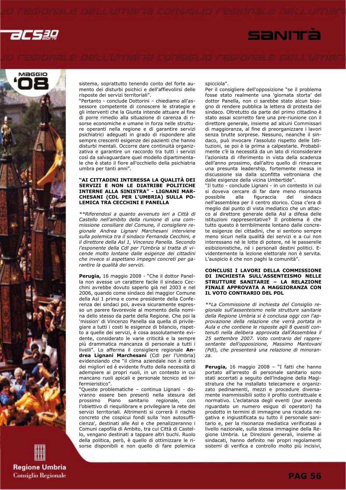





sistema, soprattutto tenendo conto del forte aumento dei disturbi psichici e dell'affievolirsi delle risposte dei servizi territoriali".

"Pertanto - conclude Dottorini – chiediamo all'assessore competente di conoscere le strategie e gli interventi che la Giunta intende attuare al fine di porre rimedio alla situazione di carenza di risorse economiche e umane in forza nelle strutture operanti nella regione e di garantire servizi psichiatrici adeguati in grado di rispondere alle sempre crescenti esigenze dei pazienti che hanno disturbi mentali. Occorre dare continuità organizzativa e garantire un raccordo tra tutti i servizi così da salvaguardare quel modello dipartimentale che è stato il fiore all'occhiello della psichiatria umbra per tanti anni".

### "AI CITTADINI INTERESSA LA QUALITÀ DEI SERVIZI E NON LE DIATRIBE POLITICHE INTERNE ALLA SINISTRA" - LIGNANI MAR-CHESANI (CDL PER L'UMBRIA) SULLA PO-LEMICA TRA CECCHINI E PANELLA

\*\*Riferendosi a quanto avvenuto ieri a Città di Castello nell'ambito della riunione di una commissione consiliare del Comune, il consigliere regionale Andrea Lignani Marchesani interviene sulla polemica tra il sindaco Fernanda Cecchini, e il direttore della Asl 1, Vincenzo Panella. Secondo l'esponente della Cdl per l'Umbria si tratta di vicende molto lontane dalle esigenze dei cittadini che invece si aspettano impegni concreti per garantire la qualità dei servizi.

Perugia, 16 maggio 2008 - "Che il dottor Panella non avesse un carattere facile il sindaco Cecchini avrebbe dovuto saperlo già nel 2003 e nel 2006, quando come sindaco del maggior Comune della Asl 1 prima e come presidente della Conferenza dei sindaci poi, aveva sicuramente espresso un parere favorevole al momento della nomina dello stesso da parte della Regione. Che poi la 'mission' di Vincenzo Panella sia quella di privilegiare a tutti i costi le esigenze di bilancio, rispetto a quelle dei servizi, è cosa assolutamente evidente, considerato le varie criticità e la sempre più drammatica mancanza di personale a tutti i livelli". Lo afferma il consigliere regionale Andrea Lignani Marchesani (Cdl per l'Umbria) evidenziando che "il clima aziendale non è certo dei migliori ed è evidente frutto della necessità di adempiere ai propri ruoli, in un contesto in cui mancano ruoli apicali e personale tecnico ed infermieristico".

"Queste problematiche – continua Lignani - dovranno essere ben presenti nella stesura del prossimo Piano sanitario regionale, con l'obiettivo di riequilibrare e privilegiare la rete dei servizi territoriali. Altrimenti si correrà il rischio concreto che cospicui fondi sulla 'non autosufficienza', destinati alle Asl e che penalizzeranno i Comuni capofila di Ambito, tra cui Città di Castello, vengano destinati a tappare altri buchi. Ruolo della politica, però, è quello di ottimizzare le risorse disponibili e non quello di fare polemica

### spicciola".

Per il consigliere dell'opposizione "se il problema fosse stato realmente una 'giornata storta' del dottor Panella, non ci sarebbe stato alcun bisogno di rendere pubblica la lettera di protesta del sindaco. Oltretutto da parte del primo cittadino è stato assai scorretto fare una pre-riunione con il direttore generale, insieme ad alcuni Commissari di maggioranza, al fine di preorganizzare i lavori senza brutte sorprese. Nessuno, neanche il sindaco, può invocare l'assoluto rispetto delle Istituzioni, se poi è la prima a calpestarle. Probabilmente c'è la necessità da un lato di riconsiderare l'azionista di riferimento in vista della scadenza dell'anno prossimo, dall'altro quello di rimarcare una presunta leadership, fortemente messa in discussione sia dalla sconfitta veltroniana che dalle esigenze della vicina Umbertide".

"Il tutto - conclude Lignani - in un contesto in cui si doveva cercare di far dare meno risonanza<br>possibile - alla - figuraccia - del - sindaco possibile alla figuraccia del sindaco nell'assemblea per il centro storico. Cosa c'era di meglio dal punto di vista mediatico che un attacco al direttore generale della Asl a difesa delle istituzioni rappresentative? Il problema è che tutto questo è terribilmente lontano dalle concrete esigenze dei cittadini, che si sentono sempre meno sicuri nella qualità dei servizi e a cui non interessano né le lotte di potere, né le passerelle esibizionistiche, né i personali destini politici. Evidentemente la lezione elettorale non è servita. L'auspicio è che non paghi la comunità".

### CONCLUSI I LAVORI DELLA COMMISSIONE DI INCHIESTA SULL'ASSENTEISMO NELLE STRUTTURE SANITARIE – LA RELAZIONE FINALE APPROVATA A MAGGIORANZA CON IL VOTO CONTRARIO DEL PDL

\*\*La Commissione di inchiesta del Consiglio regionale sull'assenteismo nelle strutture sanitarie della Regione Umbria si è conclusa oggi con l'approvazione della relazione che verrà portata in Aula e che contiene le risposte agli 8 quesiti contenuti nella delibera approvata dall'Assemblea il 25 settembre 2007. Voto contrario del rappresentante dell'opposizione, Massimo Mantovani (Pdl), che presenterà una relazione di minoranza.

Perugia, 16 maggio 2008 - "I fatti che hanno portato all'arresto di personale sanitario sono stati accertati a seguito dell'indagine della Magistratura che ha installato telecamere e organizzato pedinamenti, mezzi e procedure diversamente inammissibili sotto il profilo contrattuale e normativo. L'eclatanza degli eventi (pur avendo riguardato un numero esiguo di operatori) ha prodotto in termini di immagine una ricaduta negativa e ingiustificata su tutto il personale sanitario e, per la risonanza mediatica verificatasi a livello nazionale, sulla stessa immagine della Regione Umbria. Le Direzioni generali, insieme ai sindacati, hanno definito nei propri regolamenti sistemi di verifica e controllo molto più incisivi,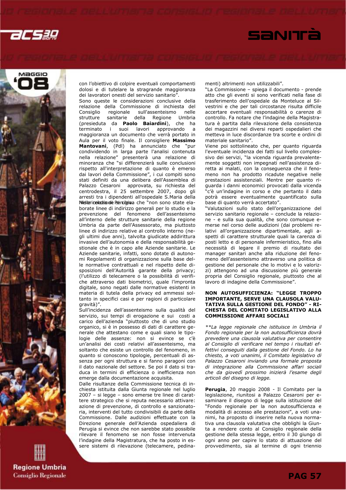





con l'obiettivo di colpire eventuali comportamenti dolosi e di tutelare la stragrande maggioranza dei lavoratori onesti del servizio sanitario".

Sono queste le considerazioni conclusive della relazione della Commissione di inchiesta del Consiglio regionale sull'assenteismo strutture sanitarie della Regione Umbria (presieduta da Paolo Baiardini), che ha terminato i suoi lavori approvando a maggioranza un documento che verrà portato in Aula per il voto finale. Il consigliere Massimo Mantovani, (Pdl) ha annunciato che "pur condividendo in larga parte l'analisi contenuta nella relazione" presenterà una relazione di minoranza che "si differenzierà sulle conclusioni rispetto all'interpretazione di quanto è emerso dai lavori della Commissione", i cui compiti sono stati definiti da una delibera dell'Assemblea di Palazzo Cesaroni approvata, su richiesta del centrodestra, il 25 settembre 2007, dopo gli arresti tra i dipendenti all'ospedale S.Maria della Mestericola di Perugia che "non sono state elaborate linee di indirizzo generali per lo studio e la prevenzione del fenomeno dell'assenteismo all'interno delle strutture sanitarie della regione Umbria da parte dell'Assessorato, ma piuttosto linee di indirizzo relative al controllo interno (negli ultimi due anni), talvolta giudicate addirittura invasive dell'autonomia e della responsabilità gestionale che è in capo alle Aziende sanitarie. Le Aziende sanitarie, infatti, sono dotate di autonomi Regolamenti di organizzazione sulla base delle normative contrattuali e nel rispetto delle disposizioni dell'Autorità garante della privacy; (l'utilizzo di telecamere o la possibilità di verifiche attraverso dati biometrici, quale l'impronta digitale, sono negati dalle normative esistenti in materia di tutela della privacy ed ammessi soltanto in specifici casi e per ragioni di particolare gravità)".

Sull'incidenza dell'assenteismo sulla qualità del servizio, sui tempi di erogazione e sui costi a carico dell'azienda "piuttosto che di uno studio organico, si è in possesso di dati di carattere generale che attestano come e quali siano le tipologie delle assenze: non si evince se c'è un'analisi dei costi relativi all'assenteismo, ma soltanto che esiste un controllo del fenomeno, in quanto si conoscono tipologie, percentuali di assenza per ogni struttura e si fanno paragoni con il dato nazionale del settore. Se poi il dato si traduca in termini di efficienza o inefficienza non emerge dalla documentazione acquisita.

Dalle risultanze della Commissione tecnica di inchiesta istituita dalla Giunta regionale nel luglio 2007 – si legge – sono emerse tre linee di carattere strategico che si reputa necessario attivare: azione di prevenzione, di controllo e sanzionatoria, interventi del tutto condivisibili da parte della Commissione. Dalle audizioni effettuate con la Direzione generale dell'Azienda ospedaliera di Perugia si evince che non sarebbe stato possibile rilevare il fenomeno se non fosse intervenuta l'indagine della Magistratura, che ha posto in essere sistemi di rilevazione (telecamere, pedinamenti) altrimenti non utilizzabili".

"La Commissione – spiega il documento - prende atto che gli eventi si sono verificati nella fase di trasferimento dell'ospedale da Monteluce al Silvestrini e che per tali circostanze risulta difficile accertare eventuali responsabilità o carenze di controllo. Fa notare che l'indagine della Magistratura è partita dalla rilevazione della consistenza dei magazzini nei diversi reparti ospedalieri che metteva in luce discordanze tra scorte e ordini di materiale sanitario".

Viene poi sottolineato che, per quanto riguarda l'eventuale incidenza dei fatti sul livello complessivo dei servizi, "la vicenda riguarda prevalentemente soggetti non impegnati nell'assistenza diretta ai malati, con la conseguenza che il fenomeno non ha prodotto ricadute negative nelle prestazioni assistenziali. Mentre per quanto riguarda i danni economici provocati dalla vicenda "c'è un'indagine in corso e che pertanto il dato potrà essere eventualmente quantificato sulla base di quanto verrà accertato".

"Valutazioni sullo stato dell'organizzazione del servizio sanitario regionale – conclude la relazione - e sulla sua qualità, che sono comunque emerse nel corso delle audizioni (dai problemi relativi all'organizzazione dipartimentale, agli aspetti di carattere strutturale quali la carenza di posti letto e di personale infermieristico, fino alla necessità di legare il premio di risultato dei manager sanitari anche alla riduzione del fenomeno dell'assenteismo attraverso una politica di gestione del personale che lo motivi e lo valorizzi) attengono ad una discussione più generale propria del Consiglio regionale, piuttosto che al lavoro di indagine della Commissione".

### NON AUTOSUFFICIENZA: "LEGGE TROPPO IMPORTANTE, SERVE UNA CLAUSOLA VALU-TATIVA SULLA GESTIONE DEL FONDO" - RI-CHESTA DEL COMITATO LEGISLATIVO ALLA COMMISSIONE AFFARI SOCIALI

\*\*La legge regionale che istituisce in Umbria il Fondo regionale per la non autosufficienza dovrà prevedere una clausola valutativa per consentire al Consiglio di verificare nel tempo i risultati effettivi conseguiti dalla gestione del Fondo. Lo ha chiesto, a voti unanimi, il Comitato legislativo di Palazzo Cesaroni inviando una formale proposta di integrazione alla Commissione affari sociali che da giovedì prossimo inizierà l'esame degli articoli del disegno di legge.

Perugia, 20 maggio 2008 - Il Comitato per la legislazione, riunitosi a Palazzo Cesaroni per esaminare il disegno di legge sulla istituzione del "Fondo regionale per la non autosufficienza e modalità di accesso alle prestazioni", a voti unanimi, ha proposto di inserire nella nuova normativa una clausola valutativa che obblighi la Giunta a rendere conto al Consiglio regionale della gestione della stessa legge, entro il 30 giungo di ogni anno per capire lo stato di attuazione del provvedimento, sia al termine di ogni triennio

**Regione Umbria Consiglio Regionale**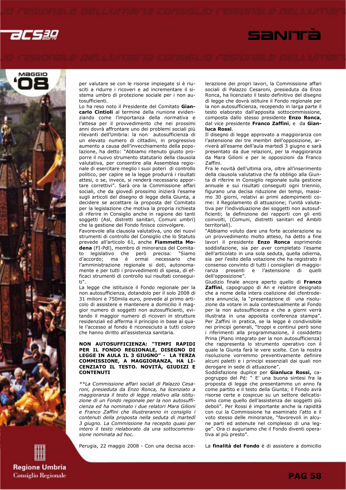





per valutare se con le risorse impiegate si è riusciti a ridurre i ricoveri e ad incrementare il sistema umbro di protezione sociale per i non autosufficienti.

Lo ha reso noto il Presidente del Comitato Giancarlo Cintioli al termine della riunione evidenziando come l'importanza della normativa e l'attesa per il provvedimento che nei prossimi anni dovrà affrontare uno dei problemi sociali più rilevanti dell'Umbria: la non autosufficienza di un elevato numero di cittadini, in progressivo aumento a causa dell'invecchiamento della popolazione, ha detto: "Abbiamo ritenuto giusto proporre il nuovo strumento statutario della clausola valutativa, per consentire alla Assemblea regionale di esercitare meglio i suoi poteri di controllo politico, per capire se la legge produrrà i risultati attesi, o se, invece, si renderà necessario apportare correttivi". Sarà ora la Commissione affari sociali, che da giovedì prossimo inizierà l'esame sugli articoli del disegno di legge della Giunta, a decidere se accettare la proposta del Comitato per la legislazione che motiva la propria richiesta di riferire in Consiglio anche in ragione dei tanti soggetti (Asl, distretti sanitari, Comuni umbri) che la gestione del Fondo finisce coinvolgere.

Favorevole alla clausola valutativa, uno dei nuovi strumenti di controllo del Consiglio che lo Statuto prevede all'articolo 61, anche Fiammetta Modena (FI-Pdl), membro di minoranza del Comitato legislativo che però precisa: "Siamo d'accordo; ma è ormai necessario che l'amministrazione regionale si doti, autonomamente e per tutti i provvedimenti di spesa, di efficaci strumenti di controllo sui risultati conseguiti".

La legge che istituisce il Fondo regionale per la non autosufficienza, dotandolo per il solo 2008 di 31 milioni e 750mila euro, prevede al primo articolo di assistere e mantenere a domicilio il maggior numero di soggetti non autosufficienti, evitando il maggior numero di ricoveri in strutture residenziali ed afferma il principio in base al quale l'accesso al fondo è riconosciuto a tutti coloro che hanno diritto all'assistenza sanitaria.

### NON AUTOSUFFICIENZA: "TEMPI RAPIDI PER IL FONDO REGIONALE, DISEGNO DI LEGGE IN AULA IL 3 GIUGNO" - LA TERZA COMMISSIONE, A MAGGIORANZA, HA LI-CENZIATO IL TESTO. NOVITÀ, GIUDIZI E **CONTENUTI**

\*\*La Commissione affari sociali di Palazzo Cesaroni, presieduta da Enzo Ronca, ha licenziato a maggioranza il testo di legge relativo alla istituzione di un Fondo regionale per la non autosufficienza ed ha nominato i due relatori Mara Gilioni e Franco Zaffini che illustreranno in consiglio i contenuti della proposta nella seduta di martedì 3 giugno. La Commissione ha recepito quasi per intero il testo rielaborato da una sottocommissione nominata ad hoc.

Perugia, 22 maggio 2008 - Con una decisa acce-

lerazione dei propri lavori, la Commissione affari sociali di Palazzo Cesaroni, presieduta da Enzo Ronca, ha licenziato il testo definitivo del disegno di legge che dovrà istituire il Fondo regionale per la non autosufficienza, recependo in larga parte il testo elaborato dall'apposita sottocommissione, composta dallo stesso presidente Enzo Ronca, dal vice presidente Franco Zaffini, e da Gianluca Rossi.

Il disegno di legge approvato a maggioranza con l'astensione dei tre membri dell'opposizione, arriverà all'esame dell'aula martedì 3 giugno e sarà presentato da due relazioni, per la maggioranza da Mara Gilioni e per le opposizioni da Franco Zaffini.

Fra le novità dell'ultima ora, oltre all'inserimento della clausola valutativa che fa obbligo alla Giunta di riferire in Consiglio regionale sulla gestione annuale e sui risultati conseguiti ogni triennio, figurano una decisa riduzione dei tempi, massimo 30 giorni, relativi ai primi adempimenti come: il Regolamento di attuazione; l'unità valutativa per l'individuazione dei soggetti non autosufficienti; la definizione dei rapporti con gli enti coinvolti, (Comuni, distretti sanitari ed Ambiti territoriali).

"Abbiamo voluto dare una forte accelerazione su un provvedimento molto atteso, ha detto a fine lavori il presidente Enzo Ronca esprimendo soddisfazione, sia per aver completato l'esame dell'articolato in una sola seduta, quella odierna, sia per l'esito della votazione che ha registrato il consenso convinto di tutti i consiglieri di maggioranza presenti e l'astensione di quelli dell'opposizione".

Giudizio finale ancora aperto quello di Franco Zaffini, capogruppo di An e relatore designato che a nome della intera coalizione del cfentrodestra annuncia, la "presentazione di una risoluzione da votare in aula contestualmente al Fondo per la non autosufficienza e che a giorni verrà illustrata in una apposita conferenza stampa". Per Zaffini in pratica, se la legge è condivisibile nei principi generali, "troppi e continui però sono i riferimenti alla programmazione, il cosiddetto Prina (Piano integrato per la non autosufficienza) che rappresenta lo strumento operativo con il quale la Giunta farà le vere scelte. Con la nostra risoluzione vorremmo preventivamente definire alcuni paletti e i principi essenziali dai quali non derogare in sede di attuazione".

Soddisfazione duplice per Gianluca Rossi, capogruppo del Pd: " E' una buona sintesi fra la proposta di legge che presentammo un anno fa come partito e il testo della Giunta; il Fondo avrà risorse certe e cospicue su un settore delicatissimo come quello dell'assistenza dei soggetti più deboli". Per Rossi è importante anche la rapidità con cui la Commissione ha esaminato l'atto e il voto stesso delle minoranze, "favorevoli in alcune parti ed astenute nel complesso di una legge". Ora ci auguriamo che il Fondo diventi operativa al più presto".

La finalità del Fondo è di assistere a domicilio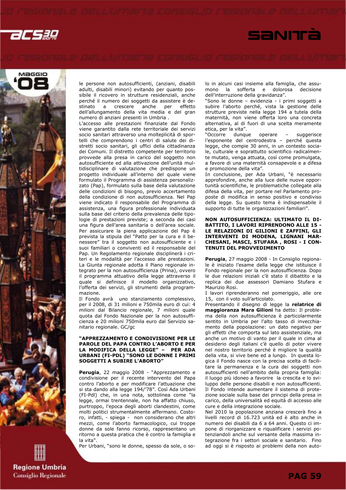





le persone non autosufficienti, (anziani, disabili adulti, disabili minori) evitando per quanto possibile il ricovero in strutture residenziali, anche perché il numero dei soggetti da assistere è destinato anche per dell'allungamento della vita media e del gran numero di anziani presenti in Umbria .

L'accesso alle prestazioni finanziate dal Fondo viene garantito dalla rete territoriale dei servizi socio sanitari attraverso una molteplicità di sportelli che comprendono i centri di salute dei distretti socio sanitari, gli uffici della cittadinanza dei Comuni. Il distretto competente per territorio provvede alla presa in carico del soggetto non autosufficiente ed alla attivazione dell'unità multidisciplinare di valutazione che predispone un progetto individuale all'interno del quale viene formulato il Programma di assistenza personalizzato (Pap), formulato sulla base della valutazione delle condizioni di bisogno, previo accertamento della condizione di non autosufficienza. Nel Pap viene indicato il responsabile del Programma di assistenza, una figura professionale individuata sulla base del criterio della prevalenza delle tipologie di prestazioni previste; a seconda dei casi una figura dell'area sanitaria o dell'area sociale. Per assicurare la piena applicazione del Pap è prevista la stipula del "Patto per la cura e il benessere" tra il soggetto non autosufficiente e i suoi familiari o conviventi ed il responsabile del Pap. Un Regolamento regionale disciplinerà i criteri e le modalità per l'accesso alle prestazioni. La Giunta regionale adotta il Piano regionale integrato per la non autosufficienza (Prina), ovvero il programma attuativo della legge attraverso il quale si definisce il modello organizzativo, l'offerta dei servizi, gli strumenti della programmazione.

Il Fondo avrà uno stanziamento complessivo, per il 2008, di 31 milioni e 750mila euro di cui: 4 milioni dal Bilancio regionale, 7 milioni quale quota dal Fondo Nazionale per la non autosufficienza e 20 milioni 750mila euro dal Servizio sanitario regionale. GC/gc

### "APPREZZAMENTO E CONDIVISIONE PER LE PAROLE DEL PAPA CONTRO L'ABORTO E PER LA MODIFICA DELLA LEGGE" – PER ADA URBANI (FI-PDL) "SONO LE DONNE I PRIMI SOGGETTI A SUBIRE L'ABORTO"

Perugia, 22 maggio 2008 - "Apprezzamento e condivisione per il recente intervento del Papa contro l'aborto e per modificare l'attuazione che si sta dando alla legge 194/'78". Così Ada Urbani (FI-Pdl) che, in una nota, sottolinea come "la legge, ormai trentennale, non ha affatto chiuso, purtroppo, l'epoca degli aborti clandestini, come molti politici strumentalmente affermano. Costoro, infatti, - spiega - non considerano che altri mezzi, come l'aborto farmacologico, cui troppe donne da sole fanno ricorso, rappresentano un ritorno a questa pratica che è contro la famiglia e la vita".

Per Urbani, "sono le donne, spesso da sole, o so-

lo in alcuni casi insieme alla famiglia, che assumono la sofferta e dolorosa decisione dell'interruzione della gravidanza".

"Sono le donne – evidenzia - i primi soggetti a subire l'aborto perché, vista la gestione delle strutture previste nella legge 194 a tutela della maternità, non viene offerta loro una concreta alternativa, al di fuori di una scelta meramente etica, per la vita".

"Occorre dunque operare – suggerisce l'esponente del centrodestra – perché questa legge, che compie 30 anni, in un contesto sociale, culturale e soprattutto scientifico radicalmente mutato, venga attuata, così come promulgata, a favore di una maternità consapevole e a difesa e promozione della vita".

In conclusione, per Ada Urbani, "è necessario approfondire, anche alla luce delle nuove opportunità scientifiche, le problematiche collegate alla difesa della vita, per portare nel Parlamento proposte di modifica in senso positivo e condiviso della legge. Su questo tema è indispensabile il supporto di tutte le organizzazioni familiari".

### NON AUTOSUFFICIENZA: ULTIMATO IL DI-BATTITO, I LAVORI RIPRENDONO ALLE 15 - LE RELAZIONI DI GILIONI E ZAFFINI, GLI INTERVENTI DI MODENA, LIGNANI MAR-CHESANI, MASCI, STUFARA , ROSI - I CON-TENUTI DEL PROVVEDIMENTO

Perugia, 27 maggio 2008 - In Consiglio regionale è iniziato l'esame della legge che istituisce il Fondo regionale per la non autosufficienza. Dopo le due relazioni iniziali c'è stato il dibattito e la replica dei due assessori Damiano Stufara e Maurizio Rosi.

I lavori riprenderanno nel pomeriggio, alle ore 15, con il voto sull'articolato.

Presentando il disegno di legge la relatrice di maggioranza Mara Gilioni ha detto: Il problema della non autosufficienza è particolarmente sentito in Umbria per l'alto tasso di invecchiamento della popolazione: un dato negativo per gli effetti che comporta sul lato assistenziale, ma anche un motivo di vanto per il quale in cima al desiderio degli italiani c'è quello di poter vivere nel nostro territorio perché è migliore la qualità della vita, si vive bene ed a lungo. In questa logica il Fondo nasce con la precisa scelta di facilitare la permanenza e la cura dei soggetti non autosufficienti nell'ambito della propria famiglia: il luogo più idoneo a favorire la crescita e lo sviluppo delle persone disabili e non autosufficienti. Il Fondo intende aumentare il sistema di protezione sociale sulla base dei principi della presa in carico, della universalità ed equità di accesso alle cure e della integrazione sociale.

Nel 2010 la popolazione anziana crescerà fino a livelli record di 16.723 unità ed è alto anche in numero dei disabili da 6 a 64 anni. Questo ci impone di riorganizzare e riqualificare i servizi potenziandoli anche sul versante della massima integrazione fra i settori sociale e sanitario. Fino ad oggi si è risposto ai problemi della non auto-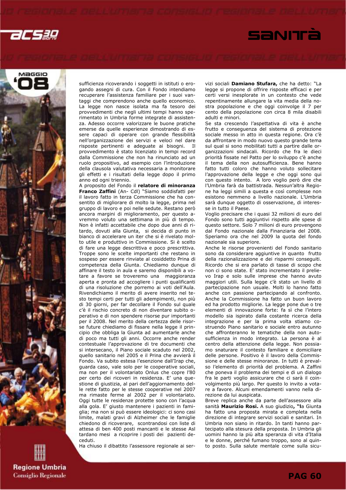





sufficienza ricoverando i soggetti in istituti o erogando assegni di cura. Con il Fondo intendiamo recuperare l'assistenza familiare per i suoi vantaggi che comprendono anche quello economico. La legge non nasce isolata ma fa tesoro dei provvedimenti che negli ultimi tempi hanno sperimentato in Umbria forme integrate di assistenza. Adesso occorre valorizzare le buone pratiche emerse da quelle esperienze dimostrando di essere capaci di operare con grande flessibilità nell'organizzazione dei servizi e veloci nel dare risposte pertinenti e adeguate ai bisogni. Il provvedimento è stato licenziato in tempi record dalla Commissione che non ha rinunciato ad un ruolo propositivo, ad esempio con l'introduzione della clausola valutativa necessaria a monitorare gli effetti e i risultati della legge dopo il primo anno ed ogni triennio.

A proposito del Fondo il relatore di minoranza Franco Zaffini (An- Cdl) "Siamo soddisfatti per il lavoro fatto in terza Commissione che ha consentito di migliorare di molto la legge, prima nel gruppo di lavoro e poi nelle sedute. Restano però ancora margini di miglioramento, per questo avremmo voluto una settimana in più di tempo. Non è infatti accettabile che dopo due anni di ritardo, dovuti alla Giunta, si decida di punto in bianco di accelerare un iter che si è rivelato molto utile e produttivo in Commissione. Si è scelto di fare una legge descrittiva e poco prescrittiva. Troppe sono le scelte importanti che restano in sospeso per essere rinviate al cosiddetto Prina di competenza della Giunta. Chiediamo dunque di affinare il testo in aula e saremo disponibili a votare a favore se troveremo una maggioranza aperta e pronta ad accogliere i punti qualificanti di una risoluzione che porremo ai voti dell'Aula. Rivendichiamo il merito di avere inserito nel testo tempi certi per tutti gli adempimenti, non più di 30 giorni, per far decollare il Fondo sul quale c'è il rischio concreto di non diventare subito operativo e di non spendere risorse pur importanti per il 2008. Nel merito della certezza delle risorse future chiediamo di fissare nella legge il principio che obbliga la Giunta ad aumentarle anche di poco ma tutti gli anni. Occorre anche render contestuale l'approvazione di tre documenti che si intersecano, il Piano sociale scaduto nel 2002, quello sanitario nel 2005 e il Prina che avvierà il Fondo. Va subito estesa l'esenzione dall'Irap che, guarda caso, vale solo per le cooperative sociali, ma non per il volontariato Onlus che copre l'80 per certo dei ricoveri in residenza. E' una questione di giustizia, al pari dell'aggiornamento delle rette fatto per le stesse cooperative nel 2007 ma rimaste ferme al 2002 per il volontariato. Oggi tutte le residenze protette sono con l'acqua alla gola. E' giusto mantenere i pazienti in famiglia; ma non si può essere ideologici: ci sono casi limite, malati gravi di Alzheimer che le famiglie chiedono di ricoverare, scontrandosi con liste di attesa di ben 400 posti mancanti e le stesse Asl tardano mesi a ricoprire i posti dei pazienti deceduti.

Ha chiuso il dibattito l'assessore regionale ai ser-

vizi sociali Damiano Stufara, che ha detto: "La legge si propone di offrire risposte efficaci e per certi versi inesplorate in un contesto che vede repentinamente allungare la vita media della nostra popolazione e che oggi coinvolge il 7 per cento della popolazione con circa 8 mila disabili adulti e minori.

Se sta crescendo l'aspettativa di vita è anche frutto e conseguenza del sistema di protezione sociale messo in atto in questa regione. Ora c'è da affrontare in modo nuovo questo grande tema sul qual si sono mobilitati tutti a partire dalle organizzazioni sindacali. Ricordo che fra le dieci priorità fissate nel Patto per lo sviluppo c'è anche il tema della non autosufficienza. Bene hanno fatto tutti coloro che hanno voluto sollecitare l'approvazione della legge e che oggi sono qui con questo intento. A loro voglio però dire che l'Umbria farà da battistrada. Nessun'altra Regione ha leggi simili a questa e così complesse non esistono nemmeno a livello nazionale. L'Umbria sarà dunque oggetto di osservazione, di interesse in tutto il Paese.

Voglio precisare che i quasi 32 milioni di euro del Fondo sono tutti aggiuntivi rispetto alle spese di questo settore. Solo 7 milioni di euro provengono dal Fondo nazionale dalla Finanziaria del 2008. Speriamo ora che nel 2009 la quota del fondo nazionale sia superiore.

Anche le risorse provenienti del Fondo sanitario sono da considerare aggiuntive in quanto frutto della razionalizzazione e dei risparmi conseguiti. Ricordo che si era parlato di tasse di scopo che non ci sono state. E' stato incrementato il prelievo Irap e solo sulle imprese che hanno avuto maggiori utili. Sulla legge c'è stato un livello di partecipazione non usuale. Molti lo hanno fatto anche con passione partecipando al confronto. Anche la Commissione ha fatto un buon lavoro ed ha prodotto migliorie. La legge pone due o tre elementi di innovazione forte: fa sì che l'intero modello sia ispirato dalla costante ricerca della integrazione e per la prima volta stiamo costruendo Piano sanitario e sociale entro autunno che affronteranno le tematiche della non autosufficienza in modo integrato. La persona è al centro della attenzione della legge. Non possiamo snaturare il contesto familiare e domiciliare delle persone. Positivo è il lavoro della Commissione e delle stesse minoranze. In tutti è prevalso l'elemento di priorità del problema. A Zaffini che poneva il problema dei tempi e di un dialogo fra le parti voglio assicurare che ci sarà il coinvolgimento più largo. Per questo lo invito a votare a favore. Alcuni emendamenti vanno nella direzione da lui auspicata.

Breve replica anche da parte dell'assessore alla sanità Maurizio Rosi. A suo giudizio, "la Giunta ha fatto una proposta mirata e completa nella direzione di integrare servizi sociali e sanitari. In Umbria non siano in ritardo. In tanti hanno partecipato alla stesura della proposta. In Umbria gli uomini hanno la più alta speranza di vita d'Italia e le donne, perché fumano troppo, sono al quinto posto. Sulla salute mentale come sulla sicu-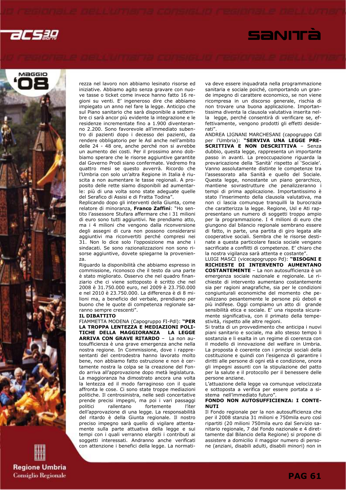





rezza nel lavoro non abbiamo lesinato risorse ed iniziative. Abbiamo agito senza gravare con nuove tasse o ticket come invece hanno fatto 16 regioni su venti. E' ingeneroso dire che abbiamo impiegato un anno nel fare la legge. Anticipo che sul Piano sanitario che sarà disponibile a settembre ci sarà ancor più evidente la integrazione e le residenze incrementate fino a 1.900 diventeranno 2.200. Sono favorevole all'immediato subentro di pazienti dopo i decesso dei pazienti, da rendere obbligatorio per le Asl anche nell'ambito delle 24 - 48 ore, anche perché non si avrebbe un aumento dei costi. Per il prossimo anno dobbiamo sperare che le risorse aggiuntive garantite dal Governo Prodi siano confermate. Vedremo fra quattro mesi se questo avverrà. Ricordo che l'Umbria con solo un'altra Regione in Italia è riuscita a non aumentare le tasse regionali. A proposito delle rette siamo disponibili ad aumentarle: più di una volta sono state adeguate quelle del Serafico di Assisi e di Fratta Todina".

Replicando dopo gli interventi della Giunta, come relatore di minoranza, Franco Zaffini: "Ho sentito l'assessore Stufara affermare che i 31 milioni di euro sono tutti aggiuntivi. Ne prendiamo atto, ma i 4 milioni che vengono dalla riconversione degli assegni di cura non possono considerarsi aggiuntivi ma riconvertiti perché compresi nei 31. Non lo dice solo l'opposizione ma anche i sindacati. Se sono razionalizzazioni non sono risorse aggiuntive, dovete spiegarne la provenienza.

Riguardo la disponibilità che abbiamo espresso in commissione, riconosco che il testo da una parte è stato migliorato. Osservo che nel quadro finanziario che ci viene sottoposto è scritto che nel 2008 è 31.750.000 euro, nel 2009 è 23.750.000 e nel 2010 è 23.750.000. La differenza è di 8 milioni ma, a beneficio del verbale, prendiamo per buono che le quote di competenza regionale saranno sempre crescenti".

### IL DIBATTITO

FIAMMETTA MODENA (Capogruppo FI-Pdl): "PER LA TROPPA LENTEZZA E MEDIAZIONI POLI-TICHE DELLA MAGGIORANZA LA LEGGE ARRIVA CON GRAVE RITARDO – La non autosufficienza è una grave emergenza anche nella nostra regione. In Commissione, dove i rappresentanti del centrodestra hanno lavorato molto bene, non abbiamo fatto ostruzione e non è certamente nostra la colpa se la creazione del Fondo arriva all'approvazione dopo metà legislatura. La maggioranza ha dimostrato ancora una volta la lentezza ed il modo farraginoso con il quale affronta le cose. Ci sono state troppe mediazioni politiche. Il centrosinistra, nelle sedi concertative prende precisi impegni, ma poi i vari passaggi politici rallentano fortemente l'iter dell'approvazione di una legge. La responsabilità del ritardo è della Giunta regionale. Il nostro preciso impegno sarà quello di vigilare attentamente sulla parte attuativa della legge e sui tempi con i quali verranno elargiti i contributi ai soggetti interessati. Andranno anche verificati con attenzione i benefici della legge. La normativa deve essere inquadrata nella programmazione sanitaria e sociale poiché, comportando un grande impegno di carattere economico, se non viene ricompresa in un discorso generale, rischia di non trovare una buona applicazione. Importantissima diventa la clausola valutativa inserita nella legge, perché consentirà di verificare se, effettivamente, vengono prodotti gli effetti desiderati".

ANDREA LIGNANI MARCHESANI (capogruppo Cdl per l'Umbria): "SERVIVA UNA LEGGE PRE-SCRITTIVA E NON DESCRITTIVA – Senza dubbio, questa legge, rappresenta un importante passo in avanti. La preoccupazione riguarda la prevaricazione della 'Sanità' rispetto al 'Sociale'. Vanno assolutamente distinte le competenze tra l'assessorato alla Sanità e quello del Sociale. Questa legge, nonostante un piano gerarchico, mantiene sovrastrutture che penalizzeranno i tempi di prima applicazione. Importantissimo è stato l'inserimento della clausola valutativa, ma non ci lascia comunque tranquilli la burocrazia che caratterizza la legge. Regione, Usl e Ati rappresentano un numero di soggetti troppo ampio per la programmazione. I 4 milioni di euro che giungono dal bilancio regionale sembrano essere di fatto, in parte, una partita di giro legata alle cooperative sociali. Sembra che le risorse destinate a questa particolare fascia sociale vengano sacrificate a conflitti di competenze. E' chiaro che la nostra vigilanza sarà attenta e costante".

LUIGI MASCI (vicecapogruppo Pd): "BISOGNI E RICHIESTE DI INTERVENTO AUMENTANO COSTANTEMENTE – La non autosufficienza è un emergenza sociale nazionale e regionale. Le richieste di intervento aumentano costantemente sia per ragioni anagrafiche, sia per le condizioni congiunturali economiche del momento che penalizzano pesantemente le persone più deboli e più indifese. Oggi compiamo un atto di grande sensibilità etica e sociale. E' una risposta sicuramente significativa, con il primato della tempestività, rispetto alle altre regioni.

Si tratta di un provvedimento che anticipa i nuovi piani sanitario e sociale, ma allo stesso tempo li sostanzia e li esalta in un regime di coerenza con il modello di innovazione del welfare in Umbria. La proposta è coerente con i principi sociali della costituzione e quindi con l'esigenza di garantire i diritti alle persone di ogni età e condizione, onora gli impegni assunti con la stipulazione del patto per la salute e il protocollo per il benessere delle persone anziane.

L'attuazione della legge va comunque velocizzata e sottoposta a verifica per essere portata a sistema nell'immediato futuro".

### FONDO NON AUTOSUFFICIENZA: I CONTE-**NUTI**

Il Fondo regionale per la non autosufficienza che per il 2008 stanzia 31 milioni e 750mila euro così ripartiti (20 milioni 750mila euro dal Servizio sanitario regionale, 7 dal Fondo nazionale e 4 direttamente dal Bilancio della Regione) si propone di assistere a domicilio il maggior numero di persone (anziani, disabili adulti, disabili minori) non in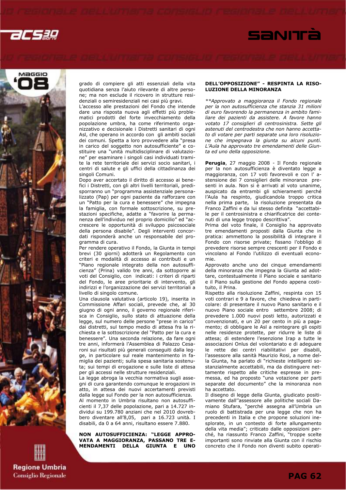





grado di compiere gli atti essenziali della vita quotidiana senza l'aiuto rilevante di altre persone; ma non esclude il ricovero in strutture residenziali o semiresidenziali nei casi più gravi.

L'accesso alle prestazioni del Fondo che intende dare una risposta nuova agli effetti più problematici prodotti del forte invecchiamento della popolazione umbra, ha come riferimento organizzativo e decisionale i Distretti sanitari di ogni Asl, che operano in accordo con gli ambiti sociali dei comuni. Spetta a loro provvedere alla "presa in carico del soggetto non autosufficiente" e costituire una "unità multidisciplinare di valutazione" per esaminare i singoli casi individuati tramite la rete territoriale dei servizi socio sanitari, i centri di salute e gli uffici della cittadinanza dei singoli Comuni.

Dopo aver accertato il diritto di accesso ai benefici i Distretti, con gli altri livelli territoriali, predisporranno un "programma assistenziale personalizzato (Pap) per ogni paziente da rafforzare con un "Patto per la cura e benessere" che impegna la famiglia, con formale sottoscrizione, su prestazioni specifiche, adatte a "favorire la permanenza dell'individuo nel proprio domicilio" ed "accrescere le opportunità di sviluppo psicosociale della persona disabile". Degli interventi concordati risponderà anche un responsabile del programma di cura.

Per rendere operativo il Fondo, la Giunta in tempi brevi (30 giorni) adotterà un Regolamento con criteri e modalità di accesso ai contributi e un "Piano regionale integrato della non autosufficienza" (Prina) valido tre anni, da sottoporre ai voti del Consiglio, con indicati: i criteri di riparti del Fondo, le aree prioritarie di intervento, gli indirizzi e l'organizzazione dei servizi territoriali a livello di singolo comune.

Una clausola valutativa (articolo 19), inserita in Commissione Affari sociali, prevede che, al 30 giugno di ogni anno, il governo regionale riferisca in Consiglio, sullo stato di attuazione della legge, sul numero delle persone "prese in carico" dai distretti, sul tempo medio di attesa fra la richiesta e la sottoscrizione del "Patto per la cura e benessere". Una seconda relazione, da fare ogni tre anni, informerà l'Assemblea di Palazzo Cesaroni sui risultati più generali conseguiti dalla legge, in particolare sul reale mantenimento in famiglia dei pazienti; sulla spesa sanitaria sostenuta; sui tempi di erogazione e sulle liste di attesa per gli accessi nelle strutture residenziali.

La legge abroga la vecchia normativa sugli assegni di cura garantendo comunque le erogazioni in atto, in attesa dei nuovi accertamenti previsti dalla legge sul Fondo per la non autosufficienza. Al momento in Umbria risultano non autosufficienti il 7,37 delle popolazione, pari a 14.727 individui su 199.780 anziani che nel 2010 dovrebbero diventare all'8,05, pari a 16.723 unità. I disabili, da 0 a 64 anni, risultano essere 7.880.

NON AUTOSUFFICIENZA: "LEGGE APPRO-VATA A MAGGIORANZA, PASSANO TRE E-MENDAMENTI DELLA GIUNTA E UNO

### DELL'OPPOSIZIONE" - RESPINTA LA RISO-LUZIONE DELLA MINORANZA

\*\*Approvato a maggioranza il Fondo regionale per la non autosufficienza che stanzia 31 milioni di euro favorendo la permanenza in ambito familiare dei pazienti da assistere. A favore hanno votato 17 consiglieri di centrosinistra. Sette gli astenuti del centrodestra che non hanno accettato di votare per parti separate una loro risoluzione che impegnava la giunta su alcuni punti. L'Aula ha approvato tre emendamenti delle Giunta ed uno della opposizione.

Perugia, 27 maggio 2008 - Il Fondo regionale per la non autosufficienza è diventato legge a maggioranza, con 17 voti favorevoli e con l' astensione dei 7 consiglieri delle minoranze presenti in aula. Non si è arrivati al voto unanime, auspicato da entrambi gli schieramenti perché l'Aula ha respinto, giudicandola troppo critica nella prima parte, la risoluzione presentata da Franco Zaffini e da lui stesso definita "accettabile per il centrosinistra e chiarificatrice dei contenuti di una legge troppo descrittiva".

Prima del voto finale, il Consiglio ha approvato tre emendamenti proposti dalla Giunta che in pratica: ammettono la possibilità di integrare il Fondo con risorse private; fissano l'obbligo di prevedere risorse sempre crescenti per il Fondo e vincolano al Fondo l'utilizzo di eventuali economie.

Approvato anche uno dei cinque emendamenti della minoranza che impegna la Giunta ad adottare, contestualmente il Piano sociale e sanitario e il Piano sulla gestione del Fondo appena costituito, il Prina.

Rispetto alla risoluzione Zaffini, respinta con 15 voti contrari e 9 a favore, che chiedeva in particolare: di presentare il nuovo Piano sanitario e il nuovo Piano sociale entro settembre 2008; di prevedere 1.000 nuovi posti letto, autorizzati e convenzionati, e un 20 per cento in più a pagamento; di obbligare le Asl a reintegrare gli ospiti nelle residenze protette, per ridurre le liste di attesa; di estendere l'esenzione Irap a tutte le associazioni Onlus del volontariato e di adeguare le rette dei centri riabilitativi per disabili, l'assessore alla sanità Maurizio Rosi, a nome della Giunta, ha parlato di "richieste intelligenti sostanzialmente accettabili, ma da distinguere nettamente rispetto alle critiche espresse in premessa, ed ha proposto "una votazione per parti separate del documento" che la minoranza non ha accettato.

Il disegno di legge della Giunta, giudicato positivamente dall''assessore alle politiche sociali Damiano Stufara, "perché assegna all'Umbria un ruolo di battistrada per una legge che non ha precedenti in Italia e che propone soluzioni inesplorate, in un contesto di forte allungamento della vita media"; criticato dalle opposizioni perché, ha riassunto Franco Zaffini, "troppe scelte importanti sono rinviate alla Giunta con il rischio concreto che il Fondo non diventi subito operati-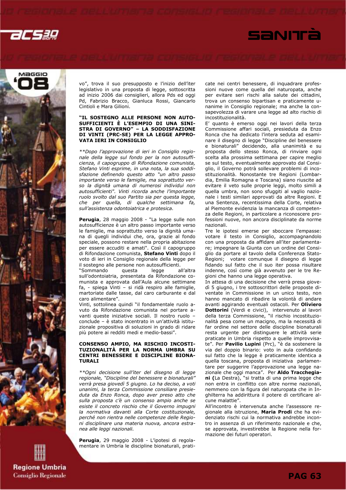





vo", trova il suo presupposto e l'inizio dell'iter legislativo in una proposta di legge, sottoscritta ad inizio 2006 dai consiglieri, allora Pds ed oggi Pd, Fabrizio Bracco, Gianluca Rossi, Giancarlo Cintioli e Mara Gilioni.

### "IL SOSTEGNO ALLE PERSONE NON AUTO-SUFFICIENTI È L'ESEMPIO DI UNA SINI-STRA DI GOVERNO" – LA SODDISFAZIONE DI VINTI (PRC-SE) PER LA LEGGE APPRO-VATA IERI IN CONSIGLIO

\*\*Dopo l'approvazione di ieri in Consiglio regionale della legge sul fondo per la non autosufficienza, il capogruppo di Rifondazione comunista, Stefano Vinti esprime, in una nota, la sua soddisfazione definendo questo atto "un altro passo importante verso le famiglie, ma soprattutto verso la dignità umana di numerosi individui non autosufficienti". Vinti ricorda anche l'importante ruolo svolto dal suo Partito sia per questa legge, che per quella, di qualche settimana fa, sull'assistenza odontoiatrica e protesica.

Perugia, 28 maggio 2008 - "La legge sulle non autosufficienze è un altro passo importante verso le famiglie, ma soprattutto verso la dignità umana di quegli individui che, ora, grazie al fondo speciale, possono restare nella propria abitazione per essere accuditi e amati". Così il capogruppo di Rifondazione comunista, Stefano Vinti dopo il voto di ieri in Consiglio regionale della legge per il sostegno alle persone non autosufficienti.

"Sommando questa legge all'altra sull'odontoiatria, presentata da Rifondazione comunista e approvata dall'Aula alcune settimane fa, - spiega Vinti – si ridà respiro alle famiglie, martoriate dalle tasse, dal caro carburante e dal caro alimentare".

Vinti, sottolinea quindi "il fondamentale ruolo avuto da Rifondazione comunista nel portare avanti queste iniziative sociali. Il nostro ruolo – conclude – è stato incentrato in un'attività istituzionale propositiva di soluzioni in grado di ridare più potere ai redditi medi e medio-bassi".

### CONSENSO AMPIO, MA RISCHIO INCOSTI-TUZIONALITÀ PER LA NORMA UMBRA SU CENTRI BENESSERE E DISCIPLINE BIONA-TURALI

\*\*Ogni decisione sull'iter del disegno di legge regionale, "Discipline del benessere e bionaturali" verrà presa giovedì 5 giugno. Lo ha deciso, a voti unanimi, la terza Commissione consiliare presieduta da Enzo Ronca, dopo aver preso atto che sulla proposta c'è un consenso ampio anche se esiste il concreto rischio che il Governo impugni la normativa davanti alla Corte costituzionale, perché non rientra nelle competenze delle Regioni disciplinare una materia nuova, ancora estranea alle leggi nazionali.

Perugia, 29 maggio 2008 - L'ipotesi di regolamentare in Umbria le discipline bionaturali, praticate nei centri benessere, di inquadrare professioni nuove come quella del naturopata, anche per evitare seri rischi alla salute dei cittadini, trova un consenso bipartisan e praticamente unanime in Consiglio regionale; ma anche la consapevolezza di varare una legge ad alto rischio di incostituzionalità.

E' quanto è emerso oggi nei lavori della terza Commissione affari sociali, presieduta da Enzo Ronca che ha dedicato l'intera seduta ad esaminare il disegno di legge "Discipline del benessere e bionaturali" decidendo, alla unanimità e su proposta dello stesso Ronca, di rinviare ogni scelta alla prossima settimana per capire meglio se sul testo, eventualmente approvato dal Consiglio, il Governo potrà sollevare problemi di incostituzionalità. Nonostante tre Regioni (Lombardia, Emilia Romagna e Toscana) siano riuscite ad evitare il veto sulle proprie leggi, molto simili a quella umbra, non sono sfuggiti al vaglio nazionale i testi similari approvati da altre Regioni. E una Sentenza, recentissima della Corte, relativa al Piemonte evidenzia la mancanza di competenza delle Regioni, in particolare a riconoscere professioni nuove, non ancora disciplinate da norme nazionali.

Tre le ipotesi emerse per sboccare l'empasse: votare il testo in Consiglio, accompagnandolo con una proposta da affidare all'iter parlamentare; impegnare la Giunta con un ordine del Consiglio da portare al tavolo della Conferenza Stato-Regioni; votare comunque il disegno di legge fidando sul fatto che il suo iter possa risultare indenne, così come già avvenuto per le tre Regioni che hanno una legge operativa.

In attesa di una decisione che verrà presa giovedì 5 giugno, i tre sottoscrittori delle proposte diventate in Commissione in un unico testo, non hanno mancato di ribadire la volontà di andare avanti aggirando eventuali ostacoli. Per Oliviero Dottorini (Verdi e civici), intervenuto al lavori della terza Commissione, "il rischio incostituzionalità pesa come un macigno, ma la necessità di far ordine nel settore delle discipline bionaturali resta urgente per distinguere le attività serie praticate in Umbria rispetto a quelle improvvisate". Per Pavilio Lupini (Prc), "è da sostenere la via del doppio binario: voto in aula confidando sul fatto che la legge è praticamente identica a quella toscana, proposta di iniziativa parlamentare per suggerire l'approvazione una legge nazionale che oggi manca". Per Aldo Tracchegiani (La Destra), "si tratta di una prima legge che non entra in conflitto con altre norme nazionali, nemmeno con la figura del naturopata che in Inghilterra ha addirittura il potere di certificare alcune malattie".

All'incontro è intervenuta anche l'assessore regionale alla istruzione, Maria Prodi che ha evidenziato rischi cui la normativa andrebbe incontro in assenza di un riferimento nazionale e che, se approvata, investirebbe la Regione nella formazione dei futuri operatori.

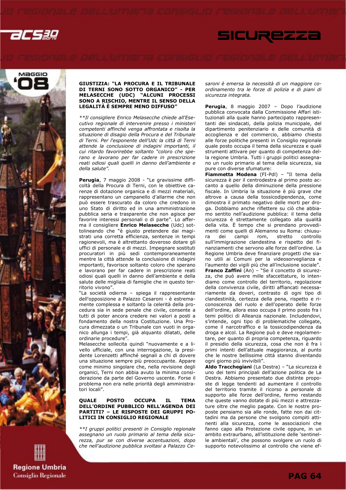



### GIUSTIZIA: "LA PROCURA E IL TRIBUNALE DI TERNI SONO SOTTO ORGANICO" - PER MELASECCHE (UDC) "ALCUNI PROCESSI SONO A RISCHIO, MENTRE IL SENSO DELLA LEGALITÀ È SEMPRE MENO DIFFUSO"

\*\*Il consigliere Enrico Melasecche chiede all'Esecutivo regionale di intervenire presso i ministeri competenti affinché venga affrontata e risolta la situazione di disagio della Procura e del Tribunale di Terni. Per l'esponente dell'Udc la città di Terni attende la conclusione di indagini importanti, il cui ritardo favorirebbe soltanto "coloro che sperano e lavorano per far cadere in prescrizione reati odiosi quali quelli in danno dell'ambiente e della salute".

Perugia, 7 maggio 2008 - "Le gravissime difficoltà della Procura di Terni, con le obiettive carenze di dotazione organica e di mezzi materiali, rappresentano un campanello d'allarme che non può essere trascurato da coloro che credono in uno Stato di diritto ed in una amministrazione pubblica seria e trasparente che non agisce per favorire interessi personali o di parte". Lo afferma il consigliere Enrico Melasecche (Udc) sottolineando che "è giusto pretendere dai magistrati una corretta efficienza, sentenze in tempi ragionevoli, ma è altrettanto doveroso dotare gli uffici di personale e di mezzi. Impegnare sostituti procuratori in più sedi contemporaneamente mentre la città attende la conclusione di indagini importanti, favorisce soltanto coloro che sperano e lavorano per far cadere in prescrizione reati odiosi quali quelli in danno dell'ambiente e della salute delle migliaia di famiglie che in questo territorio vivono".

"La società odierna – spiega il rappresentante dell'opposizione a Palazzo Cesaroni - è estremamente complessa e soltanto la celerità della procedura sia in sede penale che civile, consente a tutti di poter ancora credere nei valori a posti a fondamento della nostra Costituzione. Una Procura dimezzata o un Tribunale con vuoti in organico allunga i tempi, già alquanto dilatati, delle ordinarie procedure".

Melasecche sollecita quindi "nuovamente e a livello ufficiale, con una interrogazione, la presidente Lorenzetti affinché segnali a chi di dovere una situazione sempre più preoccupante. Appare come minimo singolare che, nella revisione degli organici, Terni non abbia avuto la minima considerazione da parte del Governo uscente. Forse il problema non era nelle priorità degli amministratori locali".

### QUALE POSTO OCCUPA IL TEMA DELL'ORDINE PUBBLICO NELL'AGENDA DEI PARTITI? – LE RISPOSTE DEI GRUPPI PO-LITICI IN CONSIGLIO REGIONALE

\*\*I gruppi politici presenti in Consiglio regionale assegnano un ruolo primario al tema della sicurezza, pur se con diverse accentuazioni, dopo che nell'audizione pubblica svoltasi a Palazzo Cesaroni è emersa la necessità di un maggiore coordinamento tra le forze di polizia e di piani di sicurezza integrata.

SICUREZZI

Perugia, 8 maggio 2007 – Dopo l'audizione pubblica convocata dalla Commissione Affari istituzionali alla quale hanno partecipato rappresentanti dei sindacati, della polizia municipale, del dipartimento penitenziario e delle comunità di accoglienza e del commercio, abbiamo chiesto alle forze politiche presenti in Consiglio regionale quale posto occupa il tema della sicurezza e quali strumenti attivare per quanto di competenza della regione Umbria. Tutti i gruppi politici assegnano un ruolo primario al tema della sicurezza, sia pure con diverse sfumature:

Fiammetta Modena (FI-Pdl) - "Il tema della sicurezza è per il centrodestra al primo posto accanto a quello della diminuzione della pressione fiscale. In Umbria la situazione è più grave che altrove a causa della tossicodipendenza, come dimostra il primato negativo delle morti per droga. Dobbiamo anche riflettere su ciò che abbiamo sentito nell'audizione pubblica: il tema della sicurezza è strettamente collegato alla qualità della vita. È tempo che si prendano provvedimenti come quelli di Alemanno su Roma: chiusura dei campi rom, stretto controllo sull'immigrazione clandestina e rispetto dei finanziamenti che servono alle forze dell'ordine. La Regione Umbria deve finanziare progetti che siano utili ai Comuni per la videosorveglianza e l'aumento dei vigili più che all'inclusione sociale". Franco Zaffini (An) – "Se il concetto di sicurezza, che può avere mille sfaccettature, lo intendiamo come controllo del territorio, regolazione della convivenza civile, diritti affiancati necessariamente da doveri, contrasto di ogni tipo di clandestinità, certezza della pena, rispetto e riconoscenza del ruolo e dell'operato delle forze dell'ordine, allora esso occupa il primo posto fra i temi politici di Alleanza nazionale. Includendovi, s'intende, ogni tipo di problematiche collegate, come il narcotraffico e la tossicodipendenza da droga e alcol. La Regione può e deve regolamentare, per quanto di propria competenza, riguardo il presidio della sicurezza, cosa che non è fra i primi intenti dell'attuale maggioranza, al punto che le nostre bellissime città stanno diventando ogni giorno più invivibili".

Aldo Tracchegiani (La Destra) – "La sicurezza è uno dei temi principali dell'azione politica de La Destra. Abbiamo presentato due distinte proposte di legge tendenti ad aumentare il controllo del territorio tramite il ricorso a personale di supporto alle forze dell'ordine, fermo restando che queste vanno dotate di più mezzi e attrezzature oltre che meglio pagate. Con le nostre proposte pensiamo sia alle ronde, fatte non dai cittadini ma da persone che svolgono compiti attinenti alla sicurezza, come le associazioni che fanno capo alla Protezione civile oppure, in un ambito extraurbano, all'istituzione delle 'sentinelle ambientali', che possono svolgere un ruolo di supporto notevolissimo al controllo che viene ef-

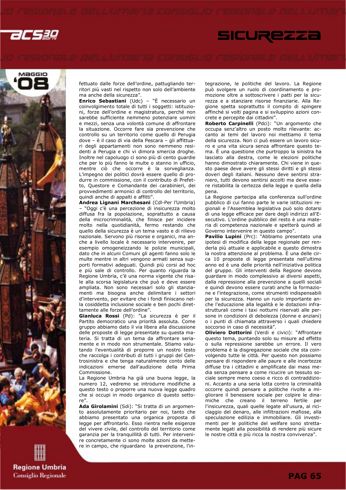





fettuato dalle forze dell'ordine, pattugliando territori più vasti nel rispetto non solo dell'ambiente ma anche della sicurezza".

Enrico Sebastiani (Udc) – "È necessario un coinvolgimento totale di tutti i soggetti: istituzioni, forze dell'ordine e magistratura, perché non sarebbe sufficiente nemmeno potenziare uomini e mezzi, senza una volontà comune di affrontare la situazione. Occorre fare sia prevenzione che controllo su un territorio come quello di Perugia dove – è il caso di via della Pescara – gli affittuari degli appartamenti non sono nemmeno residenti a Perugia e chi vi dimora smercia droghe. Inoltre nel capoluogo ci sono più di cento guardie che per lo più fanno le multe o stanno in ufficio, mentre ciò che occorre è la sorveglianza. L'impegno dei politici dovrà essere quello di produrre in commissione, con il contributo di Prefetto, Questore e Comandante dei carabinieri, dei provvedimenti armonici di controllo del territorio, quindi anche di appalti e affitti".

Andrea Lignani Marchesani (Cdl-Per l'Umbria) – "Oggi c'è una percezione di insicurezza molto diffusa fra la popolazione, soprattutto a causa della microcriminalità, che finisce per incidere molto nella quotidianità, fermo restando che quello della sicurezza è un tema vasto e di rilievo nazionale. Servono più risorse e organici, ma anche a livello locale è necessario intervenire, per esempio omogeneizzando le polizie municipali, dato che in alcuni Comuni gli agenti fanno solo le multe mentre in altri vengono armati senza supporti formativi adeguati. Quindi più corsi ad hoc e più sale di controllo. Per quanto riguarda la Regione Umbria, c'è una norma vigente che risale alla scorsa legislatura che può e deve essere ampliata. Non sono necessari solo gli stanziamenti ma bisogna anche delimitare i settori d'intervento, per evitare che i fondi finiscano nella cosiddetta inclusione sociale e ben pochi direttamente alle forze dell'ordine".

Gianluca Rossi (Pd): "La sicurezza è per il Partito democratico una priorità assoluta. Come gruppo abbiamo dato il via libera alla discussione delle proposte di legge presentate su questa materia. Si tratta di un tema da affrontare seriamente e in modo non strumentale. Stiamo valutando l'eventualità di proporre un nostro testo che raccolga i contributi di tutti i gruppi del Centrosinistra e che tenga naturalmente conto delle indicazioni emerse dall'audizione della Prima Commissione.

La Regione Umbria ha già una buona legge, la numero 12, vedremo se introdurre modifiche a questo testo o proporre una nuova legge quadro che si occupi in modo organico di questo settore".

Ada Girolamini (Sdi): "Si tratta di un argomento assolutamente prioritario per noi, tanto che abbiamo presentato una organica proposta di legge per affrontarlo. Esso rientra nelle esigenze del vivere civile, del controllo del territorio come garanzia per la tranquillità di tutti. Per intervenire concretamente ci sono molte azioni da mettere in campo, che riguardano la prevenzione, l'integrazione, le politiche del lavoro. La Regione può svolgere un ruolo di coordinamento e promozione oltre a sottoscrivere i patti per la sicurezza e a stanziare risorse finanziarie. Alla Regione spetta soprattutto il compito di spingere affinché si volti pagina e si sviluppino azioni concrete e percepite dai cittadini".

Roberto Carpinelli (Pdci): "Un argomento che occupa senz'altro un posto molto rilevante: accanto ai temi del lavoro noi mettiamo il tema della sicurezza. Non ci può essere un lavoro sicuro e una vita sicura senza affrontare questo tema. È una questione che purtroppo la sinistra ha lasciato alla destra, come le elezioni politiche hanno dimostrato chiaramente. Chi viene in questo paese deve avere gli stessi diritti e gli stessi doveri degli italiani. Nessuno deve sentirsi straniero, tutti devono sentirsi accolti ma deve essere ristabilita la certezza della legge e quella della pena.

La Regione partecipa alla conferenza sull'ordine pubblico di cui fanno parte le varie istituzioni regionali e l'Assemblea legislativa può solo dotarsi di una legge efficace per dare degli indirizzi all'Esecutivo. L'ordine pubblico del resto è una materia di competenza nazionale e spetterà quindi al Governo intervenire in questo campo".

Pavilio Lupini (Prc): "Abbiamo presentato una ipotesi di modifica della legge regionale per renderla più attuale e applicabile e questo dimostra la nostra attenzione al problema. È una delle circa 10 proposte di legge presentate nell'ultimo anno ed è una delle priorità nell'iniziativa politica del gruppo. Gli interventi della Regione devono guardare in modo complessivo ai diversi aspetti, dalla repressione alla prevenzione a quelli sociali e quindi devono essere curati anche la formazione e l'integrazione, come strumenti indispensabili per la sicurezza. Hanno un ruolo importante anche l'educazione alla legalità e le dotazioni infrastrutturali come i taxi notturni riservati alle persone in condizioni di debolezza (donne e anziani) o i punti di chiamata attraverso i quali chiedere soccorso in caso di necessità".

Oliviero Dottorini (Verdi e civici): "Affrontare questo tema, puntando solo su misure ad effetto o sulla repressione sarebbe un errore. Il vero problema è la disgregazione sociale che sta coinvolgendo tutte le città. Per questo non possiamo pensare di rispondere alle paure e alle incertezze diffuse tra i cittadini e amplificate dai mass media senza pensare a come ricucire un tessuto sociale sempre meno coeso e ricco di contraddizioni. Accanto a una seria lotta contro la criminalità occorre quindi pensare a politiche rivolte a migliorare il benessere sociale per colpire le dinamiche che creano il terreno fertile per l'insicurezza, quali quelle legate all'usura, al riciclaggio del denaro, alle infiltrazioni mafiose, alla speculazione edilizia e immobiliare. Gli investimenti per le politiche del welfare sono strettamente legati alla possibilità di rendere più sicure le nostre città e più ricca la nostra convivenza".

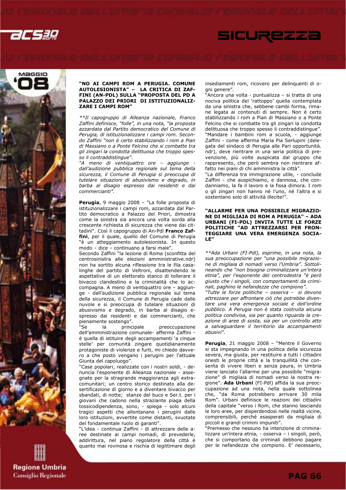



### "NO AI CAMPI ROM A PERUGIA. COMUNE AUTOLESIONISTA" – LA CRITICA DI ZAF-FINI (AN-PDL) SULLA "PROPOSTA DEL PD A PALAZZO DEI PRIORI DI ISTITUZIONALIZ-ZARE I CAMPI ROM"

\*\*Il capogruppo di Alleanza nazionale, Franco Zaffini definisce, "folle", in una nota, "la proposta azzardata dal Partito democratico del Comune di Perugia, di istituzionalizzare i campi rom. Secondo Zaffini "non è certo stabilizzando i rom a Pian di Massiano o a Ponte Felcino che si combatte tra gli zingari la condotta delittuosa che troppo spesso li contraddistingue".

"A meno di ventiquattro ore - aggiunge dall'audizione pubblica regionale sul tema della sicurezza, il Comune di Perugia si preoccupa di tutelare situazioni di abusivismo e degrado, in barba al disagio espresso dai residenti e dai commercianti".

Perugia, 9 maggio 2008 – "La folle proposta di istituzionalizzare i campi rom, azzardata dal Partito democratico a Palazzo dei Priori, dimostra come la sinistra sia ancora una volta sorda alla crescente richiesta di sicurezza che viene dai cittadini". Così il capogruppo di An-Pdl Franco Zaffini, per il quale, quello del Comune di Perugia "è un atteggiamento autolesionista. In questo modo – dice – continuano a farsi male".

Secondo Zaffini "la lezione di Roma (sconfitta del centrosinistra alle elezioni amministrative.ndr) non ha sortito alcuna riflessione tra le fila casalinghe del partito di Veltroni, disattendendo le aspettative di un elettorato stanco di tollerare il bivacco clandestino e la criminalità che lo accompagna. A meno di ventiquattro ore – aggiunge - dall'audizione pubblica regionale sul tema della sicurezza, il Comune di Perugia cade dalle nuvole e si preoccupa di tutelare situazioni di abusivismo e degrado, in barba al disagio espresso dai residenti e dai commercianti, che pienamente sostengo".

"Se la principale preoccupazione dell'amministrazione comunale- afferma Zaffini è quella di istituire degli accampamenti 'a cinque stelle' per comunità zingare quotidianamente protagoniste di violenze e furti, mi chiedo davvero a che posto vengano i perugini per l'attuale Giunta del capoluogo".

"Case popolari, realizzate con i nostri soldi, - denuncia l'esponente di Alleanza nazionale - assegnate per la stragrande maggioranza agli extracomunitari; un centro storico destinato alla desertificazione di giorno e a diventare bivacco per sbandati, di notte; stanze del buco e Ser.t. per i giovani che cadono nella straziante piaga della tossicodipendenza, sono, - spiega - solo alcuni tragici aspetti che allontanano i perugini dalle loro istituzioni, avvertite come distanti, svuotate del fondamentale ruolo di garanti".

"L'idea - continua Zaffini - di attrezzare delle aree destinate ai campi nomadi, di prevederle, addirittura, nel piano regolatore della città è quanto mai rovinosa e rischia di legittimare degli insediamenti rom, ricovero per delinquenti di ogni genere".

**SICUREZZI** 

"Ancora una volta - puntualizza – si tratta di una nociva politica del 'rattoppo' quella contemplata da una sinistra che, sebbene cambi forma, rimane legata ai contenuti di sempre. Non è certo stabilizzando i rom a Pian di Massiano o a Ponte Felcino che si combatte tra gli zingari la condotta delittuosa che troppo spesso li contraddistingue". "Mandare i bambini rom a scuola, - aggiunge Zaffini - come afferma Maria Pia Serlupini (delegata del sindaco di Perugia alle Pari opportunità. ndr), deve rientrare in una seria politica di prevenzione, più volte auspicata dal gruppo che rappresento, che però sembra non rientrare affatto nei piani di chi amministra la città".

"La differenza tra immigrazione utile, - conclude Zaffini - che auspichiamo, e dannosa, che condanniamo, la fa il lavoro e la fissa dimora. I rom o gli zingari non hanno né l'uno, né l'altra e si sostentano solo di attività illecite!".

### "ALLARME PER UNA POSSIBILE MIGRAZIO-NE DI MIGLIAIA DI ROM A PERUGIA" – ADA URBANI (FI-PDL) INVITA TUTTE LE FORZE POLITICHE "AD ATTREZZARSI PER FRON-TEGGIARE UNA VERA EMERGENZA SOCIA-LE"

\*\*Ada Urbani (FI-Pdl), esprime, in una nota, la sua preoccupazione per "una possibile migrazione di migliaia di nomadi verso l'Umbria". Sottolineando che "non bisogna criminalizzare un'intera etnia", per l'esponente del centrodestra "è però giusto che i singoli, con comportamenti da criminali, paghino le nefandezze che compiono".

"Tutte le forze politiche – osserva - si devono attrezzare per affrontare ciò che potrebbe diventare una vera emergenza sociale e dell'ordine pubblico. A Perugia non è stata costruita alcuna politica condivisa, sia per quanto riguarda la creazione di aree di sosta, sia per un controllo atto a salvaguardare il territorio da accampamenti abusivi".

Perugia, 21 maggio 2008 - "Mentre il Governo si sta impegnando in una politica della sicurezza severa, ma giusta, per restituire a tutti i cittadini onesti le proprie città e la tranquillità che consenta di vivere liberi e senza paura, in Umbria viene lanciato l'allarme per una possibile "migrazione" di migliaia di nomadi verso la nostra regione". Ada Urbani (FI-Pdl) affida la sua preoccupazione ad una nota, nella quale sottolinea che, "da Roma potrebbero arrivare 30 mila Rom". Urbani definisce le reazioni dei cittadini della capitale "verso i Rom, che stanno lasciando le loro aree, per disperdendosi nelle realtà vicine, comprensibili, perché esasperati da migliaia di piccoli e grandi crimini impuniti".

"Premesso che nessuno ha intenzione di criminalizzare un'intera etnia, - osserva – i singoli, però, che si comportano da criminali debbono pagare per le nefandezze che compiono. E' necessario,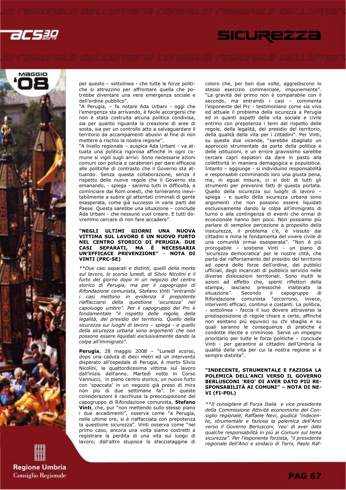acsag





per questo – sottolinea - che tutte le forze politiche si attrezzino per affrontare quella che potrebbe diventare una vera emergenza sociale e dell'ordine pubblico".

"A Perugia, – fa notare Ada Urbani - oggi che l'emergenza sta arrivando, è facile accorgersi che non è stata costruita alcuna politica condivisa, sia per quanto riguarda la creazione di aree di sosta, sia per un controllo atto a salvaguardare il territorio da accampamenti abusivi al fine di non mettere a rischio la nostra regione".

"A livello regionale – auspica Ada Urbani - va attuata una politica rigorosa affinché in ogni comune si vigili sugli arrivi. Sono necessarie azioni comuni con polizia e carabinieri per dare efficacia alle politiche di contrasto che il Governo sta attuando. Senza questa collaborazione, senza il rispetto delle nuove regole che il Governo sta emanando, - spiega - saremo tutti in difficoltà, a cominciare dai Rom onesti, che torneranno inevitabilmente a subire gli attentati criminali di gente esasperata, come già successo in varie parti del Paese. Questa sarebbe una situazione – conclude Ada Urbani - che nessuno vuol creare. E tutti dovremmo cercare di non fare accadere".

### "NEGLI ULTIMI GIORNI UNA NUOVA VITTIMA SUL LAVORO E UN NUOVO FURTO NEL CENTRO STORICO DI PERUGIA. DUE CASI SEPARATI, MA È NECESSARIA UN'EFFICACE PREVENZIONE" – NOTA DI VINTI (PRC-SE)

\*\*Due casi separati e distinti, quelli della morte sul lavoro, lo scorso lunedì, di Silvio Nicolini e il furto del giorno dopo in un negozio del centro storico di Perugia, ma per il capogruppo di Rifondazione comunista, Stefano Vinti "entrambi i casi mettono in evidenza il prepotente riaffacciarsi della questione 'sicurezza' nel capoluogo umbro". Per il capogruppo del Prc è fondamentale "il rispetto delle regole, della legalità, del presidio del territorio. Quello della sicurezza sui luoghi di lavoro – spiega - e quello della sicurezza urbana sono argomenti che non possono essere liquidati esclusivamente dando la colpa all'immigrato".

Perugia, 28 maggio 2008 - "Lunedì scorso, dopo una caduta di dieci metri ed un intervento disperato all'ospedale di Perugia, è morto Silvio Nicolini, la quattordicesima vittima sul lavoro dall'inizio dell'anno. Martedì notte in Corso Vannucci, in pieno centro storico, un nuovo furto con 'spaccata' in un negozio già preso di mira non più di due settimane fa". In queste considerazioni è racchiusa la preoccupazione del capogruppo di Rifondazione comunista, Stefano Vinti, che, pur "non mettendo sullo stesso piano i due accadimenti", osserva come "a Perugia, nelle ultime ore, si è riaffacciata con prepotenza la questione sicurezza". Vinti osserva come "nel primo caso, ancora una volta siamo costretti a registrare la perdita di una vita sul luogo di lavoro; dall'altro stupisce la sfacciataggine di

coloro che, per ben due volte, aggrediscono lo stesso esercizio commerciale, impunemente". "La gravità del primo non è comparabile con il secondo, ma entrambi i casi – commenta l'esponente del Prc - testimoniano come sia vivo ed attuale il problema della sicurezza a Perugia ed in quanti aspetti della vita sociale e civile entrino con prepotenza i temi del rispetto delle regole, della legalità, del presidio del territorio, della qualità della vita per i cittadini". Per Vinti, su queste due vicende, "sarebbe sbagliato un approccio strumentale da parte della politica e delle istituzioni, e un errore gravissimo sarebbe cercare capri espiatori da dare in pasto alla collettività in maniera demagogica e populistica. Intanto – aggiunge - si individuino responsabilità e responsabili comminando loro una giusta pena, ma, in egual misura, ci si doti di tutti gli strumenti per prevenire fatti di questa portata. Quello della sicurezza sui luoghi di lavoro – spiega - e quello della sicurezza urbana sono argomenti che non possono essere liquidati esclusivamente dando la colpa all'immigrato di turno o alla contingenza di eventi che ormai di eccezionale hanno ben poco. Non possiamo più parlare di semplice percezione a proposito della insicurezza, il problema c'è, è vissuto dai cittadini e mina le fondamenta del vivere civile di una comunità ormai esasperata". "Non è più prorogabile – sostiene Vinti - un piano di 'sicurezza democratica' per le nostre città, che parta dal rafforzamento del presidio del territorio ad opera delle forze dell'ordine, dei pubblici ufficiali, degli incaricati di pubblico servizio nelle diverse dislocazioni territoriali. Sono inutili le azioni ad effetto che, spenti riflettori della stampa, lasciano pressoché inalterata la situazione". Secondo il capogruppo di Rifondazione comunista "occorrono, invece, interventi efficaci, continui e costanti. La politica, sottolinea - faccia il suo dovere attraverso la predisposizione di regole chiare e certe, affinché non esistano più equivoci su chi sbaglia e su quali saranno le conseguenze di pratiche e condotte illecite e criminose. Serve un impegno prioritario per tutte le forze politiche – conclude Vinti - per garantire ai cittadini dell'Umbria la qualità della vita per cui la nostra regione si è sempre distinta".

### "INDECENTE, STRUMENTALE E FAZIOSA LA POLEMICA DELL'ANCI VERSO IL GOVERNO BERLUSCONI 'REO' DI AVER DATO PIÙ RE-SPONSABILITÀ AI COMUNI" – NOTA DI NE-VI (FI-PDL)

\*\*Il consigliere di Forza Italia e vice presidente della Commissione Attività economiche del Consiglio regionale, Raffaele Nevi, giudica "indecente, strumentale e faziosa la polemica dell'Anci verso il Governo Berlusconi, 'reo' di aver dato qualche responsabilità in più ai Comuni sul tema sicurezza". Per l'esponente forzista, "il presidente regionale dell'Anci e sindaco di Terni, Paolo Raf-

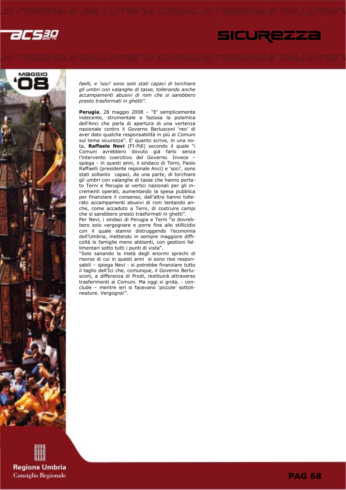





faelli, e 'soci' sono solo stati capaci di torchiare gli umbri con valanghe di tasse, tollerando anche accampamenti abusivi di rom che si sarebbero presto trasformati in ghetti".

Perugia, 28 maggio 2008 - "E' semplicemente indecente, strumentale e faziosa la polemica dell'Anci che parla di apertura di una vertenza nazionale contro il Governo Berlusconi 'reo' di aver dato qualche responsabilità in più ai Comuni sul tema sicurezza". E' quanto scrive, in una nota, **Raffaele Nevi** (FI-Pdl) secondo il quale "i Comuni avrebbero dovuto già farlo senza l'intervento coercitivo del Governo. Invece – spiega - in questi anni, il sindaco di Terni, Paolo Raffaelli (presidente regionale Anci) e 'soci', sono stati soltanto capaci, da una parte, di torchiare gli umbri con valanghe di tasse che hanno portato Terni e Perugia ai vertici nazionali per gli incrementi operati, aumentando la spesa pubblica per finanziare il consenso, dall'altra hanno tollerato accampamenti abusivi di rom tentando anche, come accaduto a Terni, di costruire campi che si sarebbero presto trasformati in ghetti". Per Nevi, i sindaci di Perugia e Terni "si dovreb-

bero solo vergognare e porre fine allo stillicidio con il quale stanno distruggendo l'economia dell'Umbria, mettendo in sempre maggiore difficoltà le famiglie meno abbienti, con gestioni fallimentari sotto tutti i punti di vista".

"Solo sanando la metà degli enormi sprechi di risorse di cui in questi anni si sono resi responsabili – spiega Nevi - si potrebbe finanziare tutto il taglio dell'Ici che, comunque, il Governo Berlusconi, a differenza di Prodi, restituirà attraverso trasferimenti ai Comuni. Ma oggi si grida, - conclude – mentre ieri si facevano 'piccole' sottolineature. Vergogna!".

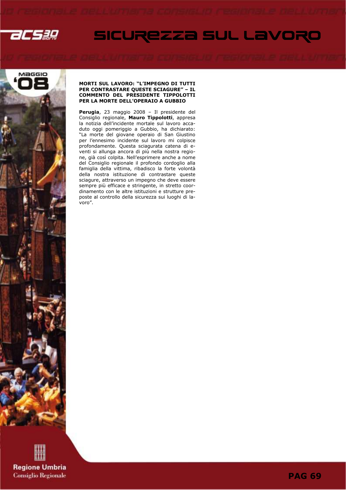

# Maggio

### MORTI SUL LAVORO: "L'IMPEGNO DI TUTTI PER CONTRASTARE QUESTE SCIAGURE" – IL COMMENTO DEL PRESIDENTE TIPPOLOTTI PER LA MORTE DELL'OPERAIO A GUBBIO

SICUREZZA SUL LAVORO

Perugia, 23 maggio 2008 - Il presidente del Consiglio regionale, Mauro Tippolotti, appresa la notizia dell'incidente mortale sul lavoro accaduto oggi pomeriggio a Gubbio, ha dichiarato: "La morte del giovane operaio di San Giustino per l'ennesimo incidente sul lavoro mi colpisce profondamente. Questa sciagurata catena di eventi si allunga ancora di più nella nostra regione, già così colpita. Nell'esprimere anche a nome del Consiglio regionale il profondo cordoglio alla famiglia della vittima, ribadisco la forte volontà della nostra istituzione di contrastare queste sciagure, attraverso un impegno che deve essere sempre più efficace e stringente, in stretto coordinamento con le altre istituzioni e strutture preposte al controllo della sicurezza sui luoghi di lavoro".

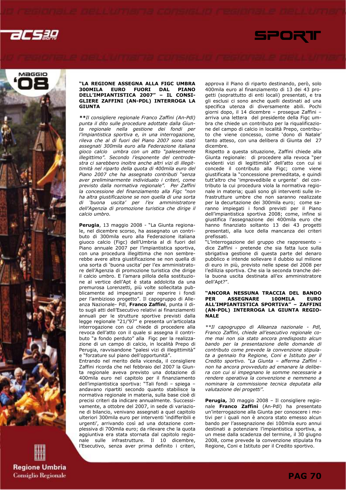



"LA REGIONE ASSEGNA ALLA FIGC UMBRA 300MILA EURO FUORI DAL PIANO DELL'IMPIANTISTICA 2007" – IL CONSI-GLIERE ZAFFINI (AN-PDL) INTERROGA LA GIUNTA

\*\*Il consigliere regionale Franco Zaffini (An-Pdl) punta il dito sulle procedure adottate dalla Giunta regionale nella gestione dei fondi per l'impiantistica sportiva e, in una interrogazione, rileva che al di fuori del Piano 2007 sono stati assegnati 300mila euro alla Federazione italiana gioco calcio umbra con un atto "palesemente illegittimo". Secondo l'esponente del centrodestra ci sarebbero inoltre anche altri vizi di illegittimità nel riparto della quota di 400mila euro del Piano 2007 che ha assegnato contributi "senza aver preliminarmente individuato i criteri, come previsto dalla normativa regionale". Per Zaffini la concessione del finanziamento alla Figc "non ha altra giustificazione se non quella di una sorta di 'buona uscita' per l'ex amministratore dell'Agenzia di promozione turistica che dirige il calcio umbro.

Perugia, 13 maggio 2008 - "La Giunta regionale, nel dicembre scorso, ha assegnato un contributo di 300mila euro alla Federazione italiana giuoco calcio (Figc) dell'Umbria al di fuori del Piano annuale 2007 per l'impiantistica sportiva, con una procedura illegittima che non sembrerebbe avere altra giustificazione se non quella di una sorta di 'buona uscita' per l'ex amministratore dell'Agenzia di promozione turistica che dirige il calcio umbro. E l'amara pillola della sostituzione al vertice dell'Apt è stata addolcita da una premurosa Lorenzetti, più volte sollecitata pubblicamente ad impegnarsi per reperire i fondi per l'ambizioso progetto". Il capogruppo di Alleanza Nazionale- Pdl, Franco Zaffini, punta il dito sugli atti dell'Esecutivo relativi ai finanziamenti annuali per le strutture sportive previsti dalla legge regionale "21/'97" e presenta un'articolata interrogazione con cui chiede di procedere alla revoca dell'atto con il quale si assegna il contributo "a fondo perduto" alla Figc per la realizzazione di un campo di calcio, in località Prepo di Perugia, ravvisandone "palesi vizi di illegittimità" e "forzature sul piano dell'opportunità".

Entrando nel merito della vicenda, il consigliere Zaffini ricorda che nel febbraio del 2007 la Giunta regionale aveva previsto una dotazione di 400mila euro nel capitolo per il finanziamento dell'impiantistica sportiva: "Tali fondi – spiega – andavano ripartiti secondo quanto stabilisce la normativa regionale in materia, sulla base cioè di precisi criteri da indicare annualmente. Successivamente, a ottobre del 2007, in sede di variazione di bilancio, venivano assegnati a quel capitolo ulteriori 300mila euro per interventi 'indifferibili e urgenti', arrivando così ad una dotazione complessiva di 700mila euro; da rilevare che la quota aggiuntiva era stata stornata dal capitolo regionale sulle infrastrutture. Il 10 dicembre, l'Esecutivo, senza aver prima definito i criteri,

approva il Piano di riparto destinando, però, solo 400mila euro al finanziamento di 13 dei 43 progetti (soprattutto di enti locali) presentati, e tra gli esclusi ci sono anche quelli destinati ad una specifica utenza di diversamente abili. Pochi giorni dopo, il 14 dicembre – prosegue Zaffini – arriva una lettera del presidente della Figc umbra che chiede un contributo per la riqualificazione del campo di calcio in località Prepo, contributo che viene concesso, come 'dono di Natale' tanto atteso, con una delibera di Giunta del 27 dicembre.

SPORT

Rispetto a questa situazione, Zaffini chiede alla Giunta regionale: di procedere alla revoca "per evidenti vizi di legittimità" dell'atto con cui si concede il contributo alla Figc; come viene giustificata la "concessione premeditata, e quindi tutt'altro che 'imprevedibile e urgente' del contributo la cui procedura viola la normativa regionale in materia; quali sono gli interventi sulle infrastrutture umbre che non saranno realizzate per la decurtazione dei 300mila euro; come saranno impiegati i fondi previsti per il Piano dell'impiantistica sportiva 2008; come, infine si giustifica l'assegnazione dei 400mila euro che hanno finanziato soltanto 13 dei 43 progetti presentati, alla luce della mancanza dei criteri prefissati.

"L'interrogazione del gruppo che rappresento – dice Zaffini - pretende che sia fatta luce sulla sbrigativa gestione di questa parte del denaro pubblico e intende sollevare il dubbio sul milione di euro in più, previsto nelle spese del 2008 per l'edilizia sportiva. Che sia la seconda tranche della buona uscita destinata all'ex amministratore dell'Apt?".

### "ANCORA NESSUNA TRACCIA DEL BAND<mark>O</mark><br>PER ASSEGNARE 100MILA EURO PER ASSEGNARE 100MILA EURO ALL'IMPIANTISTICA SPORTIVA" – ZAFFINI (AN-PDL) INTERROGA LA GIUNTA REGIO-NALE

\*\*Il capogruppo di Alleanza nazionale - Pdl, Franco Zaffini, chiede all'esecutivo regionale come mai non sia stato ancora predisposto alcun bando per la presentazione delle domande di contributo come prevede la convenzione stipulata a gennaio fra Regione, Coni e Istituto per il Credito sportivo. "La Giunta – afferma Zaffini non ha ancora provveduto ad emanare la delibera con cui si impegnano le somme necessarie a rendere operativa la convenzione e nemmeno a nominare la commissione tecnica deputata alla valutazione dei progetti".

Perugia, 30 maggio 2008 - Il consigliere regionale Franco Zaffini (An-Pdl) ha presentato un'interrogazione alla Giunta per conoscere i motivi per i quali non è ancora stato emesso alcun bando per l'assegnazione dei 100mila euro annui destinati a potenziare l'impiantistica sportiva, a un mese dalla scadenza del termine, il 30 giugno 2008, come prevede la convenzione stipulata fra Regione, Coni e Istituto per il Credito sportivo.

**PAG 70**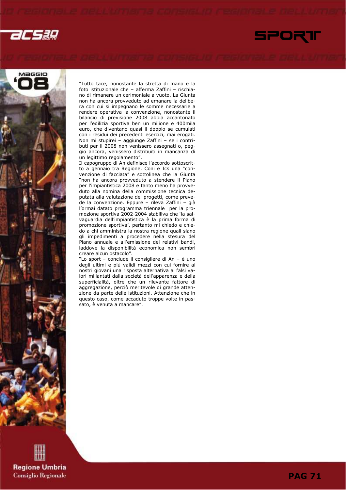acsæ





"Tutto tace, nonostante la stretta di mano e la foto istituzionale che – afferma Zaffini – rischiano di rimanere un cerimoniale a vuoto. La Giunta non ha ancora provveduto ad emanare la delibera con cui si impegnano le somme necessarie a rendere operativa la convenzione, nonostante il bilancio di previsione 2008 abbia accantonato per l'edilizia sportiva ben un milione e 400mila euro, che diventano quasi il doppio se cumulati con i residui dei precedenti esercizi, mai erogati. Non mi stupirei – aggiunge Zaffini – se i contributi per il 2008 non venissero assegnati o, peggio ancora, venissero distribuiti in mancanza di un legittimo regolamento".

Il capogruppo di An definisce l'accordo sottoscritto a gennaio tra Regione, Coni e Ics una "convenzione di facciata" e sottolinea che la Giunta "non ha ancora provveduto a stendere il Piano per l'impiantistica 2008 e tanto meno ha provveduto alla nomina della commissione tecnica deputata alla valutazione dei progetti, come prevede la convenzione. Eppure – rileva Zaffini – già l'ormai datato programma triennale per la promozione sportiva 2002-2004 stabiliva che 'la salvaguardia dell'impiantistica è la prima forma di promozione sportiva', pertanto mi chiedo e chiedo a chi amministra la nostra regione quali siano gli impedimenti a procedere nella stesura del Piano annuale e all'emissione dei relativi bandi, laddove la disponibilità economica non sembri creare alcun ostacolo".

"Lo sport – conclude il consigliere di An – è uno degli ultimi e più validi mezzi con cui fornire ai nostri giovani una risposta alternativa ai falsi valori millantati dalla società dell'apparenza e della superficialità, oltre che un rilevante fattore di aggregazione, perciò meritevole di grande attenzione da parte delle istituzioni. Attenzione che in questo caso, come accaduto troppe volte in passato, è venuta a mancare".

**Regione Umbria Consiglio Regionale**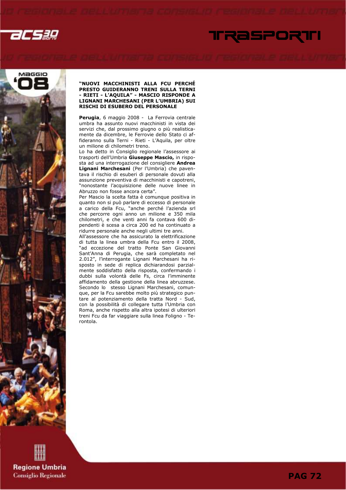





### "NUOVI MACCHINISTI ALLA FCU PERCHÉ PRESTO GUIDERANNO TRENI SULLA TERNI - RIETI - L'AQUILA" - MASCIO RISPONDE A LIGNANI MARCHESANI (PER L'UMBRIA) SUI RISCHI DI ESUBERO DEL PERSONALE

Perugia, 6 maggio 2008 - La Ferrovia centrale umbra ha assunto nuovi macchinisti in vista dei servizi che, dal prossimo giugno o più realisticamente da dicembre, le Ferrovie dello Stato ci affideranno sulla Terni - Rieti - L'Aquila, per oltre un milione di chilometri treno.

Lo ha detto in Consiglio regionale l'assessore ai trasporti dell'Umbria Giuseppe Mascio, in risposta ad una interrogazione del consigliere Andrea Lignani Marchesani (Per l'Umbria) che paventava il rischio di esuberi di personale dovuti alla assunzione preventiva di macchinisti e capotreni, "nonostante l'acquisizione delle nuove linee in Abruzzo non fosse ancora certa".

Per Mascio la scelta fatta è comunque positiva in quanto non si può parlare di eccesso di personale a carico della Fcu, "anche perché l'azienda srl che percorre ogni anno un milione e 350 mila chilometri, e che venti anni fa contava 600 dipendenti è scesa a circa 200 ed ha continuato a ridurre personale anche negli ultimi tre anni.

All'assessore che ha assicurato la elettrificazione di tutta la linea umbra della Fcu entro il 2008, "ad eccezione del tratto Ponte San Giovanni Sant'Anna di Perugia, che sarà completato nel 2.012", l'interrogante Lignani Marchesani ha risposto in sede di replica dichiarandosi parzialmente soddisfatto della risposta, confermando i dubbi sulla volontà delle Fs, circa l'imminente affidamento della gestione della linea abruzzese. Secondo lo stesso Lignani Marchesani, comunque, per la Fcu sarebbe molto più strategico puntare al potenziamento della tratta Nord - Sud, con la possibilità di collegare tutta l'Umbria con Roma, anche rispetto alla altra ipotesi di ulteriori treni Fcu da far viaggiare sulla linea Foligno - Terontola.

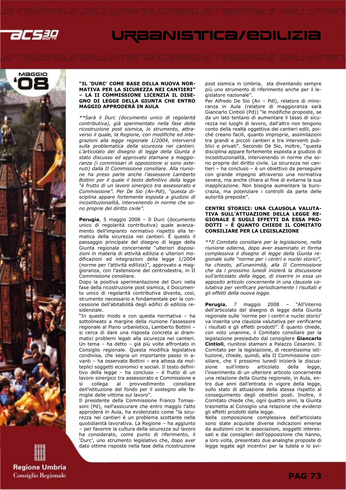



### "IL 'DURC' COME BASE DELLA NUOVA NOR-MATIVA PER LA SICUREZZA NEI CANTIERI" – LA II COMMISSIONE LICENZIA IL DISE-GNO DI LEGGE DELLA GIUNTA CHE ENTRO MAGGIO APPRODERÀ IN AULA

\*\*Sarà il Durc (documento unico di regolarità contributiva), già sperimentato nella fase della ricostruzione post sismica, lo strumento, attraverso il quale, la Regione, con modifiche ed integrazioni alla legge regionale 1/2004, interverrà sulla problematica della sicurezza nei cantieri. L'articolato del disegno di legge della Giunta è stato discusso ed approvato stamane a maggioranza (i commissari di opposizione si sono astenuti) dalla II Commissione consiliare. Alla riunione ha preso parte anche l'assessore Lamberto Bottini per il quale il testo definitivo della legge "è frutto di un lavoro sinergico tra assessorato e Commissione". Per De Sio (An-Pdl), "questa disciplina appare fortemente esposta a giudizio di incostituzionalità, intervenendo in norme che sono proprie del diritto civile".

Perugia, 5 maggio 2008 - Il Durc (documento unico di regolarità contributiva) quale avanzamento dell'impianto normativo rispetto alla tematica della sicurezza nei cantieri. È questo il passaggio principale del disegno di legge della Giunta regionale concernente "ulteriori disposizioni in materia di attività edilizia e ulteriori modificazioni ed integrazioni della legge 1/2004 (norme per l'attività edilizia)", approvato a maggioranza, con l'astensione del centrodestra, in II Commissione consiliare.

Dopo la positiva sperimentazione del Durc nella fase della ricostruzione post sismica, il Documento unico di regolarità contributiva diventa, così, strumento necessario e fondamentale per la concessione dell'abitabilità degli edifici di edilizia residenziale.

"In questo modo e con questa normativa – ha sottolineato a margine della riunione l'assessore regionale al Piano urbanistico, Lamberto Bottini – si cerca di dare una risposta concreta ai drammatici problemi legati alla sicurezza nei cantieri. Un tema – ha detto – già più volte affrontato in Consiglio regionale. Questa modifica legislativa condivisa, che segna un importante passo in avanti – ha osservato Bottini – era attesa da molteplici soggetti economici e sociali. Il testo definitivo della legge – ha concluso – è frutto di un lavoro sinergico tra assessorato e Commissione e provvedimento consiliare dell'istituzione del fondo per il sostegno alle famiglie delle vittime sul lavoro".

Il presidente della Commissione Franco Tomassoni (Pd), nell'assicurare che entro maggio l'atto approderà in Aula, ha evidenziato come "la sicurezza nei cantieri è un problema scottante nella quotidianità lavorativa. La Regione – ha aggiunto – per favorire la cultura della sicurezza sul lavoro ha considerato, come punto di riferimento, il 'Durc', uno strumento legislativo che, dopo aver dato ottime risposte nella fase della ricostruzione post sismica in Umbria, sta diventando sempre più uno strumento di riferimento anche per il legislatore nazionale".

Per Alfredo De Sio (An – Pdl), relatore di minoranza in Aula (relatore di maggioranza sarà Giancarlo Cintioli (Pd)) "le modifiche proposte, se da un lato tentano di aumentare il tasso di sicurezza nei luoghi di lavoro, dall'altro non tengono conto della realtà oggettiva dei cantieri edili, poiché creano facili, quanto improprie, assimilazioni tra grandi e piccoli cantieri e tra interventi pubblici e privati". Secondo De Sio, inoltre, "questa disciplina appare fortemente esposta a giudizio di incostituzionalità, intervenendo in norme che sono proprie del diritto civile. La sicurezza nei cantieri – ha concluso – è un obiettivo da perseguire con grande impegno attraverso una normativa severa, ma anche chiara al fine di evitarne la sua inapplicazione. Non bisogna aumentare la burocrazia, ma potenziare i controlli da parte delle autorità preposte".

### CENTRI STORICI: UNA CLAUSOLA VALUTA-TIVA SULL'ATTUAZIONE DELLA LEGGE RE-GIONALE E SUGLI EFFETTI DA ESSA PRO-DOTTI – È QUANTO CHIEDE IL COMITATO CONSILIARE PER LA LEGISLAZIONE

\*\*Il Comitato consiliare per la legislazione, nella riunione odierna, dopo aver esaminato in forma complessiva il disegno di legge della Giunta regionale sulle "norme per i centri e nuclei storici", ha chiesto, all'unanimità, alla II Commissione che da l prossimo lunedì inizierà la discussione sull'articolato della legge, di inserire in essa un apposito articolo concernente in una clausola valutativa per verificare periodicamente i risultati e gli effetti della nuova legge.

Perugia, 7 maggio 2008 - "All'interno dell'articolato del disegno di legge della Giunta regionale sulle 'norme per i centri e nuclei storici' va inserita una clausola valutativa per verificarne i risultati e gli effetti prodotti". È quanto chiede, con voto unanime, il Comitato consiliare per la legislazione presieduto dal consigliere Giancarlo Cintioli, riunitosi stamani a Palazzo Cesaroni. Il Comitato per la legislazione, di recentissima istituzione, chiede, quindi, alla II Commissione consiliare, che il prossimo lunedì inizierà la discussione sull'intero articolato della legge, l'inserimento di un ulteriore articolo concernente una relazione della Giunta regionale, in Aula, entro due anni dall'entrata in vigore della legge, sullo stato di attuazione della stessa rispetto al conseguimento degli obiettivi posti. Inoltre, il Comitato chiede che, ogni quattro anni, la Giunta trasmetta al Consiglio una relazione che evidenzi gli effetti prodotti dalla legge.

Nella composizione complessiva dell'articolato sono state acquisite diverse indicazioni emerse da audizioni con le associazioni, soggetti interessati e dai consiglieri dell'opposizione che hanno, a loro volta, presentato due analoghe proposte di legge legate agli incentivi per la tutela e lo svi-

**Regione Umbria Consiglio Regionale**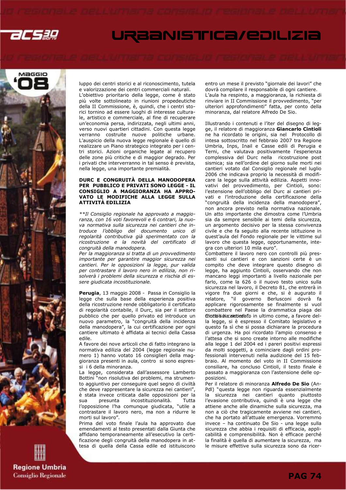



luppo dei centri storici e al riconoscimento, tutela

e valorizzazione dei centri commerciali naturali. L'obiettivo prioritario della legge, come è stato più volte sottolineato in riunioni propedeutiche della II Commissione, è, quindi, che i centri storici tornino ad essere luoghi di interesse culturale, artistico e commerciale, al fine di recuperare un'economia persa, indirizzata, negli ultimi anni, verso nuovi quartieri cittadini. Con questa legge verranno costruite nuove politiche urbane. L'auspicio della nuova legge regionale è quello di realizzare un Piano strategico integrato per i centri storici. Azioni organiche legate al recupero delle zone più critiche e di maggior degrado. Per i privati che interverranno in tal senso è prevista, nella legge, una importante premialità.

### DURC E CONGRUITÀ DELLA MANODOPERA PER PUBBLICO E PRIVATI SONO LEGGE - IL CONSIGLIO A MAGGIORANZA HA APPRO-VATO LE MODIFICHE ALLA LEGGE SULLA ATTIVITÀ EDILIZIA

\*\*Il Consiglio regionale ha approvato a maggioranza, con 16 voti favorevoli e 6 contrari, la nuova normativa sulla sicurezza nei cantieri che introduce l'obbligo del documento unico di regolarità contributiva già sperimentato con la ricostruzione e la novità del certificato di congruità della manodopera.

Per la maggioranza si tratta di un provvedimento importante per garantire maggior sicurezza nei cantieri. Per le opposizioni la legge, pur valida per contrastare il lavoro nero in edilizia, non risolverà i problemi della sicurezza e rischia di essere giudicata incostituzionale.

Perugia, 13 maggio 2008 - Passa in Consiglio la legge che sulla base della esperienza positiva della ricostruzione rende obbligatorio il certificato di regolarità contabile, il Durc, sia per il settore pubblico che per quello privato ed introduce un nuovo parametro, la "congruità della incidenza della manodopera", la cui certificazione per ogni cantiere ultimato è affidata ai tecnici della Cassa edile.

A favore dei nove articoli che di fatto integrano la normativa edilizia del 2004 (legge regionale numero 1) hanno votato 16 consiglieri della maggioranza presenti in aula, contro si sono espressi i 6 della minoranza.

La legge, considerata dall'assessore Lamberto Bottini "non risolutiva dei problemi, ma strumento aggiuntivo per conseguire quel segno di civiltà che deve rappresentare la sicurezza nei cantieri", è stata invece criticata dalle opposizioni per la sua presunta incostituzionalità. l'opposizione l'ha comunque giudicata, "utile a contrastare il lavoro nero, ma non a ridurre le morti sul lavoro".

Prima del voto finale l'aula ha approvato due emendamenti al testo presentati dalla Giunta che affidano temporaneamente all'esecutivo la certificazione degli congruità della manodopera in attesa di quella della Cassa edile ed istituiscono entro un mese il previsto "giornale dei lavori" che dovrà compilare il responsabile di ogni cantiere. L'aula ha respinto, a maggioranza, la richiesta di rinviare in II Commissione il provvedimento, "per ulteriori approfondimenti" fatta, per conto della minoranza, dal relatore Alfredo De Sio.

Illustrando i contenuti e l'iter del disegno di legge, il relatore di maggioranza Giancarlo Cintioli ne ha ricordato le origini, sia nel Protocollo di intesa sottoscritto nel febbraio 2007 tra Regione Umbria, Inps, Inail e Casse edili di Perugia e Terni, che valutava positivamente l'esperienza complessiva del Durc nella ricostruzione post sismica; sia nell'ordine del giorno sulle morti nei cantieri votato dal Consiglio regionale nel luglio 2006 che indicava proprio la necessità di modificare la legge sulla attività edilizia. Aspetti innovativi del provvedimento, per Cintioli, sono: l'estensione dell'obbligo del Durc ai cantieri privati e l'introduzione della certificazione della "congruità della incidenza della manodopera", non ancora previsto nella normativa nazionale. Un atto importante che dimostra come l'Umbria sia da sempre sensibile ai temi della sicurezza, un argomento decisivo per la stessa convivenza civile e che fa seguito alla recente istituzione in quest'aula del Fondo regionale per le vittime sul lavoro che questa legge, opportunamente, integra con ulteriori 10 mila euro".

Combattere il lavoro nero con controlli più pressanti sui cantieri e con sanzioni certe è un compito che deve integrare questo disegno di legge, ha aggiunto Cintioli, osservando che non mancano leggi importanti a livello nazionale per farlo, come la 626 o il nuovo testo unico sulla sicurezza nel lavoro, il Decreto 81, che entrerà in vigore fra due giorni e che, si è augurato il relatore, "il governo Berlusconi dovrà fa applicare rigorosamente se finalmente si vuol combattere nel Paese la drammatica piaga dei Cintibis una cantiedato in ultimo come, a favore della legge, si è espresso il Comitato legislativo e questo fa sì che si possa dichiarare la procedura di urgenza. Ha poi ricordato l'ampio consenso e l'attesa che si sono create intorno alle modifiche alla legge 1 del 2004 ed i pareri positivi espressi da molti soggetti, a cominciare dagli ordini professionali intervenuti nella audizione del 15 febbraio. Al momento del voto in II Commissione consiliare, ha concluso Cintioli, il testo finale è passato a maggioranza con l'astensione delle opposizioni.

Per il relatore di minoranza Alfredo De Sio (An-Pdl) "questa legge non riguarda essenzialmente la sicurezza nei cantieri quanto piuttosto l'evasione contributiva, quindi è una legge che attiene anche alle dinamiche sulla sicurezza, ma non a ciò che tragicamente avviene nei cantieri, che ha portato all'attuale emergenza. Vorremmo invece – ha continuato De Sio - una legge sulla sicurezza che abbia i requisiti di efficacia, applicabilità e comprensibilità. Non è efficace perché la finalità è quella di aumentare la sicurezza, ma le misure effettive sulla sicurezza sono da ricer-

**Regione Umbria Consiglio Regionale**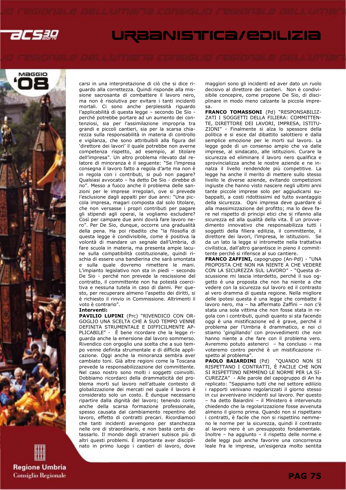



**Regione Umbria Consiglio Regionale**  carsi in una interpretazione di ciò che si dice riguardo alla correttezza. Quindi risponde alla missione sacrosanta di combattere il lavoro nero, ma non è risolutiva per evitare i tanti incidenti mortali. Ci sono anche perplessità riguardo l'applicabilità di questa legge – secondo De Sio perché potrebbe portare ad un aumento dei contenziosi, sia per l'assimilazione impropria tra grandi e piccoli cantieri, sia per la scarsa chiarezza sulla responsabilità in materia di controllo e vigilanza, che sono attribuibili alla figura del 'direttore dei lavori' il quale potrebbe non averne competenza rispetto, ad esempio, al titolare dell'impresa". Un altro problema rilevato dal relatore di minoranza è il seguente: "Se l'impresa consegna il lavoro fatto a regola d'arte ma non è in regola con i contributi, si può non pagare? Qualsiasi avvocato – ha detto De Sio - direbbe di no". Messo a fuoco anche il problema delle sanzioni per le imprese irregolari, ove si prevede l'esclusione dagli appalti per due anni: "Una piccola impresa, magari composta dal solo titolare, che non versasse i propri contributi per pagare gli stipendi agli operai, la vogliamo escludere? Così per campare due anni dovrà fare lavoro nero". Per De Sio, dunque, occorre una gradualità della pena. Ha poi ribadito che "la filosofia di questa legge è condivisibile, come è positiva la volontà di mandare un segnale dall'Umbria, di fare scuola in materia, ma presenta ampie lacune sulla compatibilità costituzionale, quindi rischia di essere una bandierina che sarà smontata e sulla quale dovremo rimettere le mani. L'impianto legislativo non sta in piedi – secondo De Sio - perché non prevede la rescissione del contratto, il committente non ha potestà coercitiva e nessuna tutela in caso di danni. Per questo, per recuperare almeno l'aspetto dei diritti, si è richiesto il rinvio in Commissione. Altrimenti il voto è contrario".

#### Interventi:

PAVILIO LUPINI (Prc) "RIVENDICO CON OR-GOGLIO UNA SCELTA CHE A SUO TEMPO VENNE DEFINITA STRUMENTALE E DIFFICILMENTE AP-PLICABILE" - È bene ricordare che la legge riguarda anche la emersione dal lavoro sommerso. Rivendico con orgoglio una scelta che a suo tempo venne definita strumentale e di difficile applicazione. Oggi anche la minoranza sembra aver cambiato toni. Già altre regioni come la Toscana prevede la responsabilizzazione del committente. Nel caso nostro sono molti i soggetti coinvolti. Dobbiamo ricordarci della drammaticità del problema morti sul lavoro nell'attuale contesto di globalizzazione dei mercati nel quale il lavoro è considerato solo un costo. È dunque necessario ripartire dalla dignità del lavoro; tenendo conto anche della scarsa formazione professionale, spesso causata dal cambiamento repentino del lavoro, effetto di contratti precari. Ricordiamoci che tanti incidenti avvengono per stanchezza nelle ore di straordinario, e non basta certo detassarlo. Il mondo degli stranieri subisce più di altri questi problemi. È importante aver disciplinato in primo luogo i cantieri di lavoro, dove maggiori sono gli incidenti ed aver dato un ruolo decisivo al direttore dei cantieri. Non è condivisibile concepire, come propone De Sio, di disciplinare in modo meno calzante la piccola impresa.

FRANCO TOMASSONI (Pd) "RESPONSABILIZ-ZATI I SOGGETTI DELLA FILIERA: COMMITTEN-TE, DIRETTORE DEI LAVORI, IMPRESA, ISTITU-ZIONI" - Finalmente si alza lo spessore della politica e si esce dal dibattito salottiero e dalla semplice emozione per le morti sul lavoro. La legge gode di un consenso ampio che va dalle imprese, al sindacato, alle istituzioni. Curare la sicurezza ed eliminare il lavoro nero qualifica e sprovincializza anche le nostre aziende e ne innalza il livello rendendole più competitive. La legge ha anche il merito di mettere sullo stesso livello le diverse aziende, evitando competizioni ingiuste che hanno visto nascere negli ultimi anni tante piccole imprese solo per aggiudicarsi subappalti, a costi ridottissimi ed tutto svantaggio della sicurezza. Ogni impresa deve guardare sì alla massimizzazione del profitto; ma lo deve fare nel rispetto di principi etici che si rifanno alla sicurezza ed alla qualità della vita. È un provvedimento innovativo che responsabilizza tutti i soggetti della filiera edilizia, il committente, il direttore dei lavori, l'impresa, le istituzioni. Se da un lato la legge si intromette nella trattativa civilistica, dall'altro garantisce in pieno il committente perché si riferisce al suo cantiere.

FRANCO ZAFFINI, capogruppo (An-Pdl) - "UNA PROPOSTA CHE NON HA NIENTE A CHE VEDERE CON LA SICUREZZA SUL LAVORO" - "Questa discussione mi lascia interdetto, perché il suo oggetto è una proposta che non ha niente a che vedere con la sicurezza sul lavoro ed il contrasto al vero dramma di questa regione. Nella migliore delle ipotesi questa è una legge che combatte il lavoro nero, ma – ha affermato Zaffini – non c'è stata una sola vittima che non fosse stata in regola con i contributi, quindi quanto si sta facendo oggi è una mistificazione ed è grave, perché il problema per l'Umbria è drammatico, e noi ci stiamo 'gingillando' con provvedimenti che non hanno niente a che fare con il problema vero. Avremmo potuto astenerci – ha concluso – ma voteremo contro perché è un mistificazione rispetto al problema".

PAOLO BAIARDINI (Pd) "QUANDO NON SI RISPETTANO I CONTRATTI, È FACILE CHE NON SI RISPETTINO NEMMENO LE NORME PER LA SI-CUREZZA" - Alle parole del capogruppo di An ha replicato: "Sappiamo tutti che nel settore edilizio i rapporti venivano regolarizzati il giorno stesso in cui avvenivano incidenti sul lavoro. Per questo – ha detto Baiardini – il Ministero è intervenuto chiedendo che la regolarizzazione fosse avvenuta almeno il giorno prima. Quando non si rispettano i contratti, è facile che non si rispettino nemmeno le norme per la sicurezza, quindi il contrasto al lavoro nero è un presupposto fondamentale. Inoltre – ha aggiunto – il rispetto delle norme e delle leggi può anche favorire una concorrenza leale fra le imprese, un'esigenza molto sentita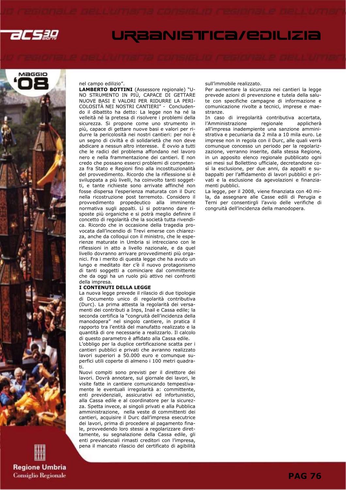



**Regione Umbria** 

**Consiglio Regionale** 

### nel campo edilizio".

LAMBERTO BOTTINI (Assessore regionale) "U-NO STRUMENTO IN PIÙ, CAPACE DI GETTARE NUOVE BASI E VALORI PER RIDURRE LA PERI-COLOSITÀ NEI NOSTRI CANTIERI" - Concludendo il dibattito ha detto: La legge non ha né la velleità né la pretesa di risolvere i problemi della sicurezza. Si propone come uno strumento in più, capace di gettare nuove basi e valori per ridurre la pericolosità nei nostri cantieri: per noi è un segno di civiltà e di solidarietà che non deve abdicare a nessun altro interesse. È ovvio a tutti che le radici del problema affondano nel lavoro nero e nella frammentazione dei cantieri. E non credo che possano esserci problemi di competenza fra Stato e Regioni fino alla incostituzionalità del provvedimento. Ricordo che la riflessione si è sviluppata a più livelli, ha coinvolto tanti soggetti, e tante richieste sono arrivate affinché non fosse dispersa l'esperienza maturata con il Durc nella ricostruzione post terremoto. Considero il provvedimento propedeutico alla imminente normativa sugli appalti. Lì si potranno dare risposte più organiche e si potrà meglio definire il concetto di regolarità che la società tutta rivendica. Ricordo che in occasione della tragedia provocata dall'incendio di Trevi emerse con chiarezza, anche da colloqui con il ministro, che le esperienze maturate in Umbria si intrecciano con le riflessioni in atto a livello nazionale, e da quel livello dovranno arrivare provvedimenti più organici. Fra i merito di questa legge che ha avuto un lungo e meditato iter c'è il nuovo protagonismo di tanti soggetti a cominciare dal committente che da oggi ha un ruolo più attivo nei confronti della impresa.

### I CONTENUTI DELLA LEGGE

ti.

La nuova legge prevede il rilascio di due tipologie di Documento unico di regolarità contributiva (Durc). La prima attesta la regolarità dei versamenti dei contributi a Inps, Inail e Cassa edile; la seconda certifica la "congruità dell'incidenza della manodopera" nel singolo cantiere, in pratica il rapporto tra l'entità del manufatto realizzato e la quantità di ore necessarie a realizzarlo. Il calcolo di questo parametro è affidato alla Cassa edile. L'obbligo per la duplice certificazione scatta per i cantieri pubblici e privati che avranno realizzato lavori superiori a 50.000 euro e comunque superfici utili coperte di almeno i 100 metri quadra-

Nuovi compiti sono previsti per il direttore dei lavori. Dovrà annotare, sul giornale dei lavori, le visite fatte in cantiere comunicando tempestivamente le eventuali irregolarità a: committente, enti previdenziali, assicurativi ed infortunistici, alla Cassa edile e al coordinatore per la sicurezza. Spetta invece, ai singoli privati e alla Pubblica amministrazione, nella veste di committenti dei cantieri, acquisire il Durc dall'impresa esecutrice dei lavori, prima di procedere al pagamento finale, provvedendo loro stessi a regolarizzare direttamente, su segnalazione della Cassa edile, gli enti previdenziali rimasti creditori con l'impresa, pena il mancato rilascio del certificato di agibilità

### sull'immobile realizzato.

Per aumentare la sicurezza nei cantieri la legge prevede azioni di prevenzione e tutela della salute con specifiche campagne di informazione e comunicazione rivolte a tecnici, imprese e maestranze.

In caso di irregolarità contributiva accertata, l'Amministrazione regionale applicherà all'impresa inadempiente una sanzione amministrativa e pecuniaria da 2 mila a 10 mila euro. Le imprese non in regola con il Durc, alle quali verrà comunque concesso un periodo per la regolarizzazione, verranno inserite, dalla stessa Regione, in un apposito elenco regionale pubblicato ogni sei mesi sul Bollettino ufficiale, decretandone così la esclusione, per due anni, da appalti e subappalti per l'affidamento di lavori pubblici e privati e la esclusione da agevolazioni e finanziamenti pubblici.

La legge, per il 2008, viene finanziata con 40 mila, da assegnare alle Casse edili di Perugia e Terni per consentirgli l'avvio delle verifiche di congruità dell'incidenza della manodopera.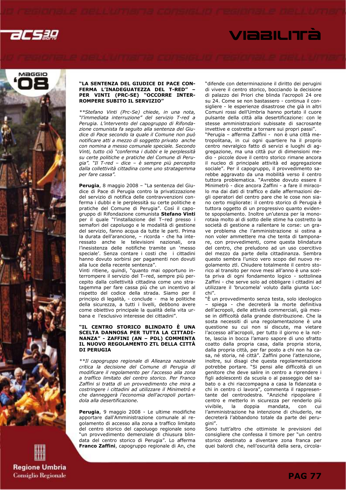

# VIABILITÀ



### **Regione Umbria Consiglio Regionale**

### "LA SENTENZA DEL GIUDICE DI PACE CON-FERMA L'INADEGUATEZZA DEL T-RED" – PER VINTI (PRC-SE) "OCCORRE INTER-ROMPERE SUBITO IL SERVIZIO"

\*\*Stefano Vinti (Prc-Se) chiede, in una nota, "l'immediata interruzione" del servizio T-red a Perugia. L'intervento del capogruppo di Rifondazione comunista fa seguito alla sentenza del Giudice di Pace secondo la quale il Comune non può notificare atti a mezzo di soggetto privato anche con nomina a messo comunale speciale. Secondo Vinti, tutto ciò "conferma i dubbi e le perplessità su certe politiche e pratiche del Comune di Perugia". "Il T-red – dice – è sempre più percepito dalla collettività cittadina come uno stratagemma per fare cassa".

Perugia, 8 maggio 2008 - "La sentenza del Giudice di Pace di Perugia contro la privatizzazione del servizio di notifica delle contravvenzioni conferma i dubbi e le perplessità su certe politiche e pratiche del Comune di Perugia". Così il capogruppo di Rifondazione comunista Stefano Vinti per il quale "l'installazione del T–red presso i semafori del capoluogo e le modalità di gestione del servizio, fanno acqua da tutte le parti. Prima la durata dell'arancione, – ricorda - che ha interessato anche le televisioni nazionali, ora l'inesistenza delle notifiche tramite un 'messo speciale'. Senza contare i costi che i cittadini hanno dovuto sorbirsi per pagamenti non dovuti alla luce della recente sentenza".

Vinti ritiene, quindi, "quanto mai opportuno interrompere il servizio del T–red, sempre più percepito dalla collettività cittadina come uno stratagemma per fare cassa più che un incentivo al rispetto del codice della strada. Siamo per il principio di legalità, - conclude - ma le politiche della sicurezza, a tutti i livelli, debbono avere come obiettivo principale la qualità della vita urbana e l'esclusivo interesse dei cittadini".

### "IL CENTRO STORICO BLINDATO È UNA SCELTA DANNOSA PER TUTTA LA CITTADI-NANZA" - ZAFFINI (AN – PDL) COMMENTA IL NUOVO REGOLAMENTO ZTL DELLA CITTÀ DI PERUGIA

\*\*Il capogruppo regionale di Alleanza nazionale critica la decisione del Comune di Perugia di modificare il regolamento per l'accesso alla zona a traffico limitato del centro storico. Per Franco Zaffini si tratta di un provvedimento che mira a costringere i cittadini ad utilizzare il Minimetrò e che danneggerà l'economia dell'acropoli portandola alla desertificazione.

Perugia, 9 maggio 2008 - Le ultime modifiche apportare dall'Amministrazione comunale al regolamento di accesso alla zona a traffico limitato del centro storico del capoluogo regionale sono "un provvedimento demenziale di chiusura blindata del centro storico di Perugia". Lo afferma Franco Zaffini, capogruppo regionale di An, che

"difende con determinazione il diritto dei perugini di vivere il centro storico, bocciando la decisione di palazzo dei Priori che blinda l'acropoli 24 ore su 24. Come se non bastassero - continua il consigliere - le esperienze disastrose che già in altri Comuni rossi dell'Umbria hanno portato il cuore pulsante della città alla desertificazione: con le stesse amministrazioni subissate di sacrosante invettive e costrette a tornare sui propri passi".

"Perugia – afferma Zaffini - non è una città metropolitana, in cui ogni quartiere ha il proprio centro nevralgico fatto di servizi e luoghi di aggregazione, ma una città pur di dimensioni medio - piccole dove il centro storico rimane ancora il nucleo di principale attività ed aggregazione sociale". Per il capogruppo, il provvedimento sarebbe aggravato da una mobilità verso il centro tuttora problematica. "Avrebbe dovuto essere il Minimetrò - dice ancora Zaffini - a fare il miracolo ma dai dati di traffico e dalle affermazioni degli operatori del centro pare che le cose non siano certo migliorate: il centro storico di Perugia è tuttora oggetto di un progressivo quanto evidente spopolamento. Inoltre un'utenza per la monorotaia molto al di sotto delle stime ha costretto la società di gestione a rallentare le corse: un grave problema che l'amministrazione si ostina a non voler ammettere ma che tenta di tamponare, con provvedimenti, come questa blindatura del centro, che preludono ad un uso coercitivo del mezzo da parte della cittadinanza. Sembra questo sembra l'unico vero scopo del nuovo regolamento ztl. Chiudere totalmente il centro storico al transito per nove mesi all'anno è una scelta priva di ogni fondamento logico - sottolinea Zaffini - che serve solo ad obbligare i cittadini ad utilizzare il 'brucomela' voluto dalla giunta Locchi".

"È un provvedimento senza testa, solo ideologico – spiega - che decreterà la morte definitiva dell'acropoli, delle attività commerciali, già messe in difficoltà dalla grande distribuzione. Che la sosta necessiti di una regolamentazione è una questione su cui non si discute, ma vietare l'accesso all'acropoli, per tutto il giorno e la notte, lascia in bocca l'amaro sapore di uno sfratto coatto dalla propria casa, dalla propria storia, dalla propria città, per far posto a chi non ha casa, né storia, né città". Zaffini pone l'attenzione, inoltre, sui disagi che questa regolamentazione potrebbe portare. "Si pensi alle difficoltà di un genitore che deve salire in centro a riprendere i figli adolescenti da scuola o al passeggio del sabato o a chi riaccompagna a casa la fidanzata o chi in centro ci lavora", commenta il rappresentante del centrodestra. "Anziché ripopolare il centro e metterlo in sicurezza per renderlo più vivibile, la doppia mandata, con cui l'amministrazione ha intenzione di chiuderlo, ne decreterà l'abbandono totale da parte dei perugini".

Sono tutt'altro che ottimiste le previsioni del consigliere che confessa il timore per "un centro storico destinato a diventare zona franca per quei balordi che, nell'oscurità della sera, circola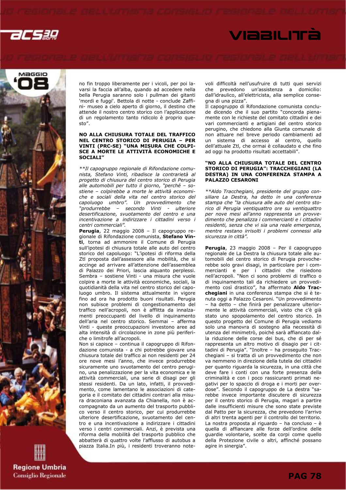acsag

## VIABILITÀ



**Regione Umbria Consiglio Regionale**  no fin troppo liberamente per i vicoli, per poi lavarsi la faccia all'alba, quando ad accedere nella bella Perugia saranno solo i pullman dei gitanti 'mordi e fuggi'. Bettola di notte - conclude Zaffini- museo a cielo aperto di giorno, il destino che attende il nostro centro storico con l'applicazione di un regolamento tanto ridicolo è proprio questo".

### NO ALLA CHIUSURA TOTALE DEL TRAFFICO NEL CENTRO STORICO DI PERUGIA – PER VINTI (PRC-SE) "UNA MISURA CHE COLPI-SCE A MORTE LE ATTIVITÀ ECONOMICHE E SOCIALI"

\*\*Il capogruppo regionale di Rifondazione comunista, Stefano Vinti, ribadisce la contrarietà al progetto di chiusura del centro storico di Perugia alle automobili per tutto il giorno, "perché – sostiene – colpirebbe a morte le attività economiche e sociali della vita nel centro storico del capoluogo umbro". Un provvedimento che "produrrebbe – secondo Vinti - ulteriore desertificazione, svuotamento del centro e una incentivazione a indirizzare i cittadini verso i centri commerciali".

Perugia, 22 maggio 2008 – Il capogruppo regionale di Rifondazione comunista, Stefano Vinti, torna ad ammonire il Comune di Perugia sull'ipotesi di chiusura totale alle auto del centro storico del capoluogo: "L'ipotesi di riforma della Ztl proposta dall'assessore alla mobilità, che si accinge ad arrivare all'attenzione dell'assemblea di Palazzo dei Priori, lascia alquanto perplessi. Sembra – sostiene Vinti - una misura che vuole colpire a morte le attività economiche, sociali, la quotidianità della vita nel centro storico del capoluogo umbro. Il sistema attualmente in vigore fino ad ora ha prodotto buoni risultati. Perugia non subisce problemi di congestionamento del traffico nell'acropoli, non è afflitta da innalzamenti preoccupanti del livello di inquinamento dell'aria nel centro storico. Semmai – afferma Vinti - queste preoccupazioni investono aree ad alta intensità di circolazione in zone più periferiche o limitrofe all'acropoli.

Non si capisce – continua il capogruppo di Rifondazione comunista - a chi potrebbe giovare una chiusura totale del traffico ai non residenti per 24 ore nove mesi l'anno, che invece produrrebbe sicuramente uno svuotamento del centro perugino, una penalizzazione per la vita economica e le attività commerciali, una serie di disagi per gli stessi residenti. Da un lato, infatti, il provvedimento, come lamentano le associazioni di categoria e il comitato dei cittadini contrari alla misura draconiana avanzata da Chianella, non è accompagnato da un aumento del trasporto pubblico verso il centro storico, per cui produrrebbe ulteriore desertificazione, svuotamento del centro e una incentivazione a indirizzare i cittadini verso i centri commerciali. Anzi, è prevista una riforma della mobilità del trasporto pubblico che abbatterà di quattro volte l'afflusso di autobus a piazza Italia.In più, i residenti troveranno notevoli difficoltà nell'usufruire di tutti quei servizi che prevedono un'assistenza a domicilio: dall'idraulico, all'elettricista, alla semplice consegna di una pizza".

Il capogruppo di Rifondazione comunista conclude dicendo che il suo partito "concorda pienamente con le richieste del comitato cittadini e dei vari commercianti e artigiani del centro storico perugino, che chiedono alla Giunta comunale di non attuare nel breve periodo cambiamenti ad un sistema di accesso al centro, quello dell'attuale Ztl, che ormai è collaudato e che fino ad oggi ha prodotto risultati accettabili".

### "NO ALLA CHIUSURA TOTALE DEL CENTRO STORICO DI PERUGIA": TRACCHEGIANI (LA DESTRA) IN UNA CONFERENZA STAMPA A PALAZZO CESARONI

\*\*Aldo Tracchegiani, presidente del gruppo consiliare La Destra, ha detto in una conferenza stampa che "la chiusura alle auto del centro storico di Perugia ventiquattro ore su ventiquattro per nove mesi all'anno rappresenta un provvedimento che penalizza i commercianti e i cittadini residenti, senza che vi sia una reale emergenza, mentre restano irrisolti i problemi connessi alla sicurezza in città".

Perugia, 23 maggio 2008 - Per il capogruppo regionale de La Destra la chiusura totale alle automobili del centro storico di Perugia provocherebbe solo gravi disagi, in particolare per i commercianti e per i cittadini che risiedono nell'acropoli. "Non ci sono problemi di traffico o di inquinamento tali da richiedere un provvedimento così drastico", ha affermato **Aldo Trac**chegiani in una conferenza stampa che si è tenuta oggi a Palazzo Cesaroni. "Un provvedimento – ha detto – che finirà per penalizzare ulteriormente le attività commerciali, visto che c'è già stato uno spopolamento del centro storico. In questo progetto del Comune di Perugia vediamo solo una manovra di sostegno alla necessità di utenza del minimetrò, poiché sarà affiancato dalla riduzione delle corse dei bus, che di per sé rappresenta un altro motivo di disagio per i cittadini di Perugia". "Inoltre – ha proseguito Tracchegiani – si tratta di un provvedimento che non va nemmeno in direzione della tutela dei cittadini per quanto riguarda la sicurezza, in una città che deve fare i conti con una forte presenza della criminalità e con i poco rassicuranti primati negativi per lo spaccio di droga e i morti per overdose". Secondo il capogruppo de La destra "sarebbe invece importante discutere di sicurezza per il centro storico di Perugia, magari a partire dalle insufficienti misure che sono state previste dal Patto per la sicurezza, che prevedono l'arrivo di altri trenta agenti per il controllo del territorio. La nostra proposta al riguardo – ha concluso – è quella di affiancare alle forze dell'ordine delle guardie volontarie, scelte da corpi come quello della Protezione civile o altri, affinché possano agire in sinergia".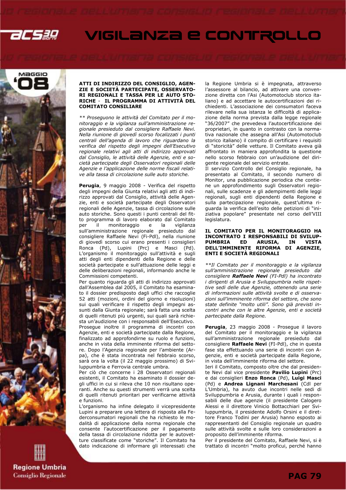

## VIGILANZA E CONTROLLO



### ATTI DI INDIRIZZO DEL CONSIGLIO, AGEN-ZIE E SOCIETÀ PARTECIPATE, OSSERVATO-RI REGIONALI E TASSA PER LE AUTO STO-RICHE - IL PROGRAMMA DI ATTIVITÀ DEL COMITATO CONSILIARE

\*\* Proseguono le attività del Comitato per il monitoraggio e la vigilanza sull'amministrazione regionale presieduto dal consigliere Raffaele Nevi. Nella riunione di giovedì scorso focalizzati i punti centrali dell'agenda di lavoro che riguardano la verifica del rispetto degli impegni dell'Esecutivo regionale relativi agli atti di indirizzo approvati dal Consiglio, le attività delle Agenzie, enti e società partecipate degli Osservatori regionali delle Agenzie e l'applicazione delle norme fiscali relative alla tassa di circolazione sulle auto storiche.

Perugia, 9 maggio 2008 - Verifica del rispetto degli impegni della Giunta relativi agli atti di indirizzo approvati dal Consiglio, attività delle Agenzie, enti e società partecipate degli Osservatori regionali delle Agenzie, tassa di circolazione sulle auto storiche. Sono questi i punti centrali del fitto programma di lavoro elaborato dal Comitato per il monitoraggio e sull'amministrazione regionale presieduto dal consigliere Raffaele Nevi (Fi-Pdl), nella riunione di giovedì scorso cui erano presenti i consiglieri Ronca (Pd), Lupini (Prc) e Masci (Pd). L'organismo il monitoraggio sull'attività e sugli atti degli enti dipendenti della Regione e delle società partecipate e sull'attuazione delle leggi e delle deliberazioni regionali, informando anche le Commissioni competenti.

Per quanto riguarda gli atti di indirizzo approvati dall'Assemblea dal 2005, il Comitato ha esaminato il dossier predisposto dagli uffici che raccoglie 52 atti (mozioni, ordini del giorno e risoluzioni) sui quali verificare il rispetto degli impegni assunti dalla Giunta regionale; sarà fatta una scelta di quelli ritenuti più urgenti, sui quali sarà richiesta un'audizione con i responsabili dell'Esecutivo. Prosegue inoltre il programma di incontri con Agenzie, enti e società partecipate dalla Regione, finalizzato ad approfondirne su ruolo e funzioni, anche in vista della imminente riforma del settore. Dopo l'Agenzia regionale per l'ambiente (Arpa), che è stata incontrata nel febbraio scorso, sarà ora la volta (il 22 maggio prossimo) di Sviluppumbria e Ferrovia centrale umbra.

Per ciò che concerne i 28 Osservatori regionali esistenti, il Comitato ha esaminato il dossier degli uffici in cui si rileva che 10 non risultano operanti. Anche su questi strumenti verrà una scelta di quelli ritenuti prioritari per verificarne attività e funzioni.

L'organismo ha infine delegato il vicepresidente Lupini a preparare una lettera di risposta alla Federconsumatori regionali che ha richiesto le modalità di applicazione della norma regionale che consente l'autocertificazione per il pagamento della tassa di circolazione ridotta per le autovetture classificate come "storiche". Il Comitato ha dato indicazione di informare gli interessati che la Regione Umbria si è impegnata, attraverso l'assessore al bilancio, ad attivare una convenzione diretta con l'Asi (Automotoclub storico italiano) e ad accettare le autocertificazioni dei richiedenti. L'associazione dei consumatori faceva rilevare nella sua istanza le difficoltà di applicazione della norma prevista dalla legge regionale "36/2007" che prevedeva l'autocertificazione dei proprietari, in quanto in contrasto con la normativa nazionale che assegna all'Asi (Automotoclub storico italiano) il compito di certificare i requisiti di "storicità" delle vetture. Il Comitato aveva già affrontato in maniera approfondita la questione nello scorso febbraio con un'audizione del dirigente regionale del servizio entrate.

Il servizio Controllo del Consiglio regionale, ha presentato al Comitato, il secondo numero di Monitor, una pubblicazione periodica che contiene un approfondimento sugli Osservatori regionali, sulle scadenze e gli adempimenti delle leggi regionali, sugli enti dipendenti della Regione e sulla partecipazione regionale, quest'ultima riguarda la verifica dell'esito delle petizioni di "iniziativa popolare" presentate nel corso dell'VIII legislatura.

### IL COMITATO PER IL MONITORAGGIO HA INCONTRATO I RESPONSABILI DI SVILUP-PUMBRIA ED ARUSIA, IN VISTA DELL'IMMINENTE RIFORMA DI AGENZIE, ENTI E SOCIETÀ REGIONALI

\*\*Il Comitato per il monitoraggio e la vigilanza sull'amministrazione regionale presieduto dal consigliere Raffaele Nevi (FI-Pdl) ha incontrato i dirigenti di Arusia e Sviluppumbria nelle rispettive sedi delle due Agenzie, ottenendo una serie di informazioni sulle attività svolte e di osservazioni sull'imminente riforma del settore, che sono state definite "molto utili". Sono già previsti incontri anche con le altre Agenzie, enti e società partecipate dalla Regione.

Perugia, 23 maggio 2008 - Prosegue il lavoro del Comitato per il monitoraggio e la vigilanza sull'amministrazione regionale presieduto dal consigliere Raffaele Nevi (FI-Pdl), che in questa fase sta effettuando una serie di incontri con Agenzie, enti e società partecipate dalla Regione, in vista dell'imminente riforma del settore.

Ieri il Comitato, composto oltre che dal presidente Nevi dal vice presidente Pavilio Lupini (Prc) e dai consiglieri Enzo Ronca (Pd), Luigi Masci (Pd) e Andrea Lignani Marchesani (Cdl per L'Umbria), ha avuto due incontri nelle sedi di Sviluppumbria e Arusia, durante i quali i responsabili delle due agenzie (il presidente Calogero Alessi e il direttore Vinicio Bottacchiari per Sviluppumbria, il presidente Adolfo Orsini e il direttore Franco Todini per Arusia) hanno esposto ai rappresentanti del Consiglio regionale un quadro sulle attività svolte e sulle loro considerazioni a proposito dell'imminente riforma.

Per il presidente del Comitato, Raffaele Nevi, si è trattato di incontri "molto proficui, perché hanno